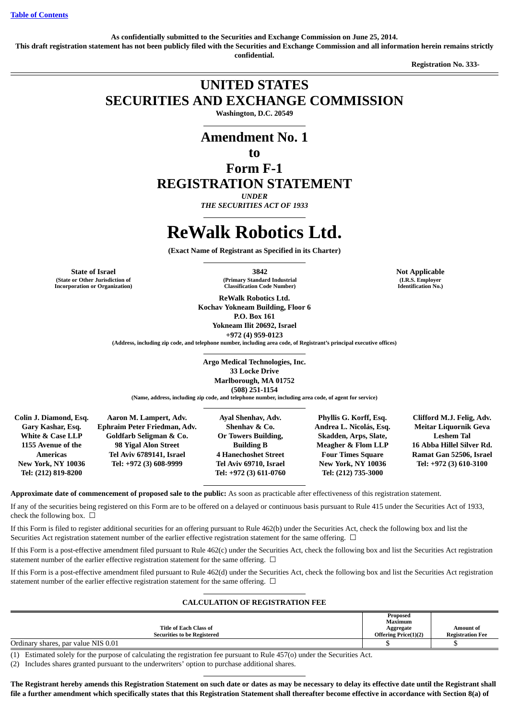**As confidentially submitted to the Securities and Exchange Commission on June 25, 2014.**

**This draft registration statement has not been publicly filed with the Securities and Exchange Commission and all information herein remains strictly confidential.**

**Registration No. 333-** 

## **UNITED STATES SECURITIES AND EXCHANGE COMMISSION**

**Washington, D.C. 20549**

## **Amendment No. 1**

## **to**

**Form F-1 REGISTRATION STATEMENT**

*UNDER*

*THE SECURITIES ACT OF 1933*

# **ReWalk Robotics Ltd.**

**(Exact Name of Registrant as Specified in its Charter)**

**State of Israel 3842 Not Applicable (State or Other Jurisdiction of Incorporation or Organization)**

**(Primary Standard Industrial Classification Code Number)**

**ReWalk Robotics Ltd. Kochav Yokneam Building, Floor 6 P.O. Box 161 Yokneam Ilit 20692, Israel +972 (4) 959-0123**

**(Address, including zip code, and telephone number, including area code, of Registrant's principal executive offices)**

**Argo Medical Technologies, Inc. 33 Locke Drive Marlborough, MA 01752 (508) 251-1154**

**(Name, address, including zip code, and telephone number, including area code, of agent for service)**

**Colin J. Diamond, Esq. Gary Kashar, Esq. White & Case LLP 1155 Avenue of the Americas New York, NY 10036 Tel: (212) 819-8200**

**Aaron M. Lampert, Adv. Ephraim Peter Friedman, Adv. Goldfarb Seligman & Co. 98 Yigal Alon Street Tel Aviv 6789141, Israel Tel: +972 (3) 608-9999**

**Ayal Shenhav, Adv. Shenhav & Co. Or Towers Building, Building B 4 Hanechoshet Street Tel Aviv 69710, Israel Tel: +972 (3) 611-0760**

**Phyllis G. Korff, Esq. Andrea L. Nicolás, Esq. Skadden, Arps, Slate, Meagher & Flom LLP Four Times Square New York, NY 10036 Tel: (212) 735-3000**

**Clifford M.J. Felig, Adv. Meitar Liquornik Geva Leshem Tal 16 Abba Hillel Silver Rd. Ramat Gan 52506, Israel Tel: +972 (3) 610-3100**

**Approximate date of commencement of proposed sale to the public:** As soon as practicable after effectiveness of this registration statement.

If any of the securities being registered on this Form are to be offered on a delayed or continuous basis pursuant to Rule 415 under the Securities Act of 1933, check the following box.  $\Box$ 

If this Form is filed to register additional securities for an offering pursuant to Rule 462(b) under the Securities Act, check the following box and list the Securities Act registration statement number of the earlier effective registration statement for the same offering. □

If this Form is a post-effective amendment filed pursuant to Rule 462(c) under the Securities Act, check the following box and list the Securities Act registration statement number of the earlier effective registration statement for the same offering.  $\Box$ 

If this Form is a post-effective amendment filed pursuant to Rule 462(d) under the Securities Act, check the following box and list the Securities Act registration statement number of the earlier effective registration statement for the same offering.  $\Box$ 

## **CALCULATION OF REGISTRATION FEE**

|                                                                                                                                                                                                                                                                                             | Proposed             |                         |
|---------------------------------------------------------------------------------------------------------------------------------------------------------------------------------------------------------------------------------------------------------------------------------------------|----------------------|-------------------------|
|                                                                                                                                                                                                                                                                                             | Maximum              |                         |
| Title of Each Class of                                                                                                                                                                                                                                                                      | Aggregate            | Amount of               |
| <b>Securities to be Registered</b>                                                                                                                                                                                                                                                          | Offering Price(1)(2) | <b>Registration Fee</b> |
| Ordinary shares, par value NIS 0.01                                                                                                                                                                                                                                                         |                      |                         |
| $1 - 7$<br>$\cdots$ m $\cdots$<br>the state of the state of the state of the state of the state of the state of the state of the state of the state of the state of the state of the state of the state of the state of the state of the state of the state of t<br>$\mathbf{a}$<br>$\cdot$ |                      |                         |

(1) Estimated solely for the purpose of calculating the registration fee pursuant to Rule 457(o) under the Securities Act.

(2) Includes shares granted pursuant to the underwriters' option to purchase additional shares.

**The Registrant hereby amends this Registration Statement on such date or dates as may be necessary to delay its effective date until the Registrant shall file a further amendment which specifically states that this Registration Statement shall thereafter become effective in accordance with Section 8(a) of**

**(I.R.S. Employer Identification No.)**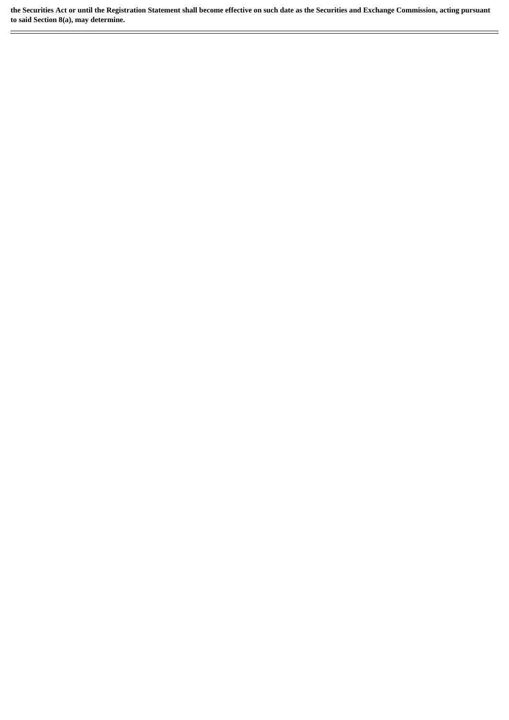**the Securities Act or until the Registration Statement shall become effective on such date as the Securities and Exchange Commission, acting pursuant to said Section 8(a), may determine.**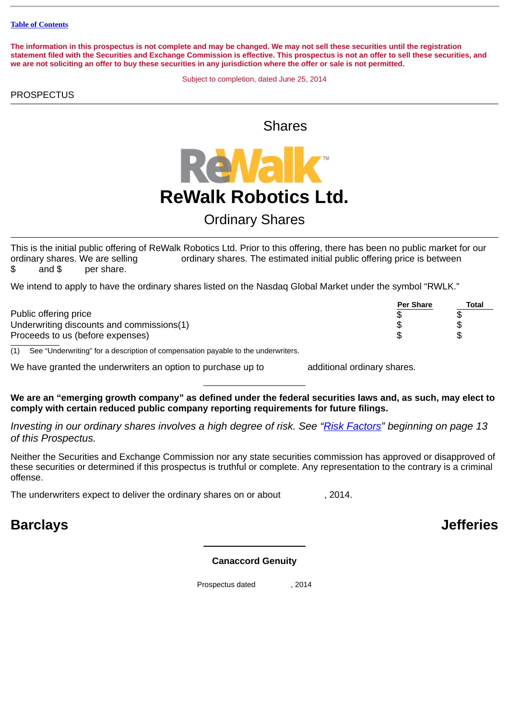**The information in this prospectus is not complete and may be changed. We may not sell these securities until the registration statement filed with the Securities and Exchange Commission is effective. This prospectus is not an offer to sell these securities, and we are not soliciting an offer to buy these securities in any jurisdiction where the offer or sale is not permitted.**

Subject to completion, dated June 25, 2014

## **PROSPECTUS**

Shares



## Ordinary Shares

This is the initial public offering of ReWalk Robotics Ltd. Prior to this offering, there has been no public market for our ordinary shares. We are selling ordinary shares. The estimated initial public offering price is between \$ and \$ per share.

We intend to apply to have the ordinary shares listed on the Nasdaq Global Market under the symbol "RWLK."

|                                                                                                                                                                                                                                    | <b>Per Share</b> | Total |
|------------------------------------------------------------------------------------------------------------------------------------------------------------------------------------------------------------------------------------|------------------|-------|
| Public offering price                                                                                                                                                                                                              |                  |       |
| Underwriting discounts and commissions(1)                                                                                                                                                                                          |                  |       |
| Proceeds to us (before expenses)                                                                                                                                                                                                   |                  |       |
| $\mathcal{L}$ and the set of the contract of the contract of the contract of the contract of the contract of the contract of the contract of the contract of the contract of the contract of the contract of the contract of the c |                  |       |

(1) See "Underwriting" for a description of compensation payable to the underwriters.

We have granted the underwriters an option to purchase up to additional ordinary shares.

**We are an "emerging growth company" as defined under the federal securities laws and, as such, may elect to comply with certain reduced public company reporting requirements for future filings.**

*Investing in our ordinary shares involves a high degree of risk. See ["Risk Factors](#page-16-0)" beginning on page 13 of this Prospectus.*

Neither the Securities and Exchange Commission nor any state securities commission has approved or disapproved of these securities or determined if this prospectus is truthful or complete. Any representation to the contrary is a criminal offense.

The underwriters expect to deliver the ordinary shares on or about , 2014.

## **Barclays Jefferies**

## **Canaccord Genuity**

Prospectus dated , 2014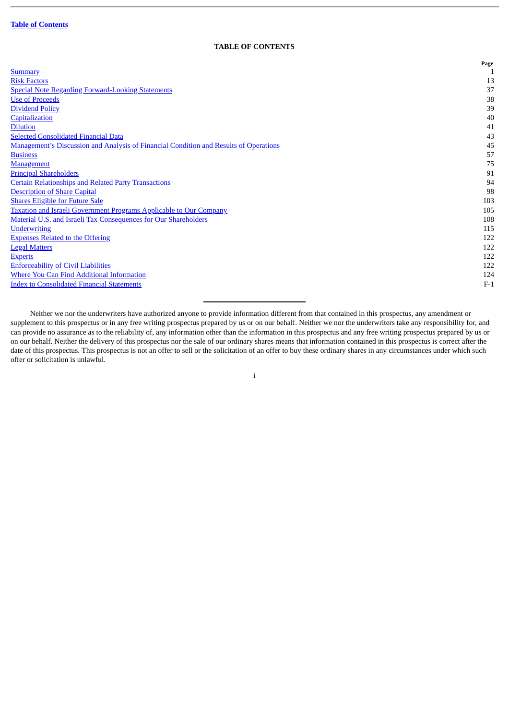## **TABLE OF CONTENTS**

<span id="page-3-0"></span>

|                                                                                       | <b>Page</b> |
|---------------------------------------------------------------------------------------|-------------|
| <b>Summary</b>                                                                        |             |
| <b>Risk Factors</b>                                                                   | 13          |
| <b>Special Note Regarding Forward-Looking Statements</b>                              | 37          |
| <b>Use of Proceeds</b>                                                                | 38          |
| <b>Dividend Policy</b>                                                                | 39          |
| Capitalization                                                                        | 40          |
| <b>Dilution</b>                                                                       | 41          |
| <b>Selected Consolidated Financial Data</b>                                           | 43          |
| Management's Discussion and Analysis of Financial Condition and Results of Operations | 45          |
| <b>Business</b>                                                                       | 57          |
| Management                                                                            | 75          |
| <b>Principal Shareholders</b>                                                         | 91          |
| <b>Certain Relationships and Related Party Transactions</b>                           | 94          |
| <b>Description of Share Capital</b>                                                   | 98          |
| <b>Shares Eligible for Future Sale</b>                                                | 103         |
| Taxation and Israeli Government Programs Applicable to Our Company                    | 105         |
| Material U.S. and Israeli Tax Consequences for Our Shareholders                       | 108         |
| <b>Underwriting</b>                                                                   | 115         |
| <b>Expenses Related to the Offering</b>                                               | 122         |
| <b>Legal Matters</b>                                                                  | 122         |
| <b>Experts</b>                                                                        | 122         |
| <b>Enforceability of Civil Liabilities</b>                                            | 122         |
| <b>Where You Can Find Additional Information</b>                                      | 124         |
| <b>Index to Consolidated Financial Statements</b>                                     | $F-1$       |
|                                                                                       |             |

Neither we nor the underwriters have authorized anyone to provide information different from that contained in this prospectus, any amendment or supplement to this prospectus or in any free writing prospectus prepared by us or on our behalf. Neither we nor the underwriters take any responsibility for, and can provide no assurance as to the reliability of, any information other than the information in this prospectus and any free writing prospectus prepared by us or on our behalf. Neither the delivery of this prospectus nor the sale of our ordinary shares means that information contained in this prospectus is correct after the date of this prospectus. This prospectus is not an offer to sell or the solicitation of an offer to buy these ordinary shares in any circumstances under which such offer or solicitation is unlawful.

i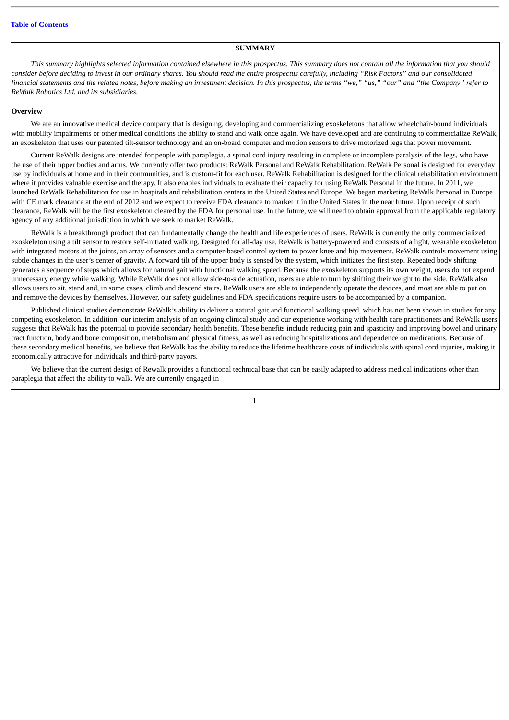#### **SUMMARY**

<span id="page-4-0"></span>*This summary highlights selected information contained elsewhere in this prospectus. This summary does not contain all the information that you should consider before deciding to invest in our ordinary shares. You should read the entire prospectus carefully, including "Risk Factors" and our consolidated financial statements and the related notes, before making an investment decision. In this prospectus, the terms "we," "us," "our" and "the Company" refer to ReWalk Robotics Ltd. and its subsidiaries.*

#### **Overview**

We are an innovative medical device company that is designing, developing and commercializing exoskeletons that allow wheelchair-bound individuals with mobility impairments or other medical conditions the ability to stand and walk once again. We have developed and are continuing to commercialize ReWalk, an exoskeleton that uses our patented tilt-sensor technology and an on-board computer and motion sensors to drive motorized legs that power movement.

Current ReWalk designs are intended for people with paraplegia, a spinal cord injury resulting in complete or incomplete paralysis of the legs, who have the use of their upper bodies and arms. We currently offer two products: ReWalk Personal and ReWalk Rehabilitation. ReWalk Personal is designed for everyday use by individuals at home and in their communities, and is custom-fit for each user. ReWalk Rehabilitation is designed for the clinical rehabilitation environment where it provides valuable exercise and therapy. It also enables individuals to evaluate their capacity for using ReWalk Personal in the future. In 2011, we launched ReWalk Rehabilitation for use in hospitals and rehabilitation centers in the United States and Europe. We began marketing ReWalk Personal in Europe with CE mark clearance at the end of 2012 and we expect to receive FDA clearance to market it in the United States in the near future. Upon receipt of such clearance, ReWalk will be the first exoskeleton cleared by the FDA for personal use. In the future, we will need to obtain approval from the applicable regulatory agency of any additional jurisdiction in which we seek to market ReWalk.

ReWalk is a breakthrough product that can fundamentally change the health and life experiences of users. ReWalk is currently the only commercialized exoskeleton using a tilt sensor to restore self-initiated walking. Designed for all-day use, ReWalk is battery-powered and consists of a light, wearable exoskeleton with integrated motors at the joints, an array of sensors and a computer-based control system to power knee and hip movement. ReWalk controls movement using subtle changes in the user's center of gravity. A forward tilt of the upper body is sensed by the system, which initiates the first step. Repeated body shifting generates a sequence of steps which allows for natural gait with functional walking speed. Because the exoskeleton supports its own weight, users do not expend unnecessary energy while walking. While ReWalk does not allow side-to-side actuation, users are able to turn by shifting their weight to the side. ReWalk also allows users to sit, stand and, in some cases, climb and descend stairs. ReWalk users are able to independently operate the devices, and most are able to put on and remove the devices by themselves. However, our safety guidelines and FDA specifications require users to be accompanied by a companion.

Published clinical studies demonstrate ReWalk's ability to deliver a natural gait and functional walking speed, which has not been shown in studies for any competing exoskeleton. In addition, our interim analysis of an ongoing clinical study and our experience working with health care practitioners and ReWalk users suggests that ReWalk has the potential to provide secondary health benefits. These benefits include reducing pain and spasticity and improving bowel and urinary tract function, body and bone composition, metabolism and physical fitness, as well as reducing hospitalizations and dependence on medications. Because of these secondary medical benefits, we believe that ReWalk has the ability to reduce the lifetime healthcare costs of individuals with spinal cord injuries, making it economically attractive for individuals and third-party payors.

We believe that the current design of Rewalk provides a functional technical base that can be easily adapted to address medical indications other than paraplegia that affect the ability to walk. We are currently engaged in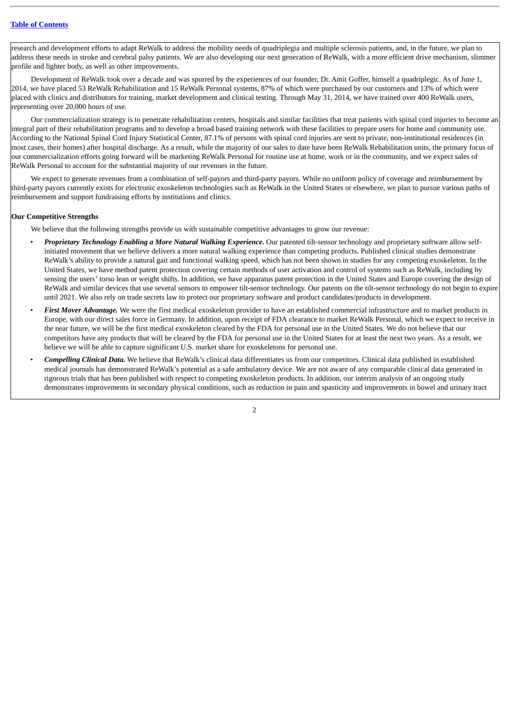research and development efforts to adapt ReWalk to address the mobility needs of quadriplegia and multiple sclerosis patients, and, in the future, we plan to address these needs in stroke and cerebral palsy patients. We are also developing our next generation of ReWalk, with a more efficient drive mechanism, slimmer profile and lighter body, as well as other improvements.

Development of ReWalk took over a decade and was spurred by the experiences of our founder, Dr. Amit Goffer, himself a quadriplegic. As of June 1, 2014, we have placed 53 ReWalk Rehabilitation and 15 ReWalk Personal systems, 87% of which were purchased by our customers and 13% of which were placed with clinics and distributors for training, market development and clinical testing. Through May 31, 2014, we have trained over 400 ReWalk users, representing over 20,000 hours of use.

Our commercialization strategy is to penetrate rehabilitation centers, hospitals and similar facilities that treat patients with spinal cord injuries to become an integral part of their rehabilitation programs and to develop a broad based training network with these facilities to prepare users for home and community use. According to the National Spinal Cord Injury Statistical Center, 87.1% of persons with spinal cord injuries are sent to private, non-institutional residences (in most cases, their homes) after hospital discharge. As a result, while the majority of our sales to date have been ReWalk Rehabilitation units, the primary focus of our commercialization efforts going forward will be marketing ReWalk Personal for routine use at home, work or in the community, and we expect sales of ReWalk Personal to account for the substantial majority of our revenues in the future.

We expect to generate revenues from a combination of self-payors and third-party payors. While no uniform policy of coverage and reimbursement by third-party payors currently exists for electronic exoskeleton technologies such as ReWalk in the United States or elsewhere, we plan to pursue various paths of reimbursement and support fundraising efforts by institutions and clinics.

#### **Our Competitive Strengths**

We believe that the following strengths provide us with sustainable competitive advantages to grow our revenue:

- *Proprietary Technology Enabling a More Natural Walking Experience.* Our patented tilt-sensor technology and proprietary software allow selfinitiated movement that we believe delivers a more natural walking experience than competing products. Published clinical studies demonstrate ReWalk's ability to provide a natural gait and functional walking speed, which has not been shown in studies for any competing exoskeleton. In the United States, we have method patent protection covering certain methods of user activation and control of systems such as ReWalk, including by sensing the users' torso lean or weight shifts. In addition, we have apparatus patent protection in the United States and Europe covering the design of ReWalk and similar devices that use several sensors to empower tilt-sensor technology. Our patents on the tilt-sensor technology do not begin to expire until 2021. We also rely on trade secrets law to protect our proprietary software and product candidates/products in development.
- First Mover Advantage. We were the first medical exoskeleton provider to have an established commercial infrastructure and to market products in Europe, with our direct sales force in Germany. In addition, upon receipt of FDA clearance to market ReWalk Personal, which we expect to receive in the near future, we will be the first medical exoskeleton cleared by the FDA for personal use in the United States. We do not believe that our competitors have any products that will be cleared by the FDA for personal use in the United States for at least the next two years. As a result, we believe we will be able to capture significant U.S. market share for exoskeletons for personal use.
- *Compelling Clinical Data.* We believe that ReWalk's clinical data differentiates us from our competitors. Clinical data published in established medical journals has demonstrated ReWalk's potential as a safe ambulatory device. We are not aware of any comparable clinical data generated in rigorous trials that has been published with respect to competing exoskeleton products. In addition, our interim analysis of an ongoing study demonstrates improvements in secondary physical conditions, such as reduction in pain and spasticity and improvements in bowel and urinary tract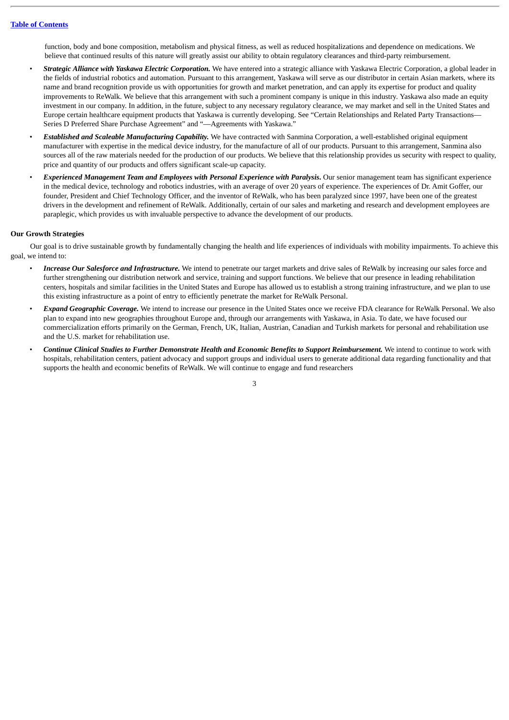function, body and bone composition, metabolism and physical fitness, as well as reduced hospitalizations and dependence on medications. We believe that continued results of this nature will greatly assist our ability to obtain regulatory clearances and third-party reimbursement.

- *Strategic Alliance with Yaskawa Electric Corporation.* We have entered into a strategic alliance with Yaskawa Electric Corporation, a global leader in the fields of industrial robotics and automation. Pursuant to this arrangement, Yaskawa will serve as our distributor in certain Asian markets, where its name and brand recognition provide us with opportunities for growth and market penetration, and can apply its expertise for product and quality improvements to ReWalk. We believe that this arrangement with such a prominent company is unique in this industry. Yaskawa also made an equity investment in our company. In addition, in the future, subject to any necessary regulatory clearance, we may market and sell in the United States and Europe certain healthcare equipment products that Yaskawa is currently developing. See "Certain Relationships and Related Party Transactions— Series D Preferred Share Purchase Agreement" and "—Agreements with Yaskawa."
- *Established and Scaleable Manufacturing Capability.* We have contracted with Sanmina Corporation, a well-established original equipment manufacturer with expertise in the medical device industry, for the manufacture of all of our products. Pursuant to this arrangement, Sanmina also sources all of the raw materials needed for the production of our products. We believe that this relationship provides us security with respect to quality, price and quantity of our products and offers significant scale-up capacity.
- *Experienced Management Team and Employees with Personal Experience with Paralysis***.** Our senior management team has significant experience in the medical device, technology and robotics industries, with an average of over 20 years of experience. The experiences of Dr. Amit Goffer, our founder, President and Chief Technology Officer, and the inventor of ReWalk, who has been paralyzed since 1997, have been one of the greatest drivers in the development and refinement of ReWalk. Additionally, certain of our sales and marketing and research and development employees are paraplegic, which provides us with invaluable perspective to advance the development of our products.

#### **Our Growth Strategies**

Our goal is to drive sustainable growth by fundamentally changing the health and life experiences of individuals with mobility impairments. To achieve this goal, we intend to:

- *Increase Our Salesforce and Infrastructure.* We intend to penetrate our target markets and drive sales of ReWalk by increasing our sales force and further strengthening our distribution network and service, training and support functions. We believe that our presence in leading rehabilitation centers, hospitals and similar facilities in the United States and Europe has allowed us to establish a strong training infrastructure, and we plan to use this existing infrastructure as a point of entry to efficiently penetrate the market for ReWalk Personal.
- *Expand Geographic Coverage.* We intend to increase our presence in the United States once we receive FDA clearance for ReWalk Personal. We also plan to expand into new geographies throughout Europe and, through our arrangements with Yaskawa, in Asia. To date, we have focused our commercialization efforts primarily on the German, French, UK, Italian, Austrian, Canadian and Turkish markets for personal and rehabilitation use and the U.S. market for rehabilitation use.
- *Continue Clinical Studies to Further Demonstrate Health and Economic Benefits to Support Reimbursement.* We intend to continue to work with hospitals, rehabilitation centers, patient advocacy and support groups and individual users to generate additional data regarding functionality and that supports the health and economic benefits of ReWalk. We will continue to engage and fund researchers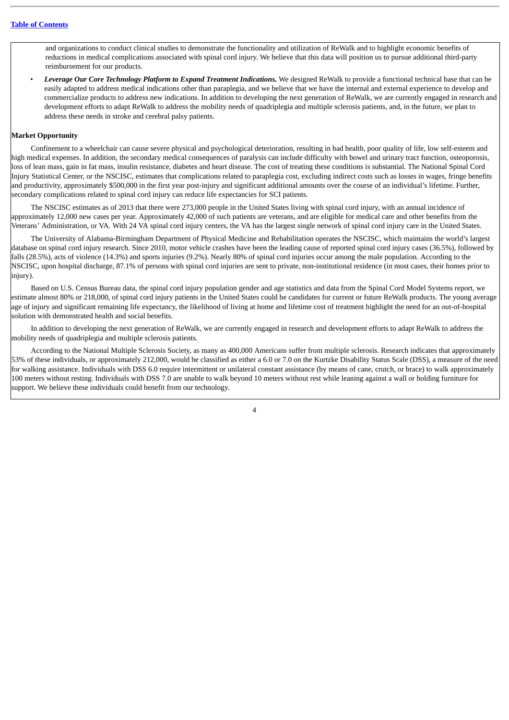and organizations to conduct clinical studies to demonstrate the functionality and utilization of ReWalk and to highlight economic benefits of reductions in medical complications associated with spinal cord injury. We believe that this data will position us to pursue additional third-party reimbursement for our products.

• *Leverage Our Core Technology Platform to Expand Treatment Indications.* We designed ReWalk to provide a functional technical base that can be easily adapted to address medical indications other than paraplegia, and we believe that we have the internal and external experience to develop and commercialize products to address new indications. In addition to developing the next generation of ReWalk, we are currently engaged in research and development efforts to adapt ReWalk to address the mobility needs of quadriplegia and multiple sclerosis patients, and, in the future, we plan to address these needs in stroke and cerebral palsy patients.

#### **Market Opportunity**

Confinement to a wheelchair can cause severe physical and psychological deterioration, resulting in bad health, poor quality of life, low self-esteem and high medical expenses. In addition, the secondary medical consequences of paralysis can include difficulty with bowel and urinary tract function, osteoporosis, loss of lean mass, gain in fat mass, insulin resistance, diabetes and heart disease. The cost of treating these conditions is substantial. The National Spinal Cord Injury Statistical Center, or the NSCISC, estimates that complications related to paraplegia cost, excluding indirect costs such as losses in wages, fringe benefits and productivity, approximately \$500,000 in the first year post-injury and significant additional amounts over the course of an individual's lifetime. Further, secondary complications related to spinal cord injury can reduce life expectancies for SCI patients.

The NSCISC estimates as of 2013 that there were 273,000 people in the United States living with spinal cord injury, with an annual incidence of approximately 12,000 new cases per year. Approximately 42,000 of such patients are veterans, and are eligible for medical care and other benefits from the Veterans' Administration, or VA. With 24 VA spinal cord injury centers, the VA has the largest single network of spinal cord injury care in the United States.

The University of Alabama-Birmingham Department of Physical Medicine and Rehabilitation operates the NSCISC, which maintains the world's largest database on spinal cord injury research. Since 2010, motor vehicle crashes have been the leading cause of reported spinal cord injury cases (36.5%), followed by falls (28.5%), acts of violence (14.3%) and sports injuries (9.2%). Nearly 80% of spinal cord injuries occur among the male population. According to the NSCISC, upon hospital discharge, 87.1% of persons with spinal cord injuries are sent to private, non-institutional residence (in most cases, their homes prior to injury).

Based on U.S. Census Bureau data, the spinal cord injury population gender and age statistics and data from the Spinal Cord Model Systems report, we estimate almost 80% or 218,000, of spinal cord injury patients in the United States could be candidates for current or future ReWalk products. The young average age of injury and significant remaining life expectancy, the likelihood of living at home and lifetime cost of treatment highlight the need for an out-of-hospital solution with demonstrated health and social benefits.

In addition to developing the next generation of ReWalk, we are currently engaged in research and development efforts to adapt ReWalk to address the mobility needs of quadriplegia and multiple sclerosis patients.

According to the National Multiple Sclerosis Society, as many as 400,000 Americans suffer from multiple sclerosis. Research indicates that approximately 53% of these individuals, or approximately 212,000, would be classified as either a 6.0 or 7.0 on the Kurtzke Disability Status Scale (DSS), a measure of the need for walking assistance. Individuals with DSS 6.0 require intermittent or unilateral constant assistance (by means of cane, crutch, or brace) to walk approximately 100 meters without resting. Individuals with DSS 7.0 are unable to walk beyond 10 meters without rest while leaning against a wall or holding furniture for support. We believe these individuals could benefit from our technology.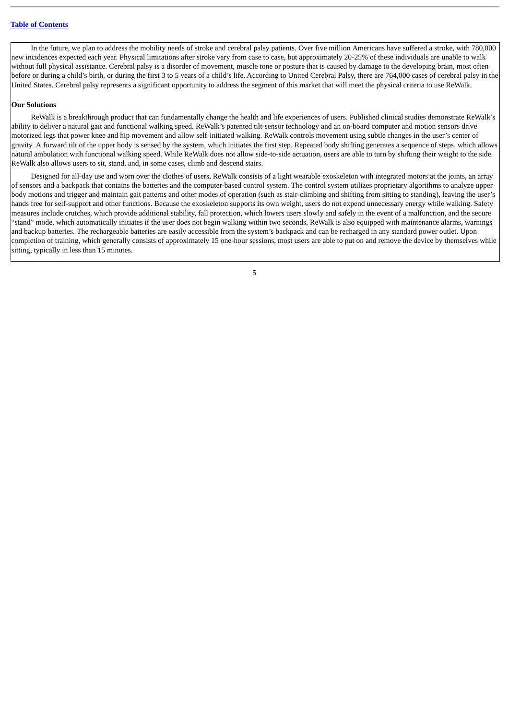In the future, we plan to address the mobility needs of stroke and cerebral palsy patients. Over five million Americans have suffered a stroke, with 780,000 new incidences expected each year. Physical limitations after stroke vary from case to case, but approximately 20-25% of these individuals are unable to walk without full physical assistance. Cerebral palsy is a disorder of movement, muscle tone or posture that is caused by damage to the developing brain, most often before or during a child's birth, or during the first 3 to 5 years of a child's life. According to United Cerebral Palsy, there are 764,000 cases of cerebral palsy in the United States. Cerebral palsy represents a significant opportunity to address the segment of this market that will meet the physical criteria to use ReWalk.

## **Our Solutions**

ReWalk is a breakthrough product that can fundamentally change the health and life experiences of users. Published clinical studies demonstrate ReWalk's ability to deliver a natural gait and functional walking speed. ReWalk's patented tilt-sensor technology and an on-board computer and motion sensors drive motorized legs that power knee and hip movement and allow self-initiated walking. ReWalk controls movement using subtle changes in the user's center of gravity. A forward tilt of the upper body is sensed by the system, which initiates the first step. Repeated body shifting generates a sequence of steps, which allows natural ambulation with functional walking speed. While ReWalk does not allow side-to-side actuation, users are able to turn by shifting their weight to the side. ReWalk also allows users to sit, stand, and, in some cases, climb and descend stairs.

Designed for all-day use and worn over the clothes of users, ReWalk consists of a light wearable exoskeleton with integrated motors at the joints, an array of sensors and a backpack that contains the batteries and the computer-based control system. The control system utilizes proprietary algorithms to analyze upperbody motions and trigger and maintain gait patterns and other modes of operation (such as stair-climbing and shifting from sitting to standing), leaving the user's hands free for self-support and other functions. Because the exoskeleton supports its own weight, users do not expend unnecessary energy while walking. Safety measures include crutches, which provide additional stability, fall protection, which lowers users slowly and safely in the event of a malfunction, and the secure "stand" mode, which automatically initiates if the user does not begin walking within two seconds. ReWalk is also equipped with maintenance alarms, warnings and backup batteries. The rechargeable batteries are easily accessible from the system's backpack and can be recharged in any standard power outlet. Upon completion of training, which generally consists of approximately 15 one-hour sessions, most users are able to put on and remove the device by themselves while sitting, typically in less than 15 minutes.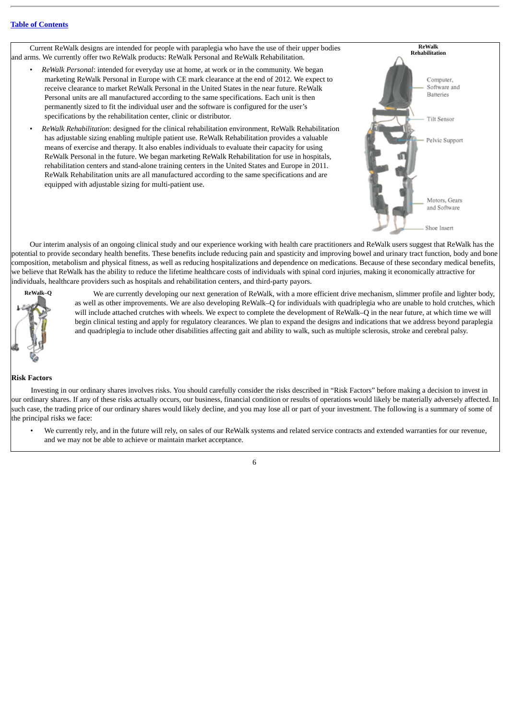Current ReWalk designs are intended for people with paraplegia who have the use of their upper bodies and arms. We currently offer two ReWalk products: ReWalk Personal and ReWalk Rehabilitation.

- *ReWalk Personal*: intended for everyday use at home, at work or in the community. We began marketing ReWalk Personal in Europe with CE mark clearance at the end of 2012. We expect to receive clearance to market ReWalk Personal in the United States in the near future. ReWalk Personal units are all manufactured according to the same specifications. Each unit is then permanently sized to fit the individual user and the software is configured for the user's specifications by the rehabilitation center, clinic or distributor.
- *ReWalk Rehabilitation*: designed for the clinical rehabilitation environment, ReWalk Rehabilitation has adjustable sizing enabling multiple patient use. ReWalk Rehabilitation provides a valuable means of exercise and therapy. It also enables individuals to evaluate their capacity for using ReWalk Personal in the future. We began marketing ReWalk Rehabilitation for use in hospitals, rehabilitation centers and stand-alone training centers in the United States and Europe in 2011. ReWalk Rehabilitation units are all manufactured according to the same specifications and are equipped with adjustable sizing for multi-patient use.



Our interim analysis of an ongoing clinical study and our experience working with health care practitioners and ReWalk users suggest that ReWalk has the potential to provide secondary health benefits. These benefits include reducing pain and spasticity and improving bowel and urinary tract function, body and bone composition, metabolism and physical fitness, as well as reducing hospitalizations and dependence on medications. Because of these secondary medical benefits, we believe that ReWalk has the ability to reduce the lifetime healthcare costs of individuals with spinal cord injuries, making it economically attractive for individuals, healthcare providers such as hospitals and rehabilitation centers, and third-party payors.



We are currently developing our next generation of ReWalk, with a more efficient drive mechanism, slimmer profile and lighter body, as well as other improvements. We are also developing ReWalk–Q for individuals with quadriplegia who are unable to hold crutches, which will include attached crutches with wheels. We expect to complete the development of ReWalk–Q in the near future, at which time we will begin clinical testing and apply for regulatory clearances. We plan to expand the designs and indications that we address beyond paraplegia and quadriplegia to include other disabilities affecting gait and ability to walk, such as multiple sclerosis, stroke and cerebral palsy.

#### **Risk Factors**

Investing in our ordinary shares involves risks. You should carefully consider the risks described in "Risk Factors" before making a decision to invest in our ordinary shares. If any of these risks actually occurs, our business, financial condition or results of operations would likely be materially adversely affected. In such case, the trading price of our ordinary shares would likely decline, and you may lose all or part of your investment. The following is a summary of some of the principal risks we face:

• We currently rely, and in the future will rely, on sales of our ReWalk systems and related service contracts and extended warranties for our revenue, and we may not be able to achieve or maintain market acceptance.

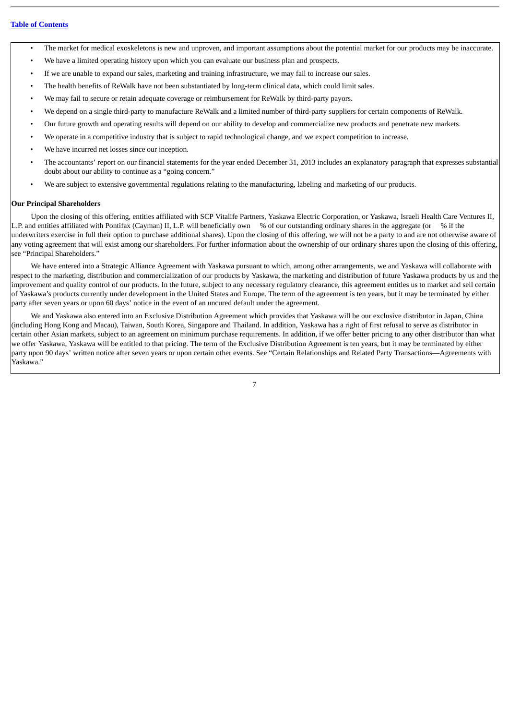- The market for medical exoskeletons is new and unproven, and important assumptions about the potential market for our products may be inaccurate.
- We have a limited operating history upon which you can evaluate our business plan and prospects.
- If we are unable to expand our sales, marketing and training infrastructure, we may fail to increase our sales.
- The health benefits of ReWalk have not been substantiated by long-term clinical data, which could limit sales.
- We may fail to secure or retain adequate coverage or reimbursement for ReWalk by third-party payors.
- We depend on a single third-party to manufacture ReWalk and a limited number of third-party suppliers for certain components of ReWalk.
- Our future growth and operating results will depend on our ability to develop and commercialize new products and penetrate new markets.
- We operate in a competitive industry that is subject to rapid technological change, and we expect competition to increase.
- We have incurred net losses since our inception.
- The accountants' report on our financial statements for the year ended December 31, 2013 includes an explanatory paragraph that expresses substantial doubt about our ability to continue as a "going concern."
- We are subject to extensive governmental regulations relating to the manufacturing, labeling and marketing of our products.

#### **Our Principal Shareholders**

Upon the closing of this offering, entities affiliated with SCP Vitalife Partners, Yaskawa Electric Corporation, or Yaskawa, Israeli Health Care Ventures II, L.P. and entities affiliated with Pontifax (Cayman) II, L.P. will beneficially own % of our outstanding ordinary shares in the aggregate (or % if the underwriters exercise in full their option to purchase additional shares). Upon the closing of this offering, we will not be a party to and are not otherwise aware of any voting agreement that will exist among our shareholders. For further information about the ownership of our ordinary shares upon the closing of this offering, see "Principal Shareholders."

We have entered into a Strategic Alliance Agreement with Yaskawa pursuant to which, among other arrangements, we and Yaskawa will collaborate with respect to the marketing, distribution and commercialization of our products by Yaskawa, the marketing and distribution of future Yaskawa products by us and the improvement and quality control of our products. In the future, subject to any necessary regulatory clearance, this agreement entitles us to market and sell certain of Yaskawa's products currently under development in the United States and Europe. The term of the agreement is ten years, but it may be terminated by either party after seven years or upon 60 days' notice in the event of an uncured default under the agreement.

We and Yaskawa also entered into an Exclusive Distribution Agreement which provides that Yaskawa will be our exclusive distributor in Japan, China (including Hong Kong and Macau), Taiwan, South Korea, Singapore and Thailand. In addition, Yaskawa has a right of first refusal to serve as distributor in certain other Asian markets, subject to an agreement on minimum purchase requirements. In addition, if we offer better pricing to any other distributor than what we offer Yaskawa, Yaskawa will be entitled to that pricing. The term of the Exclusive Distribution Agreement is ten years, but it may be terminated by either party upon 90 days' written notice after seven years or upon certain other events. See "Certain Relationships and Related Party Transactions—Agreements with Yaskawa."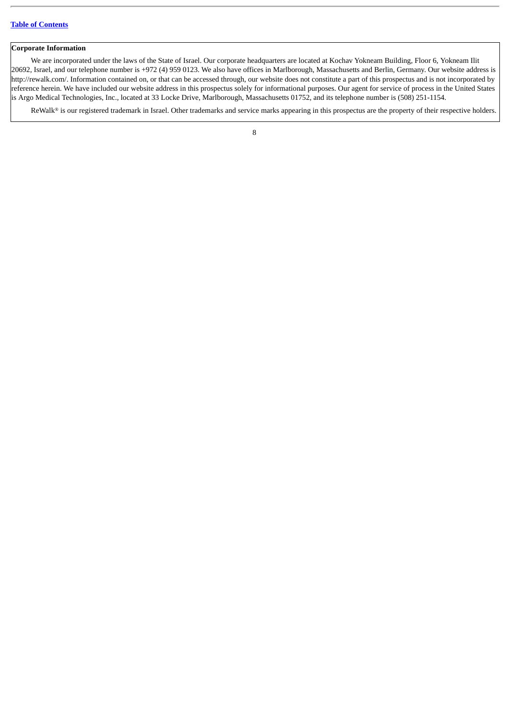## **Corporate Information**

We are incorporated under the laws of the State of Israel. Our corporate headquarters are located at Kochav Yokneam Building, Floor 6, Yokneam Ilit 20692, Israel, and our telephone number is +972 (4) 959 0123. We also have offices in Marlborough, Massachusetts and Berlin, Germany. Our website address is http://rewalk.com/. Information contained on, or that can be accessed through, our website does not constitute a part of this prospectus and is not incorporated by reference herein. We have included our website address in this prospectus solely for informational purposes. Our agent for service of process in the United States is Argo Medical Technologies, Inc., located at 33 Locke Drive, Marlborough, Massachusetts 01752, and its telephone number is (508) 251-1154.

ReWalk® is our registered trademark in Israel. Other trademarks and service marks appearing in this prospectus are the property of their respective holders.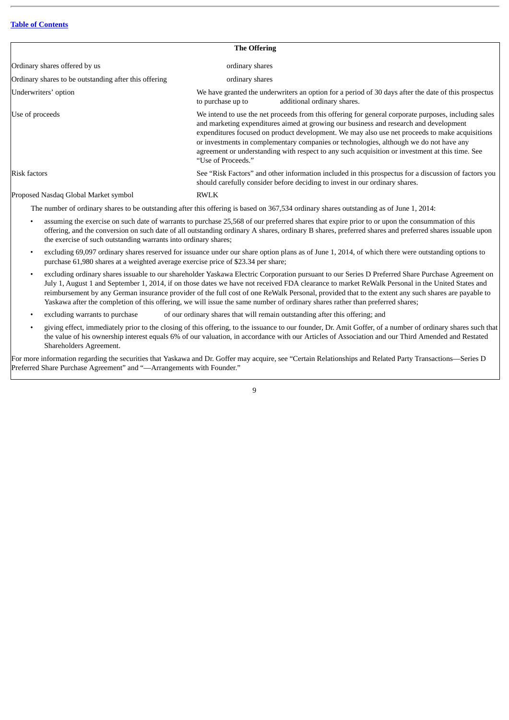| <b>The Offering</b>                                                                                                                                                                                                                                                                                                                                                                                                                                                                                                |  |  |
|--------------------------------------------------------------------------------------------------------------------------------------------------------------------------------------------------------------------------------------------------------------------------------------------------------------------------------------------------------------------------------------------------------------------------------------------------------------------------------------------------------------------|--|--|
| ordinary shares                                                                                                                                                                                                                                                                                                                                                                                                                                                                                                    |  |  |
| ordinary shares                                                                                                                                                                                                                                                                                                                                                                                                                                                                                                    |  |  |
| We have granted the underwriters an option for a period of 30 days after the date of this prospectus<br>additional ordinary shares.<br>to purchase up to                                                                                                                                                                                                                                                                                                                                                           |  |  |
| We intend to use the net proceeds from this offering for general corporate purposes, including sales<br>and marketing expenditures aimed at growing our business and research and development<br>expenditures focused on product development. We may also use net proceeds to make acquisitions<br>or investments in complementary companies or technologies, although we do not have any<br>agreement or understanding with respect to any such acquisition or investment at this time. See<br>"Use of Proceeds." |  |  |
| See "Risk Factors" and other information included in this prospectus for a discussion of factors you<br>should carefully consider before deciding to invest in our ordinary shares.                                                                                                                                                                                                                                                                                                                                |  |  |
| RWLK                                                                                                                                                                                                                                                                                                                                                                                                                                                                                                               |  |  |
|                                                                                                                                                                                                                                                                                                                                                                                                                                                                                                                    |  |  |

The number of ordinary shares to be outstanding after this offering is based on 367,534 ordinary shares outstanding as of June 1, 2014:

- assuming the exercise on such date of warrants to purchase 25,568 of our preferred shares that expire prior to or upon the consummation of this offering, and the conversion on such date of all outstanding ordinary A shares, ordinary B shares, preferred shares and preferred shares issuable upon the exercise of such outstanding warrants into ordinary shares;
- excluding 69,097 ordinary shares reserved for issuance under our share option plans as of June 1, 2014, of which there were outstanding options to purchase 61,980 shares at a weighted average exercise price of \$23.34 per share;
- excluding ordinary shares issuable to our shareholder Yaskawa Electric Corporation pursuant to our Series D Preferred Share Purchase Agreement on July 1, August 1 and September 1, 2014, if on those dates we have not received FDA clearance to market ReWalk Personal in the United States and reimbursement by any German insurance provider of the full cost of one ReWalk Personal, provided that to the extent any such shares are payable to Yaskawa after the completion of this offering, we will issue the same number of ordinary shares rather than preferred shares;
- excluding warrants to purchase of our ordinary shares that will remain outstanding after this offering; and
- giving effect, immediately prior to the closing of this offering, to the issuance to our founder, Dr. Amit Goffer, of a number of ordinary shares such that the value of his ownership interest equals 6% of our valuation, in accordance with our Articles of Association and our Third Amended and Restated Shareholders Agreement.

For more information regarding the securities that Yaskawa and Dr. Goffer may acquire, see "Certain Relationships and Related Party Transactions—Series D Preferred Share Purchase Agreement" and "—Arrangements with Founder."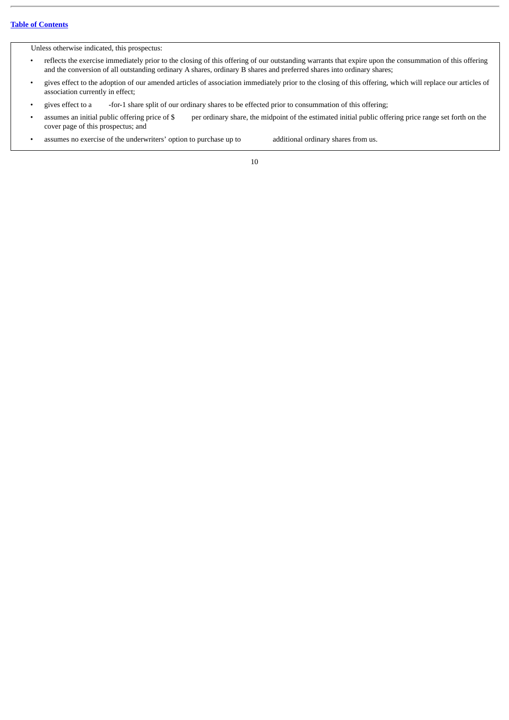Unless otherwise indicated, this prospectus:

- reflects the exercise immediately prior to the closing of this offering of our outstanding warrants that expire upon the consummation of this offering and the conversion of all outstanding ordinary A shares, ordinary B shares and preferred shares into ordinary shares;
- gives effect to the adoption of our amended articles of association immediately prior to the closing of this offering, which will replace our articles of association currently in effect;
- gives effect to a -for-1 share split of our ordinary shares to be effected prior to consummation of this offering;
- assumes an initial public offering price of \$ per ordinary share, the midpoint of the estimated initial public offering price range set forth on the cover page of this prospectus; and
- assumes no exercise of the underwriters' option to purchase up to additional ordinary shares from us.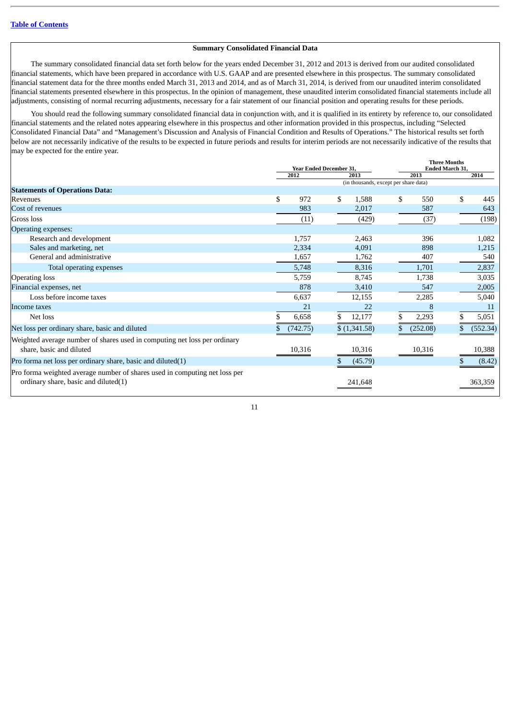## **Summary Consolidated Financial Data**

The summary consolidated financial data set forth below for the years ended December 31, 2012 and 2013 is derived from our audited consolidated financial statements, which have been prepared in accordance with U.S. GAAP and are presented elsewhere in this prospectus. The summary consolidated financial statement data for the three months ended March 31, 2013 and 2014, and as of March 31, 2014, is derived from our unaudited interim consolidated financial statements presented elsewhere in this prospectus. In the opinion of management, these unaudited interim consolidated financial statements include all adjustments, consisting of normal recurring adjustments, necessary for a fair statement of our financial position and operating results for these periods.

You should read the following summary consolidated financial data in conjunction with, and it is qualified in its entirety by reference to, our consolidated financial statements and the related notes appearing elsewhere in this prospectus and other information provided in this prospectus, including "Selected Consolidated Financial Data" and "Management's Discussion and Analysis of Financial Condition and Results of Operations." The historical results set forth below are not necessarily indicative of the results to be expected in future periods and results for interim periods are not necessarily indicative of the results that may be expected for the entire year.

|                                                                            | <b>Year Ended December 31,</b>        |          | <b>Three Months</b><br><b>Ended March 31,</b> |              |    |          |     |          |
|----------------------------------------------------------------------------|---------------------------------------|----------|-----------------------------------------------|--------------|----|----------|-----|----------|
|                                                                            |                                       | 2012     |                                               | 2013         |    | 2013     |     | 2014     |
|                                                                            | (in thousands, except per share data) |          |                                               |              |    |          |     |          |
| <b>Statements of Operations Data:</b>                                      |                                       |          |                                               |              |    |          |     |          |
| Revenues                                                                   | \$                                    | 972      | \$                                            | 1,588        | \$ | 550      | \$. | 445      |
| Cost of revenues                                                           |                                       | 983      |                                               | 2,017        |    | 587      |     | 643      |
| Gross loss                                                                 |                                       | (11)     |                                               | (429)        |    | (37)     |     | (198)    |
| Operating expenses:                                                        |                                       |          |                                               |              |    |          |     |          |
| Research and development                                                   |                                       | 1,757    |                                               | 2,463        |    | 396      |     | 1,082    |
| Sales and marketing, net                                                   |                                       | 2,334    |                                               | 4,091        |    | 898      |     | 1,215    |
| General and administrative                                                 |                                       | 1,657    |                                               | 1,762        |    | 407      |     | 540      |
| Total operating expenses                                                   |                                       | 5,748    |                                               | 8,316        |    | 1,701    |     | 2,837    |
| <b>Operating loss</b>                                                      |                                       | 5,759    |                                               | 8,745        |    | 1,738    |     | 3,035    |
| Financial expenses, net                                                    |                                       | 878      |                                               | 3,410        |    | 547      |     | 2,005    |
| Loss before income taxes                                                   |                                       | 6,637    |                                               | 12,155       |    | 2,285    |     | 5,040    |
| Income taxes                                                               |                                       | 21       |                                               | 22           |    | 8        |     | 11       |
| Net loss                                                                   |                                       | 6,658    |                                               | 12,177       |    | 2,293    |     | 5,051    |
| Net loss per ordinary share, basic and diluted                             |                                       | (742.75) |                                               | \$(1,341.58) |    | (252.08) |     | (552.34) |
| Weighted average number of shares used in computing net loss per ordinary  |                                       |          |                                               |              |    |          |     |          |
| share, basic and diluted                                                   |                                       | 10,316   |                                               | 10,316       |    | 10,316   |     | 10,388   |
| Pro forma net loss per ordinary share, basic and diluted(1)                |                                       |          |                                               | (45.79)      |    |          |     | (8.42)   |
| Pro forma weighted average number of shares used in computing net loss per |                                       |          |                                               |              |    |          |     |          |
| ordinary share, basic and diluted(1)                                       |                                       |          |                                               | 241,648      |    |          |     | 363,359  |
|                                                                            |                                       |          |                                               |              |    |          |     |          |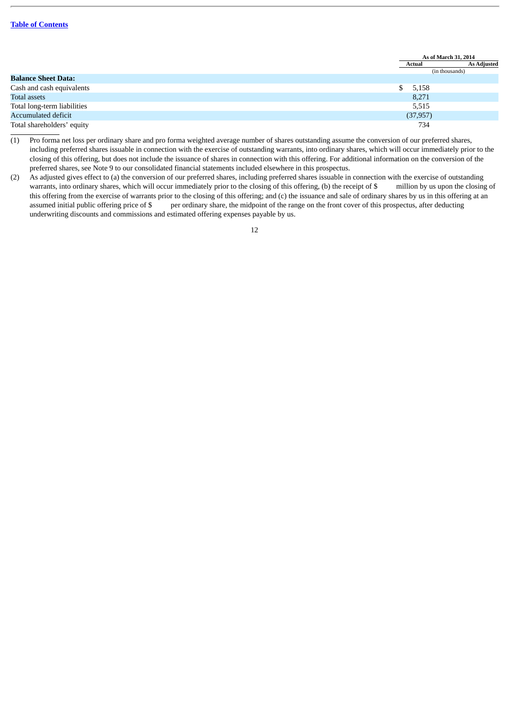|                             |    | As of March 31, 2014 |                    |  |
|-----------------------------|----|----------------------|--------------------|--|
|                             |    | Actual               | <b>As Adjusted</b> |  |
|                             |    | (in thousands)       |                    |  |
| <b>Balance Sheet Data:</b>  |    |                      |                    |  |
| Cash and cash equivalents   | S. | 5,158                |                    |  |
| Total assets                |    | 8,271                |                    |  |
| Total long-term liabilities |    | 5,515                |                    |  |
| Accumulated deficit         |    | (37, 957)            |                    |  |
| Total shareholders' equity  |    | 734                  |                    |  |

(1) Pro forma net loss per ordinary share and pro forma weighted average number of shares outstanding assume the conversion of our preferred shares, including preferred shares issuable in connection with the exercise of outstanding warrants, into ordinary shares, which will occur immediately prior to the closing of this offering, but does not include the issuance of shares in connection with this offering. For additional information on the conversion of the preferred shares, see Note 9 to our consolidated financial statements included elsewhere in this prospectus.

(2) As adjusted gives effect to (a) the conversion of our preferred shares, including preferred shares issuable in connection with the exercise of outstanding warrants, into ordinary shares, which will occur immediately prior to the closing of this offering, (b) the receipt of \$ million by us upon the closing of this offering from the exercise of warrants prior to the closing of this offering; and (c) the issuance and sale of ordinary shares by us in this offering at an assumed initial public offering price of \$ per ordinary share, the midpoint of the range on the front cover of this prospectus, after deducting underwriting discounts and commissions and estimated offering expenses payable by us.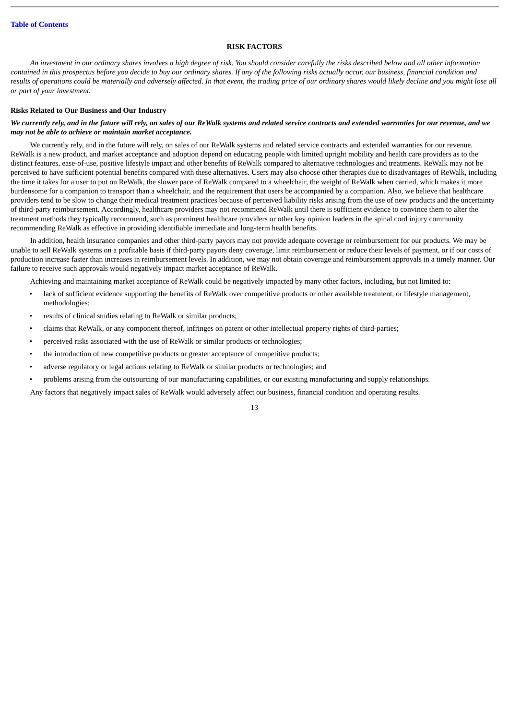## **RISK FACTORS**

<span id="page-16-0"></span>*An investment in our ordinary shares involves a high degree of risk. You should consider carefully the risks described below and all other information contained in this prospectus before you decide to buy our ordinary shares. If any of the following risks actually occur, our business, financial condition and results of operations could be materially and adversely affected. In that event, the trading price of our ordinary shares would likely decline and you might lose all or part of your investment.*

## **Risks Related to Our Business and Our Industry**

## *We currently rely, and in the future will rely, on sales of our ReWalk systems and related service contracts and extended warranties for our revenue, and we may not be able to achieve or maintain market acceptance.*

We currently rely, and in the future will rely, on sales of our ReWalk systems and related service contracts and extended warranties for our revenue. ReWalk is a new product, and market acceptance and adoption depend on educating people with limited upright mobility and health care providers as to the distinct features, ease-of-use, positive lifestyle impact and other benefits of ReWalk compared to alternative technologies and treatments. ReWalk may not be perceived to have sufficient potential benefits compared with these alternatives. Users may also choose other therapies due to disadvantages of ReWalk, including the time it takes for a user to put on ReWalk, the slower pace of ReWalk compared to a wheelchair, the weight of ReWalk when carried, which makes it more burdensome for a companion to transport than a wheelchair, and the requirement that users be accompanied by a companion. Also, we believe that healthcare providers tend to be slow to change their medical treatment practices because of perceived liability risks arising from the use of new products and the uncertainty of third-party reimbursement. Accordingly, healthcare providers may not recommend ReWalk until there is sufficient evidence to convince them to alter the treatment methods they typically recommend, such as prominent healthcare providers or other key opinion leaders in the spinal cord injury community recommending ReWalk as effective in providing identifiable immediate and long-term health benefits.

In addition, health insurance companies and other third-party payors may not provide adequate coverage or reimbursement for our products. We may be unable to sell ReWalk systems on a profitable basis if third-party payors deny coverage, limit reimbursement or reduce their levels of payment, or if our costs of production increase faster than increases in reimbursement levels. In addition, we may not obtain coverage and reimbursement approvals in a timely manner. Our failure to receive such approvals would negatively impact market acceptance of ReWalk.

Achieving and maintaining market acceptance of ReWalk could be negatively impacted by many other factors, including, but not limited to:

- lack of sufficient evidence supporting the benefits of ReWalk over competitive products or other available treatment, or lifestyle management, methodologies;
- results of clinical studies relating to ReWalk or similar products;
- claims that ReWalk, or any component thereof, infringes on patent or other intellectual property rights of third-parties;
- perceived risks associated with the use of ReWalk or similar products or technologies;
- the introduction of new competitive products or greater acceptance of competitive products;
- adverse regulatory or legal actions relating to ReWalk or similar products or technologies; and
- problems arising from the outsourcing of our manufacturing capabilities, or our existing manufacturing and supply relationships.

Any factors that negatively impact sales of ReWalk would adversely affect our business, financial condition and operating results.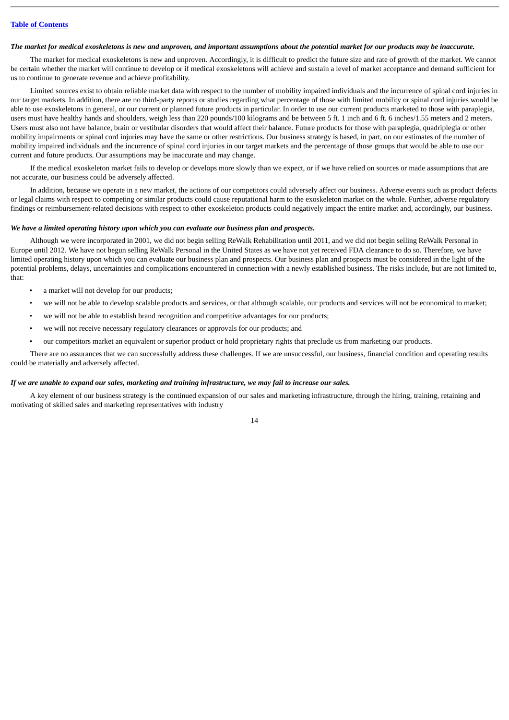#### *The market for medical exoskeletons is new and unproven, and important assumptions about the potential market for our products may be inaccurate.*

The market for medical exoskeletons is new and unproven. Accordingly, it is difficult to predict the future size and rate of growth of the market. We cannot be certain whether the market will continue to develop or if medical exoskeletons will achieve and sustain a level of market acceptance and demand sufficient for us to continue to generate revenue and achieve profitability.

Limited sources exist to obtain reliable market data with respect to the number of mobility impaired individuals and the incurrence of spinal cord injuries in our target markets. In addition, there are no third-party reports or studies regarding what percentage of those with limited mobility or spinal cord injuries would be able to use exoskeletons in general, or our current or planned future products in particular. In order to use our current products marketed to those with paraplegia, users must have healthy hands and shoulders, weigh less than 220 pounds/100 kilograms and be between 5 ft. 1 inch and 6 ft. 6 inches/1.55 meters and 2 meters. Users must also not have balance, brain or vestibular disorders that would affect their balance. Future products for those with paraplegia, quadriplegia or other mobility impairments or spinal cord injuries may have the same or other restrictions. Our business strategy is based, in part, on our estimates of the number of mobility impaired individuals and the incurrence of spinal cord injuries in our target markets and the percentage of those groups that would be able to use our current and future products. Our assumptions may be inaccurate and may change.

If the medical exoskeleton market fails to develop or develops more slowly than we expect, or if we have relied on sources or made assumptions that are not accurate, our business could be adversely affected.

In addition, because we operate in a new market, the actions of our competitors could adversely affect our business. Adverse events such as product defects or legal claims with respect to competing or similar products could cause reputational harm to the exoskeleton market on the whole. Further, adverse regulatory findings or reimbursement-related decisions with respect to other exoskeleton products could negatively impact the entire market and, accordingly, our business.

#### *We have a limited operating history upon which you can evaluate our business plan and prospects.*

Although we were incorporated in 2001, we did not begin selling ReWalk Rehabilitation until 2011, and we did not begin selling ReWalk Personal in Europe until 2012. We have not begun selling ReWalk Personal in the United States as we have not yet received FDA clearance to do so. Therefore, we have limited operating history upon which you can evaluate our business plan and prospects. Our business plan and prospects must be considered in the light of the potential problems, delays, uncertainties and complications encountered in connection with a newly established business. The risks include, but are not limited to, that:

- a market will not develop for our products;
- we will not be able to develop scalable products and services, or that although scalable, our products and services will not be economical to market;
- we will not be able to establish brand recognition and competitive advantages for our products;
- we will not receive necessary regulatory clearances or approvals for our products; and
- our competitors market an equivalent or superior product or hold proprietary rights that preclude us from marketing our products.

There are no assurances that we can successfully address these challenges. If we are unsuccessful, our business, financial condition and operating results could be materially and adversely affected.

#### *If we are unable to expand our sales, marketing and training infrastructure, we may fail to increase our sales.*

A key element of our business strategy is the continued expansion of our sales and marketing infrastructure, through the hiring, training, retaining and motivating of skilled sales and marketing representatives with industry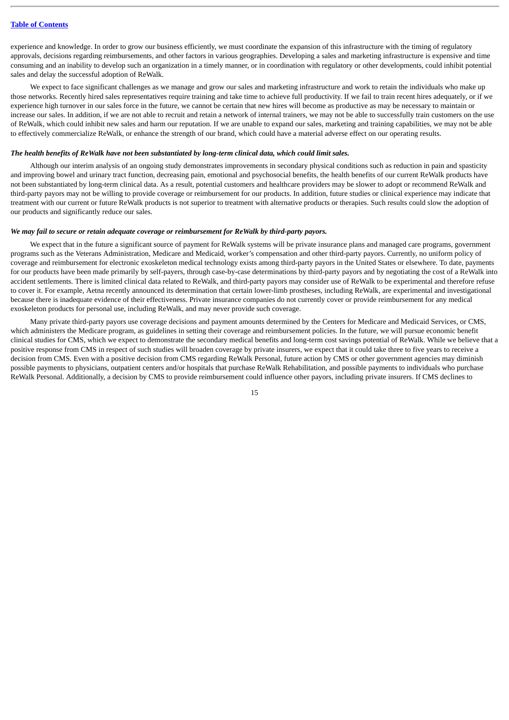experience and knowledge. In order to grow our business efficiently, we must coordinate the expansion of this infrastructure with the timing of regulatory approvals, decisions regarding reimbursements, and other factors in various geographies. Developing a sales and marketing infrastructure is expensive and time consuming and an inability to develop such an organization in a timely manner, or in coordination with regulatory or other developments, could inhibit potential sales and delay the successful adoption of ReWalk.

We expect to face significant challenges as we manage and grow our sales and marketing infrastructure and work to retain the individuals who make up those networks. Recently hired sales representatives require training and take time to achieve full productivity. If we fail to train recent hires adequately, or if we experience high turnover in our sales force in the future, we cannot be certain that new hires will become as productive as may be necessary to maintain or increase our sales. In addition, if we are not able to recruit and retain a network of internal trainers, we may not be able to successfully train customers on the use of ReWalk, which could inhibit new sales and harm our reputation. If we are unable to expand our sales, marketing and training capabilities, we may not be able to effectively commercialize ReWalk, or enhance the strength of our brand, which could have a material adverse effect on our operating results.

## *The health benefits of ReWalk have not been substantiated by long-term clinical data, which could limit sales.*

Although our interim analysis of an ongoing study demonstrates improvements in secondary physical conditions such as reduction in pain and spasticity and improving bowel and urinary tract function, decreasing pain, emotional and psychosocial benefits, the health benefits of our current ReWalk products have not been substantiated by long-term clinical data. As a result, potential customers and healthcare providers may be slower to adopt or recommend ReWalk and third-party payors may not be willing to provide coverage or reimbursement for our products. In addition, future studies or clinical experience may indicate that treatment with our current or future ReWalk products is not superior to treatment with alternative products or therapies. Such results could slow the adoption of our products and significantly reduce our sales.

#### *We may fail to secure or retain adequate coverage or reimbursement for ReWalk by third-party payors.*

We expect that in the future a significant source of payment for ReWalk systems will be private insurance plans and managed care programs, government programs such as the Veterans Administration, Medicare and Medicaid, worker's compensation and other third-party payors. Currently, no uniform policy of coverage and reimbursement for electronic exoskeleton medical technology exists among third-party payors in the United States or elsewhere. To date, payments for our products have been made primarily by self-payers, through case-by-case determinations by third-party payors and by negotiating the cost of a ReWalk into accident settlements. There is limited clinical data related to ReWalk, and third-party payors may consider use of ReWalk to be experimental and therefore refuse to cover it. For example, Aetna recently announced its determination that certain lower-limb prostheses, including ReWalk, are experimental and investigational because there is inadequate evidence of their effectiveness. Private insurance companies do not currently cover or provide reimbursement for any medical exoskeleton products for personal use, including ReWalk, and may never provide such coverage.

Many private third-party payors use coverage decisions and payment amounts determined by the Centers for Medicare and Medicaid Services, or CMS, which administers the Medicare program, as guidelines in setting their coverage and reimbursement policies. In the future, we will pursue economic benefit clinical studies for CMS, which we expect to demonstrate the secondary medical benefits and long-term cost savings potential of ReWalk. While we believe that a positive response from CMS in respect of such studies will broaden coverage by private insurers, we expect that it could take three to five years to receive a decision from CMS. Even with a positive decision from CMS regarding ReWalk Personal, future action by CMS or other government agencies may diminish possible payments to physicians, outpatient centers and/or hospitals that purchase ReWalk Rehabilitation, and possible payments to individuals who purchase ReWalk Personal. Additionally, a decision by CMS to provide reimbursement could influence other payors, including private insurers. If CMS declines to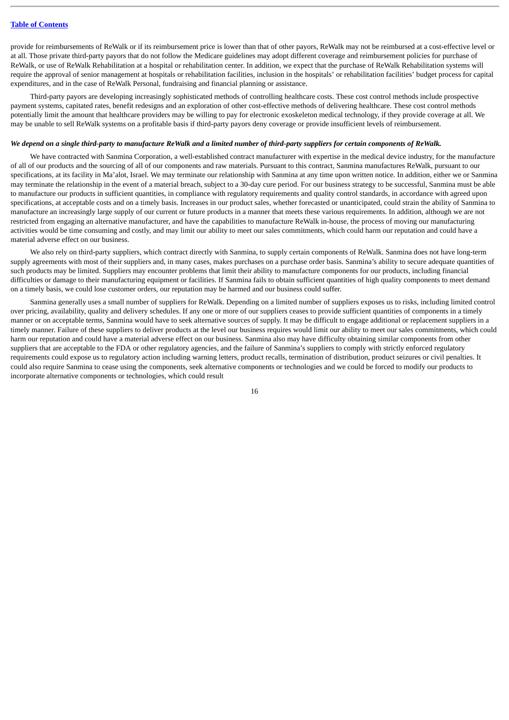provide for reimbursements of ReWalk or if its reimbursement price is lower than that of other payors, ReWalk may not be reimbursed at a cost-effective level or at all. Those private third-party payors that do not follow the Medicare guidelines may adopt different coverage and reimbursement policies for purchase of ReWalk, or use of ReWalk Rehabilitation at a hospital or rehabilitation center. In addition, we expect that the purchase of ReWalk Rehabilitation systems will require the approval of senior management at hospitals or rehabilitation facilities, inclusion in the hospitals' or rehabilitation facilities' budget process for capital expenditures, and in the case of ReWalk Personal, fundraising and financial planning or assistance.

Third-party payors are developing increasingly sophisticated methods of controlling healthcare costs. These cost control methods include prospective payment systems, capitated rates, benefit redesigns and an exploration of other cost-effective methods of delivering healthcare. These cost control methods potentially limit the amount that healthcare providers may be willing to pay for electronic exoskeleton medical technology, if they provide coverage at all. We may be unable to sell ReWalk systems on a profitable basis if third-party payors deny coverage or provide insufficient levels of reimbursement.

## *We depend on a single third-party to manufacture ReWalk and a limited number of third-party suppliers for certain components of ReWalk.*

We have contracted with Sanmina Corporation, a well-established contract manufacturer with expertise in the medical device industry, for the manufacture of all of our products and the sourcing of all of our components and raw materials. Pursuant to this contract, Sanmina manufactures ReWalk, pursuant to our specifications, at its facility in Ma'alot, Israel. We may terminate our relationship with Sanmina at any time upon written notice. In addition, either we or Sanmina may terminate the relationship in the event of a material breach, subject to a 30-day cure period. For our business strategy to be successful, Sanmina must be able to manufacture our products in sufficient quantities, in compliance with regulatory requirements and quality control standards, in accordance with agreed upon specifications, at acceptable costs and on a timely basis. Increases in our product sales, whether forecasted or unanticipated, could strain the ability of Sanmina to manufacture an increasingly large supply of our current or future products in a manner that meets these various requirements. In addition, although we are not restricted from engaging an alternative manufacturer, and have the capabilities to manufacture ReWalk in-house, the process of moving our manufacturing activities would be time consuming and costly, and may limit our ability to meet our sales commitments, which could harm our reputation and could have a material adverse effect on our business.

We also rely on third-party suppliers, which contract directly with Sanmina, to supply certain components of ReWalk. Sanmina does not have long-term supply agreements with most of their suppliers and, in many cases, makes purchases on a purchase order basis. Sanmina's ability to secure adequate quantities of such products may be limited. Suppliers may encounter problems that limit their ability to manufacture components for our products, including financial difficulties or damage to their manufacturing equipment or facilities. If Sanmina fails to obtain sufficient quantities of high quality components to meet demand on a timely basis, we could lose customer orders, our reputation may be harmed and our business could suffer.

Sanmina generally uses a small number of suppliers for ReWalk. Depending on a limited number of suppliers exposes us to risks, including limited control over pricing, availability, quality and delivery schedules. If any one or more of our suppliers ceases to provide sufficient quantities of components in a timely manner or on acceptable terms, Sanmina would have to seek alternative sources of supply. It may be difficult to engage additional or replacement suppliers in a timely manner. Failure of these suppliers to deliver products at the level our business requires would limit our ability to meet our sales commitments, which could harm our reputation and could have a material adverse effect on our business. Sanmina also may have difficulty obtaining similar components from other suppliers that are acceptable to the FDA or other regulatory agencies, and the failure of Sanmina's suppliers to comply with strictly enforced regulatory requirements could expose us to regulatory action including warning letters, product recalls, termination of distribution, product seizures or civil penalties. It could also require Sanmina to cease using the components, seek alternative components or technologies and we could be forced to modify our products to incorporate alternative components or technologies, which could result

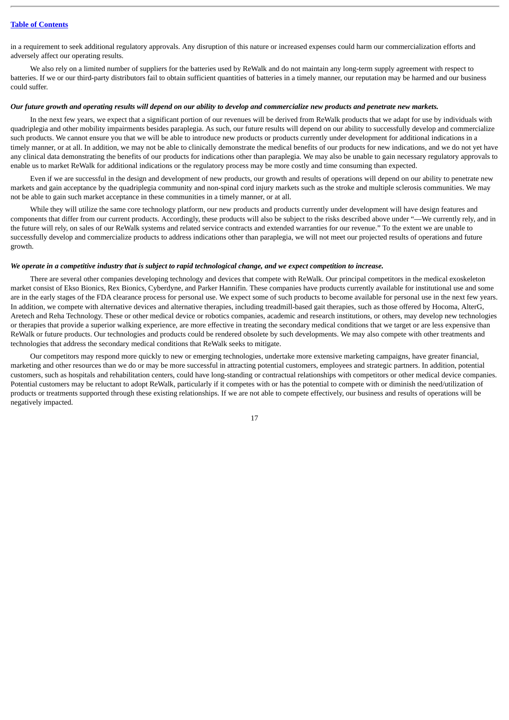in a requirement to seek additional regulatory approvals. Any disruption of this nature or increased expenses could harm our commercialization efforts and adversely affect our operating results.

We also rely on a limited number of suppliers for the batteries used by ReWalk and do not maintain any long-term supply agreement with respect to batteries. If we or our third-party distributors fail to obtain sufficient quantities of batteries in a timely manner, our reputation may be harmed and our business could suffer.

#### *Our future growth and operating results will depend on our ability to develop and commercialize new products and penetrate new markets.*

In the next few years, we expect that a significant portion of our revenues will be derived from ReWalk products that we adapt for use by individuals with quadriplegia and other mobility impairments besides paraplegia. As such, our future results will depend on our ability to successfully develop and commercialize such products. We cannot ensure you that we will be able to introduce new products or products currently under development for additional indications in a timely manner, or at all. In addition, we may not be able to clinically demonstrate the medical benefits of our products for new indications, and we do not yet have any clinical data demonstrating the benefits of our products for indications other than paraplegia. We may also be unable to gain necessary regulatory approvals to enable us to market ReWalk for additional indications or the regulatory process may be more costly and time consuming than expected.

Even if we are successful in the design and development of new products, our growth and results of operations will depend on our ability to penetrate new markets and gain acceptance by the quadriplegia community and non-spinal cord injury markets such as the stroke and multiple sclerosis communities. We may not be able to gain such market acceptance in these communities in a timely manner, or at all.

While they will utilize the same core technology platform, our new products and products currently under development will have design features and components that differ from our current products. Accordingly, these products will also be subject to the risks described above under "—We currently rely, and in the future will rely, on sales of our ReWalk systems and related service contracts and extended warranties for our revenue." To the extent we are unable to successfully develop and commercialize products to address indications other than paraplegia, we will not meet our projected results of operations and future growth.

#### *We operate in a competitive industry that is subject to rapid technological change, and we expect competition to increase.*

There are several other companies developing technology and devices that compete with ReWalk. Our principal competitors in the medical exoskeleton market consist of Ekso Bionics, Rex Bionics, Cyberdyne, and Parker Hannifin. These companies have products currently available for institutional use and some are in the early stages of the FDA clearance process for personal use. We expect some of such products to become available for personal use in the next few years. In addition, we compete with alternative devices and alternative therapies, including treadmill-based gait therapies, such as those offered by Hocoma, AlterG, Aretech and Reha Technology. These or other medical device or robotics companies, academic and research institutions, or others, may develop new technologies or therapies that provide a superior walking experience, are more effective in treating the secondary medical conditions that we target or are less expensive than ReWalk or future products. Our technologies and products could be rendered obsolete by such developments. We may also compete with other treatments and technologies that address the secondary medical conditions that ReWalk seeks to mitigate.

Our competitors may respond more quickly to new or emerging technologies, undertake more extensive marketing campaigns, have greater financial, marketing and other resources than we do or may be more successful in attracting potential customers, employees and strategic partners. In addition, potential customers, such as hospitals and rehabilitation centers, could have long-standing or contractual relationships with competitors or other medical device companies. Potential customers may be reluctant to adopt ReWalk, particularly if it competes with or has the potential to compete with or diminish the need/utilization of products or treatments supported through these existing relationships. If we are not able to compete effectively, our business and results of operations will be negatively impacted.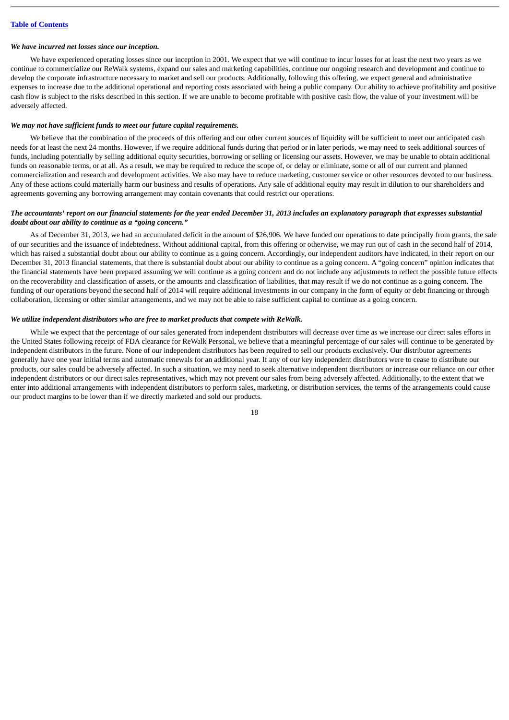#### *We have incurred net losses since our inception.*

We have experienced operating losses since our inception in 2001. We expect that we will continue to incur losses for at least the next two years as we continue to commercialize our ReWalk systems, expand our sales and marketing capabilities, continue our ongoing research and development and continue to develop the corporate infrastructure necessary to market and sell our products. Additionally, following this offering, we expect general and administrative expenses to increase due to the additional operational and reporting costs associated with being a public company. Our ability to achieve profitability and positive cash flow is subject to the risks described in this section. If we are unable to become profitable with positive cash flow, the value of your investment will be adversely affected.

#### *We may not have sufficient funds to meet our future capital requirements.*

We believe that the combination of the proceeds of this offering and our other current sources of liquidity will be sufficient to meet our anticipated cash needs for at least the next 24 months. However, if we require additional funds during that period or in later periods, we may need to seek additional sources of funds, including potentially by selling additional equity securities, borrowing or selling or licensing our assets. However, we may be unable to obtain additional funds on reasonable terms, or at all. As a result, we may be required to reduce the scope of, or delay or eliminate, some or all of our current and planned commercialization and research and development activities. We also may have to reduce marketing, customer service or other resources devoted to our business. Any of these actions could materially harm our business and results of operations. Any sale of additional equity may result in dilution to our shareholders and agreements governing any borrowing arrangement may contain covenants that could restrict our operations.

## *The accountants' report on our financial statements for the year ended December 31, 2013 includes an explanatory paragraph that expresses substantial doubt about our ability to continue as a "going concern."*

As of December 31, 2013, we had an accumulated deficit in the amount of \$26,906. We have funded our operations to date principally from grants, the sale of our securities and the issuance of indebtedness. Without additional capital, from this offering or otherwise, we may run out of cash in the second half of 2014, which has raised a substantial doubt about our ability to continue as a going concern. Accordingly, our independent auditors have indicated, in their report on our December 31, 2013 financial statements, that there is substantial doubt about our ability to continue as a going concern. A "going concern" opinion indicates that the financial statements have been prepared assuming we will continue as a going concern and do not include any adjustments to reflect the possible future effects on the recoverability and classification of assets, or the amounts and classification of liabilities, that may result if we do not continue as a going concern. The funding of our operations beyond the second half of 2014 will require additional investments in our company in the form of equity or debt financing or through collaboration, licensing or other similar arrangements, and we may not be able to raise sufficient capital to continue as a going concern.

#### *We utilize independent distributors who are free to market products that compete with ReWalk.*

While we expect that the percentage of our sales generated from independent distributors will decrease over time as we increase our direct sales efforts in the United States following receipt of FDA clearance for ReWalk Personal, we believe that a meaningful percentage of our sales will continue to be generated by independent distributors in the future. None of our independent distributors has been required to sell our products exclusively. Our distributor agreements generally have one year initial terms and automatic renewals for an additional year. If any of our key independent distributors were to cease to distribute our products, our sales could be adversely affected. In such a situation, we may need to seek alternative independent distributors or increase our reliance on our other independent distributors or our direct sales representatives, which may not prevent our sales from being adversely affected. Additionally, to the extent that we enter into additional arrangements with independent distributors to perform sales, marketing, or distribution services, the terms of the arrangements could cause our product margins to be lower than if we directly marketed and sold our products.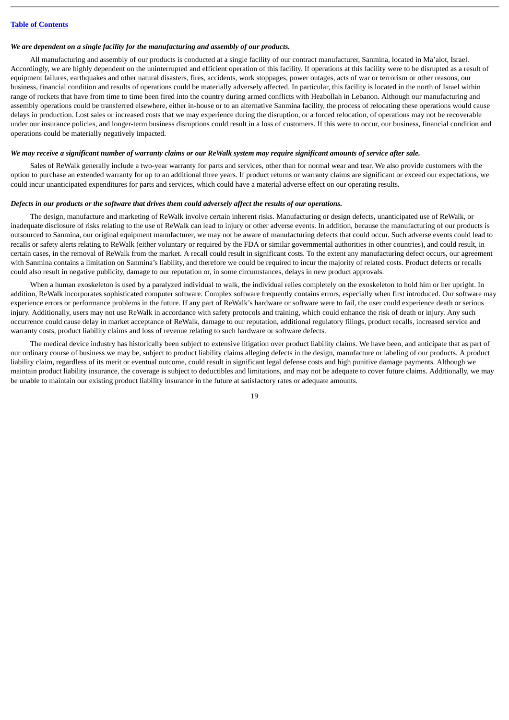#### *We are dependent on a single facility for the manufacturing and assembly of our products.*

All manufacturing and assembly of our products is conducted at a single facility of our contract manufacturer, Sanmina, located in Ma'alot, Israel. Accordingly, we are highly dependent on the uninterrupted and efficient operation of this facility. If operations at this facility were to be disrupted as a result of equipment failures, earthquakes and other natural disasters, fires, accidents, work stoppages, power outages, acts of war or terrorism or other reasons, our business, financial condition and results of operations could be materially adversely affected. In particular, this facility is located in the north of Israel within range of rockets that have from time to time been fired into the country during armed conflicts with Hezbollah in Lebanon. Although our manufacturing and assembly operations could be transferred elsewhere, either in-house or to an alternative Sanmina facility, the process of relocating these operations would cause delays in production. Lost sales or increased costs that we may experience during the disruption, or a forced relocation, of operations may not be recoverable under our insurance policies, and longer-term business disruptions could result in a loss of customers. If this were to occur, our business, financial condition and operations could be materially negatively impacted.

## *We may receive a significant number of warranty claims or our ReWalk system may require significant amounts of service after sale.*

Sales of ReWalk generally include a two-year warranty for parts and services, other than for normal wear and tear. We also provide customers with the option to purchase an extended warranty for up to an additional three years. If product returns or warranty claims are significant or exceed our expectations, we could incur unanticipated expenditures for parts and services, which could have a material adverse effect on our operating results.

#### *Defects in our products or the software that drives them could adversely affect the results of our operations.*

The design, manufacture and marketing of ReWalk involve certain inherent risks. Manufacturing or design defects, unanticipated use of ReWalk, or inadequate disclosure of risks relating to the use of ReWalk can lead to injury or other adverse events. In addition, because the manufacturing of our products is outsourced to Sanmina, our original equipment manufacturer, we may not be aware of manufacturing defects that could occur. Such adverse events could lead to recalls or safety alerts relating to ReWalk (either voluntary or required by the FDA or similar governmental authorities in other countries), and could result, in certain cases, in the removal of ReWalk from the market. A recall could result in significant costs. To the extent any manufacturing defect occurs, our agreement with Sanmina contains a limitation on Sanmina's liability, and therefore we could be required to incur the majority of related costs. Product defects or recalls could also result in negative publicity, damage to our reputation or, in some circumstances, delays in new product approvals.

When a human exoskeleton is used by a paralyzed individual to walk, the individual relies completely on the exoskeleton to hold him or her upright. In addition, ReWalk incorporates sophisticated computer software. Complex software frequently contains errors, especially when first introduced. Our software may experience errors or performance problems in the future. If any part of ReWalk's hardware or software were to fail, the user could experience death or serious injury. Additionally, users may not use ReWalk in accordance with safety protocols and training, which could enhance the risk of death or injury. Any such occurrence could cause delay in market acceptance of ReWalk, damage to our reputation, additional regulatory filings, product recalls, increased service and warranty costs, product liability claims and loss of revenue relating to such hardware or software defects.

The medical device industry has historically been subject to extensive litigation over product liability claims. We have been, and anticipate that as part of our ordinary course of business we may be, subject to product liability claims alleging defects in the design, manufacture or labeling of our products. A product liability claim, regardless of its merit or eventual outcome, could result in significant legal defense costs and high punitive damage payments. Although we maintain product liability insurance, the coverage is subject to deductibles and limitations, and may not be adequate to cover future claims. Additionally, we may be unable to maintain our existing product liability insurance in the future at satisfactory rates or adequate amounts.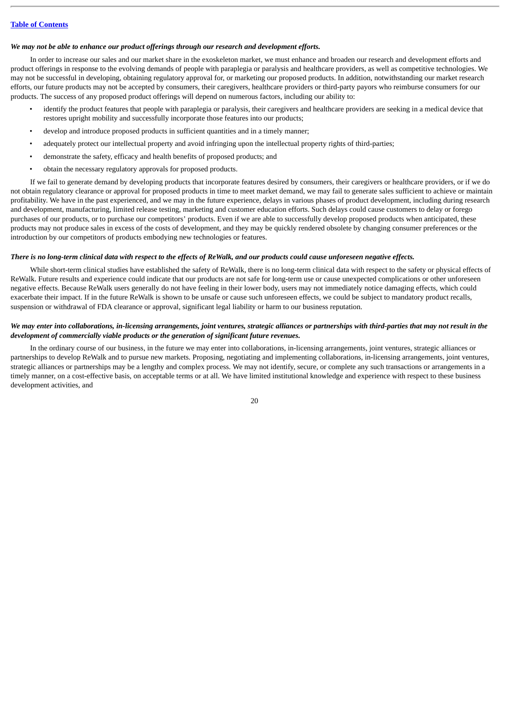#### *We may not be able to enhance our product offerings through our research and development efforts.*

In order to increase our sales and our market share in the exoskeleton market, we must enhance and broaden our research and development efforts and product offerings in response to the evolving demands of people with paraplegia or paralysis and healthcare providers, as well as competitive technologies. We may not be successful in developing, obtaining regulatory approval for, or marketing our proposed products. In addition, notwithstanding our market research efforts, our future products may not be accepted by consumers, their caregivers, healthcare providers or third-party payors who reimburse consumers for our products. The success of any proposed product offerings will depend on numerous factors, including our ability to:

- identify the product features that people with paraplegia or paralysis, their caregivers and healthcare providers are seeking in a medical device that restores upright mobility and successfully incorporate those features into our products;
- develop and introduce proposed products in sufficient quantities and in a timely manner;
- adequately protect our intellectual property and avoid infringing upon the intellectual property rights of third-parties;
- demonstrate the safety, efficacy and health benefits of proposed products; and
- obtain the necessary regulatory approvals for proposed products.

If we fail to generate demand by developing products that incorporate features desired by consumers, their caregivers or healthcare providers, or if we do not obtain regulatory clearance or approval for proposed products in time to meet market demand, we may fail to generate sales sufficient to achieve or maintain profitability. We have in the past experienced, and we may in the future experience, delays in various phases of product development, including during research and development, manufacturing, limited release testing, marketing and customer education efforts. Such delays could cause customers to delay or forego purchases of our products, or to purchase our competitors' products. Even if we are able to successfully develop proposed products when anticipated, these products may not produce sales in excess of the costs of development, and they may be quickly rendered obsolete by changing consumer preferences or the introduction by our competitors of products embodying new technologies or features.

## *There is no long-term clinical data with respect to the effects of ReWalk, and our products could cause unforeseen negative effects.*

While short-term clinical studies have established the safety of ReWalk, there is no long-term clinical data with respect to the safety or physical effects of ReWalk. Future results and experience could indicate that our products are not safe for long-term use or cause unexpected complications or other unforeseen negative effects. Because ReWalk users generally do not have feeling in their lower body, users may not immediately notice damaging effects, which could exacerbate their impact. If in the future ReWalk is shown to be unsafe or cause such unforeseen effects, we could be subject to mandatory product recalls, suspension or withdrawal of FDA clearance or approval, significant legal liability or harm to our business reputation.

## *We may enter into collaborations, in-licensing arrangements, joint ventures, strategic alliances or partnerships with third-parties that may not result in the development of commercially viable products or the generation of significant future revenues.*

In the ordinary course of our business, in the future we may enter into collaborations, in-licensing arrangements, joint ventures, strategic alliances or partnerships to develop ReWalk and to pursue new markets. Proposing, negotiating and implementing collaborations, in-licensing arrangements, joint ventures, strategic alliances or partnerships may be a lengthy and complex process. We may not identify, secure, or complete any such transactions or arrangements in a timely manner, on a cost-effective basis, on acceptable terms or at all. We have limited institutional knowledge and experience with respect to these business development activities, and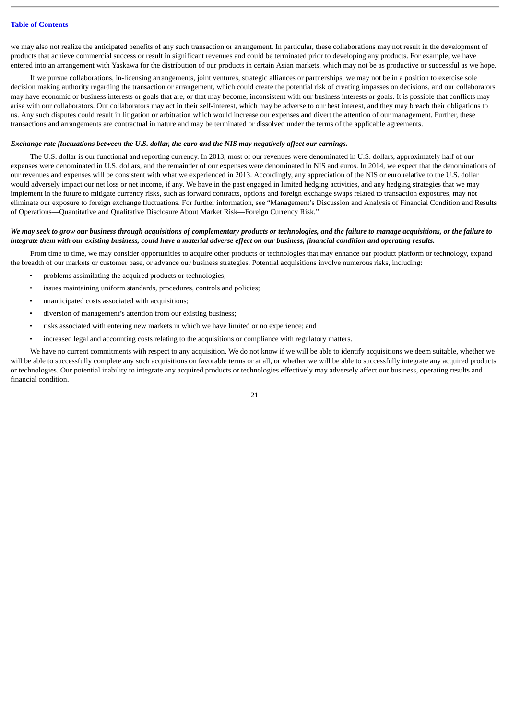we may also not realize the anticipated benefits of any such transaction or arrangement. In particular, these collaborations may not result in the development of products that achieve commercial success or result in significant revenues and could be terminated prior to developing any products. For example, we have entered into an arrangement with Yaskawa for the distribution of our products in certain Asian markets, which may not be as productive or successful as we hope.

If we pursue collaborations, in-licensing arrangements, joint ventures, strategic alliances or partnerships, we may not be in a position to exercise sole decision making authority regarding the transaction or arrangement, which could create the potential risk of creating impasses on decisions, and our collaborators may have economic or business interests or goals that are, or that may become, inconsistent with our business interests or goals. It is possible that conflicts may arise with our collaborators. Our collaborators may act in their self-interest, which may be adverse to our best interest, and they may breach their obligations to us. Any such disputes could result in litigation or arbitration which would increase our expenses and divert the attention of our management. Further, these transactions and arrangements are contractual in nature and may be terminated or dissolved under the terms of the applicable agreements.

## *Exchange rate fluctuations between the U.S. dollar, the euro and the NIS may negatively affect our earnings.*

The U.S. dollar is our functional and reporting currency. In 2013, most of our revenues were denominated in U.S. dollars, approximately half of our expenses were denominated in U.S. dollars, and the remainder of our expenses were denominated in NIS and euros. In 2014, we expect that the denominations of our revenues and expenses will be consistent with what we experienced in 2013. Accordingly, any appreciation of the NIS or euro relative to the U.S. dollar would adversely impact our net loss or net income, if any. We have in the past engaged in limited hedging activities, and any hedging strategies that we may implement in the future to mitigate currency risks, such as forward contracts, options and foreign exchange swaps related to transaction exposures, may not eliminate our exposure to foreign exchange fluctuations. For further information, see "Management's Discussion and Analysis of Financial Condition and Results of Operations—Quantitative and Qualitative Disclosure About Market Risk—Foreign Currency Risk."

## *We may seek to grow our business through acquisitions of complementary products or technologies, and the failure to manage acquisitions, or the failure to integrate them with our existing business, could have a material adverse effect on our business, financial condition and operating results.*

From time to time, we may consider opportunities to acquire other products or technologies that may enhance our product platform or technology, expand the breadth of our markets or customer base, or advance our business strategies. Potential acquisitions involve numerous risks, including:

- problems assimilating the acquired products or technologies;
- issues maintaining uniform standards, procedures, controls and policies;
- unanticipated costs associated with acquisitions;
- diversion of management's attention from our existing business;
- risks associated with entering new markets in which we have limited or no experience; and
- increased legal and accounting costs relating to the acquisitions or compliance with regulatory matters.

We have no current commitments with respect to any acquisition. We do not know if we will be able to identify acquisitions we deem suitable, whether we will be able to successfully complete any such acquisitions on favorable terms or at all, or whether we will be able to successfully integrate any acquired products or technologies. Our potential inability to integrate any acquired products or technologies effectively may adversely affect our business, operating results and financial condition.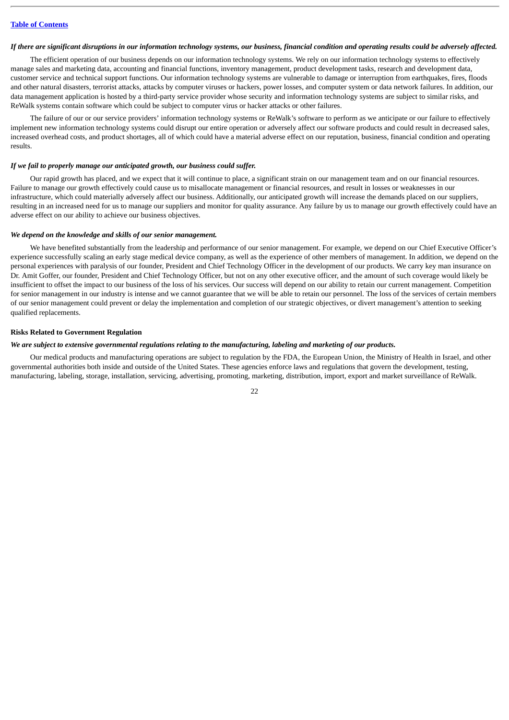#### *If there are significant disruptions in our information technology systems, our business, financial condition and operating results could be adversely affected.*

The efficient operation of our business depends on our information technology systems. We rely on our information technology systems to effectively manage sales and marketing data, accounting and financial functions, inventory management, product development tasks, research and development data, customer service and technical support functions. Our information technology systems are vulnerable to damage or interruption from earthquakes, fires, floods and other natural disasters, terrorist attacks, attacks by computer viruses or hackers, power losses, and computer system or data network failures. In addition, our data management application is hosted by a third-party service provider whose security and information technology systems are subject to similar risks, and ReWalk systems contain software which could be subject to computer virus or hacker attacks or other failures.

The failure of our or our service providers' information technology systems or ReWalk's software to perform as we anticipate or our failure to effectively implement new information technology systems could disrupt our entire operation or adversely affect our software products and could result in decreased sales, increased overhead costs, and product shortages, all of which could have a material adverse effect on our reputation, business, financial condition and operating results.

## *If we fail to properly manage our anticipated growth, our business could suffer.*

Our rapid growth has placed, and we expect that it will continue to place, a significant strain on our management team and on our financial resources. Failure to manage our growth effectively could cause us to misallocate management or financial resources, and result in losses or weaknesses in our infrastructure, which could materially adversely affect our business. Additionally, our anticipated growth will increase the demands placed on our suppliers, resulting in an increased need for us to manage our suppliers and monitor for quality assurance. Any failure by us to manage our growth effectively could have an adverse effect on our ability to achieve our business objectives.

#### *We depend on the knowledge and skills of our senior management.*

We have benefited substantially from the leadership and performance of our senior management. For example, we depend on our Chief Executive Officer's experience successfully scaling an early stage medical device company, as well as the experience of other members of management. In addition, we depend on the personal experiences with paralysis of our founder, President and Chief Technology Officer in the development of our products. We carry key man insurance on Dr. Amit Goffer, our founder, President and Chief Technology Officer, but not on any other executive officer, and the amount of such coverage would likely be insufficient to offset the impact to our business of the loss of his services. Our success will depend on our ability to retain our current management. Competition for senior management in our industry is intense and we cannot guarantee that we will be able to retain our personnel. The loss of the services of certain members of our senior management could prevent or delay the implementation and completion of our strategic objectives, or divert management's attention to seeking qualified replacements.

#### **Risks Related to Government Regulation**

#### *We are subject to extensive governmental regulations relating to the manufacturing, labeling and marketing of our products.*

Our medical products and manufacturing operations are subject to regulation by the FDA, the European Union, the Ministry of Health in Israel, and other governmental authorities both inside and outside of the United States. These agencies enforce laws and regulations that govern the development, testing, manufacturing, labeling, storage, installation, servicing, advertising, promoting, marketing, distribution, import, export and market surveillance of ReWalk.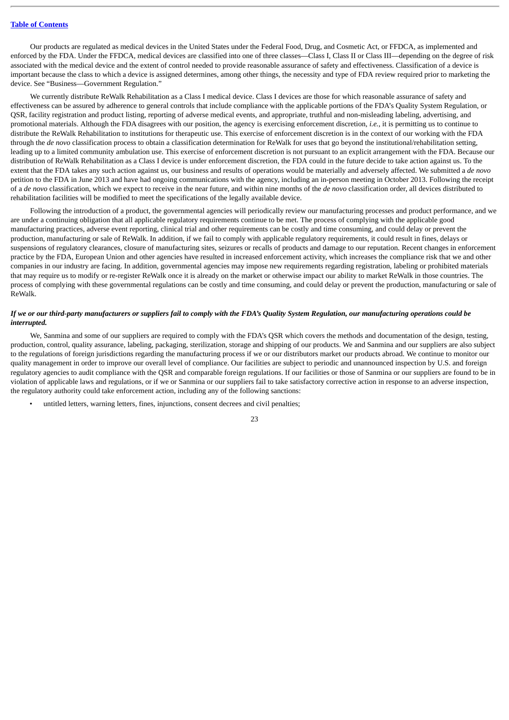Our products are regulated as medical devices in the United States under the Federal Food, Drug, and Cosmetic Act, or FFDCA, as implemented and enforced by the FDA. Under the FFDCA, medical devices are classified into one of three classes—Class I, Class II or Class III—depending on the degree of risk associated with the medical device and the extent of control needed to provide reasonable assurance of safety and effectiveness. Classification of a device is important because the class to which a device is assigned determines, among other things, the necessity and type of FDA review required prior to marketing the device. See "Business—Government Regulation."

We currently distribute ReWalk Rehabilitation as a Class I medical device. Class I devices are those for which reasonable assurance of safety and effectiveness can be assured by adherence to general controls that include compliance with the applicable portions of the FDA's Quality System Regulation, or QSR, facility registration and product listing, reporting of adverse medical events, and appropriate, truthful and non-misleading labeling, advertising, and promotional materials. Although the FDA disagrees with our position, the agency is exercising enforcement discretion, *i.e.*, it is permitting us to continue to distribute the ReWalk Rehabilitation to institutions for therapeutic use. This exercise of enforcement discretion is in the context of our working with the FDA through the *de novo* classification process to obtain a classification determination for ReWalk for uses that go beyond the institutional/rehabilitation setting, leading up to a limited community ambulation use. This exercise of enforcement discretion is not pursuant to an explicit arrangement with the FDA. Because our distribution of ReWalk Rehabilitation as a Class I device is under enforcement discretion, the FDA could in the future decide to take action against us. To the extent that the FDA takes any such action against us, our business and results of operations would be materially and adversely affected. We submitted a *de novo* petition to the FDA in June 2013 and have had ongoing communications with the agency, including an in-person meeting in October 2013. Following the receipt of a *de novo* classification, which we expect to receive in the near future, and within nine months of the *de novo* classification order, all devices distributed to rehabilitation facilities will be modified to meet the specifications of the legally available device.

Following the introduction of a product, the governmental agencies will periodically review our manufacturing processes and product performance, and we are under a continuing obligation that all applicable regulatory requirements continue to be met. The process of complying with the applicable good manufacturing practices, adverse event reporting, clinical trial and other requirements can be costly and time consuming, and could delay or prevent the production, manufacturing or sale of ReWalk. In addition, if we fail to comply with applicable regulatory requirements, it could result in fines, delays or suspensions of regulatory clearances, closure of manufacturing sites, seizures or recalls of products and damage to our reputation. Recent changes in enforcement practice by the FDA, European Union and other agencies have resulted in increased enforcement activity, which increases the compliance risk that we and other companies in our industry are facing. In addition, governmental agencies may impose new requirements regarding registration, labeling or prohibited materials that may require us to modify or re-register ReWalk once it is already on the market or otherwise impact our ability to market ReWalk in those countries. The process of complying with these governmental regulations can be costly and time consuming, and could delay or prevent the production, manufacturing or sale of ReWalk.

## *If we or our third-party manufacturers or suppliers fail to comply with the FDA's Quality System Regulation, our manufacturing operations could be interrupted.*

We, Sanmina and some of our suppliers are required to comply with the FDA's QSR which covers the methods and documentation of the design, testing, production, control, quality assurance, labeling, packaging, sterilization, storage and shipping of our products. We and Sanmina and our suppliers are also subject to the regulations of foreign jurisdictions regarding the manufacturing process if we or our distributors market our products abroad. We continue to monitor our quality management in order to improve our overall level of compliance. Our facilities are subject to periodic and unannounced inspection by U.S. and foreign regulatory agencies to audit compliance with the QSR and comparable foreign regulations. If our facilities or those of Sanmina or our suppliers are found to be in violation of applicable laws and regulations, or if we or Sanmina or our suppliers fail to take satisfactory corrective action in response to an adverse inspection, the regulatory authority could take enforcement action, including any of the following sanctions:

untitled letters, warning letters, fines, injunctions, consent decrees and civil penalties;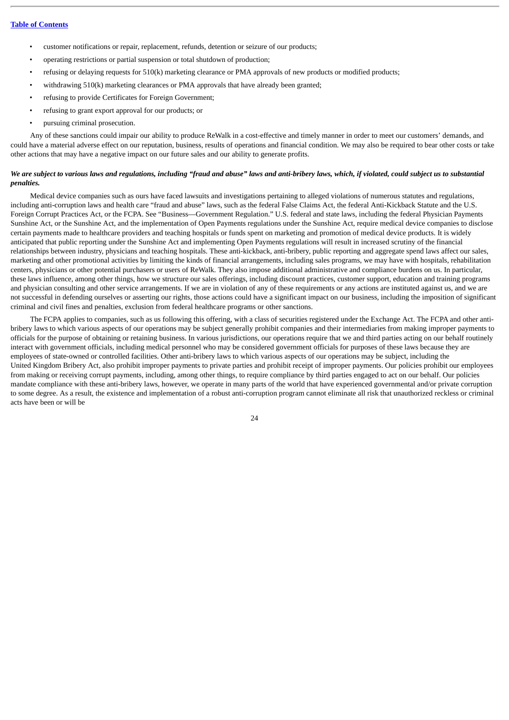- customer notifications or repair, replacement, refunds, detention or seizure of our products;
- operating restrictions or partial suspension or total shutdown of production;
- refusing or delaying requests for 510(k) marketing clearance or PMA approvals of new products or modified products;
- withdrawing 510(k) marketing clearances or PMA approvals that have already been granted;
- refusing to provide Certificates for Foreign Government;
- refusing to grant export approval for our products; or
- pursuing criminal prosecution.

Any of these sanctions could impair our ability to produce ReWalk in a cost-effective and timely manner in order to meet our customers' demands, and could have a material adverse effect on our reputation, business, results of operations and financial condition. We may also be required to bear other costs or take other actions that may have a negative impact on our future sales and our ability to generate profits.

#### *We are subject to various laws and regulations, including "fraud and abuse" laws and anti-bribery laws, which, if violated, could subject us to substantial penalties.*

Medical device companies such as ours have faced lawsuits and investigations pertaining to alleged violations of numerous statutes and regulations, including anti-corruption laws and health care "fraud and abuse" laws, such as the federal False Claims Act, the federal Anti-Kickback Statute and the U.S. Foreign Corrupt Practices Act, or the FCPA. See "Business—Government Regulation." U.S. federal and state laws, including the federal Physician Payments Sunshine Act, or the Sunshine Act, and the implementation of Open Payments regulations under the Sunshine Act, require medical device companies to disclose certain payments made to healthcare providers and teaching hospitals or funds spent on marketing and promotion of medical device products. It is widely anticipated that public reporting under the Sunshine Act and implementing Open Payments regulations will result in increased scrutiny of the financial relationships between industry, physicians and teaching hospitals. These anti-kickback, anti-bribery, public reporting and aggregate spend laws affect our sales, marketing and other promotional activities by limiting the kinds of financial arrangements, including sales programs, we may have with hospitals, rehabilitation centers, physicians or other potential purchasers or users of ReWalk. They also impose additional administrative and compliance burdens on us. In particular, these laws influence, among other things, how we structure our sales offerings, including discount practices, customer support, education and training programs and physician consulting and other service arrangements. If we are in violation of any of these requirements or any actions are instituted against us, and we are not successful in defending ourselves or asserting our rights, those actions could have a significant impact on our business, including the imposition of significant criminal and civil fines and penalties, exclusion from federal healthcare programs or other sanctions.

The FCPA applies to companies, such as us following this offering, with a class of securities registered under the Exchange Act. The FCPA and other antibribery laws to which various aspects of our operations may be subject generally prohibit companies and their intermediaries from making improper payments to officials for the purpose of obtaining or retaining business. In various jurisdictions, our operations require that we and third parties acting on our behalf routinely interact with government officials, including medical personnel who may be considered government officials for purposes of these laws because they are employees of state-owned or controlled facilities. Other anti-bribery laws to which various aspects of our operations may be subject, including the United Kingdom Bribery Act, also prohibit improper payments to private parties and prohibit receipt of improper payments. Our policies prohibit our employees from making or receiving corrupt payments, including, among other things, to require compliance by third parties engaged to act on our behalf. Our policies mandate compliance with these anti-bribery laws, however, we operate in many parts of the world that have experienced governmental and/or private corruption to some degree. As a result, the existence and implementation of a robust anti-corruption program cannot eliminate all risk that unauthorized reckless or criminal acts have been or will be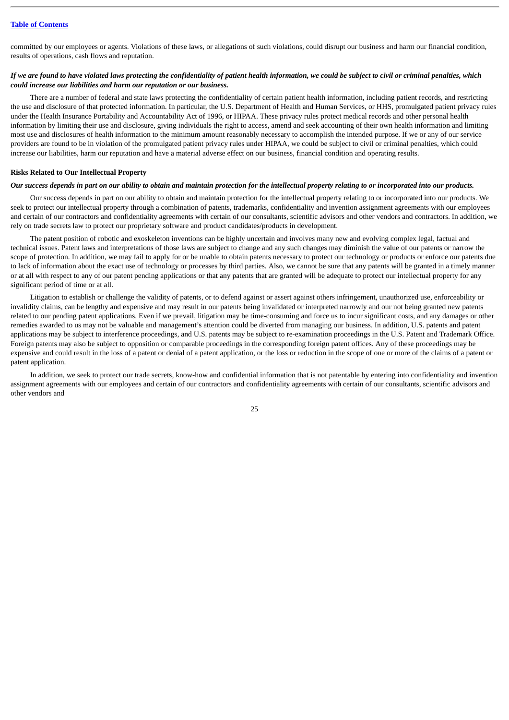committed by our employees or agents. Violations of these laws, or allegations of such violations, could disrupt our business and harm our financial condition, results of operations, cash flows and reputation.

## *If we are found to have violated laws protecting the confidentiality of patient health information, we could be subject to civil or criminal penalties, which could increase our liabilities and harm our reputation or our business.*

There are a number of federal and state laws protecting the confidentiality of certain patient health information, including patient records, and restricting the use and disclosure of that protected information. In particular, the U.S. Department of Health and Human Services, or HHS, promulgated patient privacy rules under the Health Insurance Portability and Accountability Act of 1996, or HIPAA. These privacy rules protect medical records and other personal health information by limiting their use and disclosure, giving individuals the right to access, amend and seek accounting of their own health information and limiting most use and disclosures of health information to the minimum amount reasonably necessary to accomplish the intended purpose. If we or any of our service providers are found to be in violation of the promulgated patient privacy rules under HIPAA, we could be subject to civil or criminal penalties, which could increase our liabilities, harm our reputation and have a material adverse effect on our business, financial condition and operating results.

## **Risks Related to Our Intellectual Property**

## *Our success depends in part on our ability to obtain and maintain protection for the intellectual property relating to or incorporated into our products.*

Our success depends in part on our ability to obtain and maintain protection for the intellectual property relating to or incorporated into our products. We seek to protect our intellectual property through a combination of patents, trademarks, confidentiality and invention assignment agreements with our employees and certain of our contractors and confidentiality agreements with certain of our consultants, scientific advisors and other vendors and contractors. In addition, we rely on trade secrets law to protect our proprietary software and product candidates/products in development.

The patent position of robotic and exoskeleton inventions can be highly uncertain and involves many new and evolving complex legal, factual and technical issues. Patent laws and interpretations of those laws are subject to change and any such changes may diminish the value of our patents or narrow the scope of protection. In addition, we may fail to apply for or be unable to obtain patents necessary to protect our technology or products or enforce our patents due to lack of information about the exact use of technology or processes by third parties. Also, we cannot be sure that any patents will be granted in a timely manner or at all with respect to any of our patent pending applications or that any patents that are granted will be adequate to protect our intellectual property for any significant period of time or at all.

Litigation to establish or challenge the validity of patents, or to defend against or assert against others infringement, unauthorized use, enforceability or invalidity claims, can be lengthy and expensive and may result in our patents being invalidated or interpreted narrowly and our not being granted new patents related to our pending patent applications. Even if we prevail, litigation may be time-consuming and force us to incur significant costs, and any damages or other remedies awarded to us may not be valuable and management's attention could be diverted from managing our business. In addition, U.S. patents and patent applications may be subject to interference proceedings, and U.S. patents may be subject to re-examination proceedings in the U.S. Patent and Trademark Office. Foreign patents may also be subject to opposition or comparable proceedings in the corresponding foreign patent offices. Any of these proceedings may be expensive and could result in the loss of a patent or denial of a patent application, or the loss or reduction in the scope of one or more of the claims of a patent or patent application.

In addition, we seek to protect our trade secrets, know-how and confidential information that is not patentable by entering into confidentiality and invention assignment agreements with our employees and certain of our contractors and confidentiality agreements with certain of our consultants, scientific advisors and other vendors and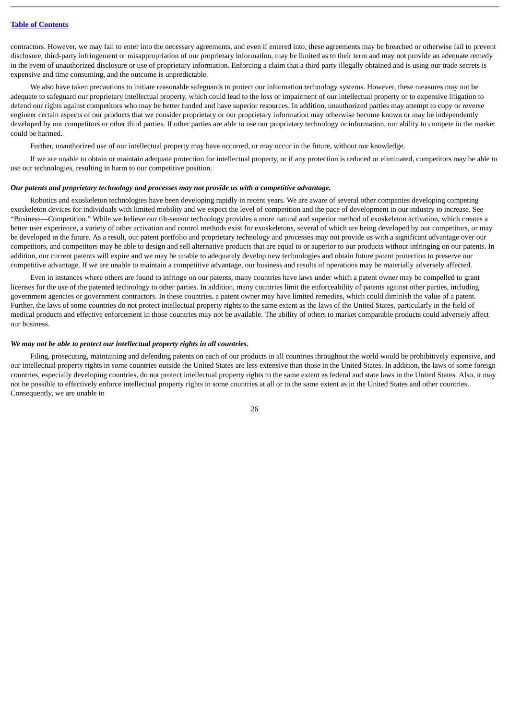contractors. However, we may fail to enter into the necessary agreements, and even if entered into, these agreements may be breached or otherwise fail to prevent disclosure, third-party infringement or misappropriation of our proprietary information, may be limited as to their term and may not provide an adequate remedy in the event of unauthorized disclosure or use of proprietary information. Enforcing a claim that a third party illegally obtained and is using our trade secrets is expensive and time consuming, and the outcome is unpredictable.

We also have taken precautions to initiate reasonable safeguards to protect our information technology systems. However, these measures may not be adequate to safeguard our proprietary intellectual property, which could lead to the loss or impairment of our intellectual property or to expensive litigation to defend our rights against competitors who may be better funded and have superior resources. In addition, unauthorized parties may attempt to copy or reverse engineer certain aspects of our products that we consider proprietary or our proprietary information may otherwise become known or may be independently developed by our competitors or other third parties. If other parties are able to use our proprietary technology or information, our ability to compete in the market could be harmed.

Further, unauthorized use of our intellectual property may have occurred, or may occur in the future, without our knowledge.

If we are unable to obtain or maintain adequate protection for intellectual property, or if any protection is reduced or eliminated, competitors may be able to use our technologies, resulting in harm to our competitive position.

#### *Our patents and proprietary technology and processes may not provide us with a competitive advantage.*

Robotics and exoskeleton technologies have been developing rapidly in recent years. We are aware of several other companies developing competing exoskeleton devices for individuals with limited mobility and we expect the level of competition and the pace of development in our industry to increase. See "Business—Competition." While we believe our tilt-sensor technology provides a more natural and superior method of exoskeleton activation, which creates a better user experience, a variety of other activation and control methods exist for exoskeletons, several of which are being developed by our competitors, or may be developed in the future. As a result, our patent portfolio and proprietary technology and processes may not provide us with a significant advantage over our competitors, and competitors may be able to design and sell alternative products that are equal to or superior to our products without infringing on our patents. In addition, our current patents will expire and we may be unable to adequately develop new technologies and obtain future patent protection to preserve our competitive advantage. If we are unable to maintain a competitive advantage, our business and results of operations may be materially adversely affected.

Even in instances where others are found to infringe on our patents, many countries have laws under which a patent owner may be compelled to grant licenses for the use of the patented technology to other parties. In addition, many countries limit the enforceability of patents against other parties, including government agencies or government contractors. In these countries, a patent owner may have limited remedies, which could diminish the value of a patent. Further, the laws of some countries do not protect intellectual property rights to the same extent as the laws of the United States, particularly in the field of medical products and effective enforcement in those countries may not be available. The ability of others to market comparable products could adversely affect our business.

#### *We may not be able to protect our intellectual property rights in all countries.*

Filing, prosecuting, maintaining and defending patents on each of our products in all countries throughout the world would be prohibitively expensive, and our intellectual property rights in some countries outside the United States are less extensive than those in the United States. In addition, the laws of some foreign countries, especially developing countries, do not protect intellectual property rights to the same extent as federal and state laws in the United States. Also, it may not be possible to effectively enforce intellectual property rights in some countries at all or to the same extent as in the United States and other countries. Consequently, we are unable to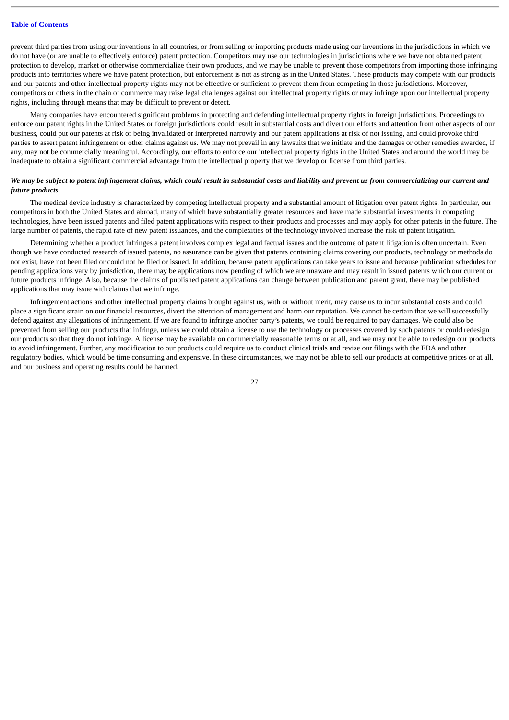prevent third parties from using our inventions in all countries, or from selling or importing products made using our inventions in the jurisdictions in which we do not have (or are unable to effectively enforce) patent protection. Competitors may use our technologies in jurisdictions where we have not obtained patent protection to develop, market or otherwise commercialize their own products, and we may be unable to prevent those competitors from importing those infringing products into territories where we have patent protection, but enforcement is not as strong as in the United States. These products may compete with our products and our patents and other intellectual property rights may not be effective or sufficient to prevent them from competing in those jurisdictions. Moreover, competitors or others in the chain of commerce may raise legal challenges against our intellectual property rights or may infringe upon our intellectual property rights, including through means that may be difficult to prevent or detect.

Many companies have encountered significant problems in protecting and defending intellectual property rights in foreign jurisdictions. Proceedings to enforce our patent rights in the United States or foreign jurisdictions could result in substantial costs and divert our efforts and attention from other aspects of our business, could put our patents at risk of being invalidated or interpreted narrowly and our patent applications at risk of not issuing, and could provoke third parties to assert patent infringement or other claims against us. We may not prevail in any lawsuits that we initiate and the damages or other remedies awarded, if any, may not be commercially meaningful. Accordingly, our efforts to enforce our intellectual property rights in the United States and around the world may be inadequate to obtain a significant commercial advantage from the intellectual property that we develop or license from third parties.

## *We may be subject to patent infringement claims, which could result in substantial costs and liability and prevent us from commercializing our current and future products.*

The medical device industry is characterized by competing intellectual property and a substantial amount of litigation over patent rights. In particular, our competitors in both the United States and abroad, many of which have substantially greater resources and have made substantial investments in competing technologies, have been issued patents and filed patent applications with respect to their products and processes and may apply for other patents in the future. The large number of patents, the rapid rate of new patent issuances, and the complexities of the technology involved increase the risk of patent litigation.

Determining whether a product infringes a patent involves complex legal and factual issues and the outcome of patent litigation is often uncertain. Even though we have conducted research of issued patents, no assurance can be given that patents containing claims covering our products, technology or methods do not exist, have not been filed or could not be filed or issued. In addition, because patent applications can take years to issue and because publication schedules for pending applications vary by jurisdiction, there may be applications now pending of which we are unaware and may result in issued patents which our current or future products infringe. Also, because the claims of published patent applications can change between publication and parent grant, there may be published applications that may issue with claims that we infringe.

Infringement actions and other intellectual property claims brought against us, with or without merit, may cause us to incur substantial costs and could place a significant strain on our financial resources, divert the attention of management and harm our reputation. We cannot be certain that we will successfully defend against any allegations of infringement. If we are found to infringe another party's patents, we could be required to pay damages. We could also be prevented from selling our products that infringe, unless we could obtain a license to use the technology or processes covered by such patents or could redesign our products so that they do not infringe. A license may be available on commercially reasonable terms or at all, and we may not be able to redesign our products to avoid infringement. Further, any modification to our products could require us to conduct clinical trials and revise our filings with the FDA and other regulatory bodies, which would be time consuming and expensive. In these circumstances, we may not be able to sell our products at competitive prices or at all, and our business and operating results could be harmed.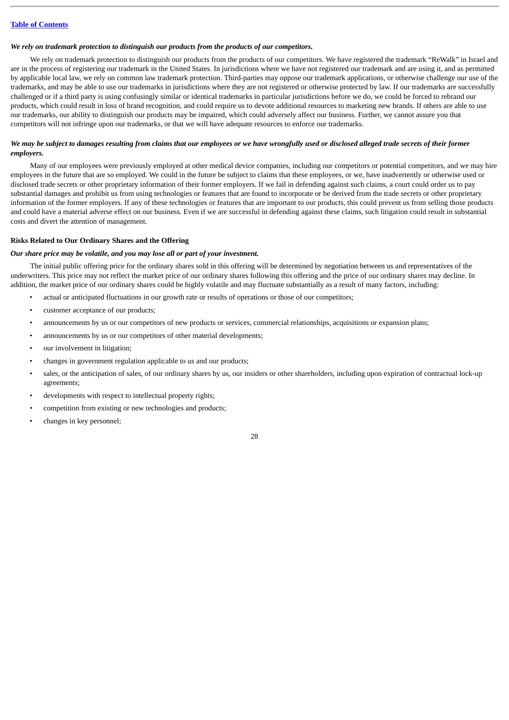#### *We rely on trademark protection to distinguish our products from the products of our competitors.*

We rely on trademark protection to distinguish our products from the products of our competitors. We have registered the trademark "ReWalk" in Israel and are in the process of registering our trademark in the United States. In jurisdictions where we have not registered our trademark and are using it, and as permitted by applicable local law, we rely on common law trademark protection. Third-parties may oppose our trademark applications, or otherwise challenge our use of the trademarks, and may be able to use our trademarks in jurisdictions where they are not registered or otherwise protected by law. If our trademarks are successfully challenged or if a third party is using confusingly similar or identical trademarks in particular jurisdictions before we do, we could be forced to rebrand our products, which could result in loss of brand recognition, and could require us to devote additional resources to marketing new brands. If others are able to use our trademarks, our ability to distinguish our products may be impaired, which could adversely affect our business. Further, we cannot assure you that competitors will not infringe upon our trademarks, or that we will have adequate resources to enforce our trademarks.

## *We may be subject to damages resulting from claims that our employees or we have wrongfully used or disclosed alleged trade secrets of their former employers.*

Many of our employees were previously employed at other medical device companies, including our competitors or potential competitors, and we may hire employees in the future that are so employed. We could in the future be subject to claims that these employees, or we, have inadvertently or otherwise used or disclosed trade secrets or other proprietary information of their former employers. If we fail in defending against such claims, a court could order us to pay substantial damages and prohibit us from using technologies or features that are found to incorporate or be derived from the trade secrets or other proprietary information of the former employers. If any of these technologies or features that are important to our products, this could prevent us from selling those products and could have a material adverse effect on our business. Even if we are successful in defending against these claims, such litigation could result in substantial costs and divert the attention of management.

#### **Risks Related to Our Ordinary Shares and the Offering**

#### *Our share price may be volatile, and you may lose all or part of your investment.*

The initial public offering price for the ordinary shares sold in this offering will be determined by negotiation between us and representatives of the underwriters. This price may not reflect the market price of our ordinary shares following this offering and the price of our ordinary shares may decline. In addition, the market price of our ordinary shares could be highly volatile and may fluctuate substantially as a result of many factors, including:

- actual or anticipated fluctuations in our growth rate or results of operations or those of our competitors;
- customer acceptance of our products;
- announcements by us or our competitors of new products or services, commercial relationships, acquisitions or expansion plans;
- announcements by us or our competitors of other material developments;
- our involvement in litigation;
- changes in government regulation applicable to us and our products;
- sales, or the anticipation of sales, of our ordinary shares by us, our insiders or other shareholders, including upon expiration of contractual lock-up agreements;
- developments with respect to intellectual property rights;
- competition from existing or new technologies and products;
- changes in key personnel;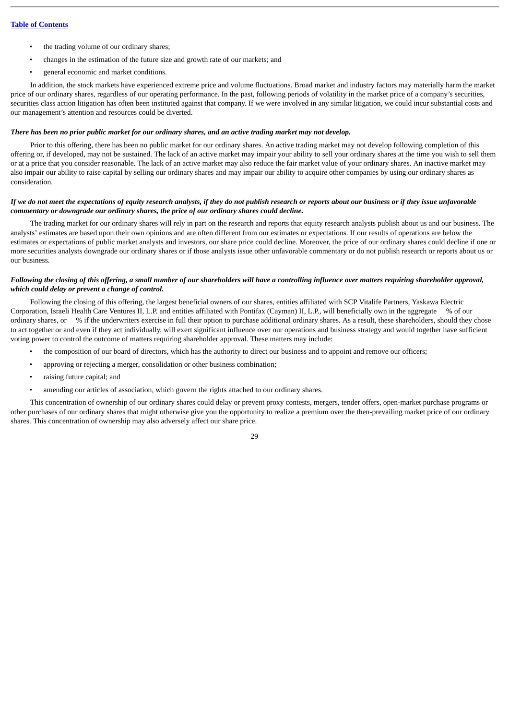- the trading volume of our ordinary shares;
- changes in the estimation of the future size and growth rate of our markets; and
- general economic and market conditions.

In addition, the stock markets have experienced extreme price and volume fluctuations. Broad market and industry factors may materially harm the market price of our ordinary shares, regardless of our operating performance. In the past, following periods of volatility in the market price of a company's securities, securities class action litigation has often been instituted against that company. If we were involved in any similar litigation, we could incur substantial costs and our management's attention and resources could be diverted.

#### *There has been no prior public market for our ordinary shares, and an active trading market may not develop.*

Prior to this offering, there has been no public market for our ordinary shares. An active trading market may not develop following completion of this offering or, if developed, may not be sustained. The lack of an active market may impair your ability to sell your ordinary shares at the time you wish to sell them or at a price that you consider reasonable. The lack of an active market may also reduce the fair market value of your ordinary shares. An inactive market may also impair our ability to raise capital by selling our ordinary shares and may impair our ability to acquire other companies by using our ordinary shares as consideration.

## *If we do not meet the expectations of equity research analysts, if they do not publish research or reports about our business or if they issue unfavorable commentary or downgrade our ordinary shares, the price of our ordinary shares could decline.*

The trading market for our ordinary shares will rely in part on the research and reports that equity research analysts publish about us and our business. The analysts' estimates are based upon their own opinions and are often different from our estimates or expectations. If our results of operations are below the estimates or expectations of public market analysts and investors, our share price could decline. Moreover, the price of our ordinary shares could decline if one or more securities analysts downgrade our ordinary shares or if those analysts issue other unfavorable commentary or do not publish research or reports about us or our business.

## *Following the closing of this offering, a small number of our shareholders will have a controlling influence over matters requiring shareholder approval, which could delay or prevent a change of control.*

Following the closing of this offering, the largest beneficial owners of our shares, entities affiliated with SCP Vitalife Partners, Yaskawa Electric Corporation, Israeli Health Care Ventures II, L.P. and entities affiliated with Pontifax (Cayman) II, L.P., will beneficially own in the aggregate % of our ordinary shares, or % if the underwriters exercise in full their option to purchase additional ordinary shares. As a result, these shareholders, should they chose to act together or and even if they act individually, will exert significant influence over our operations and business strategy and would together have sufficient voting power to control the outcome of matters requiring shareholder approval. These matters may include:

- the composition of our board of directors, which has the authority to direct our business and to appoint and remove our officers;
- approving or rejecting a merger, consolidation or other business combination;
- raising future capital; and
- amending our articles of association, which govern the rights attached to our ordinary shares.

This concentration of ownership of our ordinary shares could delay or prevent proxy contests, mergers, tender offers, open-market purchase programs or other purchases of our ordinary shares that might otherwise give you the opportunity to realize a premium over the then-prevailing market price of our ordinary shares. This concentration of ownership may also adversely affect our share price.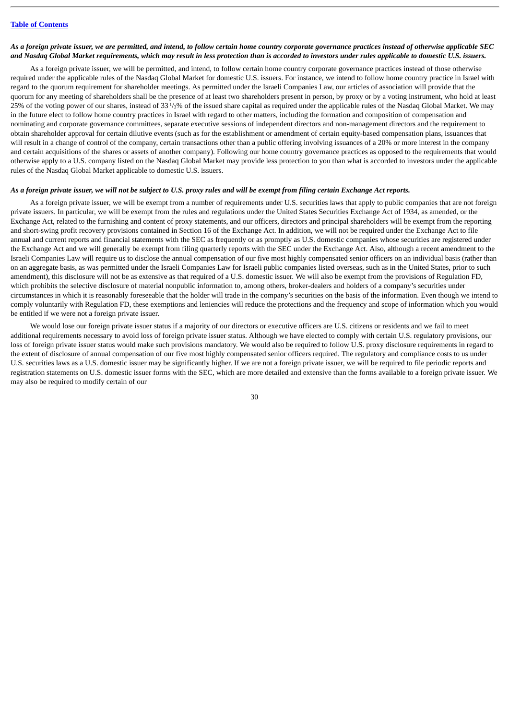#### *As a foreign private issuer, we are permitted, and intend, to follow certain home country corporate governance practices instead of otherwise applicable SEC and Nasdaq Global Market requirements, which may result in less protection than is accorded to investors under rules applicable to domestic U.S. issuers.*

As a foreign private issuer, we will be permitted, and intend, to follow certain home country corporate governance practices instead of those otherwise required under the applicable rules of the Nasdaq Global Market for domestic U.S. issuers. For instance, we intend to follow home country practice in Israel with regard to the quorum requirement for shareholder meetings. As permitted under the Israeli Companies Law, our articles of association will provide that the quorum for any meeting of shareholders shall be the presence of at least two shareholders present in person, by proxy or by a voting instrument, who hold at least 25% of the voting power of our shares, instead of 33<sup>1</sup>/<sub>3</sub>% of the issued share capital as required under the applicable rules of the Nasdaq Global Market. We may in the future elect to follow home country practices in Israel with regard to other matters, including the formation and composition of compensation and nominating and corporate governance committees, separate executive sessions of independent directors and non-management directors and the requirement to obtain shareholder approval for certain dilutive events (such as for the establishment or amendment of certain equity-based compensation plans, issuances that will result in a change of control of the company, certain transactions other than a public offering involving issuances of a 20% or more interest in the company and certain acquisitions of the shares or assets of another company). Following our home country governance practices as opposed to the requirements that would otherwise apply to a U.S. company listed on the Nasdaq Global Market may provide less protection to you than what is accorded to investors under the applicable rules of the Nasdaq Global Market applicable to domestic U.S. issuers.

#### *As a foreign private issuer, we will not be subject to U.S. proxy rules and will be exempt from filing certain Exchange Act reports.*

As a foreign private issuer, we will be exempt from a number of requirements under U.S. securities laws that apply to public companies that are not foreign private issuers. In particular, we will be exempt from the rules and regulations under the United States Securities Exchange Act of 1934, as amended, or the Exchange Act, related to the furnishing and content of proxy statements, and our officers, directors and principal shareholders will be exempt from the reporting and short-swing profit recovery provisions contained in Section 16 of the Exchange Act. In addition, we will not be required under the Exchange Act to file annual and current reports and financial statements with the SEC as frequently or as promptly as U.S. domestic companies whose securities are registered under the Exchange Act and we will generally be exempt from filing quarterly reports with the SEC under the Exchange Act. Also, although a recent amendment to the Israeli Companies Law will require us to disclose the annual compensation of our five most highly compensated senior officers on an individual basis (rather than on an aggregate basis, as was permitted under the Israeli Companies Law for Israeli public companies listed overseas, such as in the United States, prior to such amendment), this disclosure will not be as extensive as that required of a U.S. domestic issuer. We will also be exempt from the provisions of Regulation FD, which prohibits the selective disclosure of material nonpublic information to, among others, broker-dealers and holders of a company's securities under circumstances in which it is reasonably foreseeable that the holder will trade in the company's securities on the basis of the information. Even though we intend to comply voluntarily with Regulation FD, these exemptions and leniencies will reduce the protections and the frequency and scope of information which you would be entitled if we were not a foreign private issuer.

We would lose our foreign private issuer status if a majority of our directors or executive officers are U.S. citizens or residents and we fail to meet additional requirements necessary to avoid loss of foreign private issuer status. Although we have elected to comply with certain U.S. regulatory provisions, our loss of foreign private issuer status would make such provisions mandatory. We would also be required to follow U.S. proxy disclosure requirements in regard to the extent of disclosure of annual compensation of our five most highly compensated senior officers required. The regulatory and compliance costs to us under U.S. securities laws as a U.S. domestic issuer may be significantly higher. If we are not a foreign private issuer, we will be required to file periodic reports and registration statements on U.S. domestic issuer forms with the SEC, which are more detailed and extensive than the forms available to a foreign private issuer. We may also be required to modify certain of our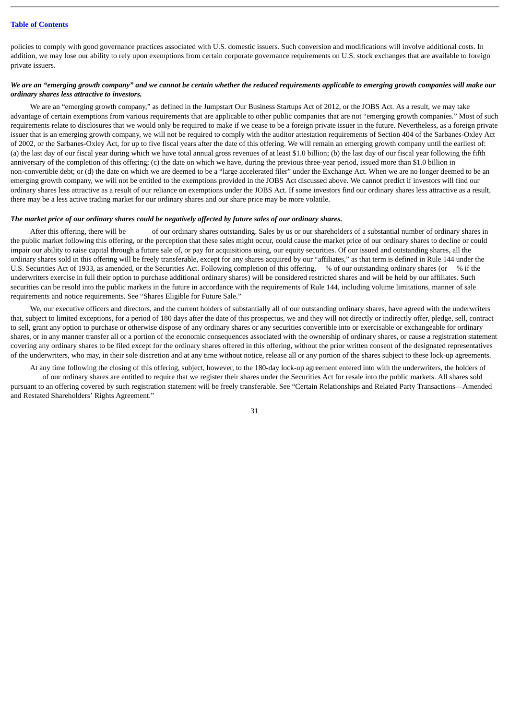policies to comply with good governance practices associated with U.S. domestic issuers. Such conversion and modifications will involve additional costs. In addition, we may lose our ability to rely upon exemptions from certain corporate governance requirements on U.S. stock exchanges that are available to foreign private issuers.

## *We are an "emerging growth company" and we cannot be certain whether the reduced requirements applicable to emerging growth companies will make our ordinary shares less attractive to investors.*

We are an "emerging growth company," as defined in the Jumpstart Our Business Startups Act of 2012, or the JOBS Act. As a result, we may take advantage of certain exemptions from various requirements that are applicable to other public companies that are not "emerging growth companies." Most of such requirements relate to disclosures that we would only be required to make if we cease to be a foreign private issuer in the future. Nevertheless, as a foreign private issuer that is an emerging growth company, we will not be required to comply with the auditor attestation requirements of Section 404 of the Sarbanes-Oxley Act of 2002, or the Sarbanes-Oxley Act, for up to five fiscal years after the date of this offering. We will remain an emerging growth company until the earliest of: (a) the last day of our fiscal year during which we have total annual gross revenues of at least \$1.0 billion; (b) the last day of our fiscal year following the fifth anniversary of the completion of this offering; (c) the date on which we have, during the previous three-year period, issued more than \$1.0 billion in non-convertible debt; or (d) the date on which we are deemed to be a "large accelerated filer" under the Exchange Act. When we are no longer deemed to be an emerging growth company, we will not be entitled to the exemptions provided in the JOBS Act discussed above. We cannot predict if investors will find our ordinary shares less attractive as a result of our reliance on exemptions under the JOBS Act. If some investors find our ordinary shares less attractive as a result, there may be a less active trading market for our ordinary shares and our share price may be more volatile.

## *The market price of our ordinary shares could be negatively affected by future sales of our ordinary shares.*

After this offering, there will be of our ordinary shares outstanding. Sales by us or our shareholders of a substantial number of ordinary shares in the public market following this offering, or the perception that these sales might occur, could cause the market price of our ordinary shares to decline or could impair our ability to raise capital through a future sale of, or pay for acquisitions using, our equity securities. Of our issued and outstanding shares, all the ordinary shares sold in this offering will be freely transferable, except for any shares acquired by our "affiliates," as that term is defined in Rule 144 under the U.S. Securities Act of 1933, as amended, or the Securities Act. Following completion of this offering, % of our outstanding ordinary shares (or % if the underwriters exercise in full their option to purchase additional ordinary shares) will be considered restricted shares and will be held by our affiliates. Such securities can be resold into the public markets in the future in accordance with the requirements of Rule 144, including volume limitations, manner of sale requirements and notice requirements. See "Shares Eligible for Future Sale."

We, our executive officers and directors, and the current holders of substantially all of our outstanding ordinary shares, have agreed with the underwriters that, subject to limited exceptions, for a period of 180 days after the date of this prospectus, we and they will not directly or indirectly offer, pledge, sell, contract to sell, grant any option to purchase or otherwise dispose of any ordinary shares or any securities convertible into or exercisable or exchangeable for ordinary shares, or in any manner transfer all or a portion of the economic consequences associated with the ownership of ordinary shares, or cause a registration statement covering any ordinary shares to be filed except for the ordinary shares offered in this offering, without the prior written consent of the designated representatives of the underwriters, who may, in their sole discretion and at any time without notice, release all or any portion of the shares subject to these lock-up agreements.

At any time following the closing of this offering, subject, however, to the 180-day lock-up agreement entered into with the underwriters, the holders of of our ordinary shares are entitled to require that we register their shares under the Securities Act for resale into the public markets. All shares sold pursuant to an offering covered by such registration statement will be freely transferable. See "Certain Relationships and Related Party Transactions—Amended and Restated Shareholders' Rights Agreement."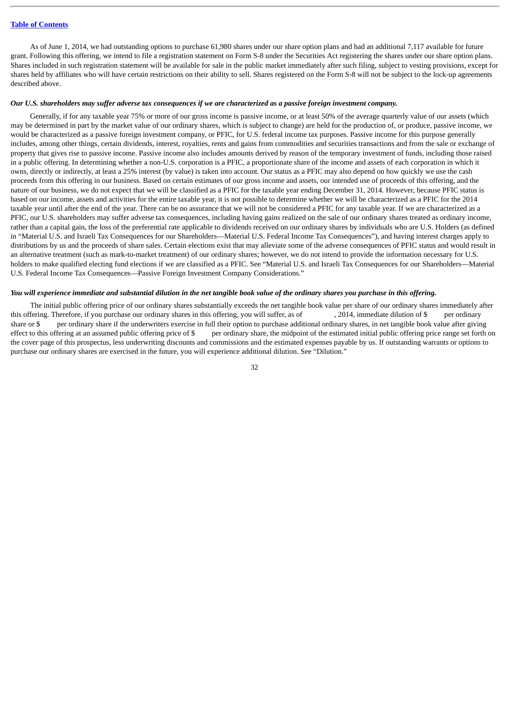As of June 1, 2014, we had outstanding options to purchase 61,980 shares under our share option plans and had an additional 7,117 available for future grant. Following this offering, we intend to file a registration statement on Form S-8 under the Securities Act registering the shares under our share option plans. Shares included in such registration statement will be available for sale in the public market immediately after such filing, subject to vesting provisions, except for shares held by affiliates who will have certain restrictions on their ability to sell. Shares registered on the Form S-8 will not be subject to the lock-up agreements described above.

#### *Our U.S. shareholders may suffer adverse tax consequences if we are characterized as a passive foreign investment company.*

Generally, if for any taxable year 75% or more of our gross income is passive income, or at least 50% of the average quarterly value of our assets (which may be determined in part by the market value of our ordinary shares, which is subject to change) are held for the production of, or produce, passive income, we would be characterized as a passive foreign investment company, or PFIC, for U.S. federal income tax purposes. Passive income for this purpose generally includes, among other things, certain dividends, interest, royalties, rents and gains from commodities and securities transactions and from the sale or exchange of property that gives rise to passive income. Passive income also includes amounts derived by reason of the temporary investment of funds, including those raised in a public offering. In determining whether a non-U.S. corporation is a PFIC, a proportionate share of the income and assets of each corporation in which it owns, directly or indirectly, at least a 25% interest (by value) is taken into account. Our status as a PFIC may also depend on how quickly we use the cash proceeds from this offering in our business. Based on certain estimates of our gross income and assets, our intended use of proceeds of this offering, and the nature of our business, we do not expect that we will be classified as a PFIC for the taxable year ending December 31, 2014. However, because PFIC status is based on our income, assets and activities for the entire taxable year, it is not possible to determine whether we will be characterized as a PFIC for the 2014 taxable year until after the end of the year. There can be no assurance that we will not be considered a PFIC for any taxable year. If we are characterized as a PFIC, our U.S. shareholders may suffer adverse tax consequences, including having gains realized on the sale of our ordinary shares treated as ordinary income, rather than a capital gain, the loss of the preferential rate applicable to dividends received on our ordinary shares by individuals who are U.S. Holders (as defined in "Material U.S. and Israeli Tax Consequences for our Shareholders—Material U.S. Federal Income Tax Consequences"), and having interest charges apply to distributions by us and the proceeds of share sales. Certain elections exist that may alleviate some of the adverse consequences of PFIC status and would result in an alternative treatment (such as mark-to-market treatment) of our ordinary shares; however, we do not intend to provide the information necessary for U.S. holders to make qualified electing fund elections if we are classified as a PFIC. See "Material U.S. and Israeli Tax Consequences for our Shareholders—Material U.S. Federal Income Tax Consequences—Passive Foreign Investment Company Considerations."

#### *You will experience immediate and substantial dilution in the net tangible book value of the ordinary shares you purchase in this offering.*

The initial public offering price of our ordinary shares substantially exceeds the net tangible book value per share of our ordinary shares immediately after this offering. Therefore, if you purchase our ordinary shares in this offering, you will suffer, as of , 2014, immediate dilution of \$ per ordinary share or \$ per ordinary share if the underwriters exercise in full their option to purchase additional ordinary shares, in net tangible book value after giving effect to this offering at an assumed public offering price of  $\$\$  per ordinary share, the midpoint of the estimated initial public offering price range set forth on the cover page of this prospectus, less underwriting discounts and commissions and the estimated expenses payable by us. If outstanding warrants or options to purchase our ordinary shares are exercised in the future, you will experience additional dilution. See "Dilution."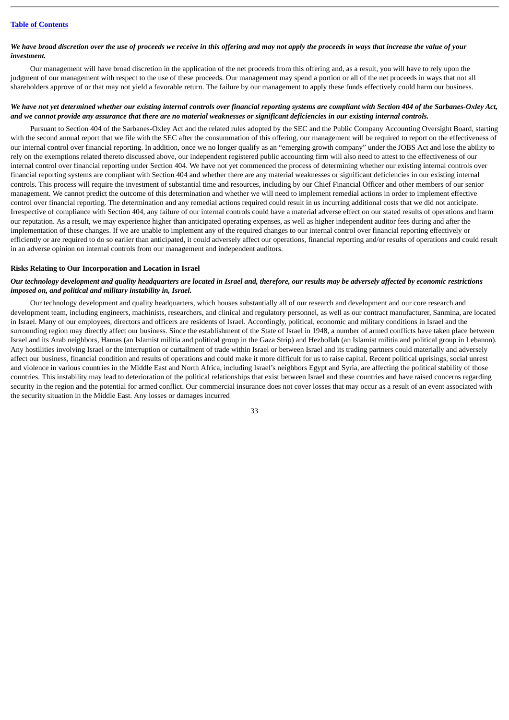### *We have broad discretion over the use of proceeds we receive in this offering and may not apply the proceeds in ways that increase the value of your investment.*

Our management will have broad discretion in the application of the net proceeds from this offering and, as a result, you will have to rely upon the judgment of our management with respect to the use of these proceeds. Our management may spend a portion or all of the net proceeds in ways that not all shareholders approve of or that may not yield a favorable return. The failure by our management to apply these funds effectively could harm our business.

### *We have not yet determined whether our existing internal controls over financial reporting systems are compliant with Section 404 of the Sarbanes-Oxley Act, and we cannot provide any assurance that there are no material weaknesses or significant deficiencies in our existing internal controls.*

Pursuant to Section 404 of the Sarbanes-Oxley Act and the related rules adopted by the SEC and the Public Company Accounting Oversight Board, starting with the second annual report that we file with the SEC after the consummation of this offering, our management will be required to report on the effectiveness of our internal control over financial reporting. In addition, once we no longer qualify as an "emerging growth company" under the JOBS Act and lose the ability to rely on the exemptions related thereto discussed above, our independent registered public accounting firm will also need to attest to the effectiveness of our internal control over financial reporting under Section 404. We have not yet commenced the process of determining whether our existing internal controls over financial reporting systems are compliant with Section 404 and whether there are any material weaknesses or significant deficiencies in our existing internal controls. This process will require the investment of substantial time and resources, including by our Chief Financial Officer and other members of our senior management. We cannot predict the outcome of this determination and whether we will need to implement remedial actions in order to implement effective control over financial reporting. The determination and any remedial actions required could result in us incurring additional costs that we did not anticipate. Irrespective of compliance with Section 404, any failure of our internal controls could have a material adverse effect on our stated results of operations and harm our reputation. As a result, we may experience higher than anticipated operating expenses, as well as higher independent auditor fees during and after the implementation of these changes. If we are unable to implement any of the required changes to our internal control over financial reporting effectively or efficiently or are required to do so earlier than anticipated, it could adversely affect our operations, financial reporting and/or results of operations and could result in an adverse opinion on internal controls from our management and independent auditors.

### **Risks Relating to Our Incorporation and Location in Israel**

### *Our technology development and quality headquarters are located in Israel and, therefore, our results may be adversely affected by economic restrictions imposed on, and political and military instability in, Israel.*

Our technology development and quality headquarters, which houses substantially all of our research and development and our core research and development team, including engineers, machinists, researchers, and clinical and regulatory personnel, as well as our contract manufacturer, Sanmina, are located in Israel. Many of our employees, directors and officers are residents of Israel. Accordingly, political, economic and military conditions in Israel and the surrounding region may directly affect our business. Since the establishment of the State of Israel in 1948, a number of armed conflicts have taken place between Israel and its Arab neighbors, Hamas (an Islamist militia and political group in the Gaza Strip) and Hezbollah (an Islamist militia and political group in Lebanon). Any hostilities involving Israel or the interruption or curtailment of trade within Israel or between Israel and its trading partners could materially and adversely affect our business, financial condition and results of operations and could make it more difficult for us to raise capital. Recent political uprisings, social unrest and violence in various countries in the Middle East and North Africa, including Israel's neighbors Egypt and Syria, are affecting the political stability of those countries. This instability may lead to deterioration of the political relationships that exist between Israel and these countries and have raised concerns regarding security in the region and the potential for armed conflict. Our commercial insurance does not cover losses that may occur as a result of an event associated with the security situation in the Middle East. Any losses or damages incurred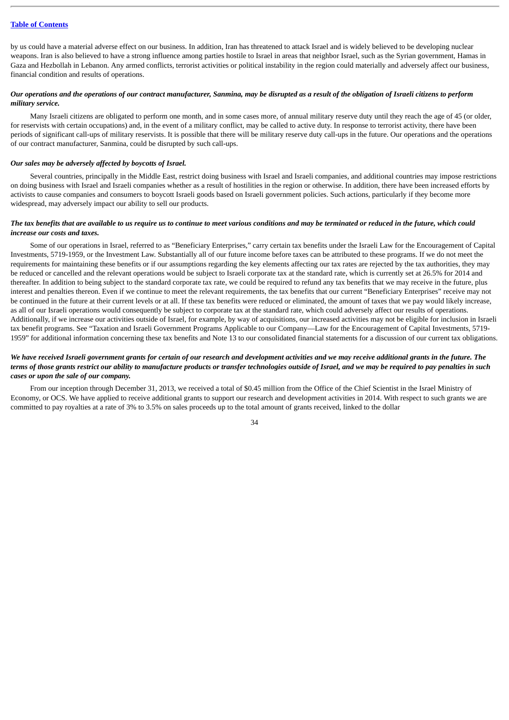by us could have a material adverse effect on our business. In addition, Iran has threatened to attack Israel and is widely believed to be developing nuclear weapons. Iran is also believed to have a strong influence among parties hostile to Israel in areas that neighbor Israel, such as the Syrian government, Hamas in Gaza and Hezbollah in Lebanon. Any armed conflicts, terrorist activities or political instability in the region could materially and adversely affect our business, financial condition and results of operations.

# *Our operations and the operations of our contract manufacturer, Sanmina, may be disrupted as a result of the obligation of Israeli citizens to perform military service.*

Many Israeli citizens are obligated to perform one month, and in some cases more, of annual military reserve duty until they reach the age of 45 (or older, for reservists with certain occupations) and, in the event of a military conflict, may be called to active duty. In response to terrorist activity, there have been periods of significant call-ups of military reservists. It is possible that there will be military reserve duty call-ups in the future. Our operations and the operations of our contract manufacturer, Sanmina, could be disrupted by such call-ups.

### *Our sales may be adversely affected by boycotts of Israel.*

Several countries, principally in the Middle East, restrict doing business with Israel and Israeli companies, and additional countries may impose restrictions on doing business with Israel and Israeli companies whether as a result of hostilities in the region or otherwise. In addition, there have been increased efforts by activists to cause companies and consumers to boycott Israeli goods based on Israeli government policies. Such actions, particularly if they become more widespread, may adversely impact our ability to sell our products.

# *The tax benefits that are available to us require us to continue to meet various conditions and may be terminated or reduced in the future, which could increase our costs and taxes.*

Some of our operations in Israel, referred to as "Beneficiary Enterprises," carry certain tax benefits under the Israeli Law for the Encouragement of Capital Investments, 5719-1959, or the Investment Law. Substantially all of our future income before taxes can be attributed to these programs. If we do not meet the requirements for maintaining these benefits or if our assumptions regarding the key elements affecting our tax rates are rejected by the tax authorities, they may be reduced or cancelled and the relevant operations would be subject to Israeli corporate tax at the standard rate, which is currently set at 26.5% for 2014 and thereafter. In addition to being subject to the standard corporate tax rate, we could be required to refund any tax benefits that we may receive in the future, plus interest and penalties thereon. Even if we continue to meet the relevant requirements, the tax benefits that our current "Beneficiary Enterprises" receive may not be continued in the future at their current levels or at all. If these tax benefits were reduced or eliminated, the amount of taxes that we pay would likely increase, as all of our Israeli operations would consequently be subject to corporate tax at the standard rate, which could adversely affect our results of operations. Additionally, if we increase our activities outside of Israel, for example, by way of acquisitions, our increased activities may not be eligible for inclusion in Israeli tax benefit programs. See "Taxation and Israeli Government Programs Applicable to our Company—Law for the Encouragement of Capital Investments, 5719- 1959" for additional information concerning these tax benefits and Note 13 to our consolidated financial statements for a discussion of our current tax obligations.

# *We have received Israeli government grants for certain of our research and development activities and we may receive additional grants in the future. The terms of those grants restrict our ability to manufacture products or transfer technologies outside of Israel, and we may be required to pay penalties in such cases or upon the sale of our company.*

From our inception through December 31, 2013, we received a total of \$0.45 million from the Office of the Chief Scientist in the Israel Ministry of Economy, or OCS. We have applied to receive additional grants to support our research and development activities in 2014. With respect to such grants we are committed to pay royalties at a rate of 3% to 3.5% on sales proceeds up to the total amount of grants received, linked to the dollar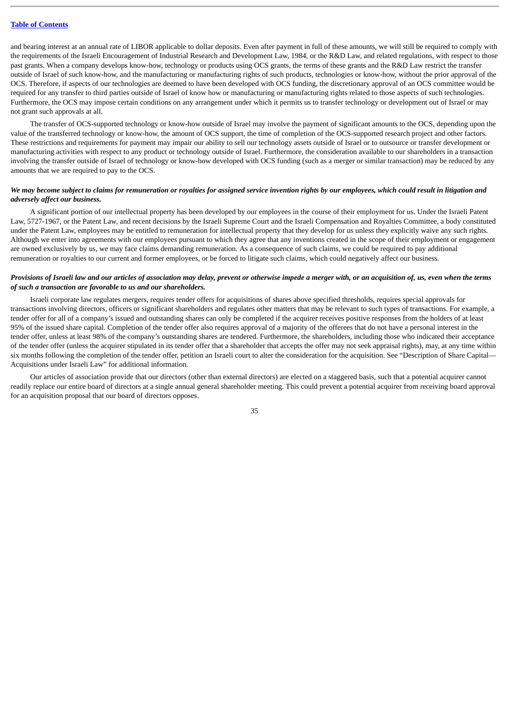and bearing interest at an annual rate of LIBOR applicable to dollar deposits. Even after payment in full of these amounts, we will still be required to comply with the requirements of the Israeli Encouragement of Industrial Research and Development Law, 1984, or the R&D Law, and related regulations, with respect to those past grants. When a company develops know-how, technology or products using OCS grants, the terms of these grants and the R&D Law restrict the transfer outside of Israel of such know-how, and the manufacturing or manufacturing rights of such products, technologies or know-how, without the prior approval of the OCS. Therefore, if aspects of our technologies are deemed to have been developed with OCS funding, the discretionary approval of an OCS committee would be required for any transfer to third parties outside of Israel of know how or manufacturing or manufacturing rights related to those aspects of such technologies. Furthermore, the OCS may impose certain conditions on any arrangement under which it permits us to transfer technology or development out of Israel or may not grant such approvals at all.

The transfer of OCS-supported technology or know-how outside of Israel may involve the payment of significant amounts to the OCS, depending upon the value of the transferred technology or know-how, the amount of OCS support, the time of completion of the OCS-supported research project and other factors. These restrictions and requirements for payment may impair our ability to sell our technology assets outside of Israel or to outsource or transfer development or manufacturing activities with respect to any product or technology outside of Israel. Furthermore, the consideration available to our shareholders in a transaction involving the transfer outside of Israel of technology or know-how developed with OCS funding (such as a merger or similar transaction) may be reduced by any amounts that we are required to pay to the OCS.

### *We may become subject to claims for remuneration or royalties for assigned service invention rights by our employees, which could result in litigation and adversely affect our business.*

A significant portion of our intellectual property has been developed by our employees in the course of their employment for us. Under the Israeli Patent Law, 5727-1967, or the Patent Law, and recent decisions by the Israeli Supreme Court and the Israeli Compensation and Royalties Committee, a body constituted under the Patent Law, employees may be entitled to remuneration for intellectual property that they develop for us unless they explicitly waive any such rights. Although we enter into agreements with our employees pursuant to which they agree that any inventions created in the scope of their employment or engagement are owned exclusively by us, we may face claims demanding remuneration. As a consequence of such claims, we could be required to pay additional remuneration or royalties to our current and former employees, or be forced to litigate such claims, which could negatively affect our business.

# *Provisions of Israeli law and our articles of association may delay, prevent or otherwise impede a merger with, or an acquisition of, us, even when the terms of such a transaction are favorable to us and our shareholders.*

Israeli corporate law regulates mergers, requires tender offers for acquisitions of shares above specified thresholds, requires special approvals for transactions involving directors, officers or significant shareholders and regulates other matters that may be relevant to such types of transactions. For example, a tender offer for all of a company's issued and outstanding shares can only be completed if the acquirer receives positive responses from the holders of at least 95% of the issued share capital. Completion of the tender offer also requires approval of a majority of the offerees that do not have a personal interest in the tender offer, unless at least 98% of the company's outstanding shares are tendered. Furthermore, the shareholders, including those who indicated their acceptance of the tender offer (unless the acquirer stipulated in its tender offer that a shareholder that accepts the offer may not seek appraisal rights), may, at any time within six months following the completion of the tender offer, petition an Israeli court to alter the consideration for the acquisition. See "Description of Share Capital– Acquisitions under Israeli Law" for additional information.

Our articles of association provide that our directors (other than external directors) are elected on a staggered basis, such that a potential acquirer cannot readily replace our entire board of directors at a single annual general shareholder meeting. This could prevent a potential acquirer from receiving board approval for an acquisition proposal that our board of directors opposes.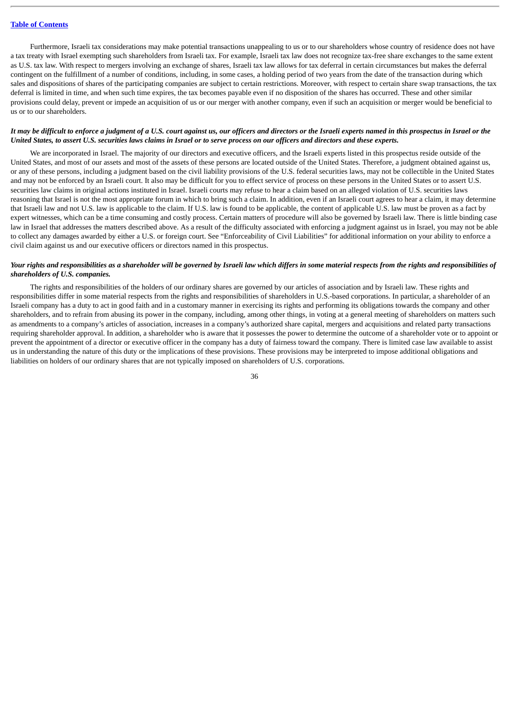Furthermore, Israeli tax considerations may make potential transactions unappealing to us or to our shareholders whose country of residence does not have a tax treaty with Israel exempting such shareholders from Israeli tax. For example, Israeli tax law does not recognize tax-free share exchanges to the same extent as U.S. tax law. With respect to mergers involving an exchange of shares, Israeli tax law allows for tax deferral in certain circumstances but makes the deferral contingent on the fulfillment of a number of conditions, including, in some cases, a holding period of two years from the date of the transaction during which sales and dispositions of shares of the participating companies are subject to certain restrictions. Moreover, with respect to certain share swap transactions, the tax deferral is limited in time, and when such time expires, the tax becomes payable even if no disposition of the shares has occurred. These and other similar provisions could delay, prevent or impede an acquisition of us or our merger with another company, even if such an acquisition or merger would be beneficial to us or to our shareholders.

### *It may be difficult to enforce a judgment of a U.S. court against us, our officers and directors or the Israeli experts named in this prospectus in Israel or the United States, to assert U.S. securities laws claims in Israel or to serve process on our officers and directors and these experts.*

We are incorporated in Israel. The majority of our directors and executive officers, and the Israeli experts listed in this prospectus reside outside of the United States, and most of our assets and most of the assets of these persons are located outside of the United States. Therefore, a judgment obtained against us, or any of these persons, including a judgment based on the civil liability provisions of the U.S. federal securities laws, may not be collectible in the United States and may not be enforced by an Israeli court. It also may be difficult for you to effect service of process on these persons in the United States or to assert U.S. securities law claims in original actions instituted in Israel. Israeli courts may refuse to hear a claim based on an alleged violation of U.S. securities laws reasoning that Israel is not the most appropriate forum in which to bring such a claim. In addition, even if an Israeli court agrees to hear a claim, it may determine that Israeli law and not U.S. law is applicable to the claim. If U.S. law is found to be applicable, the content of applicable U.S. law must be proven as a fact by expert witnesses, which can be a time consuming and costly process. Certain matters of procedure will also be governed by Israeli law. There is little binding case law in Israel that addresses the matters described above. As a result of the difficulty associated with enforcing a judgment against us in Israel, you may not be able to collect any damages awarded by either a U.S. or foreign court. See "Enforceability of Civil Liabilities" for additional information on your ability to enforce a civil claim against us and our executive officers or directors named in this prospectus.

### *Your rights and responsibilities as a shareholder will be governed by Israeli law which differs in some material respects from the rights and responsibilities of shareholders of U.S. companies.*

The rights and responsibilities of the holders of our ordinary shares are governed by our articles of association and by Israeli law. These rights and responsibilities differ in some material respects from the rights and responsibilities of shareholders in U.S.-based corporations. In particular, a shareholder of an Israeli company has a duty to act in good faith and in a customary manner in exercising its rights and performing its obligations towards the company and other shareholders, and to refrain from abusing its power in the company, including, among other things, in voting at a general meeting of shareholders on matters such as amendments to a company's articles of association, increases in a company's authorized share capital, mergers and acquisitions and related party transactions requiring shareholder approval. In addition, a shareholder who is aware that it possesses the power to determine the outcome of a shareholder vote or to appoint or prevent the appointment of a director or executive officer in the company has a duty of fairness toward the company. There is limited case law available to assist us in understanding the nature of this duty or the implications of these provisions. These provisions may be interpreted to impose additional obligations and liabilities on holders of our ordinary shares that are not typically imposed on shareholders of U.S. corporations.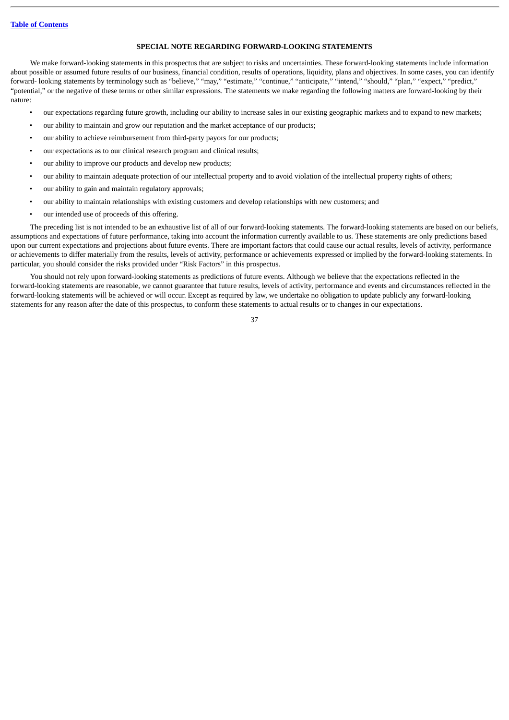### **SPECIAL NOTE REGARDING FORWARD-LOOKING STATEMENTS**

We make forward-looking statements in this prospectus that are subject to risks and uncertainties. These forward-looking statements include information about possible or assumed future results of our business, financial condition, results of operations, liquidity, plans and objectives. In some cases, you can identify forward- looking statements by terminology such as "believe," "may," "estimate," "continue," "anticipate," "intend," "should," "plan," "expect," "predict," "potential," or the negative of these terms or other similar expressions. The statements we make regarding the following matters are forward-looking by their nature:

- our expectations regarding future growth, including our ability to increase sales in our existing geographic markets and to expand to new markets;
- our ability to maintain and grow our reputation and the market acceptance of our products;
- our ability to achieve reimbursement from third-party payors for our products;
- our expectations as to our clinical research program and clinical results;
- our ability to improve our products and develop new products;
- our ability to maintain adequate protection of our intellectual property and to avoid violation of the intellectual property rights of others;
- our ability to gain and maintain regulatory approvals;
- our ability to maintain relationships with existing customers and develop relationships with new customers; and
- our intended use of proceeds of this offering.

The preceding list is not intended to be an exhaustive list of all of our forward-looking statements. The forward-looking statements are based on our beliefs, assumptions and expectations of future performance, taking into account the information currently available to us. These statements are only predictions based upon our current expectations and projections about future events. There are important factors that could cause our actual results, levels of activity, performance or achievements to differ materially from the results, levels of activity, performance or achievements expressed or implied by the forward-looking statements. In particular, you should consider the risks provided under "Risk Factors" in this prospectus.

You should not rely upon forward-looking statements as predictions of future events. Although we believe that the expectations reflected in the forward-looking statements are reasonable, we cannot guarantee that future results, levels of activity, performance and events and circumstances reflected in the forward-looking statements will be achieved or will occur. Except as required by law, we undertake no obligation to update publicly any forward-looking statements for any reason after the date of this prospectus, to conform these statements to actual results or to changes in our expectations.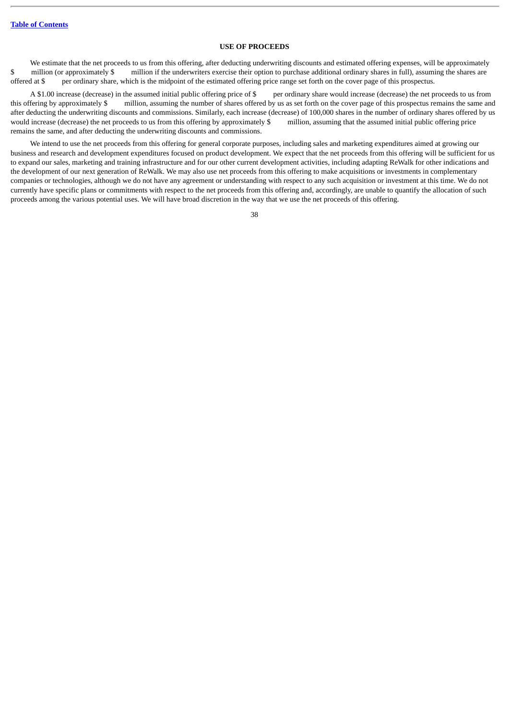# **USE OF PROCEEDS**

We estimate that the net proceeds to us from this offering, after deducting underwriting discounts and estimated offering expenses, will be approximately \$ million (or approximately \$ million if the underwriters exercise their option to purchase additional ordinary shares in full), assuming the shares are offered at \$ per ordinary share, which is the midpoint of the estimated offering price range set forth on the cover page of this prospectus.

A \$1.00 increase (decrease) in the assumed initial public offering price of \$ per ordinary share would increase (decrease) the net proceeds to us from this offering by approximately \$ million, assuming the number of shares offered by us as set forth on the cover page of this prospectus remains the same and after deducting the underwriting discounts and commissions. Similarly, each increase (decrease) of 100,000 shares in the number of ordinary shares offered by us would increase (decrease) the net proceeds to us from this offering by approximately \$ million, assuming that the assumed initial public offering price remains the same, and after deducting the underwriting discounts and commissions.

We intend to use the net proceeds from this offering for general corporate purposes, including sales and marketing expenditures aimed at growing our business and research and development expenditures focused on product development. We expect that the net proceeds from this offering will be sufficient for us to expand our sales, marketing and training infrastructure and for our other current development activities, including adapting ReWalk for other indications and the development of our next generation of ReWalk. We may also use net proceeds from this offering to make acquisitions or investments in complementary companies or technologies, although we do not have any agreement or understanding with respect to any such acquisition or investment at this time. We do not currently have specific plans or commitments with respect to the net proceeds from this offering and, accordingly, are unable to quantify the allocation of such proceeds among the various potential uses. We will have broad discretion in the way that we use the net proceeds of this offering.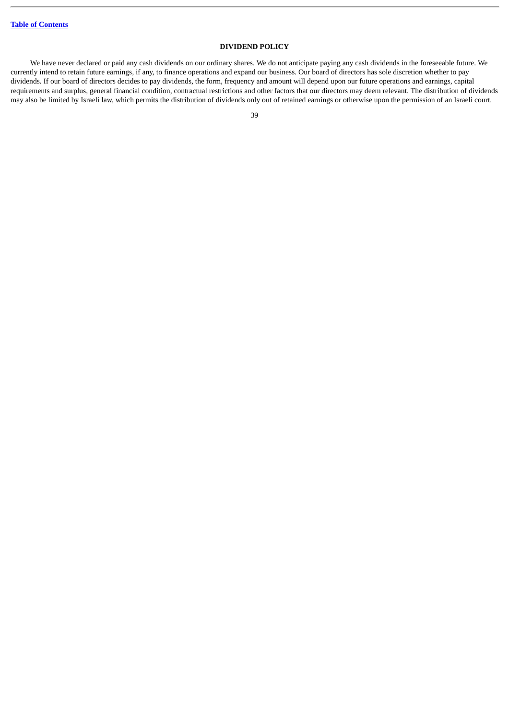# **DIVIDEND POLICY**

We have never declared or paid any cash dividends on our ordinary shares. We do not anticipate paying any cash dividends in the foreseeable future. We currently intend to retain future earnings, if any, to finance operations and expand our business. Our board of directors has sole discretion whether to pay dividends. If our board of directors decides to pay dividends, the form, frequency and amount will depend upon our future operations and earnings, capital requirements and surplus, general financial condition, contractual restrictions and other factors that our directors may deem relevant. The distribution of dividends may also be limited by Israeli law, which permits the distribution of dividends only out of retained earnings or otherwise upon the permission of an Israeli court.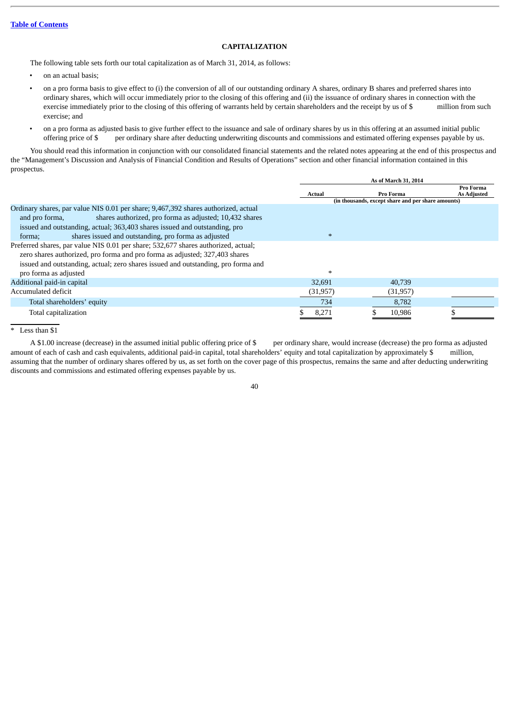# **CAPITALIZATION**

The following table sets forth our total capitalization as of March 31, 2014, as follows:

- on an actual basis;
- on a pro forma basis to give effect to (i) the conversion of all of our outstanding ordinary A shares, ordinary B shares and preferred shares into ordinary shares, which will occur immediately prior to the closing of this offering and (ii) the issuance of ordinary shares in connection with the exercise immediately prior to the closing of this offering of warrants held by certain shareholders and the receipt by us of \$ million from such exercise; and
- on a pro forma as adjusted basis to give further effect to the issuance and sale of ordinary shares by us in this offering at an assumed initial public offering price of \$ per ordinary share after deducting underwriting discounts and commissions and estimated offering expenses payable by us.

You should read this information in conjunction with our consolidated financial statements and the related notes appearing at the end of this prospectus and the "Management's Discussion and Analysis of Financial Condition and Results of Operations" section and other financial information contained in this prospectus.

|                                                                                    |               | As of March 31, 2014                               |                                 |
|------------------------------------------------------------------------------------|---------------|----------------------------------------------------|---------------------------------|
|                                                                                    | <b>Actual</b> | Pro Forma                                          | Pro Forma<br><b>As Adjusted</b> |
|                                                                                    |               | (in thousands, except share and per share amounts) |                                 |
| Ordinary shares, par value NIS 0.01 per share; 9,467,392 shares authorized, actual |               |                                                    |                                 |
| shares authorized, pro forma as adjusted; 10,432 shares<br>and pro forma,          |               |                                                    |                                 |
| issued and outstanding, actual; 363,403 shares issued and outstanding, pro         |               |                                                    |                                 |
| shares issued and outstanding, pro forma as adjusted<br>forma:                     | $*$           |                                                    |                                 |
| Preferred shares, par value NIS 0.01 per share; 532,677 shares authorized, actual; |               |                                                    |                                 |
| zero shares authorized, pro forma and pro forma as adjusted; 327,403 shares        |               |                                                    |                                 |
| issued and outstanding, actual; zero shares issued and outstanding, pro forma and  |               |                                                    |                                 |
| pro forma as adjusted                                                              | $\ast$        |                                                    |                                 |
| Additional paid-in capital                                                         | 32,691        | 40.739                                             |                                 |
| Accumulated deficit                                                                | (31, 957)     | (31, 957)                                          |                                 |
| Total shareholders' equity                                                         | 734           | 8,782                                              |                                 |
| Total capitalization                                                               | 8,271         | 10,986                                             |                                 |

\* Less than \$1

A \$1.00 increase (decrease) in the assumed initial public offering price of \$ per ordinary share, would increase (decrease) the pro forma as adjusted amount of each of cash and cash equivalents, additional paid-in capital, total shareholders' equity and total capitalization by approximately \$ million, assuming that the number of ordinary shares offered by us, as set forth on the cover page of this prospectus, remains the same and after deducting underwriting discounts and commissions and estimated offering expenses payable by us.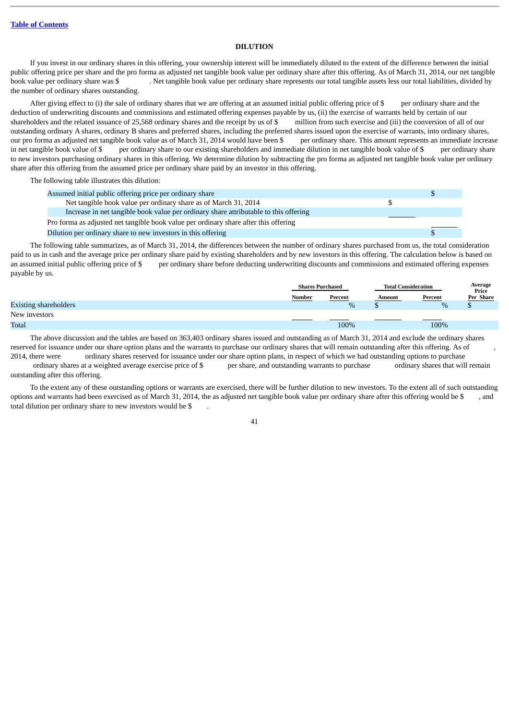### **DILUTION**

If you invest in our ordinary shares in this offering, your ownership interest will be immediately diluted to the extent of the difference between the initial public offering price per share and the pro forma as adjusted net tangible book value per ordinary share after this offering. As of March 31, 2014, our net tangible book value per ordinary share was \$ . Net tangible book value per ordinary share represents our total tangible assets less our total liabilities, divided by the number of ordinary shares outstanding.

After giving effect to (i) the sale of ordinary shares that we are offering at an assumed initial public offering price of \$ per ordinary share and the deduction of underwriting discounts and commissions and estimated offering expenses payable by us, (ii) the exercise of warrants held by certain of our shareholders and the related issuance of 25,568 ordinary shares and the receipt by us of \$ million from such exercise and (iii) the conversion of all of our outstanding ordinary A shares, ordinary B shares and preferred shares, including the preferred shares issued upon the exercise of warrants, into ordinary shares, our pro forma as adjusted net tangible book value as of March 31, 2014 would have been \$ per ordinary share. This amount represents an immediate increase in net tangible book value of \$ per ordinary share to our existing s in net tangible book value of \$ per ordinary share to our existing shareholders and immediate dilution in net tangible book value of \$ to new investors purchasing ordinary shares in this offering. We determine dilution by subtracting the pro forma as adjusted net tangible book value per ordinary share after this offering from the assumed price per ordinary share paid by an investor in this offering.

The following table illustrates this dilution:

| Assumed initial public offering price per ordinary share                             |  |
|--------------------------------------------------------------------------------------|--|
| Net tangible book value per ordinary share as of March 31, 2014                      |  |
| Increase in net tangible book value per ordinary share attributable to this offering |  |
| Pro forma as adjusted net tangible book value per ordinary share after this offering |  |
| Dilution per ordinary share to new investors in this offering                        |  |

The following table summarizes, as of March 31, 2014, the differences between the number of ordinary shares purchased from us, the total consideration paid to us in cash and the average price per ordinary share paid by existing shareholders and by new investors in this offering. The calculation below is based on an assumed initial public offering price of \$ per ordinary share before deducting underwriting discounts and commissions and estimated offering expenses payable by us.

|                              | <b>Shares Purchased</b> |         | <b>Total Consideration</b> |         | Average<br>Price |  |
|------------------------------|-------------------------|---------|----------------------------|---------|------------------|--|
|                              | Number                  | Percent | Amount                     | Percent | Per Share        |  |
| <b>Existing shareholders</b> |                         | $\%$    |                            | $\%$    |                  |  |
| New investors                |                         |         |                            |         |                  |  |
| <b>Total</b>                 |                         | 100%    |                            | 100%    |                  |  |

The above discussion and the tables are based on 363,403 ordinary shares issued and outstanding as of March 31, 2014 and exclude the ordinary shares reserved for issuance under our share option plans and the warrants to purchase our ordinary shares that will remain outstanding after this offering. As of 2014, there were ordinary shares reserved for issuance under our share option plans, in respect of which we had outstanding options to purchase

 ordinary shares at a weighted average exercise price of \$ per share, and outstanding warrants to purchase ordinary shares that will remain outstanding after this offering.

To the extent any of these outstanding options or warrants are exercised, there will be further dilution to new investors. To the extent all of such outstanding options and warrants had been exercised as of March 31, 2014, the as adjusted net tangible book value per ordinary share after this offering would be \$ , and total dilution per ordinary share to new investors would be \$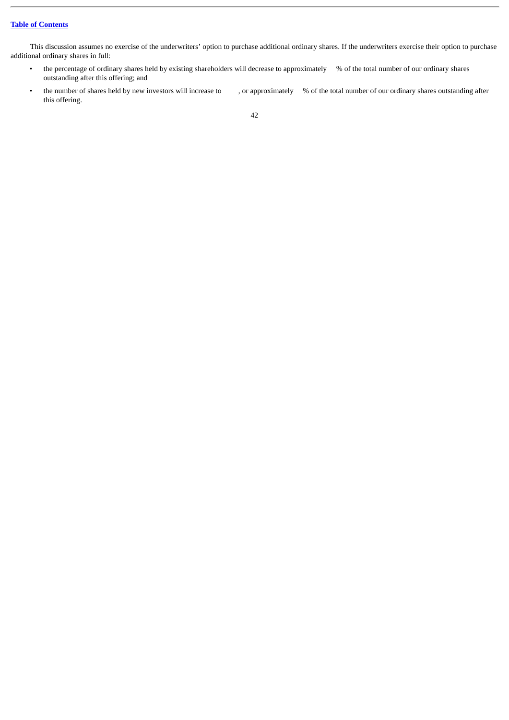This discussion assumes no exercise of the underwriters' option to purchase additional ordinary shares. If the underwriters exercise their option to purchase additional ordinary shares in full:

- the percentage of ordinary shares held by existing shareholders will decrease to approximately % of the total number of our ordinary shares outstanding after this offering; and
- the number of shares held by new investors will increase to , or approximately % of the total number of our ordinary shares outstanding after this offering.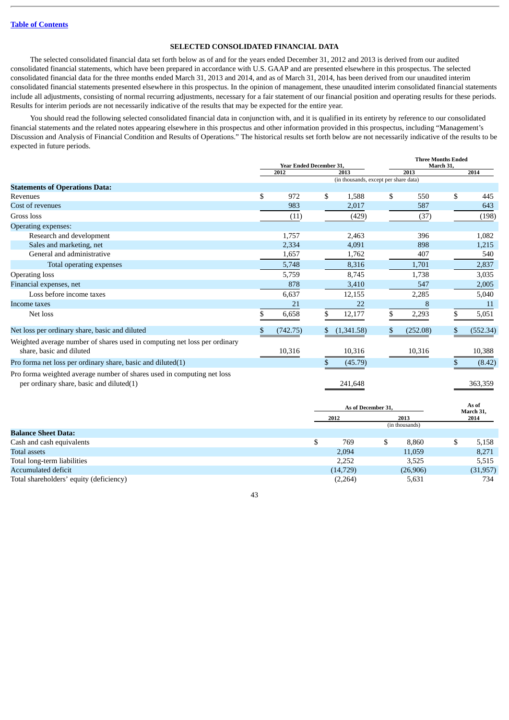# **SELECTED CONSOLIDATED FINANCIAL DATA**

The selected consolidated financial data set forth below as of and for the years ended December 31, 2012 and 2013 is derived from our audited consolidated financial statements, which have been prepared in accordance with U.S. GAAP and are presented elsewhere in this prospectus. The selected consolidated financial data for the three months ended March 31, 2013 and 2014, and as of March 31, 2014, has been derived from our unaudited interim consolidated financial statements presented elsewhere in this prospectus. In the opinion of management, these unaudited interim consolidated financial statements include all adjustments, consisting of normal recurring adjustments, necessary for a fair statement of our financial position and operating results for these periods. Results for interim periods are not necessarily indicative of the results that may be expected for the entire year.

You should read the following selected consolidated financial data in conjunction with, and it is qualified in its entirety by reference to our consolidated financial statements and the related notes appearing elsewhere in this prospectus and other information provided in this prospectus, including "Management's Discussion and Analysis of Financial Condition and Results of Operations." The historical results set forth below are not necessarily indicative of the results to be expected in future periods.

|                                                                                                                    | <b>Year Ended December 31.</b> |          | <b>Three Months Ended</b><br>March 31. |                                       |     |          |    |          |
|--------------------------------------------------------------------------------------------------------------------|--------------------------------|----------|----------------------------------------|---------------------------------------|-----|----------|----|----------|
|                                                                                                                    |                                | 2012     |                                        | 2013                                  |     | 2013     |    | 2014     |
|                                                                                                                    |                                |          |                                        | (in thousands, except per share data) |     |          |    |          |
| <b>Statements of Operations Data:</b><br>Revenues                                                                  | \$                             | 972      | \$                                     | 1,588                                 | \$  | 550      | \$ | 445      |
| Cost of revenues                                                                                                   |                                | 983      |                                        | 2,017                                 |     | 587      |    | 643      |
| Gross loss                                                                                                         |                                | (11)     |                                        | (429)                                 |     | (37)     |    | (198)    |
| Operating expenses:                                                                                                |                                |          |                                        |                                       |     |          |    |          |
| Research and development                                                                                           |                                | 1,757    |                                        | 2,463                                 |     | 396      |    | 1,082    |
| Sales and marketing, net                                                                                           |                                | 2,334    |                                        | 4,091                                 |     | 898      |    | 1,215    |
| General and administrative                                                                                         |                                | 1,657    |                                        | 1,762                                 |     | 407      |    | 540      |
| Total operating expenses                                                                                           |                                | 5,748    |                                        | 8,316                                 |     | 1,701    |    | 2,837    |
| <b>Operating loss</b>                                                                                              |                                | 5,759    |                                        | 8,745                                 |     | 1,738    |    | 3,035    |
| Financial expenses, net                                                                                            |                                | 878      |                                        | 3,410                                 |     | 547      |    | 2,005    |
| Loss before income taxes                                                                                           |                                | 6,637    |                                        | 12,155                                |     | 2,285    |    | 5,040    |
| Income taxes                                                                                                       |                                | 21       |                                        | 22                                    |     | 8        |    | 11       |
| Net loss                                                                                                           | \$                             | 6,658    | \$                                     | 12,177                                | \$. | 2,293    | S. | 5,051    |
| Net loss per ordinary share, basic and diluted                                                                     | \$                             | (742.75) | S.                                     | (1,341.58)                            | S.  | (252.08) | S. | (552.34) |
| Weighted average number of shares used in computing net loss per ordinary<br>share, basic and diluted              |                                | 10,316   |                                        | 10,316                                |     | 10,316   |    | 10,388   |
| Pro forma net loss per ordinary share, basic and diluted(1)                                                        |                                |          | \$                                     | (45.79)                               |     |          |    | (8.42)   |
| Pro forma weighted average number of shares used in computing net loss<br>per ordinary share, basic and diluted(1) |                                |          |                                        | 241,648                               |     |          |    | 363,359  |

|                                         | As of December 31, |    |                | As of<br>March 31, |           |
|-----------------------------------------|--------------------|----|----------------|--------------------|-----------|
|                                         | 2013<br>2012       |    |                | 2014               |           |
|                                         |                    |    | (in thousands) |                    |           |
| <b>Balance Sheet Data:</b>              |                    |    |                |                    |           |
| Cash and cash equivalents               | 769                | \$ | 8,860          | \$                 | 5,158     |
| Total assets                            | 2,094              |    | 11,059         |                    | 8,271     |
| Total long-term liabilities             | 2,252              |    | 3,525          |                    | 5,515     |
| Accumulated deficit                     | (14, 729)          |    | (26,906)       |                    | (31, 957) |
| Total shareholders' equity (deficiency) | (2,264)            |    | 5,631          |                    | 734       |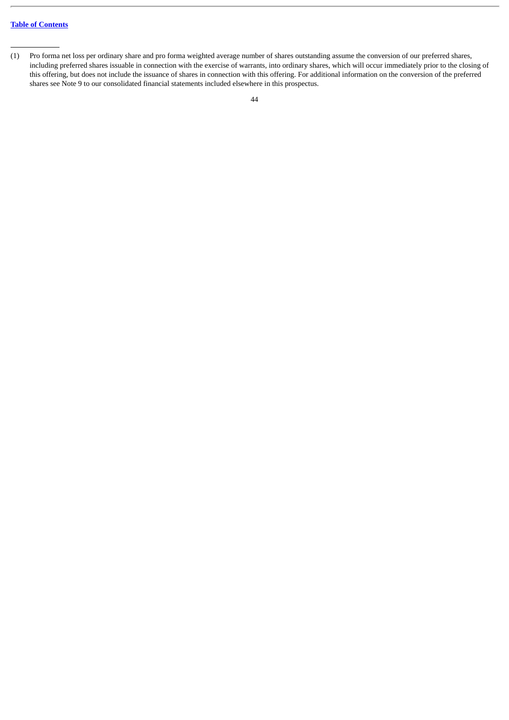<sup>(1)</sup> Pro forma net loss per ordinary share and pro forma weighted average number of shares outstanding assume the conversion of our preferred shares, including preferred shares issuable in connection with the exercise of warrants, into ordinary shares, which will occur immediately prior to the closing of this offering, but does not include the issuance of shares in connection with this offering. For additional information on the conversion of the preferred shares see Note 9 to our consolidated financial statements included elsewhere in this prospectus.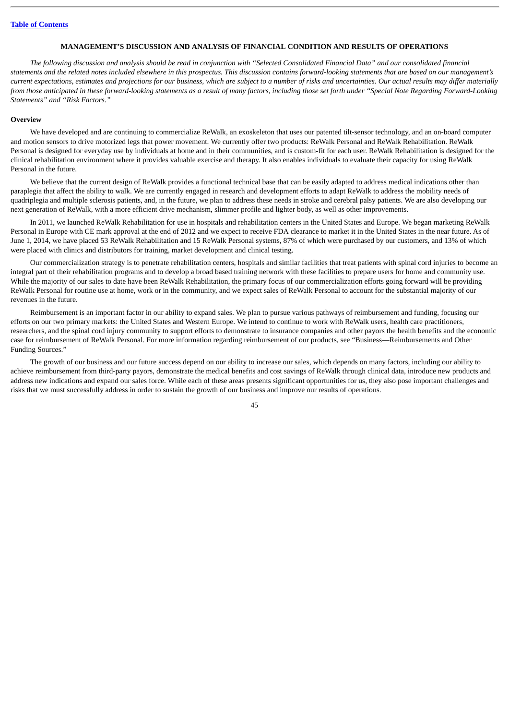### **MANAGEMENT'S DISCUSSION AND ANALYSIS OF FINANCIAL CONDITION AND RESULTS OF OPERATIONS**

*The following discussion and analysis should be read in conjunction with "Selected Consolidated Financial Data" and our consolidated financial statements and the related notes included elsewhere in this prospectus. This discussion contains forward-looking statements that are based on our management's current expectations, estimates and projections for our business, which are subject to a number of risks and uncertainties. Our actual results may differ materially from those anticipated in these forward-looking statements as a result of many factors, including those set forth under "Special Note Regarding Forward-Looking Statements" and "Risk Factors."*

### **Overview**

We have developed and are continuing to commercialize ReWalk, an exoskeleton that uses our patented tilt-sensor technology, and an on-board computer and motion sensors to drive motorized legs that power movement. We currently offer two products: ReWalk Personal and ReWalk Rehabilitation. ReWalk Personal is designed for everyday use by individuals at home and in their communities, and is custom-fit for each user. ReWalk Rehabilitation is designed for the clinical rehabilitation environment where it provides valuable exercise and therapy. It also enables individuals to evaluate their capacity for using ReWalk Personal in the future.

We believe that the current design of ReWalk provides a functional technical base that can be easily adapted to address medical indications other than paraplegia that affect the ability to walk. We are currently engaged in research and development efforts to adapt ReWalk to address the mobility needs of quadriplegia and multiple sclerosis patients, and, in the future, we plan to address these needs in stroke and cerebral palsy patients. We are also developing our next generation of ReWalk, with a more efficient drive mechanism, slimmer profile and lighter body, as well as other improvements.

In 2011, we launched ReWalk Rehabilitation for use in hospitals and rehabilitation centers in the United States and Europe. We began marketing ReWalk Personal in Europe with CE mark approval at the end of 2012 and we expect to receive FDA clearance to market it in the United States in the near future. As of June 1, 2014, we have placed 53 ReWalk Rehabilitation and 15 ReWalk Personal systems, 87% of which were purchased by our customers, and 13% of which were placed with clinics and distributors for training, market development and clinical testing.

Our commercialization strategy is to penetrate rehabilitation centers, hospitals and similar facilities that treat patients with spinal cord injuries to become an integral part of their rehabilitation programs and to develop a broad based training network with these facilities to prepare users for home and community use. While the majority of our sales to date have been ReWalk Rehabilitation, the primary focus of our commercialization efforts going forward will be providing ReWalk Personal for routine use at home, work or in the community, and we expect sales of ReWalk Personal to account for the substantial majority of our revenues in the future.

Reimbursement is an important factor in our ability to expand sales. We plan to pursue various pathways of reimbursement and funding, focusing our efforts on our two primary markets: the United States and Western Europe. We intend to continue to work with ReWalk users, health care practitioners, researchers, and the spinal cord injury community to support efforts to demonstrate to insurance companies and other payors the health benefits and the economic case for reimbursement of ReWalk Personal. For more information regarding reimbursement of our products, see "Business—Reimbursements and Other Funding Sources."

The growth of our business and our future success depend on our ability to increase our sales, which depends on many factors, including our ability to achieve reimbursement from third-party payors, demonstrate the medical benefits and cost savings of ReWalk through clinical data, introduce new products and address new indications and expand our sales force. While each of these areas presents significant opportunities for us, they also pose important challenges and risks that we must successfully address in order to sustain the growth of our business and improve our results of operations.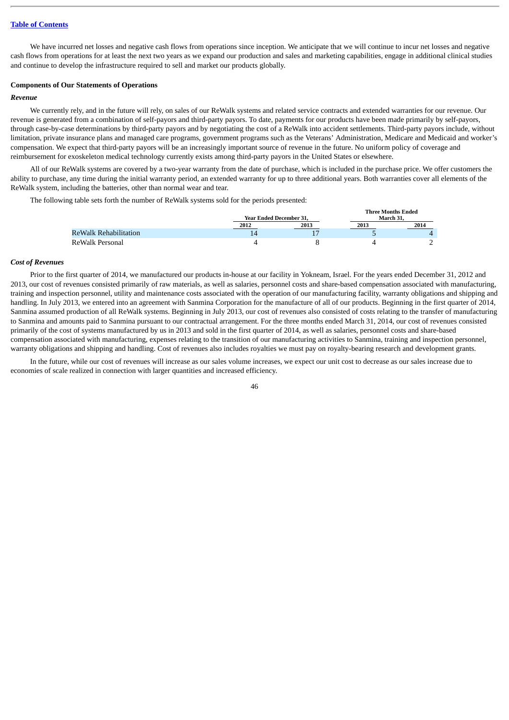We have incurred net losses and negative cash flows from operations since inception. We anticipate that we will continue to incur net losses and negative cash flows from operations for at least the next two years as we expand our production and sales and marketing capabilities, engage in additional clinical studies and continue to develop the infrastructure required to sell and market our products globally.

#### **Components of Our Statements of Operations**

#### *Revenue*

We currently rely, and in the future will rely, on sales of our ReWalk systems and related service contracts and extended warranties for our revenue. Our revenue is generated from a combination of self-payors and third-party payors. To date, payments for our products have been made primarily by self-payors, through case-by-case determinations by third-party payors and by negotiating the cost of a ReWalk into accident settlements. Third-party payors include, without limitation, private insurance plans and managed care programs, government programs such as the Veterans' Administration, Medicare and Medicaid and worker's compensation. We expect that third-party payors will be an increasingly important source of revenue in the future. No uniform policy of coverage and reimbursement for exoskeleton medical technology currently exists among third-party payors in the United States or elsewhere.

All of our ReWalk systems are covered by a two-year warranty from the date of purchase, which is included in the purchase price. We offer customers the ability to purchase, any time during the initial warranty period, an extended warranty for up to three additional years. Both warranties cover all elements of the ReWalk system, including the batteries, other than normal wear and tear.

The following table sets forth the number of ReWalk systems sold for the periods presented:

|                       | <b>Year Ended December 31.</b> |      | тигес мощны еписи<br>March 31. |      |  |
|-----------------------|--------------------------------|------|--------------------------------|------|--|
|                       | 2012                           | 2013 | 2013                           | 2014 |  |
| ReWalk Rehabilitation | 14                             | 15   |                                |      |  |
| ReWalk Personal       |                                |      |                                |      |  |

**Three Months Ended**

### *Cost of Revenues*

Prior to the first quarter of 2014, we manufactured our products in-house at our facility in Yokneam, Israel. For the years ended December 31, 2012 and 2013, our cost of revenues consisted primarily of raw materials, as well as salaries, personnel costs and share-based compensation associated with manufacturing, training and inspection personnel, utility and maintenance costs associated with the operation of our manufacturing facility, warranty obligations and shipping and handling. In July 2013, we entered into an agreement with Sanmina Corporation for the manufacture of all of our products. Beginning in the first quarter of 2014, Sanmina assumed production of all ReWalk systems. Beginning in July 2013, our cost of revenues also consisted of costs relating to the transfer of manufacturing to Sanmina and amounts paid to Sanmina pursuant to our contractual arrangement. For the three months ended March 31, 2014, our cost of revenues consisted primarily of the cost of systems manufactured by us in 2013 and sold in the first quarter of 2014, as well as salaries, personnel costs and share-based compensation associated with manufacturing, expenses relating to the transition of our manufacturing activities to Sanmina, training and inspection personnel, warranty obligations and shipping and handling. Cost of revenues also includes royalties we must pay on royalty-bearing research and development grants.

In the future, while our cost of revenues will increase as our sales volume increases, we expect our unit cost to decrease as our sales increase due to economies of scale realized in connection with larger quantities and increased efficiency.

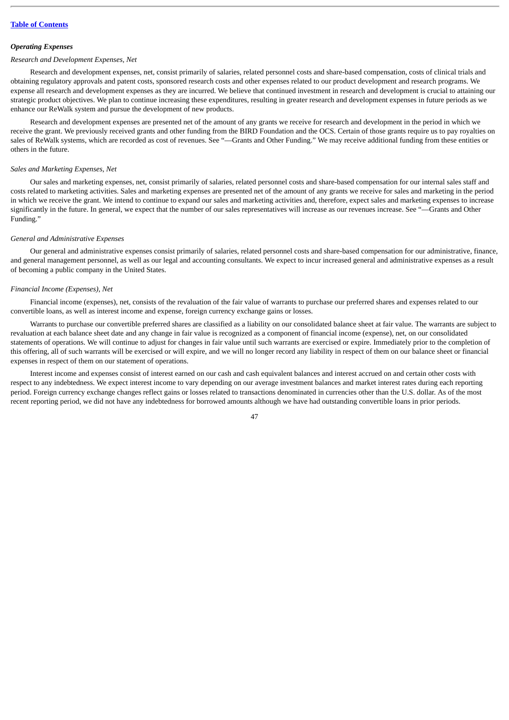#### *Operating Expenses*

### *Research and Development Expenses, Net*

Research and development expenses, net, consist primarily of salaries, related personnel costs and share-based compensation, costs of clinical trials and obtaining regulatory approvals and patent costs, sponsored research costs and other expenses related to our product development and research programs. We expense all research and development expenses as they are incurred. We believe that continued investment in research and development is crucial to attaining our strategic product objectives. We plan to continue increasing these expenditures, resulting in greater research and development expenses in future periods as we enhance our ReWalk system and pursue the development of new products.

Research and development expenses are presented net of the amount of any grants we receive for research and development in the period in which we receive the grant. We previously received grants and other funding from the BIRD Foundation and the OCS. Certain of those grants require us to pay royalties on sales of ReWalk systems, which are recorded as cost of revenues. See "—Grants and Other Funding." We may receive additional funding from these entities or others in the future.

#### *Sales and Marketing Expenses, Net*

Our sales and marketing expenses, net, consist primarily of salaries, related personnel costs and share-based compensation for our internal sales staff and costs related to marketing activities. Sales and marketing expenses are presented net of the amount of any grants we receive for sales and marketing in the period in which we receive the grant. We intend to continue to expand our sales and marketing activities and, therefore, expect sales and marketing expenses to increase significantly in the future. In general, we expect that the number of our sales representatives will increase as our revenues increase. See "—Grants and Other Funding."

#### *General and Administrative Expenses*

Our general and administrative expenses consist primarily of salaries, related personnel costs and share-based compensation for our administrative, finance, and general management personnel, as well as our legal and accounting consultants. We expect to incur increased general and administrative expenses as a result of becoming a public company in the United States.

#### *Financial Income (Expenses), Net*

Financial income (expenses), net, consists of the revaluation of the fair value of warrants to purchase our preferred shares and expenses related to our convertible loans, as well as interest income and expense, foreign currency exchange gains or losses.

Warrants to purchase our convertible preferred shares are classified as a liability on our consolidated balance sheet at fair value. The warrants are subject to revaluation at each balance sheet date and any change in fair value is recognized as a component of financial income (expense), net, on our consolidated statements of operations. We will continue to adjust for changes in fair value until such warrants are exercised or expire. Immediately prior to the completion of this offering, all of such warrants will be exercised or will expire, and we will no longer record any liability in respect of them on our balance sheet or financial expenses in respect of them on our statement of operations.

Interest income and expenses consist of interest earned on our cash and cash equivalent balances and interest accrued on and certain other costs with respect to any indebtedness. We expect interest income to vary depending on our average investment balances and market interest rates during each reporting period. Foreign currency exchange changes reflect gains or losses related to transactions denominated in currencies other than the U.S. dollar. As of the most recent reporting period, we did not have any indebtedness for borrowed amounts although we have had outstanding convertible loans in prior periods.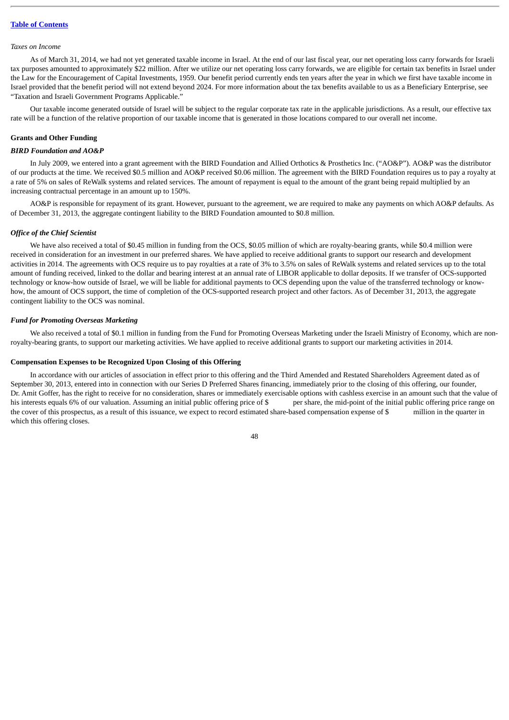#### *Taxes on Income*

As of March 31, 2014, we had not yet generated taxable income in Israel. At the end of our last fiscal year, our net operating loss carry forwards for Israeli tax purposes amounted to approximately \$22 million. After we utilize our net operating loss carry forwards, we are eligible for certain tax benefits in Israel under the Law for the Encouragement of Capital Investments, 1959. Our benefit period currently ends ten years after the year in which we first have taxable income in Israel provided that the benefit period will not extend beyond 2024. For more information about the tax benefits available to us as a Beneficiary Enterprise, see "Taxation and Israeli Government Programs Applicable."

Our taxable income generated outside of Israel will be subject to the regular corporate tax rate in the applicable jurisdictions. As a result, our effective tax rate will be a function of the relative proportion of our taxable income that is generated in those locations compared to our overall net income.

### **Grants and Other Funding**

#### *BIRD Foundation and AO&P*

In July 2009, we entered into a grant agreement with the BIRD Foundation and Allied Orthotics & Prosthetics Inc. ("AO&P"). AO&P was the distributor of our products at the time. We received \$0.5 million and AO&P received \$0.06 million. The agreement with the BIRD Foundation requires us to pay a royalty at a rate of 5% on sales of ReWalk systems and related services. The amount of repayment is equal to the amount of the grant being repaid multiplied by an increasing contractual percentage in an amount up to 150%.

AO&P is responsible for repayment of its grant. However, pursuant to the agreement, we are required to make any payments on which AO&P defaults. As of December 31, 2013, the aggregate contingent liability to the BIRD Foundation amounted to \$0.8 million.

#### *Office of the Chief Scientist*

We have also received a total of \$0.45 million in funding from the OCS, \$0.05 million of which are royalty-bearing grants, while \$0.4 million were received in consideration for an investment in our preferred shares. We have applied to receive additional grants to support our research and development activities in 2014. The agreements with OCS require us to pay royalties at a rate of 3% to 3.5% on sales of ReWalk systems and related services up to the total amount of funding received, linked to the dollar and bearing interest at an annual rate of LIBOR applicable to dollar deposits. If we transfer of OCS-supported technology or know-how outside of Israel, we will be liable for additional payments to OCS depending upon the value of the transferred technology or knowhow, the amount of OCS support, the time of completion of the OCS-supported research project and other factors. As of December 31, 2013, the aggregate contingent liability to the OCS was nominal.

#### *Fund for Promoting Overseas Marketing*

We also received a total of \$0.1 million in funding from the Fund for Promoting Overseas Marketing under the Israeli Ministry of Economy, which are nonroyalty-bearing grants, to support our marketing activities. We have applied to receive additional grants to support our marketing activities in 2014.

### **Compensation Expenses to be Recognized Upon Closing of this Offering**

In accordance with our articles of association in effect prior to this offering and the Third Amended and Restated Shareholders Agreement dated as of September 30, 2013, entered into in connection with our Series D Preferred Shares financing, immediately prior to the closing of this offering, our founder, Dr. Amit Goffer, has the right to receive for no consideration, shares or immediately exercisable options with cashless exercise in an amount such that the value of his interests equals 6% of our valuation. Assuming an initial public offering price of \$ per share, the mid-point of the initial public offering price range on the cover of this prospectus, as a result of this issuance, we expect to record estimated share-based compensation expense of \$ million in the quarter in which this offering closes.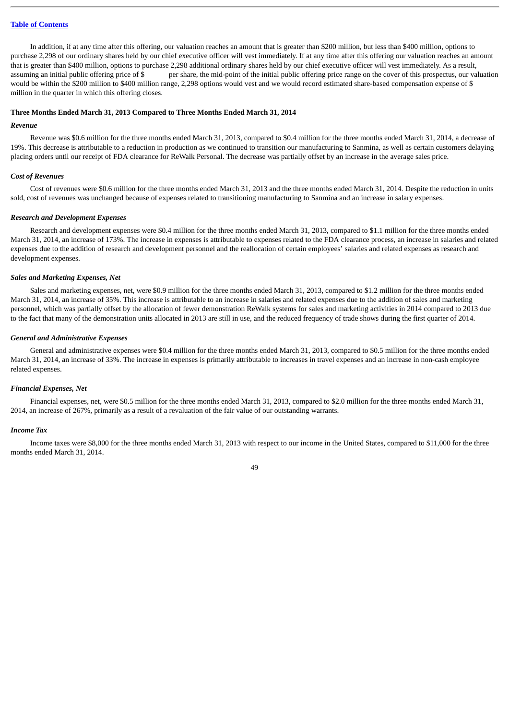In addition, if at any time after this offering, our valuation reaches an amount that is greater than \$200 million, but less than \$400 million, options to purchase 2,298 of our ordinary shares held by our chief executive officer will vest immediately. If at any time after this offering our valuation reaches an amount that is greater than \$400 million, options to purchase 2,298 additional ordinary shares held by our chief executive officer will vest immediately. As a result, assuming an initial public offering price of \$ per share, the mid-point of the initial public offering price range on the cover of this prospectus, our valuation would be within the \$200 million to \$400 million range, 2,298 options would vest and we would record estimated share-based compensation expense of \$ million in the quarter in which this offering closes.

#### **Three Months Ended March 31, 2013 Compared to Three Months Ended March 31, 2014**

### *Revenue*

Revenue was \$0.6 million for the three months ended March 31, 2013, compared to \$0.4 million for the three months ended March 31, 2014, a decrease of 19%. This decrease is attributable to a reduction in production as we continued to transition our manufacturing to Sanmina, as well as certain customers delaying placing orders until our receipt of FDA clearance for ReWalk Personal. The decrease was partially offset by an increase in the average sales price.

#### *Cost of Revenues*

Cost of revenues were \$0.6 million for the three months ended March 31, 2013 and the three months ended March 31, 2014. Despite the reduction in units sold, cost of revenues was unchanged because of expenses related to transitioning manufacturing to Sanmina and an increase in salary expenses.

#### *Research and Development Expenses*

Research and development expenses were \$0.4 million for the three months ended March 31, 2013, compared to \$1.1 million for the three months ended March 31, 2014, an increase of 173%. The increase in expenses is attributable to expenses related to the FDA clearance process, an increase in salaries and related expenses due to the addition of research and development personnel and the reallocation of certain employees' salaries and related expenses as research and development expenses.

#### *Sales and Marketing Expenses, Net*

Sales and marketing expenses, net, were \$0.9 million for the three months ended March 31, 2013, compared to \$1.2 million for the three months ended March 31, 2014, an increase of 35%. This increase is attributable to an increase in salaries and related expenses due to the addition of sales and marketing personnel, which was partially offset by the allocation of fewer demonstration ReWalk systems for sales and marketing activities in 2014 compared to 2013 due to the fact that many of the demonstration units allocated in 2013 are still in use, and the reduced frequency of trade shows during the first quarter of 2014.

#### *General and Administrative Expenses*

General and administrative expenses were \$0.4 million for the three months ended March 31, 2013, compared to \$0.5 million for the three months ended March 31, 2014, an increase of 33%. The increase in expenses is primarily attributable to increases in travel expenses and an increase in non-cash employee related expenses.

### *Financial Expenses, Net*

Financial expenses, net, were \$0.5 million for the three months ended March 31, 2013, compared to \$2.0 million for the three months ended March 31, 2014, an increase of 267%, primarily as a result of a revaluation of the fair value of our outstanding warrants.

### *Income Tax*

Income taxes were \$8,000 for the three months ended March 31, 2013 with respect to our income in the United States, compared to \$11,000 for the three months ended March 31, 2014.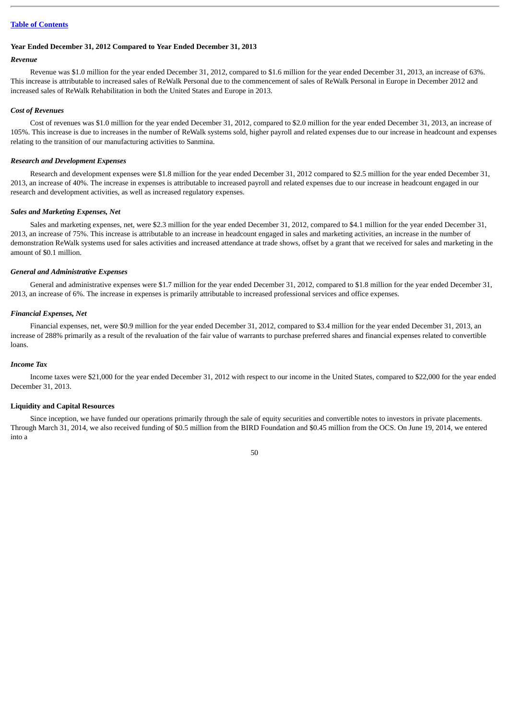#### **Year Ended December 31, 2012 Compared to Year Ended December 31, 2013**

### *Revenue*

Revenue was \$1.0 million for the year ended December 31, 2012, compared to \$1.6 million for the year ended December 31, 2013, an increase of 63%. This increase is attributable to increased sales of ReWalk Personal due to the commencement of sales of ReWalk Personal in Europe in December 2012 and increased sales of ReWalk Rehabilitation in both the United States and Europe in 2013.

### *Cost of Revenues*

Cost of revenues was \$1.0 million for the year ended December 31, 2012, compared to \$2.0 million for the year ended December 31, 2013, an increase of 105%. This increase is due to increases in the number of ReWalk systems sold, higher payroll and related expenses due to our increase in headcount and expenses relating to the transition of our manufacturing activities to Sanmina.

### *Research and Development Expenses*

Research and development expenses were \$1.8 million for the year ended December 31, 2012 compared to \$2.5 million for the year ended December 31, 2013, an increase of 40%. The increase in expenses is attributable to increased payroll and related expenses due to our increase in headcount engaged in our research and development activities, as well as increased regulatory expenses.

### *Sales and Marketing Expenses, Net*

Sales and marketing expenses, net, were \$2.3 million for the year ended December 31, 2012, compared to \$4.1 million for the year ended December 31, 2013, an increase of 75%. This increase is attributable to an increase in headcount engaged in sales and marketing activities, an increase in the number of demonstration ReWalk systems used for sales activities and increased attendance at trade shows, offset by a grant that we received for sales and marketing in the amount of \$0.1 million.

### *General and Administrative Expenses*

General and administrative expenses were \$1.7 million for the year ended December 31, 2012, compared to \$1.8 million for the year ended December 31, 2013, an increase of 6%. The increase in expenses is primarily attributable to increased professional services and office expenses.

### *Financial Expenses, Net*

Financial expenses, net, were \$0.9 million for the year ended December 31, 2012, compared to \$3.4 million for the year ended December 31, 2013, an increase of 288% primarily as a result of the revaluation of the fair value of warrants to purchase preferred shares and financial expenses related to convertible loans.

#### *Income Tax*

Income taxes were \$21,000 for the year ended December 31, 2012 with respect to our income in the United States, compared to \$22,000 for the year ended December 31, 2013.

### **Liquidity and Capital Resources**

Since inception, we have funded our operations primarily through the sale of equity securities and convertible notes to investors in private placements. Through March 31, 2014, we also received funding of \$0.5 million from the BIRD Foundation and \$0.45 million from the OCS. On June 19, 2014, we entered into a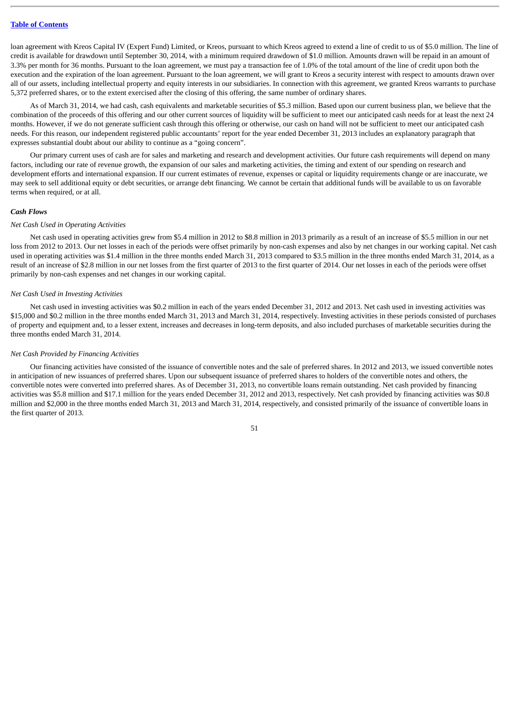loan agreement with Kreos Capital IV (Expert Fund) Limited, or Kreos, pursuant to which Kreos agreed to extend a line of credit to us of \$5.0 million. The line of credit is available for drawdown until September 30, 2014, with a minimum required drawdown of \$1.0 million. Amounts drawn will be repaid in an amount of 3.3% per month for 36 months. Pursuant to the loan agreement, we must pay a transaction fee of 1.0% of the total amount of the line of credit upon both the execution and the expiration of the loan agreement. Pursuant to the loan agreement, we will grant to Kreos a security interest with respect to amounts drawn over all of our assets, including intellectual property and equity interests in our subsidiaries. In connection with this agreement, we granted Kreos warrants to purchase 5,372 preferred shares, or to the extent exercised after the closing of this offering, the same number of ordinary shares.

As of March 31, 2014, we had cash, cash equivalents and marketable securities of \$5.3 million. Based upon our current business plan, we believe that the combination of the proceeds of this offering and our other current sources of liquidity will be sufficient to meet our anticipated cash needs for at least the next 24 months. However, if we do not generate sufficient cash through this offering or otherwise, our cash on hand will not be sufficient to meet our anticipated cash needs. For this reason, our independent registered public accountants' report for the year ended December 31, 2013 includes an explanatory paragraph that expresses substantial doubt about our ability to continue as a "going concern".

Our primary current uses of cash are for sales and marketing and research and development activities. Our future cash requirements will depend on many factors, including our rate of revenue growth, the expansion of our sales and marketing activities, the timing and extent of our spending on research and development efforts and international expansion. If our current estimates of revenue, expenses or capital or liquidity requirements change or are inaccurate, we may seek to sell additional equity or debt securities, or arrange debt financing. We cannot be certain that additional funds will be available to us on favorable terms when required, or at all.

# *Cash Flows*

### *Net Cash Used in Operating Activities*

Net cash used in operating activities grew from \$5.4 million in 2012 to \$8.8 million in 2013 primarily as a result of an increase of \$5.5 million in our net loss from 2012 to 2013. Our net losses in each of the periods were offset primarily by non-cash expenses and also by net changes in our working capital. Net cash used in operating activities was \$1.4 million in the three months ended March 31, 2013 compared to \$3.5 million in the three months ended March 31, 2014, as a result of an increase of \$2.8 million in our net losses from the first quarter of 2013 to the first quarter of 2014. Our net losses in each of the periods were offset primarily by non-cash expenses and net changes in our working capital.

### *Net Cash Used in Investing Activities*

Net cash used in investing activities was \$0.2 million in each of the years ended December 31, 2012 and 2013. Net cash used in investing activities was \$15,000 and \$0.2 million in the three months ended March 31, 2013 and March 31, 2014, respectively. Investing activities in these periods consisted of purchases of property and equipment and, to a lesser extent, increases and decreases in long-term deposits, and also included purchases of marketable securities during the three months ended March 31, 2014.

#### *Net Cash Provided by Financing Activities*

Our financing activities have consisted of the issuance of convertible notes and the sale of preferred shares. In 2012 and 2013, we issued convertible notes in anticipation of new issuances of preferred shares. Upon our subsequent issuance of preferred shares to holders of the convertible notes and others, the convertible notes were converted into preferred shares. As of December 31, 2013, no convertible loans remain outstanding. Net cash provided by financing activities was \$5.8 million and \$17.1 million for the years ended December 31, 2012 and 2013, respectively. Net cash provided by financing activities was \$0.8 million and \$2,000 in the three months ended March 31, 2013 and March 31, 2014, respectively, and consisted primarily of the issuance of convertible loans in the first quarter of 2013.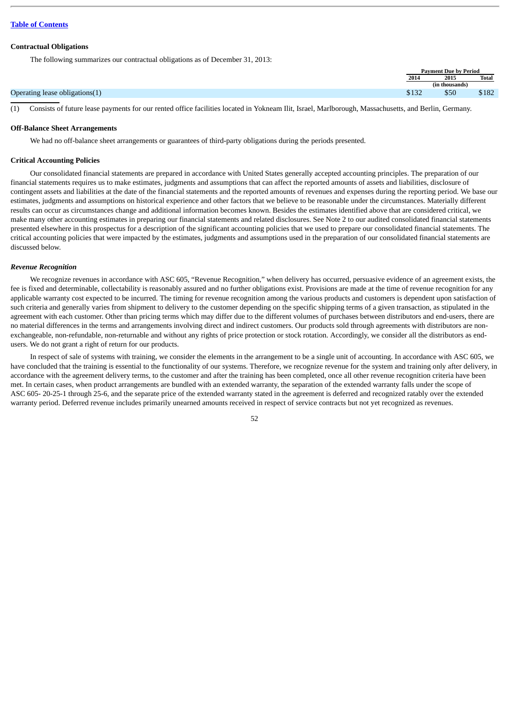#### **Contractual Obligations**

The following summarizes our contractual obligations as of December 31, 2013:

|                                | <b>Payment Due by Period</b> |                |              |
|--------------------------------|------------------------------|----------------|--------------|
|                                | 2014                         | 2015           | <b>Total</b> |
|                                |                              | (in thousands) |              |
| Operating lease obligations(1) | $-100$<br>9 L J Z            | \$50           | \$182        |

(1) Consists of future lease payments for our rented office facilities located in Yokneam Ilit, Israel, Marlborough, Massachusetts, and Berlin, Germany.

#### **Off-Balance Sheet Arrangements**

We had no off-balance sheet arrangements or guarantees of third-party obligations during the periods presented.

### **Critical Accounting Policies**

Our consolidated financial statements are prepared in accordance with United States generally accepted accounting principles. The preparation of our financial statements requires us to make estimates, judgments and assumptions that can affect the reported amounts of assets and liabilities, disclosure of contingent assets and liabilities at the date of the financial statements and the reported amounts of revenues and expenses during the reporting period. We base our estimates, judgments and assumptions on historical experience and other factors that we believe to be reasonable under the circumstances. Materially different results can occur as circumstances change and additional information becomes known. Besides the estimates identified above that are considered critical, we make many other accounting estimates in preparing our financial statements and related disclosures. See Note 2 to our audited consolidated financial statements presented elsewhere in this prospectus for a description of the significant accounting policies that we used to prepare our consolidated financial statements. The critical accounting policies that were impacted by the estimates, judgments and assumptions used in the preparation of our consolidated financial statements are discussed below.

### *Revenue Recognition*

We recognize revenues in accordance with ASC 605, "Revenue Recognition," when delivery has occurred, persuasive evidence of an agreement exists, the fee is fixed and determinable, collectability is reasonably assured and no further obligations exist. Provisions are made at the time of revenue recognition for any applicable warranty cost expected to be incurred. The timing for revenue recognition among the various products and customers is dependent upon satisfaction of such criteria and generally varies from shipment to delivery to the customer depending on the specific shipping terms of a given transaction, as stipulated in the agreement with each customer. Other than pricing terms which may differ due to the different volumes of purchases between distributors and end-users, there are no material differences in the terms and arrangements involving direct and indirect customers. Our products sold through agreements with distributors are nonexchangeable, non-refundable, non-returnable and without any rights of price protection or stock rotation. Accordingly, we consider all the distributors as endusers. We do not grant a right of return for our products.

In respect of sale of systems with training, we consider the elements in the arrangement to be a single unit of accounting. In accordance with ASC 605, we have concluded that the training is essential to the functionality of our systems. Therefore, we recognize revenue for the system and training only after delivery, in accordance with the agreement delivery terms, to the customer and after the training has been completed, once all other revenue recognition criteria have been met. In certain cases, when product arrangements are bundled with an extended warranty, the separation of the extended warranty falls under the scope of ASC 605- 20-25-1 through 25-6, and the separate price of the extended warranty stated in the agreement is deferred and recognized ratably over the extended warranty period. Deferred revenue includes primarily unearned amounts received in respect of service contracts but not yet recognized as revenues.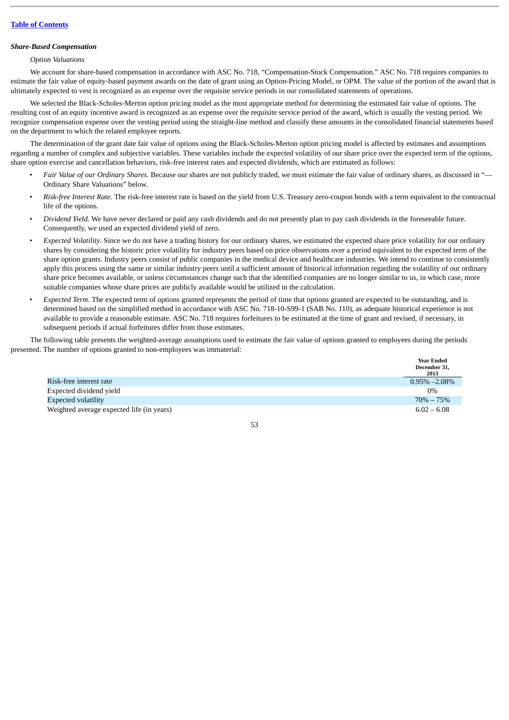# *Share-Based Compensation*

# *Option Valuations*

We account for share-based compensation in accordance with ASC No. 718, "Compensation-Stock Compensation." ASC No. 718 requires companies to estimate the fair value of equity-based payment awards on the date of grant using an Option-Pricing Model, or OPM. The value of the portion of the award that is ultimately expected to vest is recognized as an expense over the requisite service periods in our consolidated statements of operations.

We selected the Black-Scholes-Merton option pricing model as the most appropriate method for determining the estimated fair value of options. The resulting cost of an equity incentive award is recognized as an expense over the requisite service period of the award, which is usually the vesting period. We recognize compensation expense over the vesting period using the straight-line method and classify these amounts in the consolidated financial statements based on the department to which the related employee reports.

The determination of the grant date fair value of options using the Black-Scholes-Merton option pricing model is affected by estimates and assumptions regarding a number of complex and subjective variables. These variables include the expected volatility of our share price over the expected term of the options, share option exercise and cancellation behaviors, risk-free interest rates and expected dividends, which are estimated as follows:

- *Fair Value of our Ordinary Shares.* Because our shares are not publicly traded, we must estimate the fair value of ordinary shares, as discussed in "— Ordinary Share Valuations" below.
- *Risk-free Interest Rate.* The risk-free interest rate is based on the yield from U.S. Treasury zero-coupon bonds with a term equivalent to the contractual life of the options.
- *Dividend Yield.* We have never declared or paid any cash dividends and do not presently plan to pay cash dividends in the foreseeable future. Consequently, we used an expected dividend yield of zero.
- *Expected Volatility*. Since we do not have a trading history for our ordinary shares, we estimated the expected share price volatility for our ordinary shares by considering the historic price volatility for industry peers based on price observations over a period equivalent to the expected term of the share option grants. Industry peers consist of public companies in the medical device and healthcare industries. We intend to continue to consistently apply this process using the same or similar industry peers until a sufficient amount of historical information regarding the volatility of our ordinary share price becomes available, or unless circumstances change such that the identified companies are no longer similar to us, in which case, more suitable companies whose share prices are publicly available would be utilized in the calculation.
- *Expected Term*. The expected term of options granted represents the period of time that options granted are expected to be outstanding, and is determined based on the simplified method in accordance with ASC No. 718-10-S99-1 (SAB No. 110), as adequate historical experience is not available to provide a reasonable estimate. ASC No. 718 requires forfeitures to be estimated at the time of grant and revised, if necessary, in subsequent periods if actual forfeitures differ from those estimates.

The following table presents the weighted-average assumptions used to estimate the fair value of options granted to employees during the periods presented. The number of options granted to non-employees was immaterial:

|                                           | <b>Year Ended</b><br>December 31,<br>2013 |
|-------------------------------------------|-------------------------------------------|
| Risk-free interest rate                   | $0.95\% - 2.08\%$                         |
| Expected dividend yield                   | $0\%$                                     |
| <b>Expected volatility</b>                | $70\% - 75\%$                             |
| Weighted average expected life (in years) | $6.02 - 6.08$                             |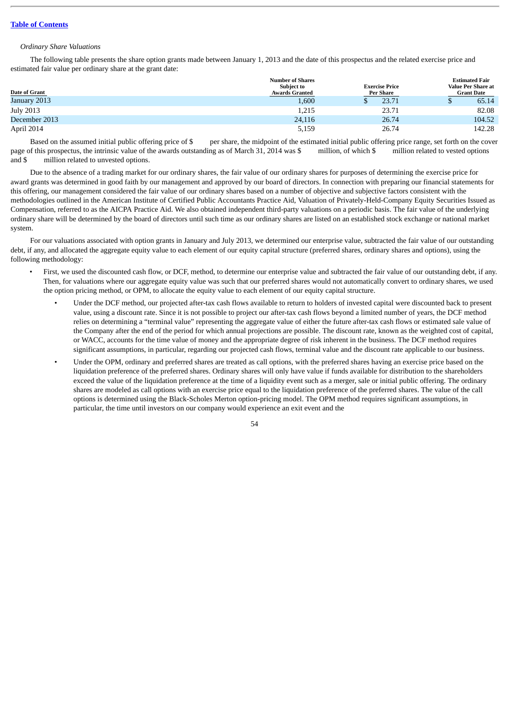### *Ordinary Share Valuations*

The following table presents the share option grants made between January 1, 2013 and the date of this prospectus and the related exercise price and estimated fair value per ordinary share at the grant date:

|                  | <b>Number of Shares</b> | <b>Estimated Fair</b> |                           |
|------------------|-------------------------|-----------------------|---------------------------|
|                  | <b>Subject to</b>       | <b>Exercise Price</b> | <b>Value Per Share at</b> |
| Date of Grant    | <b>Awards Granted</b>   | Per Share             | <b>Grant Date</b>         |
| January 2013     | 1,600                   | 23.71                 | 65.14<br>ω                |
| <b>July 2013</b> | 1,215                   | 23.71                 | 82.08                     |
| December 2013    | 24,116                  | 26.74                 | 104.52                    |
| April 2014       | 5,159                   | 26.74                 | 142.28                    |

Based on the assumed initial public offering price of \$ per share, the midpoint of the estimated initial public offering price range, set forth on the cover page of this prospectus, the intrinsic value of the awards outstanding as of March 31, 2014 was \$ million, of which \$ million related to vested options and \$ million related to unvested options.

Due to the absence of a trading market for our ordinary shares, the fair value of our ordinary shares for purposes of determining the exercise price for award grants was determined in good faith by our management and approved by our board of directors. In connection with preparing our financial statements for this offering, our management considered the fair value of our ordinary shares based on a number of objective and subjective factors consistent with the methodologies outlined in the American Institute of Certified Public Accountants Practice Aid, Valuation of Privately-Held-Company Equity Securities Issued as Compensation, referred to as the AICPA Practice Aid. We also obtained independent third-party valuations on a periodic basis. The fair value of the underlying ordinary share will be determined by the board of directors until such time as our ordinary shares are listed on an established stock exchange or national market system.

For our valuations associated with option grants in January and July 2013, we determined our enterprise value, subtracted the fair value of our outstanding debt, if any, and allocated the aggregate equity value to each element of our equity capital structure (preferred shares, ordinary shares and options), using the following methodology:

- First, we used the discounted cash flow, or DCF, method, to determine our enterprise value and subtracted the fair value of our outstanding debt, if any. Then, for valuations where our aggregate equity value was such that our preferred shares would not automatically convert to ordinary shares, we used the option pricing method, or OPM, to allocate the equity value to each element of our equity capital structure.
	- Under the DCF method, our projected after-tax cash flows available to return to holders of invested capital were discounted back to present value, using a discount rate. Since it is not possible to project our after-tax cash flows beyond a limited number of years, the DCF method relies on determining a "terminal value" representing the aggregate value of either the future after-tax cash flows or estimated sale value of the Company after the end of the period for which annual projections are possible. The discount rate, known as the weighted cost of capital, or WACC, accounts for the time value of money and the appropriate degree of risk inherent in the business. The DCF method requires significant assumptions, in particular, regarding our projected cash flows, terminal value and the discount rate applicable to our business.
	- Under the OPM, ordinary and preferred shares are treated as call options, with the preferred shares having an exercise price based on the liquidation preference of the preferred shares. Ordinary shares will only have value if funds available for distribution to the shareholders exceed the value of the liquidation preference at the time of a liquidity event such as a merger, sale or initial public offering. The ordinary shares are modeled as call options with an exercise price equal to the liquidation preference of the preferred shares. The value of the call options is determined using the Black-Scholes Merton option-pricing model. The OPM method requires significant assumptions, in particular, the time until investors on our company would experience an exit event and the

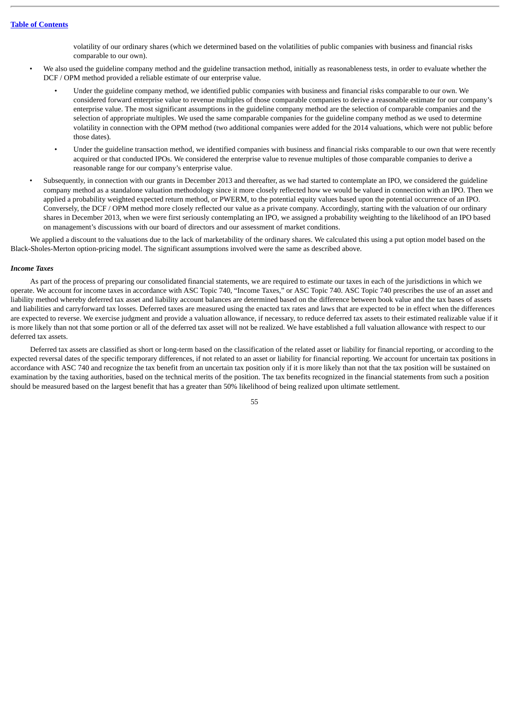volatility of our ordinary shares (which we determined based on the volatilities of public companies with business and financial risks comparable to our own).

- We also used the guideline company method and the guideline transaction method, initially as reasonableness tests, in order to evaluate whether the DCF / OPM method provided a reliable estimate of our enterprise value.
	- Under the guideline company method, we identified public companies with business and financial risks comparable to our own. We considered forward enterprise value to revenue multiples of those comparable companies to derive a reasonable estimate for our company's enterprise value. The most significant assumptions in the guideline company method are the selection of comparable companies and the selection of appropriate multiples. We used the same comparable companies for the guideline company method as we used to determine volatility in connection with the OPM method (two additional companies were added for the 2014 valuations, which were not public before those dates).
	- Under the guideline transaction method, we identified companies with business and financial risks comparable to our own that were recently acquired or that conducted IPOs. We considered the enterprise value to revenue multiples of those comparable companies to derive a reasonable range for our company's enterprise value.
- Subsequently, in connection with our grants in December 2013 and thereafter, as we had started to contemplate an IPO, we considered the guideline company method as a standalone valuation methodology since it more closely reflected how we would be valued in connection with an IPO. Then we applied a probability weighted expected return method, or PWERM, to the potential equity values based upon the potential occurrence of an IPO. Conversely, the DCF / OPM method more closely reflected our value as a private company. Accordingly, starting with the valuation of our ordinary shares in December 2013, when we were first seriously contemplating an IPO, we assigned a probability weighting to the likelihood of an IPO based on management's discussions with our board of directors and our assessment of market conditions.

We applied a discount to the valuations due to the lack of marketability of the ordinary shares. We calculated this using a put option model based on the Black-Sholes-Merton option-pricing model. The significant assumptions involved were the same as described above.

#### *Income Taxes*

As part of the process of preparing our consolidated financial statements, we are required to estimate our taxes in each of the jurisdictions in which we operate. We account for income taxes in accordance with ASC Topic 740, "Income Taxes," or ASC Topic 740. ASC Topic 740 prescribes the use of an asset and liability method whereby deferred tax asset and liability account balances are determined based on the difference between book value and the tax bases of assets and liabilities and carryforward tax losses. Deferred taxes are measured using the enacted tax rates and laws that are expected to be in effect when the differences are expected to reverse. We exercise judgment and provide a valuation allowance, if necessary, to reduce deferred tax assets to their estimated realizable value if it is more likely than not that some portion or all of the deferred tax asset will not be realized. We have established a full valuation allowance with respect to our deferred tax assets.

Deferred tax assets are classified as short or long-term based on the classification of the related asset or liability for financial reporting, or according to the expected reversal dates of the specific temporary differences, if not related to an asset or liability for financial reporting. We account for uncertain tax positions in accordance with ASC 740 and recognize the tax benefit from an uncertain tax position only if it is more likely than not that the tax position will be sustained on examination by the taxing authorities, based on the technical merits of the position. The tax benefits recognized in the financial statements from such a position should be measured based on the largest benefit that has a greater than 50% likelihood of being realized upon ultimate settlement.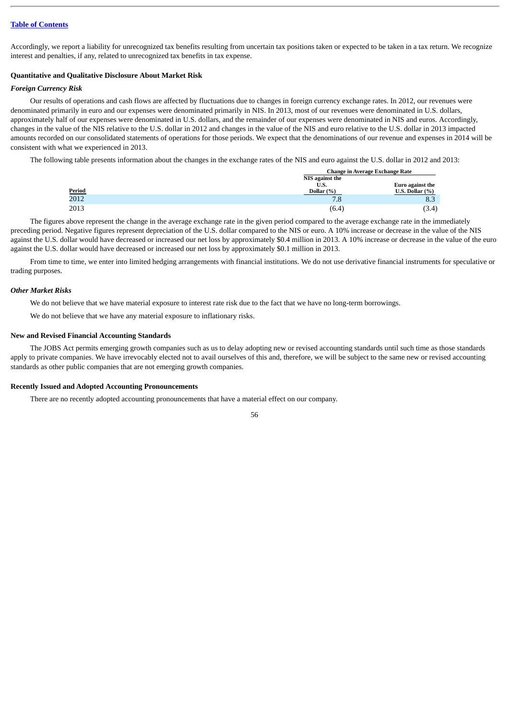Accordingly, we report a liability for unrecognized tax benefits resulting from uncertain tax positions taken or expected to be taken in a tax return. We recognize interest and penalties, if any, related to unrecognized tax benefits in tax expense.

### **Quantitative and Qualitative Disclosure About Market Risk**

### *Foreign Currency Risk*

Our results of operations and cash flows are affected by fluctuations due to changes in foreign currency exchange rates. In 2012, our revenues were denominated primarily in euro and our expenses were denominated primarily in NIS. In 2013, most of our revenues were denominated in U.S. dollars, approximately half of our expenses were denominated in U.S. dollars, and the remainder of our expenses were denominated in NIS and euros. Accordingly, changes in the value of the NIS relative to the U.S. dollar in 2012 and changes in the value of the NIS and euro relative to the U.S. dollar in 2013 impacted amounts recorded on our consolidated statements of operations for those periods. We expect that the denominations of our revenue and expenses in 2014 will be consistent with what we experienced in 2013.

The following table presents information about the changes in the exchange rates of the NIS and euro against the U.S. dollar in 2012 and 2013:

|                       |                 | <b>Change in Average Exchange Rate</b> |
|-----------------------|-----------------|----------------------------------------|
|                       | NIS against the |                                        |
|                       | U.S.            | Euro against the                       |
|                       | Dollar $(\%)$   | U.S. Dollar $(\%)$                     |
| $\frac{Period}{2012}$ | 7.8             | 8.3                                    |
| 2013                  | (6.4            | (3.4)                                  |

The figures above represent the change in the average exchange rate in the given period compared to the average exchange rate in the immediately preceding period. Negative figures represent depreciation of the U.S. dollar compared to the NIS or euro. A 10% increase or decrease in the value of the NIS against the U.S. dollar would have decreased or increased our net loss by approximately \$0.4 million in 2013. A 10% increase or decrease in the value of the euro against the U.S. dollar would have decreased or increased our net loss by approximately \$0.1 million in 2013.

From time to time, we enter into limited hedging arrangements with financial institutions. We do not use derivative financial instruments for speculative or trading purposes.

#### *Other Market Risks*

We do not believe that we have material exposure to interest rate risk due to the fact that we have no long-term borrowings.

We do not believe that we have any material exposure to inflationary risks.

### **New and Revised Financial Accounting Standards**

The JOBS Act permits emerging growth companies such as us to delay adopting new or revised accounting standards until such time as those standards apply to private companies. We have irrevocably elected not to avail ourselves of this and, therefore, we will be subject to the same new or revised accounting standards as other public companies that are not emerging growth companies.

### **Recently Issued and Adopted Accounting Pronouncements**

There are no recently adopted accounting pronouncements that have a material effect on our company.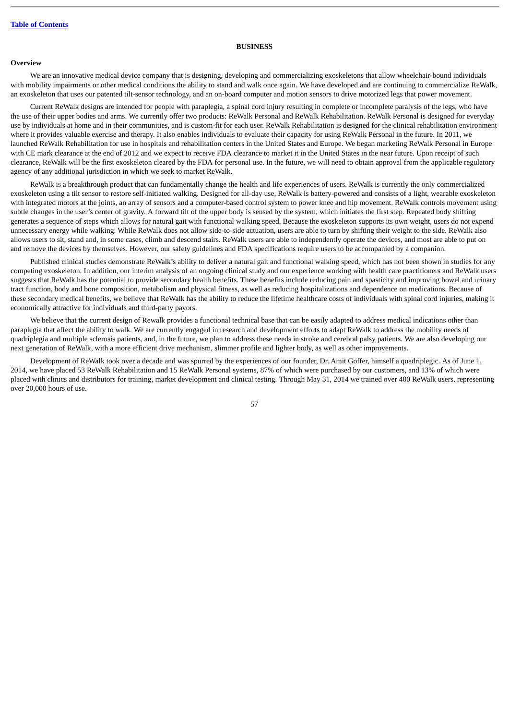### **BUSINESS**

### **Overview**

We are an innovative medical device company that is designing, developing and commercializing exoskeletons that allow wheelchair-bound individuals with mobility impairments or other medical conditions the ability to stand and walk once again. We have developed and are continuing to commercialize ReWalk, an exoskeleton that uses our patented tilt-sensor technology, and an on-board computer and motion sensors to drive motorized legs that power movement.

Current ReWalk designs are intended for people with paraplegia, a spinal cord injury resulting in complete or incomplete paralysis of the legs, who have the use of their upper bodies and arms. We currently offer two products: ReWalk Personal and ReWalk Rehabilitation. ReWalk Personal is designed for everyday use by individuals at home and in their communities, and is custom-fit for each user. ReWalk Rehabilitation is designed for the clinical rehabilitation environment where it provides valuable exercise and therapy. It also enables individuals to evaluate their capacity for using ReWalk Personal in the future. In 2011, we launched ReWalk Rehabilitation for use in hospitals and rehabilitation centers in the United States and Europe. We began marketing ReWalk Personal in Europe with CE mark clearance at the end of 2012 and we expect to receive FDA clearance to market it in the United States in the near future. Upon receipt of such clearance, ReWalk will be the first exoskeleton cleared by the FDA for personal use. In the future, we will need to obtain approval from the applicable regulatory agency of any additional jurisdiction in which we seek to market ReWalk.

ReWalk is a breakthrough product that can fundamentally change the health and life experiences of users. ReWalk is currently the only commercialized exoskeleton using a tilt sensor to restore self-initiated walking. Designed for all-day use, ReWalk is battery-powered and consists of a light, wearable exoskeleton with integrated motors at the joints, an array of sensors and a computer-based control system to power knee and hip movement. ReWalk controls movement using subtle changes in the user's center of gravity. A forward tilt of the upper body is sensed by the system, which initiates the first step. Repeated body shifting generates a sequence of steps which allows for natural gait with functional walking speed. Because the exoskeleton supports its own weight, users do not expend unnecessary energy while walking. While ReWalk does not allow side-to-side actuation, users are able to turn by shifting their weight to the side. ReWalk also allows users to sit, stand and, in some cases, climb and descend stairs. ReWalk users are able to independently operate the devices, and most are able to put on and remove the devices by themselves. However, our safety guidelines and FDA specifications require users to be accompanied by a companion.

Published clinical studies demonstrate ReWalk's ability to deliver a natural gait and functional walking speed, which has not been shown in studies for any competing exoskeleton. In addition, our interim analysis of an ongoing clinical study and our experience working with health care practitioners and ReWalk users suggests that ReWalk has the potential to provide secondary health benefits. These benefits include reducing pain and spasticity and improving bowel and urinary tract function, body and bone composition, metabolism and physical fitness, as well as reducing hospitalizations and dependence on medications. Because of these secondary medical benefits, we believe that ReWalk has the ability to reduce the lifetime healthcare costs of individuals with spinal cord injuries, making it economically attractive for individuals and third-party payors.

We believe that the current design of Rewalk provides a functional technical base that can be easily adapted to address medical indications other than paraplegia that affect the ability to walk. We are currently engaged in research and development efforts to adapt ReWalk to address the mobility needs of quadriplegia and multiple sclerosis patients, and, in the future, we plan to address these needs in stroke and cerebral palsy patients. We are also developing our next generation of ReWalk, with a more efficient drive mechanism, slimmer profile and lighter body, as well as other improvements.

Development of ReWalk took over a decade and was spurred by the experiences of our founder, Dr. Amit Goffer, himself a quadriplegic. As of June 1, 2014, we have placed 53 ReWalk Rehabilitation and 15 ReWalk Personal systems, 87% of which were purchased by our customers, and 13% of which were placed with clinics and distributors for training, market development and clinical testing. Through May 31, 2014 we trained over 400 ReWalk users, representing over 20,000 hours of use.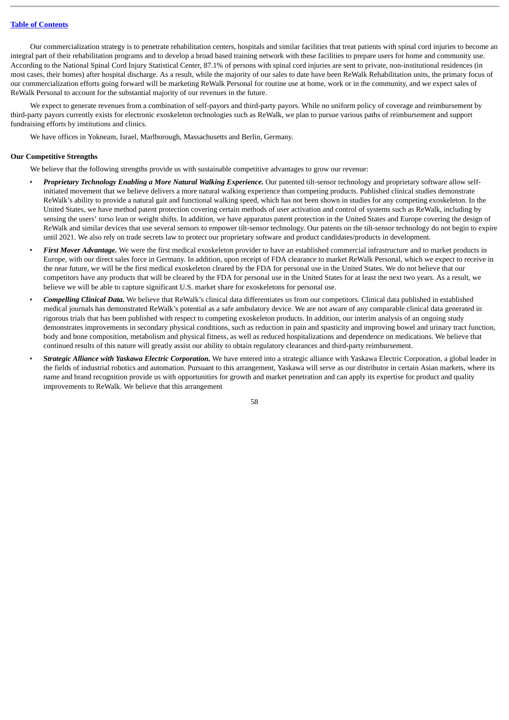Our commercialization strategy is to penetrate rehabilitation centers, hospitals and similar facilities that treat patients with spinal cord injuries to become an integral part of their rehabilitation programs and to develop a broad based training network with these facilities to prepare users for home and community use. According to the National Spinal Cord Injury Statistical Center, 87.1% of persons with spinal cord injuries are sent to private, non-institutional residences (in most cases, their homes) after hospital discharge. As a result, while the majority of our sales to date have been ReWalk Rehabilitation units, the primary focus of our commercialization efforts going forward will be marketing ReWalk Personal for routine use at home, work or in the community, and we expect sales of ReWalk Personal to account for the substantial majority of our revenues in the future.

We expect to generate revenues from a combination of self-payors and third-party payors. While no uniform policy of coverage and reimbursement by third-party payors currently exists for electronic exoskeleton technologies such as ReWalk, we plan to pursue various paths of reimbursement and support fundraising efforts by institutions and clinics.

We have offices in Yokneam, Israel, Marlborough, Massachusetts and Berlin, Germany.

### **Our Competitive Strengths**

We believe that the following strengths provide us with sustainable competitive advantages to grow our revenue:

- *Proprietary Technology Enabling a More Natural Walking Experience.* Our patented tilt-sensor technology and proprietary software allow selfinitiated movement that we believe delivers a more natural walking experience than competing products. Published clinical studies demonstrate ReWalk's ability to provide a natural gait and functional walking speed, which has not been shown in studies for any competing exoskeleton. In the United States, we have method patent protection covering certain methods of user activation and control of systems such as ReWalk, including by sensing the users' torso lean or weight shifts. In addition, we have apparatus patent protection in the United States and Europe covering the design of ReWalk and similar devices that use several sensors to empower tilt-sensor technology. Our patents on the tilt-sensor technology do not begin to expire until 2021. We also rely on trade secrets law to protect our proprietary software and product candidates/products in development.
- *First Mover Advantage.* We were the first medical exoskeleton provider to have an established commercial infrastructure and to market products in Europe, with our direct sales force in Germany. In addition, upon receipt of FDA clearance to market ReWalk Personal, which we expect to receive in the near future, we will be the first medical exoskeleton cleared by the FDA for personal use in the United States. We do not believe that our competitors have any products that will be cleared by the FDA for personal use in the United States for at least the next two years. As a result, we believe we will be able to capture significant U.S. market share for exoskeletons for personal use.
- *Compelling Clinical Data.* We believe that ReWalk's clinical data differentiates us from our competitors. Clinical data published in established medical journals has demonstrated ReWalk's potential as a safe ambulatory device. We are not aware of any comparable clinical data generated in rigorous trials that has been published with respect to competing exoskeleton products. In addition, our interim analysis of an ongoing study demonstrates improvements in secondary physical conditions, such as reduction in pain and spasticity and improving bowel and urinary tract function, body and bone composition, metabolism and physical fitness, as well as reduced hospitalizations and dependence on medications. We believe that continued results of this nature will greatly assist our ability to obtain regulatory clearances and third-party reimbursement.
- *Strategic Alliance with Yaskawa Electric Corporation.* We have entered into a strategic alliance with Yaskawa Electric Corporation, a global leader in the fields of industrial robotics and automation. Pursuant to this arrangement, Yaskawa will serve as our distributor in certain Asian markets, where its name and brand recognition provide us with opportunities for growth and market penetration and can apply its expertise for product and quality improvements to ReWalk. We believe that this arrangement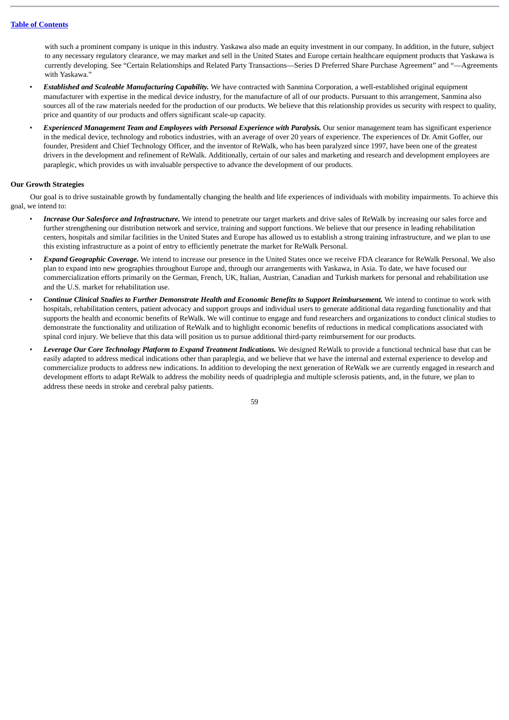with such a prominent company is unique in this industry. Yaskawa also made an equity investment in our company. In addition, in the future, subject to any necessary regulatory clearance, we may market and sell in the United States and Europe certain healthcare equipment products that Yaskawa is currently developing. See "Certain Relationships and Related Party Transactions—Series D Preferred Share Purchase Agreement" and "—Agreements with Yaskawa."

- *Established and Scaleable Manufacturing Capability.* We have contracted with Sanmina Corporation, a well-established original equipment manufacturer with expertise in the medical device industry, for the manufacture of all of our products. Pursuant to this arrangement, Sanmina also sources all of the raw materials needed for the production of our products. We believe that this relationship provides us security with respect to quality, price and quantity of our products and offers significant scale-up capacity.
- *Experienced Management Team and Employees with Personal Experience with Paralysis.* Our senior management team has significant experience in the medical device, technology and robotics industries, with an average of over 20 years of experience. The experiences of Dr. Amit Goffer, our founder, President and Chief Technology Officer, and the inventor of ReWalk, who has been paralyzed since 1997, have been one of the greatest drivers in the development and refinement of ReWalk. Additionally, certain of our sales and marketing and research and development employees are paraplegic, which provides us with invaluable perspective to advance the development of our products.

### **Our Growth Strategies**

Our goal is to drive sustainable growth by fundamentally changing the health and life experiences of individuals with mobility impairments. To achieve this goal, we intend to:

- *Increase Our Salesforce and Infrastructure.* We intend to penetrate our target markets and drive sales of ReWalk by increasing our sales force and further strengthening our distribution network and service, training and support functions. We believe that our presence in leading rehabilitation centers, hospitals and similar facilities in the United States and Europe has allowed us to establish a strong training infrastructure, and we plan to use this existing infrastructure as a point of entry to efficiently penetrate the market for ReWalk Personal.
- *Expand Geographic Coverage.* We intend to increase our presence in the United States once we receive FDA clearance for ReWalk Personal. We also plan to expand into new geographies throughout Europe and, through our arrangements with Yaskawa, in Asia. To date, we have focused our commercialization efforts primarily on the German, French, UK, Italian, Austrian, Canadian and Turkish markets for personal and rehabilitation use and the U.S. market for rehabilitation use.
- *Continue Clinical Studies to Further Demonstrate Health and Economic Benefits to Support Reimbursement.* We intend to continue to work with hospitals, rehabilitation centers, patient advocacy and support groups and individual users to generate additional data regarding functionality and that supports the health and economic benefits of ReWalk. We will continue to engage and fund researchers and organizations to conduct clinical studies to demonstrate the functionality and utilization of ReWalk and to highlight economic benefits of reductions in medical complications associated with spinal cord injury. We believe that this data will position us to pursue additional third-party reimbursement for our products.
- Leverage Our Core Technology Platform to Expand Treatment Indications. We designed ReWalk to provide a functional technical base that can be easily adapted to address medical indications other than paraplegia, and we believe that we have the internal and external experience to develop and commercialize products to address new indications. In addition to developing the next generation of ReWalk we are currently engaged in research and development efforts to adapt ReWalk to address the mobility needs of quadriplegia and multiple sclerosis patients, and, in the future, we plan to address these needs in stroke and cerebral palsy patients.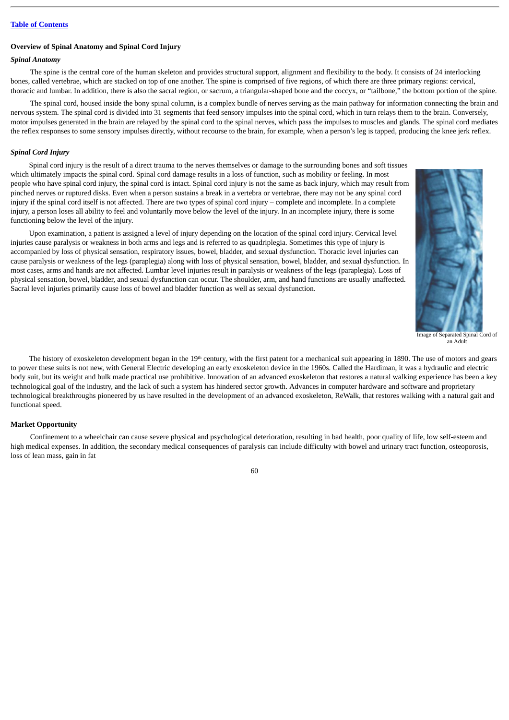### **Overview of Spinal Anatomy and Spinal Cord Injury**

### *Spinal Anatomy*

The spine is the central core of the human skeleton and provides structural support, alignment and flexibility to the body. It consists of 24 interlocking bones, called vertebrae, which are stacked on top of one another. The spine is comprised of five regions, of which there are three primary regions: cervical, thoracic and lumbar. In addition, there is also the sacral region, or sacrum, a triangular-shaped bone and the coccyx, or "tailbone," the bottom portion of the spine.

The spinal cord, housed inside the bony spinal column, is a complex bundle of nerves serving as the main pathway for information connecting the brain and nervous system. The spinal cord is divided into 31 segments that feed sensory impulses into the spinal cord, which in turn relays them to the brain. Conversely, motor impulses generated in the brain are relayed by the spinal cord to the spinal nerves, which pass the impulses to muscles and glands. The spinal cord mediates the reflex responses to some sensory impulses directly, without recourse to the brain, for example, when a person's leg is tapped, producing the knee jerk reflex.

### *Spinal Cord Injury*

Spinal cord injury is the result of a direct trauma to the nerves themselves or damage to the surrounding bones and soft tissues which ultimately impacts the spinal cord. Spinal cord damage results in a loss of function, such as mobility or feeling. In most people who have spinal cord injury, the spinal cord is intact. Spinal cord injury is not the same as back injury, which may result from pinched nerves or ruptured disks. Even when a person sustains a break in a vertebra or vertebrae, there may not be any spinal cord injury if the spinal cord itself is not affected. There are two types of spinal cord injury – complete and incomplete. In a complete injury, a person loses all ability to feel and voluntarily move below the level of the injury. In an incomplete injury, there is some functioning below the level of the injury.

Upon examination, a patient is assigned a level of injury depending on the location of the spinal cord injury. Cervical level injuries cause paralysis or weakness in both arms and legs and is referred to as quadriplegia. Sometimes this type of injury is accompanied by loss of physical sensation, respiratory issues, bowel, bladder, and sexual dysfunction. Thoracic level injuries can cause paralysis or weakness of the legs (paraplegia) along with loss of physical sensation, bowel, bladder, and sexual dysfunction. In most cases, arms and hands are not affected. Lumbar level injuries result in paralysis or weakness of the legs (paraplegia). Loss of physical sensation, bowel, bladder, and sexual dysfunction can occur. The shoulder, arm, and hand functions are usually unaffected. Sacral level injuries primarily cause loss of bowel and bladder function as well as sexual dysfunction.



Image of Separated Spinal Cord of an Adult

The history of exoskeleton development began in the 19<sup>th</sup> century, with the first patent for a mechanical suit appearing in 1890. The use of motors and gears to power these suits is not new, with General Electric developing an early exoskeleton device in the 1960s. Called the Hardiman, it was a hydraulic and electric body suit, but its weight and bulk made practical use prohibitive. Innovation of an advanced exoskeleton that restores a natural walking experience has been a key technological goal of the industry, and the lack of such a system has hindered sector growth. Advances in computer hardware and software and proprietary technological breakthroughs pioneered by us have resulted in the development of an advanced exoskeleton, ReWalk, that restores walking with a natural gait and functional speed.

### **Market Opportunity**

Confinement to a wheelchair can cause severe physical and psychological deterioration, resulting in bad health, poor quality of life, low self-esteem and high medical expenses. In addition, the secondary medical consequences of paralysis can include difficulty with bowel and urinary tract function, osteoporosis, loss of lean mass, gain in fat

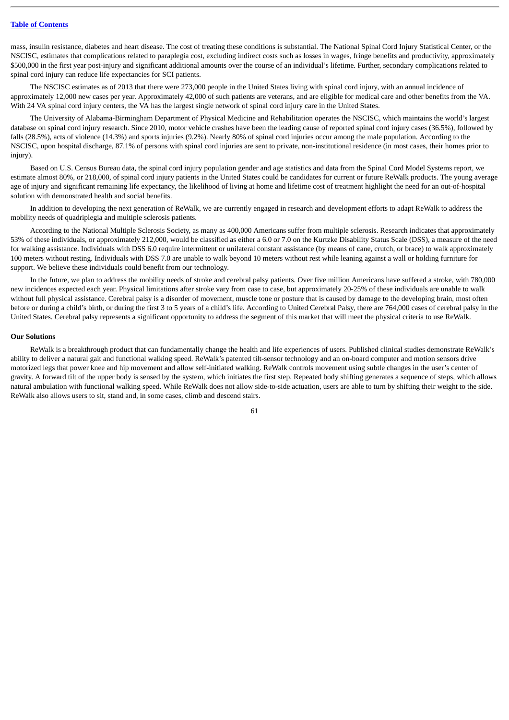mass, insulin resistance, diabetes and heart disease. The cost of treating these conditions is substantial. The National Spinal Cord Injury Statistical Center, or the NSCISC, estimates that complications related to paraplegia cost, excluding indirect costs such as losses in wages, fringe benefits and productivity, approximately \$500,000 in the first year post-injury and significant additional amounts over the course of an individual's lifetime. Further, secondary complications related to spinal cord injury can reduce life expectancies for SCI patients.

The NSCISC estimates as of 2013 that there were 273,000 people in the United States living with spinal cord injury, with an annual incidence of approximately 12,000 new cases per year. Approximately 42,000 of such patients are veterans, and are eligible for medical care and other benefits from the VA. With 24 VA spinal cord injury centers, the VA has the largest single network of spinal cord injury care in the United States.

The University of Alabama-Birmingham Department of Physical Medicine and Rehabilitation operates the NSCISC, which maintains the world's largest database on spinal cord injury research. Since 2010, motor vehicle crashes have been the leading cause of reported spinal cord injury cases (36.5%), followed by falls (28.5%), acts of violence (14.3%) and sports injuries (9.2%). Nearly 80% of spinal cord injuries occur among the male population. According to the NSCISC, upon hospital discharge, 87.1% of persons with spinal cord injuries are sent to private, non-institutional residence (in most cases, their homes prior to injury).

Based on U.S. Census Bureau data, the spinal cord injury population gender and age statistics and data from the Spinal Cord Model Systems report, we estimate almost 80%, or 218,000, of spinal cord injury patients in the United States could be candidates for current or future ReWalk products. The young average age of injury and significant remaining life expectancy, the likelihood of living at home and lifetime cost of treatment highlight the need for an out-of-hospital solution with demonstrated health and social benefits.

In addition to developing the next generation of ReWalk, we are currently engaged in research and development efforts to adapt ReWalk to address the mobility needs of quadriplegia and multiple sclerosis patients.

According to the National Multiple Sclerosis Society, as many as 400,000 Americans suffer from multiple sclerosis. Research indicates that approximately 53% of these individuals, or approximately 212,000, would be classified as either a 6.0 or 7.0 on the Kurtzke Disability Status Scale (DSS), a measure of the need for walking assistance. Individuals with DSS 6.0 require intermittent or unilateral constant assistance (by means of cane, crutch, or brace) to walk approximately 100 meters without resting. Individuals with DSS 7.0 are unable to walk beyond 10 meters without rest while leaning against a wall or holding furniture for support. We believe these individuals could benefit from our technology.

In the future, we plan to address the mobility needs of stroke and cerebral palsy patients. Over five million Americans have suffered a stroke, with 780,000 new incidences expected each year. Physical limitations after stroke vary from case to case, but approximately 20-25% of these individuals are unable to walk without full physical assistance. Cerebral palsy is a disorder of movement, muscle tone or posture that is caused by damage to the developing brain, most often before or during a child's birth, or during the first 3 to 5 years of a child's life. According to United Cerebral Palsy, there are 764,000 cases of cerebral palsy in the United States. Cerebral palsy represents a significant opportunity to address the segment of this market that will meet the physical criteria to use ReWalk.

### **Our Solutions**

ReWalk is a breakthrough product that can fundamentally change the health and life experiences of users. Published clinical studies demonstrate ReWalk's ability to deliver a natural gait and functional walking speed. ReWalk's patented tilt-sensor technology and an on-board computer and motion sensors drive motorized legs that power knee and hip movement and allow self-initiated walking. ReWalk controls movement using subtle changes in the user's center of gravity. A forward tilt of the upper body is sensed by the system, which initiates the first step. Repeated body shifting generates a sequence of steps, which allows natural ambulation with functional walking speed. While ReWalk does not allow side-to-side actuation, users are able to turn by shifting their weight to the side. ReWalk also allows users to sit, stand and, in some cases, climb and descend stairs.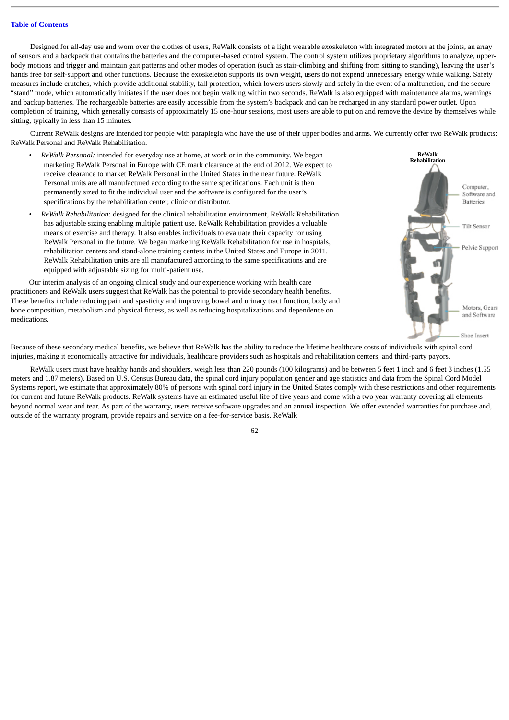Designed for all-day use and worn over the clothes of users, ReWalk consists of a light wearable exoskeleton with integrated motors at the joints, an array of sensors and a backpack that contains the batteries and the computer-based control system. The control system utilizes proprietary algorithms to analyze, upperbody motions and trigger and maintain gait patterns and other modes of operation (such as stair-climbing and shifting from sitting to standing), leaving the user's hands free for self-support and other functions. Because the exoskeleton supports its own weight, users do not expend unnecessary energy while walking. Safety measures include crutches, which provide additional stability, fall protection, which lowers users slowly and safely in the event of a malfunction, and the secure "stand" mode, which automatically initiates if the user does not begin walking within two seconds. ReWalk is also equipped with maintenance alarms, warnings and backup batteries. The rechargeable batteries are easily accessible from the system's backpack and can be recharged in any standard power outlet. Upon completion of training, which generally consists of approximately 15 one-hour sessions, most users are able to put on and remove the device by themselves while sitting, typically in less than 15 minutes.

Current ReWalk designs are intended for people with paraplegia who have the use of their upper bodies and arms. We currently offer two ReWalk products: ReWalk Personal and ReWalk Rehabilitation.

- *ReWalk Personal:* intended for everyday use at home, at work or in the community. We began marketing ReWalk Personal in Europe with CE mark clearance at the end of 2012. We expect to receive clearance to market ReWalk Personal in the United States in the near future. ReWalk Personal units are all manufactured according to the same specifications. Each unit is then permanently sized to fit the individual user and the software is configured for the user's specifications by the rehabilitation center, clinic or distributor.
- *ReWalk Rehabilitation:* designed for the clinical rehabilitation environment, ReWalk Rehabilitation has adjustable sizing enabling multiple patient use. ReWalk Rehabilitation provides a valuable means of exercise and therapy. It also enables individuals to evaluate their capacity for using ReWalk Personal in the future. We began marketing ReWalk Rehabilitation for use in hospitals, rehabilitation centers and stand-alone training centers in the United States and Europe in 2011. ReWalk Rehabilitation units are all manufactured according to the same specifications and are equipped with adjustable sizing for multi-patient use.

Our interim analysis of an ongoing clinical study and our experience working with health care practitioners and ReWalk users suggest that ReWalk has the potential to provide secondary health benefits. These benefits include reducing pain and spasticity and improving bowel and urinary tract function, body and bone composition, metabolism and physical fitness, as well as reducing hospitalizations and dependence on medications.



Because of these secondary medical benefits, we believe that ReWalk has the ability to reduce the lifetime healthcare costs of individuals with spinal cord injuries, making it economically attractive for individuals, healthcare providers such as hospitals and rehabilitation centers, and third-party payors.

ReWalk users must have healthy hands and shoulders, weigh less than 220 pounds (100 kilograms) and be between 5 feet 1 inch and 6 feet 3 inches (1.55 meters and 1.87 meters). Based on U.S. Census Bureau data, the spinal cord injury population gender and age statistics and data from the Spinal Cord Model Systems report, we estimate that approximately 80% of persons with spinal cord injury in the United States comply with these restrictions and other requirements for current and future ReWalk products. ReWalk systems have an estimated useful life of five years and come with a two year warranty covering all elements beyond normal wear and tear. As part of the warranty, users receive software upgrades and an annual inspection. We offer extended warranties for purchase and, outside of the warranty program, provide repairs and service on a fee-for-service basis. ReWalk

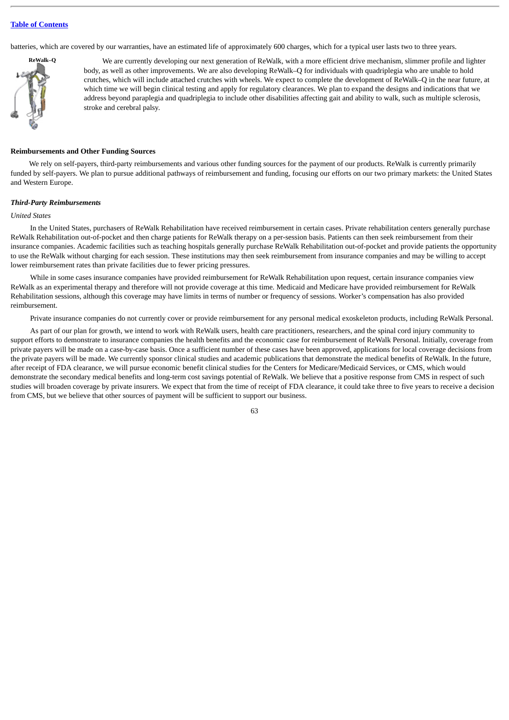batteries, which are covered by our warranties, have an estimated life of approximately 600 charges, which for a typical user lasts two to three years.



We are currently developing our next generation of ReWalk, with a more efficient drive mechanism, slimmer profile and lighter body, as well as other improvements. We are also developing ReWalk–Q for individuals with quadriplegia who are unable to hold crutches, which will include attached crutches with wheels. We expect to complete the development of ReWalk–Q in the near future, at which time we will begin clinical testing and apply for regulatory clearances. We plan to expand the designs and indications that we address beyond paraplegia and quadriplegia to include other disabilities affecting gait and ability to walk, such as multiple sclerosis, stroke and cerebral palsy.

#### **Reimbursements and Other Funding Sources**

We rely on self-payers, third-party reimbursements and various other funding sources for the payment of our products. ReWalk is currently primarily funded by self-payers. We plan to pursue additional pathways of reimbursement and funding, focusing our efforts on our two primary markets: the United States and Western Europe.

#### *Third-Party Reimbursements*

#### *United States*

In the United States, purchasers of ReWalk Rehabilitation have received reimbursement in certain cases. Private rehabilitation centers generally purchase ReWalk Rehabilitation out-of-pocket and then charge patients for ReWalk therapy on a per-session basis. Patients can then seek reimbursement from their insurance companies. Academic facilities such as teaching hospitals generally purchase ReWalk Rehabilitation out-of-pocket and provide patients the opportunity to use the ReWalk without charging for each session. These institutions may then seek reimbursement from insurance companies and may be willing to accept lower reimbursement rates than private facilities due to fewer pricing pressures.

While in some cases insurance companies have provided reimbursement for ReWalk Rehabilitation upon request, certain insurance companies view ReWalk as an experimental therapy and therefore will not provide coverage at this time. Medicaid and Medicare have provided reimbursement for ReWalk Rehabilitation sessions, although this coverage may have limits in terms of number or frequency of sessions. Worker's compensation has also provided reimbursement.

Private insurance companies do not currently cover or provide reimbursement for any personal medical exoskeleton products, including ReWalk Personal.

As part of our plan for growth, we intend to work with ReWalk users, health care practitioners, researchers, and the spinal cord injury community to support efforts to demonstrate to insurance companies the health benefits and the economic case for reimbursement of ReWalk Personal. Initially, coverage from private payers will be made on a case-by-case basis. Once a sufficient number of these cases have been approved, applications for local coverage decisions from the private payers will be made. We currently sponsor clinical studies and academic publications that demonstrate the medical benefits of ReWalk. In the future, after receipt of FDA clearance, we will pursue economic benefit clinical studies for the Centers for Medicare/Medicaid Services, or CMS, which would demonstrate the secondary medical benefits and long-term cost savings potential of ReWalk. We believe that a positive response from CMS in respect of such studies will broaden coverage by private insurers. We expect that from the time of receipt of FDA clearance, it could take three to five years to receive a decision from CMS, but we believe that other sources of payment will be sufficient to support our business.

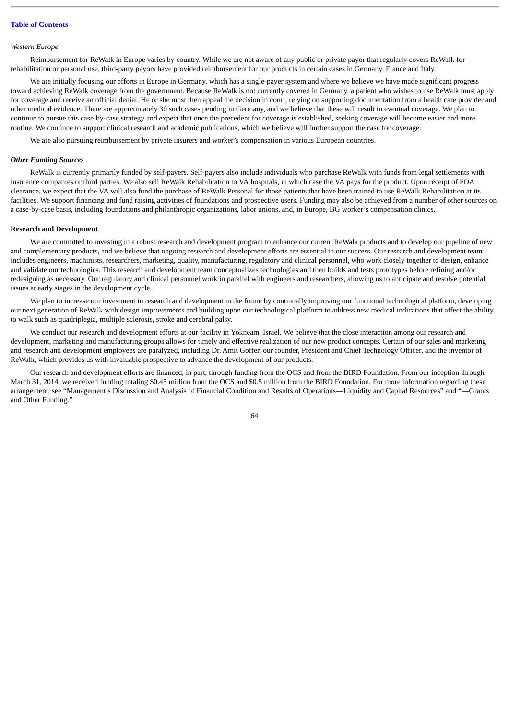#### *Western Europe*

Reimbursement for ReWalk in Europe varies by country. While we are not aware of any public or private payor that regularly covers ReWalk for rehabilitation or personal use, third-party payors have provided reimbursement for our products in certain cases in Germany, France and Italy.

We are initially focusing our efforts in Europe in Germany, which has a single-payer system and where we believe we have made significant progress toward achieving ReWalk coverage from the government. Because ReWalk is not currently covered in Germany, a patient who wishes to use ReWalk must apply for coverage and receive an official denial. He or she must then appeal the decision in court, relying on supporting documentation from a health care provider and other medical evidence. There are approximately 30 such cases pending in Germany, and we believe that these will result in eventual coverage. We plan to continue to pursue this case-by-case strategy and expect that once the precedent for coverage is established, seeking coverage will become easier and more routine. We continue to support clinical research and academic publications, which we believe will further support the case for coverage.

We are also pursuing reimbursement by private insurers and worker's compensation in various European countries.

#### *Other Funding Sources*

ReWalk is currently primarily funded by self-payers. Self-payers also include individuals who purchase ReWalk with funds from legal settlements with insurance companies or third parties. We also sell ReWalk Rehabilitation to VA hospitals, in which case the VA pays for the product. Upon receipt of FDA clearance, we expect that the VA will also fund the purchase of ReWalk Personal for those patients that have been trained to use ReWalk Rehabilitation at its facilities. We support financing and fund raising activities of foundations and prospective users. Funding may also be achieved from a number of other sources on a case-by-case basis, including foundations and philanthropic organizations, labor unions, and, in Europe, BG worker's compensation clinics.

#### **Research and Development**

We are committed to investing in a robust research and development program to enhance our current ReWalk products and to develop our pipeline of new and complementary products, and we believe that ongoing research and development efforts are essential to our success. Our research and development team includes engineers, machinists, researchers, marketing, quality, manufacturing, regulatory and clinical personnel, who work closely together to design, enhance and validate our technologies. This research and development team conceptualizes technologies and then builds and tests prototypes before refining and/or redesigning as necessary. Our regulatory and clinical personnel work in parallel with engineers and researchers, allowing us to anticipate and resolve potential issues at early stages in the development cycle.

We plan to increase our investment in research and development in the future by continually improving our functional technological platform, developing our next generation of ReWalk with design improvements and building upon our technological platform to address new medical indications that affect the ability to walk such as quadriplegia, multiple sclerosis, stroke and cerebral palsy.

We conduct our research and development efforts at our facility in Yokneam, Israel. We believe that the close interaction among our research and development, marketing and manufacturing groups allows for timely and effective realization of our new product concepts. Certain of our sales and marketing and research and development employees are paralyzed, including Dr. Amit Goffer, our founder, President and Chief Technology Officer, and the inventor of ReWalk, which provides us with invaluable prospective to advance the development of our products.

Our research and development efforts are financed, in part, through funding from the OCS and from the BIRD Foundation. From our inception through March 31, 2014, we received funding totaling \$0.45 million from the OCS and \$0.5 million from the BIRD Foundation. For more information regarding these arrangement, see "Management's Discussion and Analysis of Financial Condition and Results of Operations—Liquidity and Capital Resources" and "—Grants and Other Funding."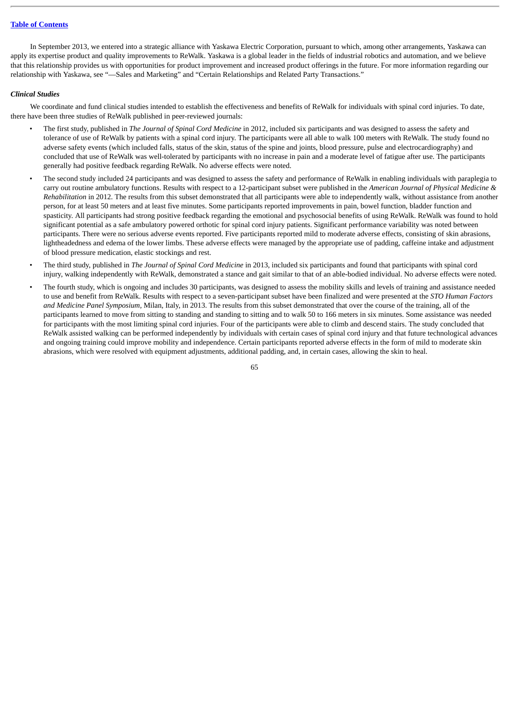In September 2013, we entered into a strategic alliance with Yaskawa Electric Corporation, pursuant to which, among other arrangements, Yaskawa can apply its expertise product and quality improvements to ReWalk. Yaskawa is a global leader in the fields of industrial robotics and automation, and we believe that this relationship provides us with opportunities for product improvement and increased product offerings in the future. For more information regarding our relationship with Yaskawa, see "—Sales and Marketing" and "Certain Relationships and Related Party Transactions."

#### *Clinical Studies*

We coordinate and fund clinical studies intended to establish the effectiveness and benefits of ReWalk for individuals with spinal cord injuries. To date, there have been three studies of ReWalk published in peer-reviewed journals:

- The first study, published in *The Journal of Spinal Cord Medicine* in 2012, included six participants and was designed to assess the safety and tolerance of use of ReWalk by patients with a spinal cord injury. The participants were all able to walk 100 meters with ReWalk. The study found no adverse safety events (which included falls, status of the skin, status of the spine and joints, blood pressure, pulse and electrocardiography) and concluded that use of ReWalk was well-tolerated by participants with no increase in pain and a moderate level of fatigue after use. The participants generally had positive feedback regarding ReWalk. No adverse effects were noted.
- The second study included 24 participants and was designed to assess the safety and performance of ReWalk in enabling individuals with paraplegia to carry out routine ambulatory functions. Results with respect to a 12-participant subset were published in the *American Journal of Physical Medicine & Rehabilitation* in 2012. The results from this subset demonstrated that all participants were able to independently walk, without assistance from another person, for at least 50 meters and at least five minutes. Some participants reported improvements in pain, bowel function, bladder function and spasticity. All participants had strong positive feedback regarding the emotional and psychosocial benefits of using ReWalk. ReWalk was found to hold significant potential as a safe ambulatory powered orthotic for spinal cord injury patients. Significant performance variability was noted between participants. There were no serious adverse events reported. Five participants reported mild to moderate adverse effects, consisting of skin abrasions, lightheadedness and edema of the lower limbs. These adverse effects were managed by the appropriate use of padding, caffeine intake and adjustment of blood pressure medication, elastic stockings and rest.
- The third study, published in *The Journal of Spinal Cord Medicine* in 2013, included six participants and found that participants with spinal cord injury, walking independently with ReWalk, demonstrated a stance and gait similar to that of an able-bodied individual. No adverse effects were noted.
- The fourth study, which is ongoing and includes 30 participants, was designed to assess the mobility skills and levels of training and assistance needed to use and benefit from ReWalk. Results with respect to a seven-participant subset have been finalized and were presented at the *STO Human Factors and Medicine Panel Symposium*, Milan, Italy, in 2013. The results from this subset demonstrated that over the course of the training, all of the participants learned to move from sitting to standing and standing to sitting and to walk 50 to 166 meters in six minutes. Some assistance was needed for participants with the most limiting spinal cord injuries. Four of the participants were able to climb and descend stairs. The study concluded that ReWalk assisted walking can be performed independently by individuals with certain cases of spinal cord injury and that future technological advances and ongoing training could improve mobility and independence. Certain participants reported adverse effects in the form of mild to moderate skin abrasions, which were resolved with equipment adjustments, additional padding, and, in certain cases, allowing the skin to heal.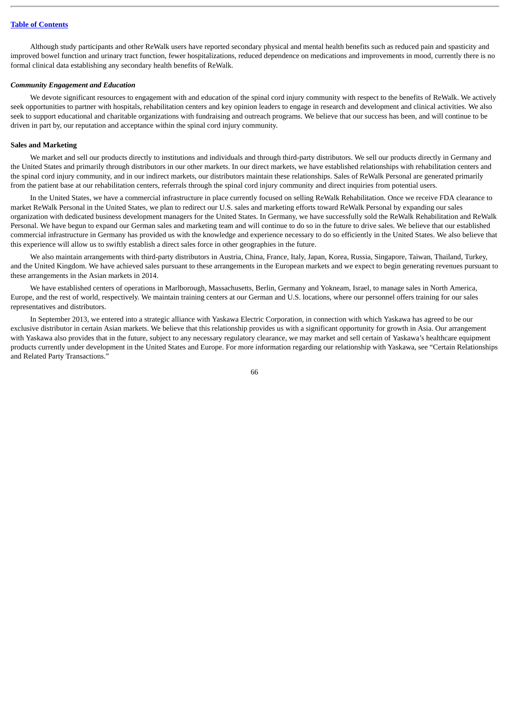Although study participants and other ReWalk users have reported secondary physical and mental health benefits such as reduced pain and spasticity and improved bowel function and urinary tract function, fewer hospitalizations, reduced dependence on medications and improvements in mood, currently there is no formal clinical data establishing any secondary health benefits of ReWalk.

### *Community Engagement and Education*

We devote significant resources to engagement with and education of the spinal cord injury community with respect to the benefits of ReWalk. We actively seek opportunities to partner with hospitals, rehabilitation centers and key opinion leaders to engage in research and development and clinical activities. We also seek to support educational and charitable organizations with fundraising and outreach programs. We believe that our success has been, and will continue to be driven in part by, our reputation and acceptance within the spinal cord injury community.

#### **Sales and Marketing**

We market and sell our products directly to institutions and individuals and through third-party distributors. We sell our products directly in Germany and the United States and primarily through distributors in our other markets. In our direct markets, we have established relationships with rehabilitation centers and the spinal cord injury community, and in our indirect markets, our distributors maintain these relationships. Sales of ReWalk Personal are generated primarily from the patient base at our rehabilitation centers, referrals through the spinal cord injury community and direct inquiries from potential users.

In the United States, we have a commercial infrastructure in place currently focused on selling ReWalk Rehabilitation. Once we receive FDA clearance to market ReWalk Personal in the United States, we plan to redirect our U.S. sales and marketing efforts toward ReWalk Personal by expanding our sales organization with dedicated business development managers for the United States. In Germany, we have successfully sold the ReWalk Rehabilitation and ReWalk Personal. We have begun to expand our German sales and marketing team and will continue to do so in the future to drive sales. We believe that our established commercial infrastructure in Germany has provided us with the knowledge and experience necessary to do so efficiently in the United States. We also believe that this experience will allow us to swiftly establish a direct sales force in other geographies in the future.

We also maintain arrangements with third-party distributors in Austria, China, France, Italy, Japan, Korea, Russia, Singapore, Taiwan, Thailand, Turkey, and the United Kingdom. We have achieved sales pursuant to these arrangements in the European markets and we expect to begin generating revenues pursuant to these arrangements in the Asian markets in 2014.

We have established centers of operations in Marlborough, Massachusetts, Berlin, Germany and Yokneam, Israel, to manage sales in North America, Europe, and the rest of world, respectively. We maintain training centers at our German and U.S. locations, where our personnel offers training for our sales representatives and distributors.

In September 2013, we entered into a strategic alliance with Yaskawa Electric Corporation, in connection with which Yaskawa has agreed to be our exclusive distributor in certain Asian markets. We believe that this relationship provides us with a significant opportunity for growth in Asia. Our arrangement with Yaskawa also provides that in the future, subject to any necessary regulatory clearance, we may market and sell certain of Yaskawa's healthcare equipment products currently under development in the United States and Europe. For more information regarding our relationship with Yaskawa, see "Certain Relationships and Related Party Transactions."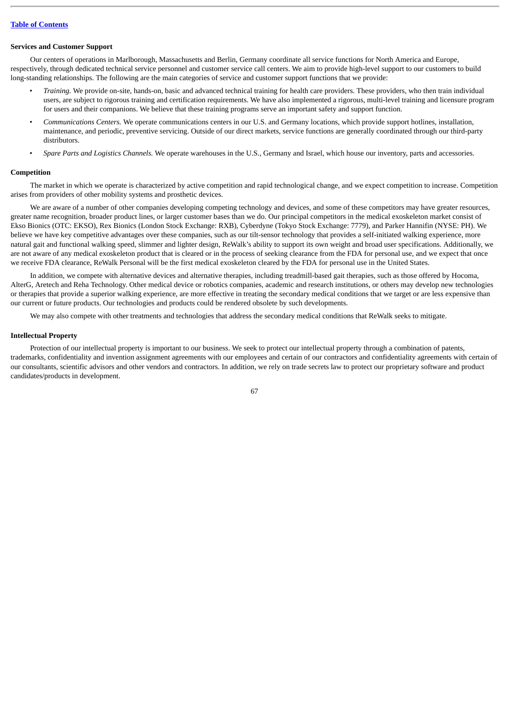### **Services and Customer Support**

Our centers of operations in Marlborough, Massachusetts and Berlin, Germany coordinate all service functions for North America and Europe, respectively, through dedicated technical service personnel and customer service call centers. We aim to provide high-level support to our customers to build long-standing relationships. The following are the main categories of service and customer support functions that we provide:

- *Training.* We provide on-site, hands-on, basic and advanced technical training for health care providers. These providers, who then train individual users, are subject to rigorous training and certification requirements. We have also implemented a rigorous, multi-level training and licensure program for users and their companions. We believe that these training programs serve an important safety and support function.
- *Communications Centers.* We operate communications centers in our U.S. and Germany locations, which provide support hotlines, installation, maintenance, and periodic, preventive servicing. Outside of our direct markets, service functions are generally coordinated through our third-party distributors.
- *Spare Parts and Logistics Channels.* We operate warehouses in the U.S., Germany and Israel, which house our inventory, parts and accessories.

### **Competition**

The market in which we operate is characterized by active competition and rapid technological change, and we expect competition to increase. Competition arises from providers of other mobility systems and prosthetic devices.

We are aware of a number of other companies developing competing technology and devices, and some of these competitors may have greater resources, greater name recognition, broader product lines, or larger customer bases than we do. Our principal competitors in the medical exoskeleton market consist of Ekso Bionics (OTC: EKSO), Rex Bionics (London Stock Exchange: RXB), Cyberdyne (Tokyo Stock Exchange: 7779), and Parker Hannifin (NYSE: PH). We believe we have key competitive advantages over these companies, such as our tilt-sensor technology that provides a self-initiated walking experience, more natural gait and functional walking speed, slimmer and lighter design, ReWalk's ability to support its own weight and broad user specifications. Additionally, we are not aware of any medical exoskeleton product that is cleared or in the process of seeking clearance from the FDA for personal use, and we expect that once we receive FDA clearance, ReWalk Personal will be the first medical exoskeleton cleared by the FDA for personal use in the United States.

In addition, we compete with alternative devices and alternative therapies, including treadmill-based gait therapies, such as those offered by Hocoma, AlterG, Aretech and Reha Technology. Other medical device or robotics companies, academic and research institutions, or others may develop new technologies or therapies that provide a superior walking experience, are more effective in treating the secondary medical conditions that we target or are less expensive than our current or future products. Our technologies and products could be rendered obsolete by such developments.

We may also compete with other treatments and technologies that address the secondary medical conditions that ReWalk seeks to mitigate.

### **Intellectual Property**

Protection of our intellectual property is important to our business. We seek to protect our intellectual property through a combination of patents, trademarks, confidentiality and invention assignment agreements with our employees and certain of our contractors and confidentiality agreements with certain of our consultants, scientific advisors and other vendors and contractors. In addition, we rely on trade secrets law to protect our proprietary software and product candidates/products in development.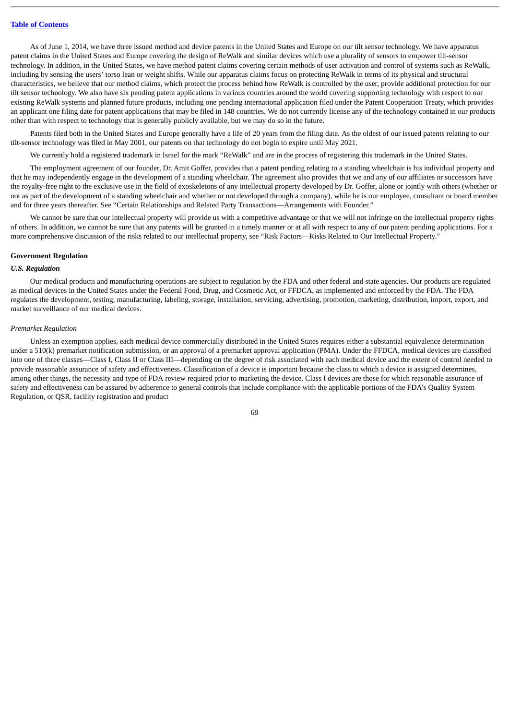As of June 1, 2014, we have three issued method and device patents in the United States and Europe on our tilt sensor technology. We have apparatus patent claims in the United States and Europe covering the design of ReWalk and similar devices which use a plurality of sensors to empower tilt-sensor technology. In addition, in the United States, we have method patent claims covering certain methods of user activation and control of systems such as ReWalk, including by sensing the users' torso lean or weight shifts. While our apparatus claims focus on protecting ReWalk in terms of its physical and structural characteristics, we believe that our method claims, which protect the process behind how ReWalk is controlled by the user, provide additional protection for our tilt sensor technology. We also have six pending patent applications in various countries around the world covering supporting technology with respect to our existing ReWalk systems and planned future products, including one pending international application filed under the Patent Cooperation Treaty, which provides an applicant one filing date for patent applications that may be filed in 148 countries. We do not currently license any of the technology contained in our products other than with respect to technology that is generally publicly available, but we may do so in the future.

Patents filed both in the United States and Europe generally have a life of 20 years from the filing date. As the oldest of our issued patents relating to our tilt-sensor technology was filed in May 2001, our patents on that technology do not begin to expire until May 2021.

We currently hold a registered trademark in Israel for the mark "ReWalk" and are in the process of registering this trademark in the United States.

The employment agreement of our founder, Dr. Amit Goffer, provides that a patent pending relating to a standing wheelchair is his individual property and that he may independently engage in the development of a standing wheelchair. The agreement also provides that we and any of our affiliates or successors have the royalty-free right to the exclusive use in the field of exoskeletons of any intellectual property developed by Dr. Goffer, alone or jointly with others (whether or not as part of the development of a standing wheelchair and whether or not developed through a company), while he is our employee, consultant or board member and for three years thereafter. See "Certain Relationships and Related Party Transactions—Arrangements with Founder."

We cannot be sure that our intellectual property will provide us with a competitive advantage or that we will not infringe on the intellectual property rights of others. In addition, we cannot be sure that any patents will be granted in a timely manner or at all with respect to any of our patent pending applications. For a more comprehensive discussion of the risks related to our intellectual property, see "Risk Factors—Risks Related to Our Intellectual Property."

#### **Government Regulation**

### *U.S. Regulation*

Our medical products and manufacturing operations are subject to regulation by the FDA and other federal and state agencies. Our products are regulated as medical devices in the United States under the Federal Food, Drug, and Cosmetic Act, or FFDCA, as implemented and enforced by the FDA. The FDA regulates the development, testing, manufacturing, labeling, storage, installation, servicing, advertising, promotion, marketing, distribution, import, export, and market surveillance of our medical devices.

#### *Premarket Regulation*

Unless an exemption applies, each medical device commercially distributed in the United States requires either a substantial equivalence determination under a 510(k) premarket notification submission, or an approval of a premarket approval application (PMA). Under the FFDCA, medical devices are classified into one of three classes—Class I, Class II or Class III—depending on the degree of risk associated with each medical device and the extent of control needed to provide reasonable assurance of safety and effectiveness. Classification of a device is important because the class to which a device is assigned determines, among other things, the necessity and type of FDA review required prior to marketing the device. Class I devices are those for which reasonable assurance of safety and effectiveness can be assured by adherence to general controls that include compliance with the applicable portions of the FDA's Quality System Regulation, or QSR, facility registration and product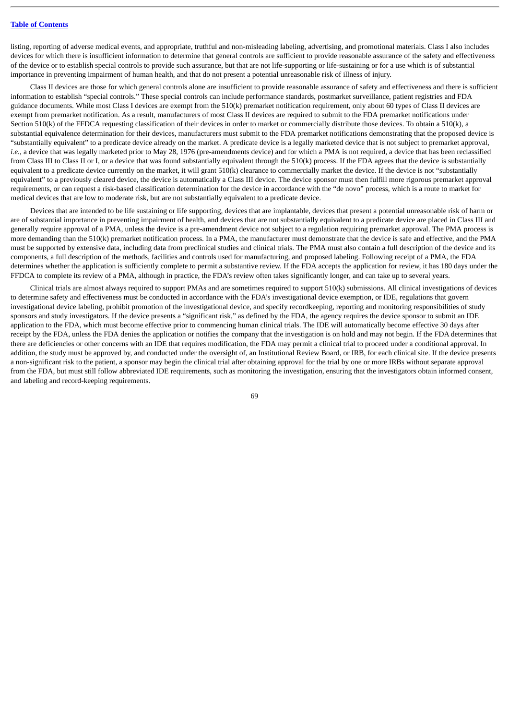listing, reporting of adverse medical events, and appropriate, truthful and non-misleading labeling, advertising, and promotional materials. Class I also includes devices for which there is insufficient information to determine that general controls are sufficient to provide reasonable assurance of the safety and effectiveness of the device or to establish special controls to provide such assurance, but that are not life-supporting or life-sustaining or for a use which is of substantial importance in preventing impairment of human health, and that do not present a potential unreasonable risk of illness of injury.

Class II devices are those for which general controls alone are insufficient to provide reasonable assurance of safety and effectiveness and there is sufficient information to establish "special controls." These special controls can include performance standards, postmarket surveillance, patient registries and FDA guidance documents. While most Class I devices are exempt from the 510(k) premarket notification requirement, only about 60 types of Class II devices are exempt from premarket notification. As a result, manufacturers of most Class II devices are required to submit to the FDA premarket notifications under Section 510(k) of the FFDCA requesting classification of their devices in order to market or commercially distribute those devices. To obtain a 510(k), a substantial equivalence determination for their devices, manufacturers must submit to the FDA premarket notifications demonstrating that the proposed device is "substantially equivalent" to a predicate device already on the market. A predicate device is a legally marketed device that is not subject to premarket approval, i.e., a device that was legally marketed prior to May 28, 1976 (pre-amendments device) and for which a PMA is not required, a device that has been reclassified from Class III to Class II or I, or a device that was found substantially equivalent through the 510(k) process. If the FDA agrees that the device is substantially equivalent to a predicate device currently on the market, it will grant  $510(k)$  clearance to commercially market the device. If the device is not "substantially equivalent" to a previously cleared device, the device is automatically a Class III device. The device sponsor must then fulfill more rigorous premarket approval requirements, or can request a risk-based classification determination for the device in accordance with the "de novo" process, which is a route to market for medical devices that are low to moderate risk, but are not substantially equivalent to a predicate device.

Devices that are intended to be life sustaining or life supporting, devices that are implantable, devices that present a potential unreasonable risk of harm or are of substantial importance in preventing impairment of health, and devices that are not substantially equivalent to a predicate device are placed in Class III and generally require approval of a PMA, unless the device is a pre-amendment device not subject to a regulation requiring premarket approval. The PMA process is more demanding than the 510(k) premarket notification process. In a PMA, the manufacturer must demonstrate that the device is safe and effective, and the PMA must be supported by extensive data, including data from preclinical studies and clinical trials. The PMA must also contain a full description of the device and its components, a full description of the methods, facilities and controls used for manufacturing, and proposed labeling. Following receipt of a PMA, the FDA determines whether the application is sufficiently complete to permit a substantive review. If the FDA accepts the application for review, it has 180 days under the FFDCA to complete its review of a PMA, although in practice, the FDA's review often takes significantly longer, and can take up to several years.

Clinical trials are almost always required to support PMAs and are sometimes required to support 510(k) submissions. All clinical investigations of devices to determine safety and effectiveness must be conducted in accordance with the FDA's investigational device exemption, or IDE, regulations that govern investigational device labeling, prohibit promotion of the investigational device, and specify recordkeeping, reporting and monitoring responsibilities of study sponsors and study investigators. If the device presents a "significant risk," as defined by the FDA, the agency requires the device sponsor to submit an IDE application to the FDA, which must become effective prior to commencing human clinical trials. The IDE will automatically become effective 30 days after receipt by the FDA, unless the FDA denies the application or notifies the company that the investigation is on hold and may not begin. If the FDA determines that there are deficiencies or other concerns with an IDE that requires modification, the FDA may permit a clinical trial to proceed under a conditional approval. In addition, the study must be approved by, and conducted under the oversight of, an Institutional Review Board, or IRB, for each clinical site. If the device presents a non-significant risk to the patient, a sponsor may begin the clinical trial after obtaining approval for the trial by one or more IRBs without separate approval from the FDA, but must still follow abbreviated IDE requirements, such as monitoring the investigation, ensuring that the investigators obtain informed consent, and labeling and record-keeping requirements.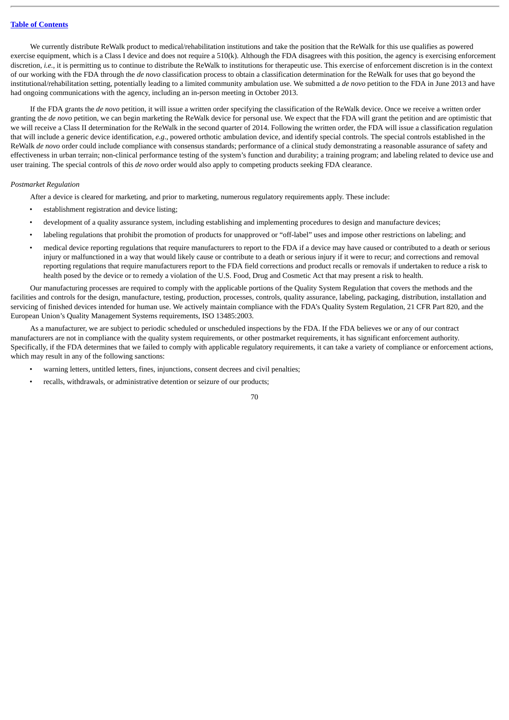We currently distribute ReWalk product to medical/rehabilitation institutions and take the position that the ReWalk for this use qualifies as powered exercise equipment, which is a Class I device and does not require a 510(k). Although the FDA disagrees with this position, the agency is exercising enforcement discretion, *i.e.*, it is permitting us to continue to distribute the ReWalk to institutions for therapeutic use. This exercise of enforcement discretion is in the context of our working with the FDA through the *de novo* classification process to obtain a classification determination for the ReWalk for uses that go beyond the institutional/rehabilitation setting, potentially leading to a limited community ambulation use. We submitted a *de novo* petition to the FDA in June 2013 and have had ongoing communications with the agency, including an in-person meeting in October 2013.

If the FDA grants the *de novo* petition, it will issue a written order specifying the classification of the ReWalk device. Once we receive a written order granting the *de novo* petition, we can begin marketing the ReWalk device for personal use. We expect that the FDA will grant the petition and are optimistic that we will receive a Class II determination for the ReWalk in the second quarter of 2014. Following the written order, the FDA will issue a classification regulation that will include a generic device identification*, e.g*., powered orthotic ambulation device, and identify special controls. The special controls established in the ReWalk *de novo* order could include compliance with consensus standards; performance of a clinical study demonstrating a reasonable assurance of safety and effectiveness in urban terrain; non-clinical performance testing of the system's function and durability; a training program; and labeling related to device use and user training. The special controls of this *de novo* order would also apply to competing products seeking FDA clearance.

### *Postmarket Regulation*

After a device is cleared for marketing, and prior to marketing, numerous regulatory requirements apply. These include:

- establishment registration and device listing;
- development of a quality assurance system, including establishing and implementing procedures to design and manufacture devices;
- labeling regulations that prohibit the promotion of products for unapproved or "off-label" uses and impose other restrictions on labeling; and
- medical device reporting regulations that require manufacturers to report to the FDA if a device may have caused or contributed to a death or serious injury or malfunctioned in a way that would likely cause or contribute to a death or serious injury if it were to recur; and corrections and removal reporting regulations that require manufacturers report to the FDA field corrections and product recalls or removals if undertaken to reduce a risk to health posed by the device or to remedy a violation of the U.S. Food, Drug and Cosmetic Act that may present a risk to health.

Our manufacturing processes are required to comply with the applicable portions of the Quality System Regulation that covers the methods and the facilities and controls for the design, manufacture, testing, production, processes, controls, quality assurance, labeling, packaging, distribution, installation and servicing of finished devices intended for human use. We actively maintain compliance with the FDA's Quality System Regulation, 21 CFR Part 820, and the European Union's Quality Management Systems requirements, ISO 13485:2003.

As a manufacturer, we are subject to periodic scheduled or unscheduled inspections by the FDA. If the FDA believes we or any of our contract manufacturers are not in compliance with the quality system requirements, or other postmarket requirements, it has significant enforcement authority. Specifically, if the FDA determines that we failed to comply with applicable regulatory requirements, it can take a variety of compliance or enforcement actions, which may result in any of the following sanctions:

- warning letters, untitled letters, fines, injunctions, consent decrees and civil penalties;
- recalls, withdrawals, or administrative detention or seizure of our products;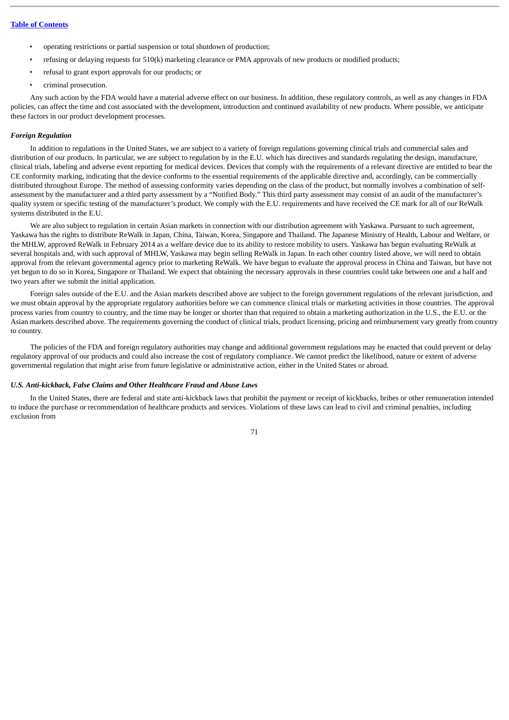- operating restrictions or partial suspension or total shutdown of production;
- refusing or delaying requests for 510(k) marketing clearance or PMA approvals of new products or modified products;
- refusal to grant export approvals for our products; or
- criminal prosecution.

Any such action by the FDA would have a material adverse effect on our business. In addition, these regulatory controls, as well as any changes in FDA policies, can affect the time and cost associated with the development, introduction and continued availability of new products. Where possible, we anticipate these factors in our product development processes.

### *Foreign Regulation*

In addition to regulations in the United States, we are subject to a variety of foreign regulations governing clinical trials and commercial sales and distribution of our products. In particular, we are subject to regulation by in the E.U. which has directives and standards regulating the design, manufacture, clinical trials, labeling and adverse event reporting for medical devices. Devices that comply with the requirements of a relevant directive are entitled to bear the CE conformity marking, indicating that the device conforms to the essential requirements of the applicable directive and, accordingly, can be commercially distributed throughout Europe. The method of assessing conformity varies depending on the class of the product, but normally involves a combination of selfassessment by the manufacturer and a third party assessment by a "Notified Body." This third party assessment may consist of an audit of the manufacturer's quality system or specific testing of the manufacturer's product. We comply with the E.U. requirements and have received the CE mark for all of our ReWalk systems distributed in the E.U.

We are also subject to regulation in certain Asian markets in connection with our distribution agreement with Yaskawa. Pursuant to such agreement, Yaskawa has the rights to distribute ReWalk in Japan, China, Taiwan, Korea, Singapore and Thailand. The Japanese Ministry of Health, Labour and Welfare, or the MHLW, approved ReWalk in February 2014 as a welfare device due to its ability to restore mobility to users. Yaskawa has begun evaluating ReWalk at several hospitals and, with such approval of MHLW, Yaskawa may begin selling ReWalk in Japan. In each other country listed above, we will need to obtain approval from the relevant governmental agency prior to marketing ReWalk. We have begun to evaluate the approval process in China and Taiwan, but have not yet begun to do so in Korea, Singapore or Thailand. We expect that obtaining the necessary approvals in these countries could take between one and a half and two years after we submit the initial application.

Foreign sales outside of the E.U. and the Asian markets described above are subject to the foreign government regulations of the relevant jurisdiction, and we must obtain approval by the appropriate regulatory authorities before we can commence clinical trials or marketing activities in those countries. The approval process varies from country to country, and the time may be longer or shorter than that required to obtain a marketing authorization in the U.S., the E.U. or the Asian markets described above. The requirements governing the conduct of clinical trials, product licensing, pricing and reimbursement vary greatly from country to country.

The policies of the FDA and foreign regulatory authorities may change and additional government regulations may be enacted that could prevent or delay regulatory approval of our products and could also increase the cost of regulatory compliance. We cannot predict the likelihood, nature or extent of adverse governmental regulation that might arise from future legislative or administrative action, either in the United States or abroad.

#### *U.S. Anti-kickback, False Claims and Other Healthcare Fraud and Abuse Laws*

In the United States, there are federal and state anti-kickback laws that prohibit the payment or receipt of kickbacks, bribes or other remuneration intended to induce the purchase or recommendation of healthcare products and services. Violations of these laws can lead to civil and criminal penalties, including exclusion from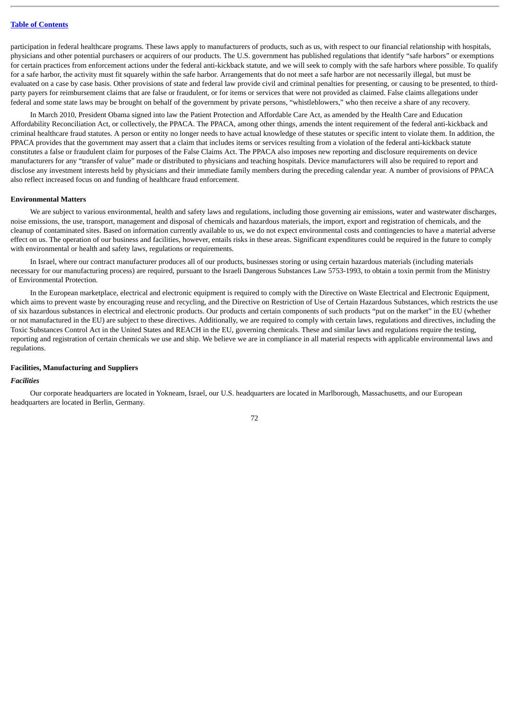participation in federal healthcare programs. These laws apply to manufacturers of products, such as us, with respect to our financial relationship with hospitals, physicians and other potential purchasers or acquirers of our products. The U.S. government has published regulations that identify "safe harbors" or exemptions for certain practices from enforcement actions under the federal anti-kickback statute, and we will seek to comply with the safe harbors where possible. To qualify for a safe harbor, the activity must fit squarely within the safe harbor. Arrangements that do not meet a safe harbor are not necessarily illegal, but must be evaluated on a case by case basis. Other provisions of state and federal law provide civil and criminal penalties for presenting, or causing to be presented, to thirdparty payers for reimbursement claims that are false or fraudulent, or for items or services that were not provided as claimed. False claims allegations under federal and some state laws may be brought on behalf of the government by private persons, "whistleblowers," who then receive a share of any recovery.

In March 2010, President Obama signed into law the Patient Protection and Affordable Care Act, as amended by the Health Care and Education Affordability Reconciliation Act, or collectively, the PPACA. The PPACA, among other things, amends the intent requirement of the federal anti-kickback and criminal healthcare fraud statutes. A person or entity no longer needs to have actual knowledge of these statutes or specific intent to violate them. In addition, the PPACA provides that the government may assert that a claim that includes items or services resulting from a violation of the federal anti-kickback statute constitutes a false or fraudulent claim for purposes of the False Claims Act. The PPACA also imposes new reporting and disclosure requirements on device manufacturers for any "transfer of value" made or distributed to physicians and teaching hospitals. Device manufacturers will also be required to report and disclose any investment interests held by physicians and their immediate family members during the preceding calendar year. A number of provisions of PPACA also reflect increased focus on and funding of healthcare fraud enforcement.

#### **Environmental Matters**

We are subject to various environmental, health and safety laws and regulations, including those governing air emissions, water and wastewater discharges, noise emissions, the use, transport, management and disposal of chemicals and hazardous materials, the import, export and registration of chemicals, and the cleanup of contaminated sites. Based on information currently available to us, we do not expect environmental costs and contingencies to have a material adverse effect on us. The operation of our business and facilities, however, entails risks in these areas. Significant expenditures could be required in the future to comply with environmental or health and safety laws, regulations or requirements.

In Israel, where our contract manufacturer produces all of our products, businesses storing or using certain hazardous materials (including materials necessary for our manufacturing process) are required, pursuant to the Israeli Dangerous Substances Law 5753-1993, to obtain a toxin permit from the Ministry of Environmental Protection.

In the European marketplace, electrical and electronic equipment is required to comply with the Directive on Waste Electrical and Electronic Equipment, which aims to prevent waste by encouraging reuse and recycling, and the Directive on Restriction of Use of Certain Hazardous Substances, which restricts the use of six hazardous substances in electrical and electronic products. Our products and certain components of such products "put on the market" in the EU (whether or not manufactured in the EU) are subject to these directives. Additionally, we are required to comply with certain laws, regulations and directives, including the Toxic Substances Control Act in the United States and REACH in the EU, governing chemicals. These and similar laws and regulations require the testing, reporting and registration of certain chemicals we use and ship. We believe we are in compliance in all material respects with applicable environmental laws and regulations.

#### **Facilities, Manufacturing and Suppliers**

#### *Facilities*

Our corporate headquarters are located in Yokneam, Israel, our U.S. headquarters are located in Marlborough, Massachusetts, and our European headquarters are located in Berlin, Germany.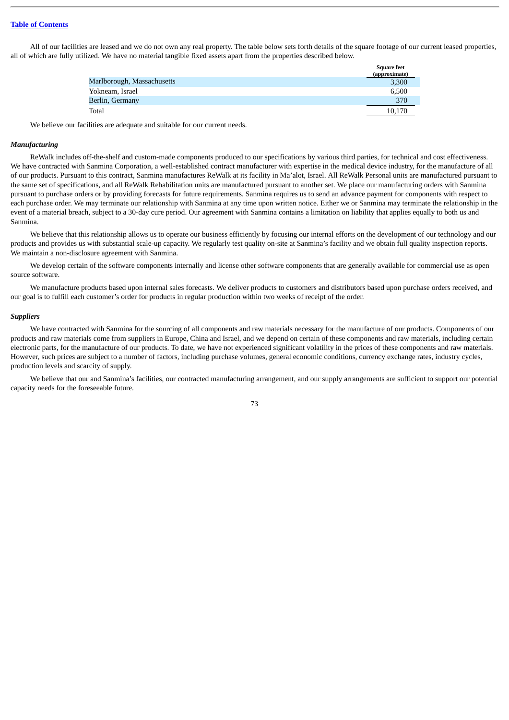All of our facilities are leased and we do not own any real property. The table below sets forth details of the square footage of our current leased properties, all of which are fully utilized. We have no material tangible fixed assets apart from the properties described below.

|                            | <b>Square feet</b><br>(approximate) |
|----------------------------|-------------------------------------|
| Marlborough, Massachusetts | 3,300                               |
| Yokneam, Israel            | 6,500                               |
| Berlin, Germany            | 370                                 |
| Total                      | 10,170                              |

We believe our facilities are adequate and suitable for our current needs.

# *Manufacturing*

ReWalk includes off-the-shelf and custom-made components produced to our specifications by various third parties, for technical and cost effectiveness. We have contracted with Sanmina Corporation, a well-established contract manufacturer with expertise in the medical device industry, for the manufacture of all of our products. Pursuant to this contract, Sanmina manufactures ReWalk at its facility in Ma'alot, Israel. All ReWalk Personal units are manufactured pursuant to the same set of specifications, and all ReWalk Rehabilitation units are manufactured pursuant to another set. We place our manufacturing orders with Sanmina pursuant to purchase orders or by providing forecasts for future requirements. Sanmina requires us to send an advance payment for components with respect to each purchase order. We may terminate our relationship with Sanmina at any time upon written notice. Either we or Sanmina may terminate the relationship in the event of a material breach, subject to a 30-day cure period. Our agreement with Sanmina contains a limitation on liability that applies equally to both us and Sanmina.

We believe that this relationship allows us to operate our business efficiently by focusing our internal efforts on the development of our technology and our products and provides us with substantial scale-up capacity. We regularly test quality on-site at Sanmina's facility and we obtain full quality inspection reports. We maintain a non-disclosure agreement with Sanmina.

We develop certain of the software components internally and license other software components that are generally available for commercial use as open source software.

We manufacture products based upon internal sales forecasts. We deliver products to customers and distributors based upon purchase orders received, and our goal is to fulfill each customer's order for products in regular production within two weeks of receipt of the order.

## *Suppliers*

We have contracted with Sanmina for the sourcing of all components and raw materials necessary for the manufacture of our products. Components of our products and raw materials come from suppliers in Europe, China and Israel, and we depend on certain of these components and raw materials, including certain electronic parts, for the manufacture of our products. To date, we have not experienced significant volatility in the prices of these components and raw materials. However, such prices are subject to a number of factors, including purchase volumes, general economic conditions, currency exchange rates, industry cycles, production levels and scarcity of supply.

We believe that our and Sanmina's facilities, our contracted manufacturing arrangement, and our supply arrangements are sufficient to support our potential capacity needs for the foreseeable future.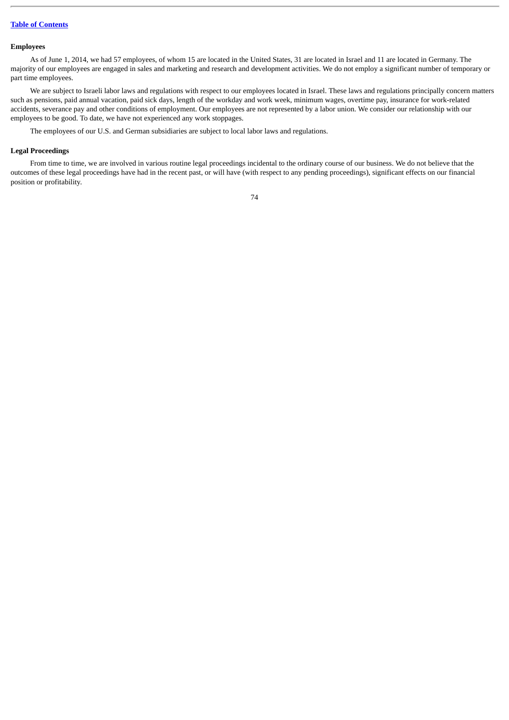### **Employees**

As of June 1, 2014, we had 57 employees, of whom 15 are located in the United States, 31 are located in Israel and 11 are located in Germany. The majority of our employees are engaged in sales and marketing and research and development activities. We do not employ a significant number of temporary or part time employees.

We are subject to Israeli labor laws and regulations with respect to our employees located in Israel. These laws and regulations principally concern matters such as pensions, paid annual vacation, paid sick days, length of the workday and work week, minimum wages, overtime pay, insurance for work-related accidents, severance pay and other conditions of employment. Our employees are not represented by a labor union. We consider our relationship with our employees to be good. To date, we have not experienced any work stoppages.

The employees of our U.S. and German subsidiaries are subject to local labor laws and regulations.

### **Legal Proceedings**

From time to time, we are involved in various routine legal proceedings incidental to the ordinary course of our business. We do not believe that the outcomes of these legal proceedings have had in the recent past, or will have (with respect to any pending proceedings), significant effects on our financial position or profitability.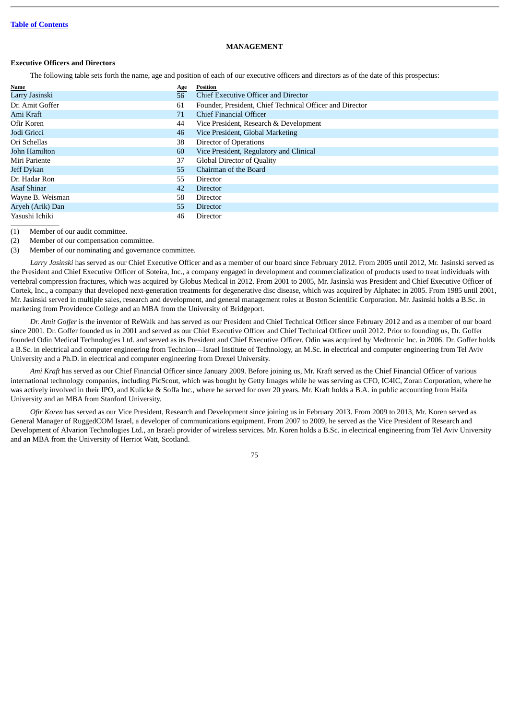## **MANAGEMENT**

# **Executive Officers and Directors**

The following table sets forth the name, age and position of each of our executive officers and directors as of the date of this prospectus:

| Name             | <u>Age</u> | Position                                                 |
|------------------|------------|----------------------------------------------------------|
| Larry Jasinski   | 56         | Chief Executive Officer and Director                     |
| Dr. Amit Goffer  | 61         | Founder, President, Chief Technical Officer and Director |
| Ami Kraft        | 71         | Chief Financial Officer                                  |
| Ofir Koren       | 44         | Vice President, Research & Development                   |
| Jodi Gricci      | 46         | Vice President, Global Marketing                         |
| Ori Schellas     | 38         | Director of Operations                                   |
| John Hamilton    | 60         | Vice President, Regulatory and Clinical                  |
| Miri Pariente    | 37         | <b>Global Director of Quality</b>                        |
| Jeff Dykan       | 55         | Chairman of the Board                                    |
| Dr. Hadar Ron    | 55         | Director                                                 |
| Asaf Shinar      | 42         | <b>Director</b>                                          |
| Wayne B. Weisman | 58         | Director                                                 |
| Aryeh (Arik) Dan | 55         | <b>Director</b>                                          |
| Yasushi Ichiki   | 46         | Director                                                 |

(1) Member of our audit committee.

(2) Member of our compensation committee.

(3) Member of our nominating and governance committee.

*Larry Jasinski* has served as our Chief Executive Officer and as a member of our board since February 2012. From 2005 until 2012, Mr. Jasinski served as the President and Chief Executive Officer of Soteira, Inc., a company engaged in development and commercialization of products used to treat individuals with vertebral compression fractures, which was acquired by Globus Medical in 2012. From 2001 to 2005, Mr. Jasinski was President and Chief Executive Officer of Cortek, Inc., a company that developed next-generation treatments for degenerative disc disease, which was acquired by Alphatec in 2005. From 1985 until 2001, Mr. Jasinski served in multiple sales, research and development, and general management roles at Boston Scientific Corporation. Mr. Jasinski holds a B.Sc. in marketing from Providence College and an MBA from the University of Bridgeport.

*Dr. Amit Goffer* is the inventor of ReWalk and has served as our President and Chief Technical Officer since February 2012 and as a member of our board since 2001. Dr. Goffer founded us in 2001 and served as our Chief Executive Officer and Chief Technical Officer until 2012. Prior to founding us, Dr. Goffer founded Odin Medical Technologies Ltd. and served as its President and Chief Executive Officer. Odin was acquired by Medtronic Inc. in 2006. Dr. Goffer holds a B.Sc. in electrical and computer engineering from Technion—Israel Institute of Technology, an M.Sc. in electrical and computer engineering from Tel Aviv University and a Ph.D. in electrical and computer engineering from Drexel University.

*Ami Kraft* has served as our Chief Financial Officer since January 2009. Before joining us, Mr. Kraft served as the Chief Financial Officer of various international technology companies, including PicScout, which was bought by Getty Images while he was serving as CFO, IC4IC, Zoran Corporation, where he was actively involved in their IPO, and Kulicke & Soffa Inc., where he served for over 20 years. Mr. Kraft holds a B.A. in public accounting from Haifa University and an MBA from Stanford University.

*Ofir Koren* has served as our Vice President, Research and Development since joining us in February 2013. From 2009 to 2013, Mr. Koren served as General Manager of RuggedCOM Israel, a developer of communications equipment. From 2007 to 2009, he served as the Vice President of Research and Development of Alvarion Technologies Ltd., an Israeli provider of wireless services. Mr. Koren holds a B.Sc. in electrical engineering from Tel Aviv University and an MBA from the University of Herriot Watt, Scotland.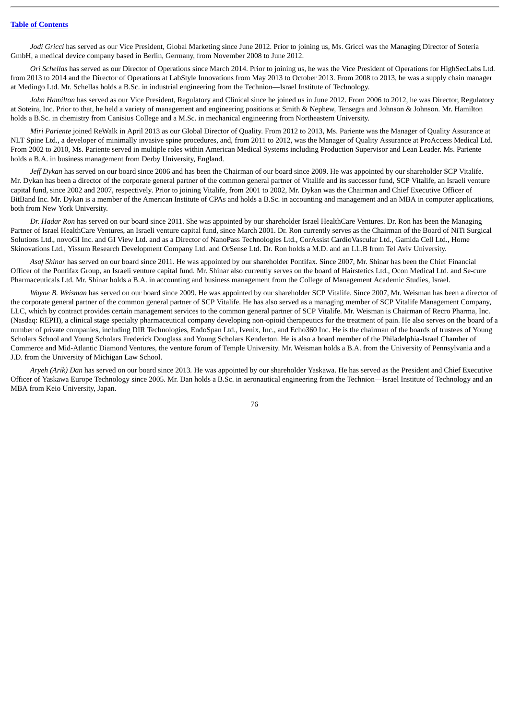*Jodi Gricci* has served as our Vice President, Global Marketing since June 2012. Prior to joining us, Ms. Gricci was the Managing Director of Soteria GmbH, a medical device company based in Berlin, Germany, from November 2008 to June 2012.

*Ori Schellas* has served as our Director of Operations since March 2014. Prior to joining us, he was the Vice President of Operations for HighSecLabs Ltd. from 2013 to 2014 and the Director of Operations at LabStyle Innovations from May 2013 to October 2013. From 2008 to 2013, he was a supply chain manager at Medingo Ltd. Mr. Schellas holds a B.Sc. in industrial engineering from the Technion—Israel Institute of Technology.

John Hamilton has served as our Vice President, Regulatory and Clinical since he joined us in June 2012. From 2006 to 2012, he was Director, Regulatory at Soteira, Inc. Prior to that, he held a variety of management and engineering positions at Smith & Nephew, Tensegra and Johnson & Johnson. Mr. Hamilton holds a B.Sc. in chemistry from Canisius College and a M.Sc. in mechanical engineering from Northeastern University.

*Miri Pariente* joined ReWalk in April 2013 as our Global Director of Quality. From 2012 to 2013, Ms. Pariente was the Manager of Quality Assurance at NLT Spine Ltd., a developer of minimally invasive spine procedures, and, from 2011 to 2012, was the Manager of Quality Assurance at ProAccess Medical Ltd. From 2002 to 2010, Ms. Pariente served in multiple roles within American Medical Systems including Production Supervisor and Lean Leader. Ms. Pariente holds a B.A. in business management from Derby University, England.

*Jeff Dykan* has served on our board since 2006 and has been the Chairman of our board since 2009. He was appointed by our shareholder SCP Vitalife. Mr. Dykan has been a director of the corporate general partner of the common general partner of Vitalife and its successor fund, SCP Vitalife, an Israeli venture capital fund, since 2002 and 2007, respectively. Prior to joining Vitalife, from 2001 to 2002, Mr. Dykan was the Chairman and Chief Executive Officer of BitBand Inc. Mr. Dykan is a member of the American Institute of CPAs and holds a B.Sc. in accounting and management and an MBA in computer applications, both from New York University.

*Dr. Hadar Ron* has served on our board since 2011. She was appointed by our shareholder Israel HealthCare Ventures. Dr. Ron has been the Managing Partner of Israel HealthCare Ventures, an Israeli venture capital fund, since March 2001. Dr. Ron currently serves as the Chairman of the Board of NiTi Surgical Solutions Ltd., novoGI Inc. and GI View Ltd. and as a Director of NanoPass Technologies Ltd., CorAssist CardioVascular Ltd., Gamida Cell Ltd., Home Skinovations Ltd., Yissum Research Development Company Ltd. and OrSense Ltd. Dr. Ron holds a M.D. and an LL.B from Tel Aviv University.

*Asaf Shinar* has served on our board since 2011. He was appointed by our shareholder Pontifax. Since 2007, Mr. Shinar has been the Chief Financial Officer of the Pontifax Group, an Israeli venture capital fund. Mr. Shinar also currently serves on the board of Hairstetics Ltd., Ocon Medical Ltd. and Se-cure Pharmaceuticals Ltd. Mr. Shinar holds a B.A. in accounting and business management from the College of Management Academic Studies, Israel.

*Wayne B. Weisman* has served on our board since 2009. He was appointed by our shareholder SCP Vitalife. Since 2007, Mr. Weisman has been a director of the corporate general partner of the common general partner of SCP Vitalife. He has also served as a managing member of SCP Vitalife Management Company, LLC, which by contract provides certain management services to the common general partner of SCP Vitalife. Mr. Weisman is Chairman of Recro Pharma, Inc. (Nasdaq: REPH), a clinical stage specialty pharmaceutical company developing non-opioid therapeutics for the treatment of pain. He also serves on the board of a number of private companies, including DIR Technologies, EndoSpan Ltd., Ivenix, Inc., and Echo360 Inc. He is the chairman of the boards of trustees of Young Scholars School and Young Scholars Frederick Douglass and Young Scholars Kenderton. He is also a board member of the Philadelphia-Israel Chamber of Commerce and Mid-Atlantic Diamond Ventures, the venture forum of Temple University. Mr. Weisman holds a B.A. from the University of Pennsylvania and a J.D. from the University of Michigan Law School.

*Aryeh (Arik) Dan* has served on our board since 2013*.* He was appointed by our shareholder Yaskawa. He has served as the President and Chief Executive Officer of Yaskawa Europe Technology since 2005. Mr. Dan holds a B.Sc. in aeronautical engineering from the Technion—Israel Institute of Technology and an MBA from Keio University, Japan.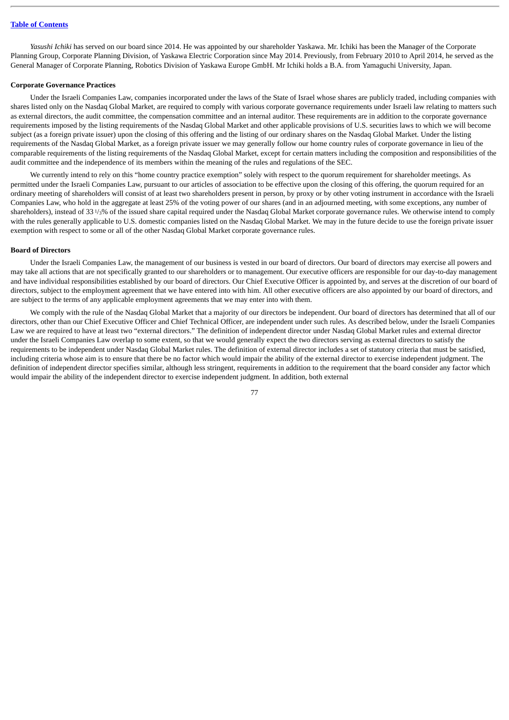*Yasushi Ichiki* has served on our board since 2014. He was appointed by our shareholder Yaskawa. Mr. Ichiki has been the Manager of the Corporate Planning Group, Corporate Planning Division, of Yaskawa Electric Corporation since May 2014. Previously, from February 2010 to April 2014, he served as the General Manager of Corporate Planning, Robotics Division of Yaskawa Europe GmbH. Mr Ichiki holds a B.A. from Yamaguchi University, Japan.

### **Corporate Governance Practices**

Under the Israeli Companies Law, companies incorporated under the laws of the State of Israel whose shares are publicly traded, including companies with shares listed only on the Nasdaq Global Market, are required to comply with various corporate governance requirements under Israeli law relating to matters such as external directors, the audit committee, the compensation committee and an internal auditor. These requirements are in addition to the corporate governance requirements imposed by the listing requirements of the Nasdaq Global Market and other applicable provisions of U.S. securities laws to which we will become subject (as a foreign private issuer) upon the closing of this offering and the listing of our ordinary shares on the Nasdaq Global Market. Under the listing requirements of the Nasdaq Global Market, as a foreign private issuer we may generally follow our home country rules of corporate governance in lieu of the comparable requirements of the listing requirements of the Nasdaq Global Market, except for certain matters including the composition and responsibilities of the audit committee and the independence of its members within the meaning of the rules and regulations of the SEC.

We currently intend to rely on this "home country practice exemption" solely with respect to the quorum requirement for shareholder meetings. As permitted under the Israeli Companies Law, pursuant to our articles of association to be effective upon the closing of this offering, the quorum required for an ordinary meeting of shareholders will consist of at least two shareholders present in person, by proxy or by other voting instrument in accordance with the Israeli Companies Law, who hold in the aggregate at least 25% of the voting power of our shares (and in an adjourned meeting, with some exceptions, any number of shareholders), instead of 33<sup>1/3</sup>% of the issued share capital required under the Nasdaq Global Market corporate governance rules. We otherwise intend to comply with the rules generally applicable to U.S. domestic companies listed on the Nasdaq Global Market. We may in the future decide to use the foreign private issuer exemption with respect to some or all of the other Nasdaq Global Market corporate governance rules.

### **Board of Directors**

Under the Israeli Companies Law, the management of our business is vested in our board of directors. Our board of directors may exercise all powers and may take all actions that are not specifically granted to our shareholders or to management. Our executive officers are responsible for our day-to-day management and have individual responsibilities established by our board of directors. Our Chief Executive Officer is appointed by, and serves at the discretion of our board of directors, subject to the employment agreement that we have entered into with him. All other executive officers are also appointed by our board of directors, and are subject to the terms of any applicable employment agreements that we may enter into with them.

We comply with the rule of the Nasdaq Global Market that a majority of our directors be independent. Our board of directors has determined that all of our directors, other than our Chief Executive Officer and Chief Technical Officer, are independent under such rules. As described below, under the Israeli Companies Law we are required to have at least two "external directors." The definition of independent director under Nasdaq Global Market rules and external director under the Israeli Companies Law overlap to some extent, so that we would generally expect the two directors serving as external directors to satisfy the requirements to be independent under Nasdaq Global Market rules. The definition of external director includes a set of statutory criteria that must be satisfied, including criteria whose aim is to ensure that there be no factor which would impair the ability of the external director to exercise independent judgment. The definition of independent director specifies similar, although less stringent, requirements in addition to the requirement that the board consider any factor which would impair the ability of the independent director to exercise independent judgment. In addition, both external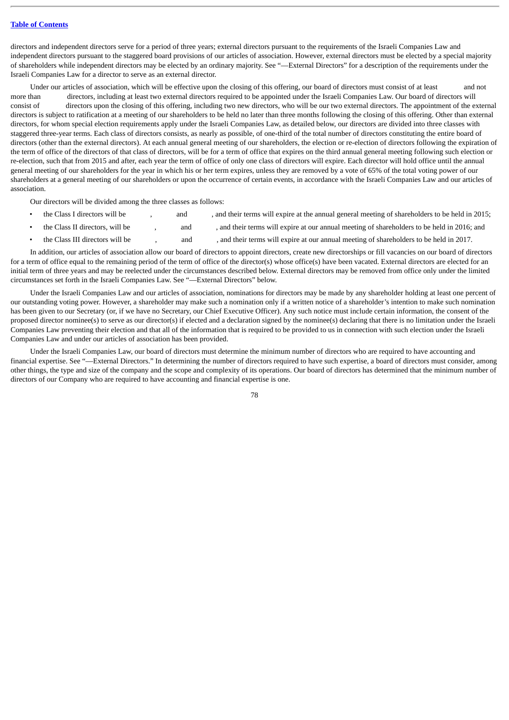directors and independent directors serve for a period of three years; external directors pursuant to the requirements of the Israeli Companies Law and independent directors pursuant to the staggered board provisions of our articles of association. However, external directors must be elected by a special majority of shareholders while independent directors may be elected by an ordinary majority. See "—External Directors" for a description of the requirements under the Israeli Companies Law for a director to serve as an external director.

Under our articles of association, which will be effective upon the closing of this offering, our board of directors must consist of at least and not more than directors, including at least two external directors required to be appointed under the Israeli Companies Law. Our board of directors will consist of directors upon the closing of this offering, including two new directors, who will be our two external directors. The appointment of the external directors is subject to ratification at a meeting of our shareholders to be held no later than three months following the closing of this offering. Other than external directors, for whom special election requirements apply under the Israeli Companies Law, as detailed below, our directors are divided into three classes with staggered three-year terms. Each class of directors consists, as nearly as possible, of one-third of the total number of directors constituting the entire board of directors (other than the external directors). At each annual general meeting of our shareholders, the election or re-election of directors following the expiration of the term of office of the directors of that class of directors, will be for a term of office that expires on the third annual general meeting following such election or re-election, such that from 2015 and after, each year the term of office of only one class of directors will expire. Each director will hold office until the annual general meeting of our shareholders for the year in which his or her term expires, unless they are removed by a vote of 65% of the total voting power of our shareholders at a general meeting of our shareholders or upon the occurrence of certain events, in accordance with the Israeli Companies Law and our articles of association.

Our directors will be divided among the three classes as follows:

- the Class I directors will be  $\qquad \qquad$ , and their terms will expire at the annual general meeting of shareholders to be held in 2015;
- the Class II directors, will be  $\qquad \qquad$ , and  $\qquad \qquad$ , and their terms will expire at our annual meeting of shareholders to be held in 2016; and
- the Class III directors will be  $\qquad \qquad$ , and their terms will expire at our annual meeting of shareholders to be held in 2017.

In addition, our articles of association allow our board of directors to appoint directors, create new directorships or fill vacancies on our board of directors for a term of office equal to the remaining period of the term of office of the director(s) whose office(s) have been vacated. External directors are elected for an initial term of three years and may be reelected under the circumstances described below. External directors may be removed from office only under the limited circumstances set forth in the Israeli Companies Law. See "—External Directors" below.

Under the Israeli Companies Law and our articles of association, nominations for directors may be made by any shareholder holding at least one percent of our outstanding voting power. However, a shareholder may make such a nomination only if a written notice of a shareholder's intention to make such nomination has been given to our Secretary (or, if we have no Secretary, our Chief Executive Officer). Any such notice must include certain information, the consent of the proposed director nominee(s) to serve as our director(s) if elected and a declaration signed by the nominee(s) declaring that there is no limitation under the Israeli Companies Law preventing their election and that all of the information that is required to be provided to us in connection with such election under the Israeli Companies Law and under our articles of association has been provided.

Under the Israeli Companies Law, our board of directors must determine the minimum number of directors who are required to have accounting and financial expertise. See "—External Directors." In determining the number of directors required to have such expertise, a board of directors must consider, among other things, the type and size of the company and the scope and complexity of its operations. Our board of directors has determined that the minimum number of directors of our Company who are required to have accounting and financial expertise is one.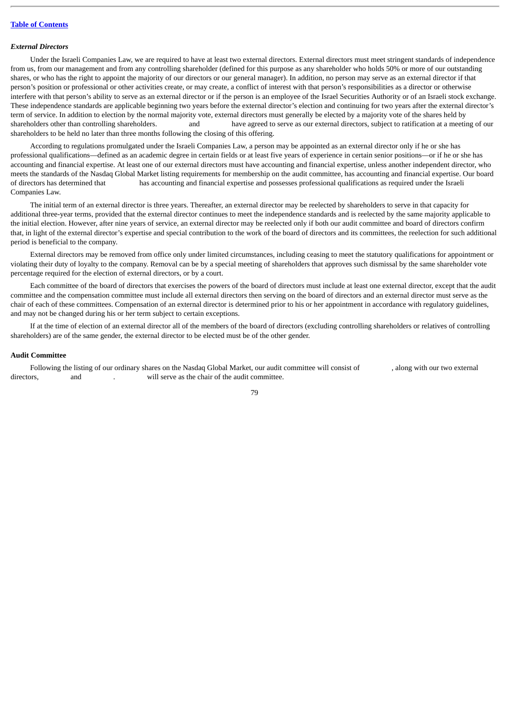## *External Directors*

Under the Israeli Companies Law, we are required to have at least two external directors. External directors must meet stringent standards of independence from us, from our management and from any controlling shareholder (defined for this purpose as any shareholder who holds 50% or more of our outstanding shares, or who has the right to appoint the majority of our directors or our general manager). In addition, no person may serve as an external director if that person's position or professional or other activities create, or may create, a conflict of interest with that person's responsibilities as a director or otherwise interfere with that person's ability to serve as an external director or if the person is an employee of the Israel Securities Authority or of an Israeli stock exchange. These independence standards are applicable beginning two years before the external director's election and continuing for two years after the external director's term of service. In addition to election by the normal majority vote, external directors must generally be elected by a majority vote of the shares held by shareholders other than controlling shareholders. and have agreed to serve as our external directors, subject to ratification at a meeting of our shareholders to be held no later than three months following the closing of this offering.

According to regulations promulgated under the Israeli Companies Law, a person may be appointed as an external director only if he or she has professional qualifications—defined as an academic degree in certain fields or at least five years of experience in certain senior positions—or if he or she has accounting and financial expertise. At least one of our external directors must have accounting and financial expertise, unless another independent director, who meets the standards of the Nasdaq Global Market listing requirements for membership on the audit committee, has accounting and financial expertise. Our board of directors has determined that has accounting and financial expertise and possesses professional qualifications as required under the Israeli Companies Law.

The initial term of an external director is three years. Thereafter, an external director may be reelected by shareholders to serve in that capacity for additional three-year terms, provided that the external director continues to meet the independence standards and is reelected by the same majority applicable to the initial election. However, after nine years of service, an external director may be reelected only if both our audit committee and board of directors confirm that, in light of the external director's expertise and special contribution to the work of the board of directors and its committees, the reelection for such additional period is beneficial to the company.

External directors may be removed from office only under limited circumstances, including ceasing to meet the statutory qualifications for appointment or violating their duty of loyalty to the company. Removal can be by a special meeting of shareholders that approves such dismissal by the same shareholder vote percentage required for the election of external directors, or by a court.

Each committee of the board of directors that exercises the powers of the board of directors must include at least one external director, except that the audit committee and the compensation committee must include all external directors then serving on the board of directors and an external director must serve as the chair of each of these committees. Compensation of an external director is determined prior to his or her appointment in accordance with regulatory guidelines, and may not be changed during his or her term subject to certain exceptions.

If at the time of election of an external director all of the members of the board of directors (excluding controlling shareholders or relatives of controlling shareholders) are of the same gender, the external director to be elected must be of the other gender.

## **Audit Committee**

Following the listing of our ordinary shares on the Nasdaq Global Market, our audit committee will consist of , along with our two external directors, and  $\qquad \qquad$  . will serve as the chair of the audit committee.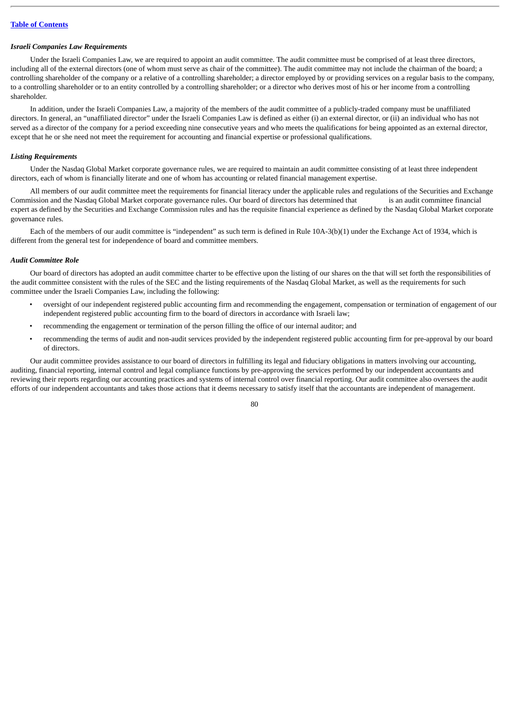### *Israeli Companies Law Requirements*

Under the Israeli Companies Law, we are required to appoint an audit committee. The audit committee must be comprised of at least three directors, including all of the external directors (one of whom must serve as chair of the committee). The audit committee may not include the chairman of the board; a controlling shareholder of the company or a relative of a controlling shareholder; a director employed by or providing services on a regular basis to the company, to a controlling shareholder or to an entity controlled by a controlling shareholder; or a director who derives most of his or her income from a controlling shareholder.

In addition, under the Israeli Companies Law, a majority of the members of the audit committee of a publicly-traded company must be unaffiliated directors. In general, an "unaffiliated director" under the Israeli Companies Law is defined as either (i) an external director, or (ii) an individual who has not served as a director of the company for a period exceeding nine consecutive years and who meets the qualifications for being appointed as an external director, except that he or she need not meet the requirement for accounting and financial expertise or professional qualifications.

### *Listing Requirements*

Under the Nasdaq Global Market corporate governance rules, we are required to maintain an audit committee consisting of at least three independent directors, each of whom is financially literate and one of whom has accounting or related financial management expertise.

All members of our audit committee meet the requirements for financial literacy under the applicable rules and regulations of the Securities and Exchange Commission and the Nasdaq Global Market corporate governance rules. Our board of directors has determined that is an audit committee financial expert as defined by the Securities and Exchange Commission rules and has the requisite financial experience as defined by the Nasdaq Global Market corporate governance rules.

Each of the members of our audit committee is "independent" as such term is defined in Rule 10A-3(b)(1) under the Exchange Act of 1934, which is different from the general test for independence of board and committee members.

#### *Audit Committee Role*

Our board of directors has adopted an audit committee charter to be effective upon the listing of our shares on the that will set forth the responsibilities of the audit committee consistent with the rules of the SEC and the listing requirements of the Nasdaq Global Market, as well as the requirements for such committee under the Israeli Companies Law, including the following:

- oversight of our independent registered public accounting firm and recommending the engagement, compensation or termination of engagement of our independent registered public accounting firm to the board of directors in accordance with Israeli law;
- recommending the engagement or termination of the person filling the office of our internal auditor; and
- recommending the terms of audit and non-audit services provided by the independent registered public accounting firm for pre-approval by our board of directors.

Our audit committee provides assistance to our board of directors in fulfilling its legal and fiduciary obligations in matters involving our accounting, auditing, financial reporting, internal control and legal compliance functions by pre-approving the services performed by our independent accountants and reviewing their reports regarding our accounting practices and systems of internal control over financial reporting. Our audit committee also oversees the audit efforts of our independent accountants and takes those actions that it deems necessary to satisfy itself that the accountants are independent of management.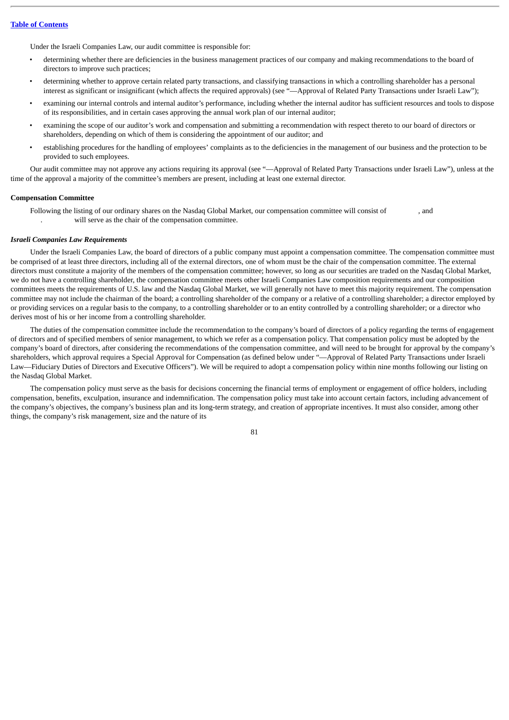Under the Israeli Companies Law, our audit committee is responsible for:

- determining whether there are deficiencies in the business management practices of our company and making recommendations to the board of directors to improve such practices;
- determining whether to approve certain related party transactions, and classifying transactions in which a controlling shareholder has a personal interest as significant or insignificant (which affects the required approvals) (see "—Approval of Related Party Transactions under Israeli Law");
- examining our internal controls and internal auditor's performance, including whether the internal auditor has sufficient resources and tools to dispose of its responsibilities, and in certain cases approving the annual work plan of our internal auditor;
- examining the scope of our auditor's work and compensation and submitting a recommendation with respect thereto to our board of directors or shareholders, depending on which of them is considering the appointment of our auditor; and
- establishing procedures for the handling of employees' complaints as to the deficiencies in the management of our business and the protection to be provided to such employees.

Our audit committee may not approve any actions requiring its approval (see "—Approval of Related Party Transactions under Israeli Law"), unless at the time of the approval a majority of the committee's members are present, including at least one external director.

#### **Compensation Committee**

Following the listing of our ordinary shares on the Nasdaq Global Market, our compensation committee will consist of , and . will serve as the chair of the compensation committee.

# *Israeli Companies Law Requirements*

Under the Israeli Companies Law, the board of directors of a public company must appoint a compensation committee. The compensation committee must be comprised of at least three directors, including all of the external directors, one of whom must be the chair of the compensation committee. The external directors must constitute a majority of the members of the compensation committee; however, so long as our securities are traded on the Nasdaq Global Market, we do not have a controlling shareholder, the compensation committee meets other Israeli Companies Law composition requirements and our composition committees meets the requirements of U.S. law and the Nasdaq Global Market, we will generally not have to meet this majority requirement. The compensation committee may not include the chairman of the board; a controlling shareholder of the company or a relative of a controlling shareholder; a director employed by or providing services on a regular basis to the company, to a controlling shareholder or to an entity controlled by a controlling shareholder; or a director who derives most of his or her income from a controlling shareholder.

The duties of the compensation committee include the recommendation to the company's board of directors of a policy regarding the terms of engagement of directors and of specified members of senior management, to which we refer as a compensation policy. That compensation policy must be adopted by the company's board of directors, after considering the recommendations of the compensation committee, and will need to be brought for approval by the company's shareholders, which approval requires a Special Approval for Compensation (as defined below under "—Approval of Related Party Transactions under Israeli Law—Fiduciary Duties of Directors and Executive Officers"). We will be required to adopt a compensation policy within nine months following our listing on the Nasdaq Global Market.

The compensation policy must serve as the basis for decisions concerning the financial terms of employment or engagement of office holders, including compensation, benefits, exculpation, insurance and indemnification. The compensation policy must take into account certain factors, including advancement of the company's objectives, the company's business plan and its long-term strategy, and creation of appropriate incentives. It must also consider, among other things, the company's risk management, size and the nature of its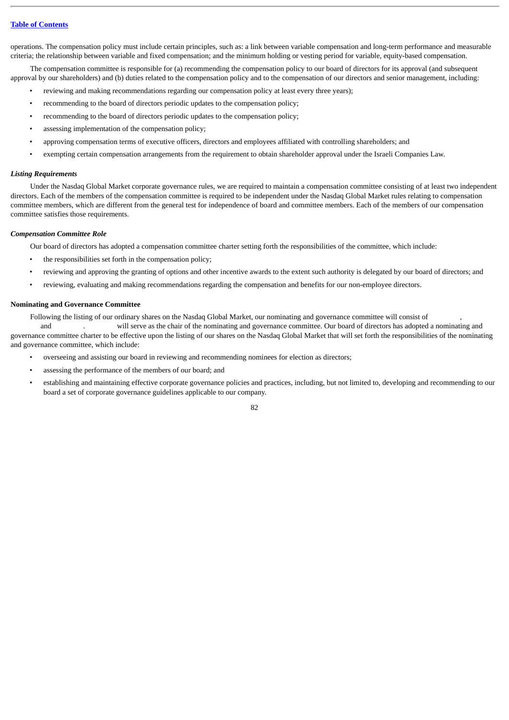operations. The compensation policy must include certain principles, such as: a link between variable compensation and long-term performance and measurable criteria; the relationship between variable and fixed compensation; and the minimum holding or vesting period for variable, equity-based compensation.

The compensation committee is responsible for (a) recommending the compensation policy to our board of directors for its approval (and subsequent approval by our shareholders) and (b) duties related to the compensation policy and to the compensation of our directors and senior management, including:

- reviewing and making recommendations regarding our compensation policy at least every three years);
- recommending to the board of directors periodic updates to the compensation policy;
- recommending to the board of directors periodic updates to the compensation policy;
- assessing implementation of the compensation policy;
- approving compensation terms of executive officers, directors and employees affiliated with controlling shareholders; and
- exempting certain compensation arrangements from the requirement to obtain shareholder approval under the Israeli Companies Law.

### *Listing Requirements*

Under the Nasdaq Global Market corporate governance rules, we are required to maintain a compensation committee consisting of at least two independent directors. Each of the members of the compensation committee is required to be independent under the Nasdaq Global Market rules relating to compensation committee members, which are different from the general test for independence of board and committee members. Each of the members of our compensation committee satisfies those requirements.

### *Compensation Committee Role*

Our board of directors has adopted a compensation committee charter setting forth the responsibilities of the committee, which include:

- the responsibilities set forth in the compensation policy;
- reviewing and approving the granting of options and other incentive awards to the extent such authority is delegated by our board of directors; and
- reviewing, evaluating and making recommendations regarding the compensation and benefits for our non-employee directors.

## **Nominating and Governance Committee**

Following the listing of our ordinary shares on the Nasdaq Global Market, our nominating and governance committee will consist of ,

 and . will serve as the chair of the nominating and governance committee. Our board of directors has adopted a nominating and governance committee charter to be effective upon the listing of our shares on the Nasdaq Global Market that will set forth the responsibilities of the nominating and governance committee, which include:

- overseeing and assisting our board in reviewing and recommending nominees for election as directors;
	- assessing the performance of the members of our board; and
- establishing and maintaining effective corporate governance policies and practices, including, but not limited to, developing and recommending to our board a set of corporate governance guidelines applicable to our company.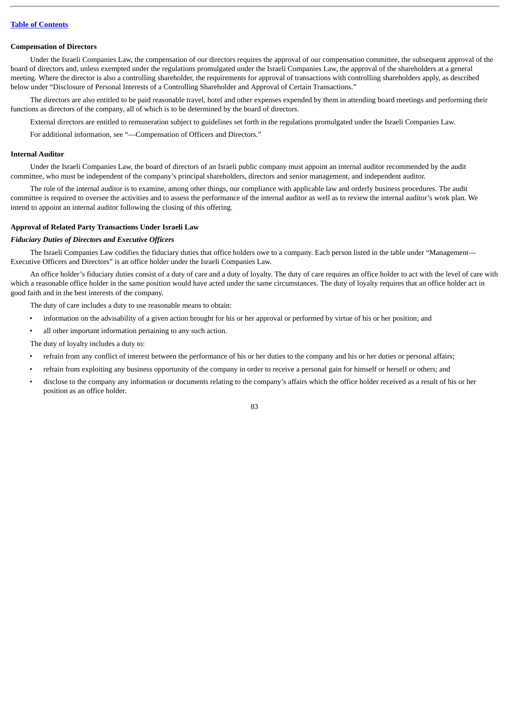### **Compensation of Directors**

Under the Israeli Companies Law, the compensation of our directors requires the approval of our compensation committee, the subsequent approval of the board of directors and, unless exempted under the regulations promulgated under the Israeli Companies Law, the approval of the shareholders at a general meeting. Where the director is also a controlling shareholder, the requirements for approval of transactions with controlling shareholders apply, as described below under "Disclosure of Personal Interests of a Controlling Shareholder and Approval of Certain Transactions."

The directors are also entitled to be paid reasonable travel, hotel and other expenses expended by them in attending board meetings and performing their functions as directors of the company, all of which is to be determined by the board of directors.

External directors are entitled to remuneration subject to guidelines set forth in the regulations promulgated under the Israeli Companies Law.

For additional information, see "—Compensation of Officers and Directors."

# **Internal Auditor**

Under the Israeli Companies Law, the board of directors of an Israeli public company must appoint an internal auditor recommended by the audit committee, who must be independent of the company's principal shareholders, directors and senior management, and independent auditor.

The role of the internal auditor is to examine, among other things, our compliance with applicable law and orderly business procedures. The audit committee is required to oversee the activities and to assess the performance of the internal auditor as well as to review the internal auditor's work plan. We intend to appoint an internal auditor following the closing of this offering.

### **Approval of Related Party Transactions Under Israeli Law**

# *Fiduciary Duties of Directors and Executive Officers*

The Israeli Companies Law codifies the fiduciary duties that office holders owe to a company. Each person listed in the table under "Management-Executive Officers and Directors" is an office holder under the Israeli Companies Law.

An office holder's fiduciary duties consist of a duty of care and a duty of loyalty. The duty of care requires an office holder to act with the level of care with which a reasonable office holder in the same position would have acted under the same circumstances. The duty of loyalty requires that an office holder act in good faith and in the best interests of the company.

The duty of care includes a duty to use reasonable means to obtain:

- information on the advisability of a given action brought for his or her approval or performed by virtue of his or her position; and
- all other important information pertaining to any such action.
- The duty of loyalty includes a duty to:
- refrain from any conflict of interest between the performance of his or her duties to the company and his or her duties or personal affairs;
- refrain from exploiting any business opportunity of the company in order to receive a personal gain for himself or herself or others; and
- disclose to the company any information or documents relating to the company's affairs which the office holder received as a result of his or her position as an office holder.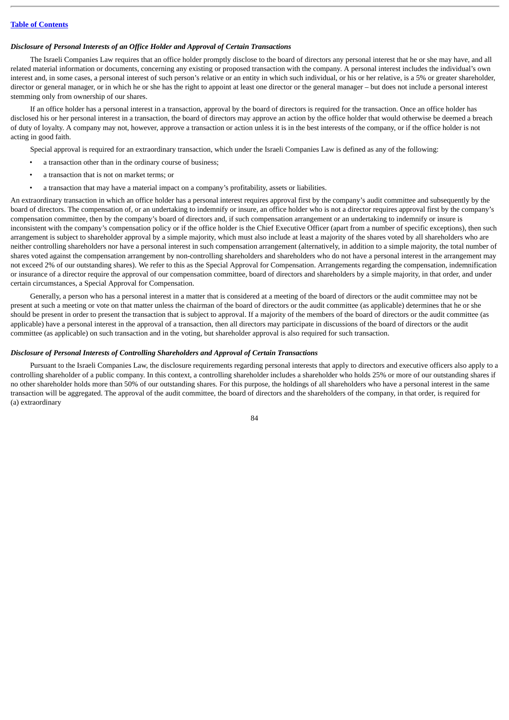### *Disclosure of Personal Interests of an Office Holder and Approval of Certain Transactions*

The Israeli Companies Law requires that an office holder promptly disclose to the board of directors any personal interest that he or she may have, and all related material information or documents, concerning any existing or proposed transaction with the company. A personal interest includes the individual's own interest and, in some cases, a personal interest of such person's relative or an entity in which such individual, or his or her relative, is a 5% or greater shareholder, director or general manager, or in which he or she has the right to appoint at least one director or the general manager – but does not include a personal interest stemming only from ownership of our shares.

If an office holder has a personal interest in a transaction, approval by the board of directors is required for the transaction. Once an office holder has disclosed his or her personal interest in a transaction, the board of directors may approve an action by the office holder that would otherwise be deemed a breach of duty of loyalty. A company may not, however, approve a transaction or action unless it is in the best interests of the company, or if the office holder is not acting in good faith.

- Special approval is required for an extraordinary transaction, which under the Israeli Companies Law is defined as any of the following:
- a transaction other than in the ordinary course of business;
- a transaction that is not on market terms; or
- a transaction that may have a material impact on a company's profitability, assets or liabilities.

An extraordinary transaction in which an office holder has a personal interest requires approval first by the company's audit committee and subsequently by the board of directors. The compensation of, or an undertaking to indemnify or insure, an office holder who is not a director requires approval first by the company's compensation committee, then by the company's board of directors and, if such compensation arrangement or an undertaking to indemnify or insure is inconsistent with the company's compensation policy or if the office holder is the Chief Executive Officer (apart from a number of specific exceptions), then such arrangement is subject to shareholder approval by a simple majority, which must also include at least a majority of the shares voted by all shareholders who are neither controlling shareholders nor have a personal interest in such compensation arrangement (alternatively, in addition to a simple majority, the total number of shares voted against the compensation arrangement by non-controlling shareholders and shareholders who do not have a personal interest in the arrangement may not exceed 2% of our outstanding shares). We refer to this as the Special Approval for Compensation. Arrangements regarding the compensation, indemnification or insurance of a director require the approval of our compensation committee, board of directors and shareholders by a simple majority, in that order, and under certain circumstances, a Special Approval for Compensation.

Generally, a person who has a personal interest in a matter that is considered at a meeting of the board of directors or the audit committee may not be present at such a meeting or vote on that matter unless the chairman of the board of directors or the audit committee (as applicable) determines that he or she should be present in order to present the transaction that is subject to approval. If a majority of the members of the board of directors or the audit committee (as applicable) have a personal interest in the approval of a transaction, then all directors may participate in discussions of the board of directors or the audit committee (as applicable) on such transaction and in the voting, but shareholder approval is also required for such transaction.

### *Disclosure of Personal Interests of Controlling Shareholders and Approval of Certain Transactions*

Pursuant to the Israeli Companies Law, the disclosure requirements regarding personal interests that apply to directors and executive officers also apply to a controlling shareholder of a public company. In this context, a controlling shareholder includes a shareholder who holds 25% or more of our outstanding shares if no other shareholder holds more than 50% of our outstanding shares. For this purpose, the holdings of all shareholders who have a personal interest in the same transaction will be aggregated. The approval of the audit committee, the board of directors and the shareholders of the company, in that order, is required for (a) extraordinary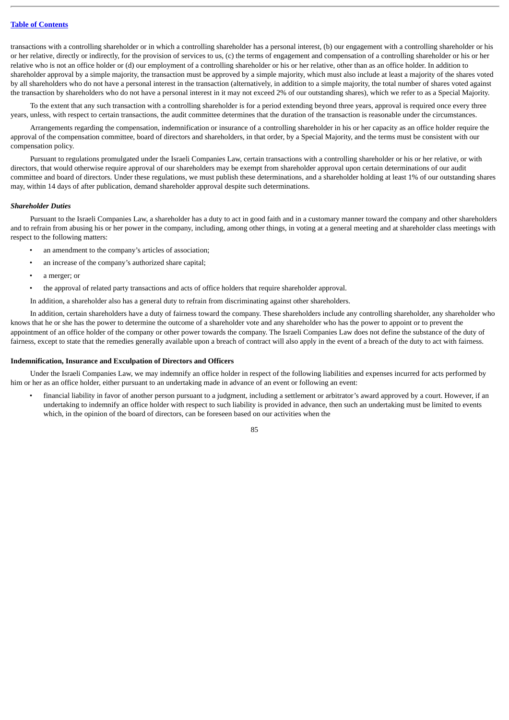transactions with a controlling shareholder or in which a controlling shareholder has a personal interest, (b) our engagement with a controlling shareholder or his or her relative, directly or indirectly, for the provision of services to us, (c) the terms of engagement and compensation of a controlling shareholder or his or her relative who is not an office holder or (d) our employment of a controlling shareholder or his or her relative, other than as an office holder. In addition to shareholder approval by a simple majority, the transaction must be approved by a simple majority, which must also include at least a majority of the shares voted by all shareholders who do not have a personal interest in the transaction (alternatively, in addition to a simple majority, the total number of shares voted against the transaction by shareholders who do not have a personal interest in it may not exceed 2% of our outstanding shares), which we refer to as a Special Majority.

To the extent that any such transaction with a controlling shareholder is for a period extending beyond three years, approval is required once every three years, unless, with respect to certain transactions, the audit committee determines that the duration of the transaction is reasonable under the circumstances.

Arrangements regarding the compensation, indemnification or insurance of a controlling shareholder in his or her capacity as an office holder require the approval of the compensation committee, board of directors and shareholders, in that order, by a Special Majority, and the terms must be consistent with our compensation policy.

Pursuant to regulations promulgated under the Israeli Companies Law, certain transactions with a controlling shareholder or his or her relative, or with directors, that would otherwise require approval of our shareholders may be exempt from shareholder approval upon certain determinations of our audit committee and board of directors. Under these regulations, we must publish these determinations, and a shareholder holding at least 1% of our outstanding shares may, within 14 days of after publication, demand shareholder approval despite such determinations.

#### *Shareholder Duties*

Pursuant to the Israeli Companies Law, a shareholder has a duty to act in good faith and in a customary manner toward the company and other shareholders and to refrain from abusing his or her power in the company, including, among other things, in voting at a general meeting and at shareholder class meetings with respect to the following matters:

- an amendment to the company's articles of association;
- an increase of the company's authorized share capital;
- a merger; or
- the approval of related party transactions and acts of office holders that require shareholder approval.

In addition, a shareholder also has a general duty to refrain from discriminating against other shareholders.

In addition, certain shareholders have a duty of fairness toward the company. These shareholders include any controlling shareholder, any shareholder who knows that he or she has the power to determine the outcome of a shareholder vote and any shareholder who has the power to appoint or to prevent the appointment of an office holder of the company or other power towards the company. The Israeli Companies Law does not define the substance of the duty of fairness, except to state that the remedies generally available upon a breach of contract will also apply in the event of a breach of the duty to act with fairness.

### **Indemnification, Insurance and Exculpation of Directors and Officers**

Under the Israeli Companies Law, we may indemnify an office holder in respect of the following liabilities and expenses incurred for acts performed by him or her as an office holder, either pursuant to an undertaking made in advance of an event or following an event:

• financial liability in favor of another person pursuant to a judgment, including a settlement or arbitrator's award approved by a court. However, if an undertaking to indemnify an office holder with respect to such liability is provided in advance, then such an undertaking must be limited to events which, in the opinion of the board of directors, can be foreseen based on our activities when the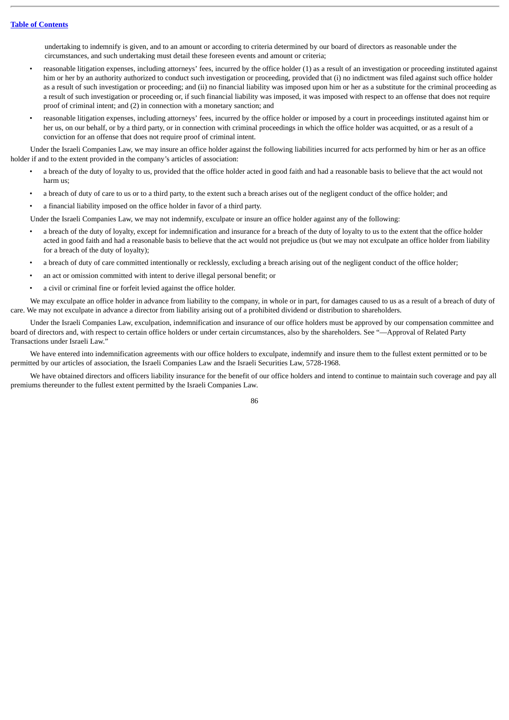undertaking to indemnify is given, and to an amount or according to criteria determined by our board of directors as reasonable under the circumstances, and such undertaking must detail these foreseen events and amount or criteria;

- reasonable litigation expenses, including attorneys' fees, incurred by the office holder (1) as a result of an investigation or proceeding instituted against him or her by an authority authorized to conduct such investigation or proceeding, provided that (i) no indictment was filed against such office holder as a result of such investigation or proceeding; and (ii) no financial liability was imposed upon him or her as a substitute for the criminal proceeding as a result of such investigation or proceeding or, if such financial liability was imposed, it was imposed with respect to an offense that does not require proof of criminal intent; and (2) in connection with a monetary sanction; and
- reasonable litigation expenses, including attorneys' fees, incurred by the office holder or imposed by a court in proceedings instituted against him or her us, on our behalf, or by a third party, or in connection with criminal proceedings in which the office holder was acquitted, or as a result of a conviction for an offense that does not require proof of criminal intent.

Under the Israeli Companies Law, we may insure an office holder against the following liabilities incurred for acts performed by him or her as an office holder if and to the extent provided in the company's articles of association:

- a breach of the duty of loyalty to us, provided that the office holder acted in good faith and had a reasonable basis to believe that the act would not harm us;
- a breach of duty of care to us or to a third party, to the extent such a breach arises out of the negligent conduct of the office holder; and
- a financial liability imposed on the office holder in favor of a third party.

Under the Israeli Companies Law, we may not indemnify, exculpate or insure an office holder against any of the following:

- a breach of the duty of loyalty, except for indemnification and insurance for a breach of the duty of loyalty to us to the extent that the office holder acted in good faith and had a reasonable basis to believe that the act would not prejudice us (but we may not exculpate an office holder from liability for a breach of the duty of loyalty);
- a breach of duty of care committed intentionally or recklessly, excluding a breach arising out of the negligent conduct of the office holder;
- an act or omission committed with intent to derive illegal personal benefit; or
- a civil or criminal fine or forfeit levied against the office holder.

We may exculpate an office holder in advance from liability to the company, in whole or in part, for damages caused to us as a result of a breach of duty of care. We may not exculpate in advance a director from liability arising out of a prohibited dividend or distribution to shareholders.

Under the Israeli Companies Law, exculpation, indemnification and insurance of our office holders must be approved by our compensation committee and board of directors and, with respect to certain office holders or under certain circumstances, also by the shareholders. See "—Approval of Related Party Transactions under Israeli Law."

We have entered into indemnification agreements with our office holders to exculpate, indemnify and insure them to the fullest extent permitted or to be permitted by our articles of association, the Israeli Companies Law and the Israeli Securities Law, 5728-1968.

We have obtained directors and officers liability insurance for the benefit of our office holders and intend to continue to maintain such coverage and pay all premiums thereunder to the fullest extent permitted by the Israeli Companies Law.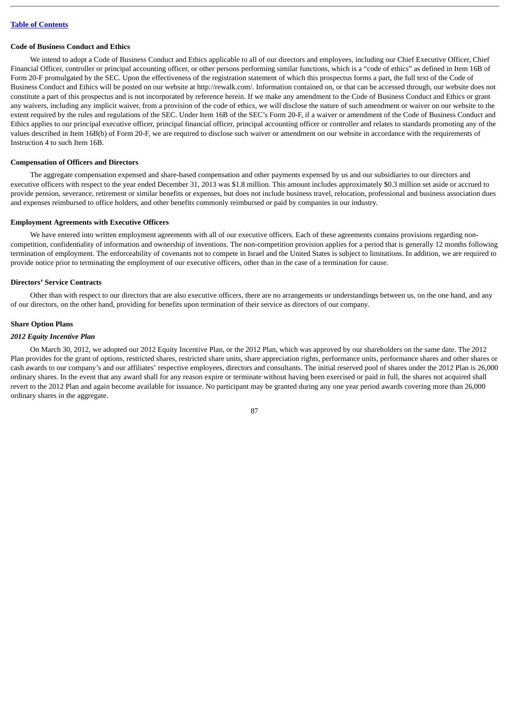# **Code of Business Conduct and Ethics**

We intend to adopt a Code of Business Conduct and Ethics applicable to all of our directors and employees, including our Chief Executive Officer, Chief Financial Officer, controller or principal accounting officer, or other persons performing similar functions, which is a "code of ethics" as defined in Item 16B of Form 20-F promulgated by the SEC. Upon the effectiveness of the registration statement of which this prospectus forms a part, the full text of the Code of Business Conduct and Ethics will be posted on our website at http://rewalk.com/*.* Information contained on, or that can be accessed through, our website does not constitute a part of this prospectus and is not incorporated by reference herein. If we make any amendment to the Code of Business Conduct and Ethics or grant any waivers, including any implicit waiver, from a provision of the code of ethics, we will disclose the nature of such amendment or waiver on our website to the extent required by the rules and regulations of the SEC. Under Item 16B of the SEC's Form 20-F, if a waiver or amendment of the Code of Business Conduct and Ethics applies to our principal executive officer, principal financial officer, principal accounting officer or controller and relates to standards promoting any of the values described in Item 16B(b) of Form 20-F, we are required to disclose such waiver or amendment on our website in accordance with the requirements of Instruction 4 to such Item 16B.

### **Compensation of Officers and Directors**

The aggregate compensation expensed and share-based compensation and other payments expensed by us and our subsidiaries to our directors and executive officers with respect to the year ended December 31, 2013 was \$1.8 million. This amount includes approximately \$0.3 million set aside or accrued to provide pension, severance, retirement or similar benefits or expenses, but does not include business travel, relocation, professional and business association dues and expenses reimbursed to office holders, and other benefits commonly reimbursed or paid by companies in our industry.

#### **Employment Agreements with Executive Officers**

We have entered into written employment agreements with all of our executive officers. Each of these agreements contains provisions regarding noncompetition, confidentiality of information and ownership of inventions. The non-competition provision applies for a period that is generally 12 months following termination of employment. The enforceability of covenants not to compete in Israel and the United States is subject to limitations. In addition, we are required to provide notice prior to terminating the employment of our executive officers, other than in the case of a termination for cause.

#### **Directors' Service Contracts**

Other than with respect to our directors that are also executive officers, there are no arrangements or understandings between us, on the one hand, and any of our directors, on the other hand, providing for benefits upon termination of their service as directors of our company.

### **Share Option Plans**

## *2012 Equity Incentive Plan*

On March 30, 2012, we adopted our 2012 Equity Incentive Plan, or the 2012 Plan, which was approved by our shareholders on the same date. The 2012 Plan provides for the grant of options, restricted shares, restricted share units, share appreciation rights, performance units, performance shares and other shares or cash awards to our company's and our affiliates' respective employees, directors and consultants. The initial reserved pool of shares under the 2012 Plan is 26,000 ordinary shares. In the event that any award shall for any reason expire or terminate without having been exercised or paid in full, the shares not acquired shall revert to the 2012 Plan and again become available for issuance. No participant may be granted during any one year period awards covering more than 26,000 ordinary shares in the aggregate.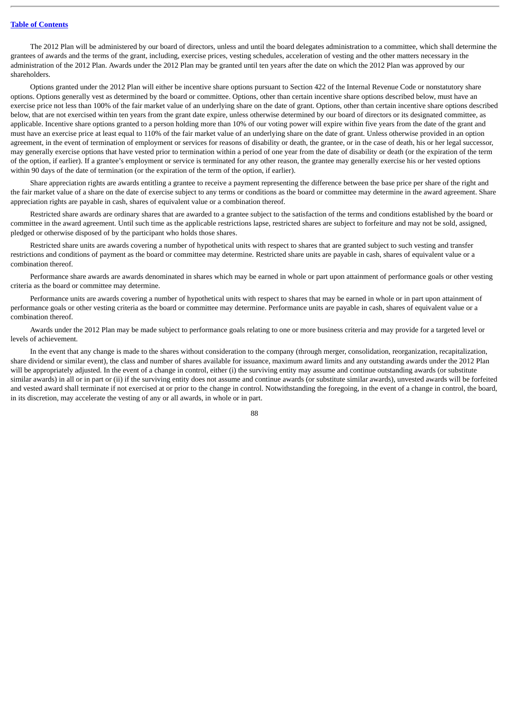The 2012 Plan will be administered by our board of directors, unless and until the board delegates administration to a committee, which shall determine the grantees of awards and the terms of the grant, including, exercise prices, vesting schedules, acceleration of vesting and the other matters necessary in the administration of the 2012 Plan. Awards under the 2012 Plan may be granted until ten years after the date on which the 2012 Plan was approved by our shareholders.

Options granted under the 2012 Plan will either be incentive share options pursuant to Section 422 of the Internal Revenue Code or nonstatutory share options. Options generally vest as determined by the board or committee. Options, other than certain incentive share options described below, must have an exercise price not less than 100% of the fair market value of an underlying share on the date of grant. Options, other than certain incentive share options described below, that are not exercised within ten years from the grant date expire, unless otherwise determined by our board of directors or its designated committee, as applicable. Incentive share options granted to a person holding more than 10% of our voting power will expire within five years from the date of the grant and must have an exercise price at least equal to 110% of the fair market value of an underlying share on the date of grant. Unless otherwise provided in an option agreement, in the event of termination of employment or services for reasons of disability or death, the grantee, or in the case of death, his or her legal successor, may generally exercise options that have vested prior to termination within a period of one year from the date of disability or death (or the expiration of the term of the option, if earlier). If a grantee's employment or service is terminated for any other reason, the grantee may generally exercise his or her vested options within 90 days of the date of termination (or the expiration of the term of the option, if earlier).

Share appreciation rights are awards entitling a grantee to receive a payment representing the difference between the base price per share of the right and the fair market value of a share on the date of exercise subject to any terms or conditions as the board or committee may determine in the award agreement. Share appreciation rights are payable in cash, shares of equivalent value or a combination thereof.

Restricted share awards are ordinary shares that are awarded to a grantee subject to the satisfaction of the terms and conditions established by the board or committee in the award agreement. Until such time as the applicable restrictions lapse, restricted shares are subject to forfeiture and may not be sold, assigned, pledged or otherwise disposed of by the participant who holds those shares.

Restricted share units are awards covering a number of hypothetical units with respect to shares that are granted subject to such vesting and transfer restrictions and conditions of payment as the board or committee may determine. Restricted share units are payable in cash, shares of equivalent value or a combination thereof.

Performance share awards are awards denominated in shares which may be earned in whole or part upon attainment of performance goals or other vesting criteria as the board or committee may determine.

Performance units are awards covering a number of hypothetical units with respect to shares that may be earned in whole or in part upon attainment of performance goals or other vesting criteria as the board or committee may determine. Performance units are payable in cash, shares of equivalent value or a combination thereof.

Awards under the 2012 Plan may be made subject to performance goals relating to one or more business criteria and may provide for a targeted level or levels of achievement.

In the event that any change is made to the shares without consideration to the company (through merger, consolidation, reorganization, recapitalization, share dividend or similar event), the class and number of shares available for issuance, maximum award limits and any outstanding awards under the 2012 Plan will be appropriately adjusted. In the event of a change in control, either (i) the surviving entity may assume and continue outstanding awards (or substitute similar awards) in all or in part or (ii) if the surviving entity does not assume and continue awards (or substitute similar awards), unvested awards will be forfeited and vested award shall terminate if not exercised at or prior to the change in control. Notwithstanding the foregoing, in the event of a change in control, the board, in its discretion, may accelerate the vesting of any or all awards, in whole or in part.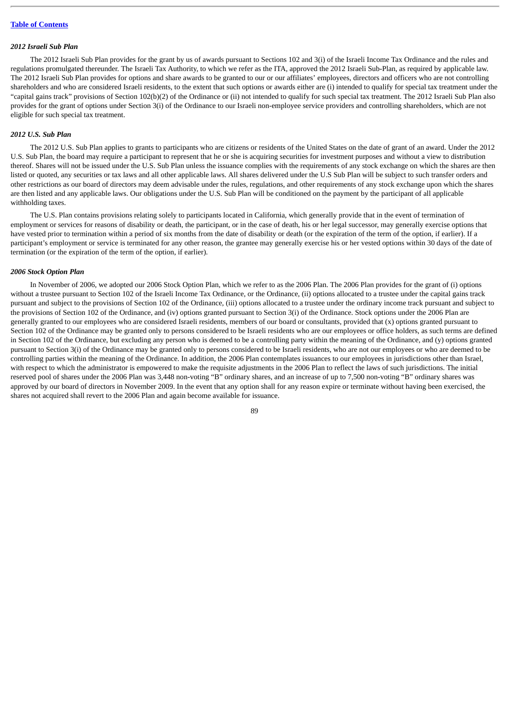## *2012 Israeli Sub Plan*

The 2012 Israeli Sub Plan provides for the grant by us of awards pursuant to Sections 102 and 3(i) of the Israeli Income Tax Ordinance and the rules and regulations promulgated thereunder. The Israeli Tax Authority, to which we refer as the ITA, approved the 2012 Israeli Sub-Plan, as required by applicable law. The 2012 Israeli Sub Plan provides for options and share awards to be granted to our or our affiliates' employees, directors and officers who are not controlling shareholders and who are considered Israeli residents, to the extent that such options or awards either are (i) intended to qualify for special tax treatment under the "capital gains track" provisions of Section 102(b)(2) of the Ordinance or (ii) not intended to qualify for such special tax treatment. The 2012 Israeli Sub Plan also provides for the grant of options under Section 3(i) of the Ordinance to our Israeli non-employee service providers and controlling shareholders, which are not eligible for such special tax treatment.

# *2012 U.S. Sub Plan*

The 2012 U.S. Sub Plan applies to grants to participants who are citizens or residents of the United States on the date of grant of an award. Under the 2012 U.S. Sub Plan, the board may require a participant to represent that he or she is acquiring securities for investment purposes and without a view to distribution thereof. Shares will not be issued under the U.S. Sub Plan unless the issuance complies with the requirements of any stock exchange on which the shares are then listed or quoted, any securities or tax laws and all other applicable laws. All shares delivered under the U.S Sub Plan will be subject to such transfer orders and other restrictions as our board of directors may deem advisable under the rules, regulations, and other requirements of any stock exchange upon which the shares are then listed and any applicable laws. Our obligations under the U.S. Sub Plan will be conditioned on the payment by the participant of all applicable withholding taxes.

The U.S. Plan contains provisions relating solely to participants located in California, which generally provide that in the event of termination of employment or services for reasons of disability or death, the participant, or in the case of death, his or her legal successor, may generally exercise options that have vested prior to termination within a period of six months from the date of disability or death (or the expiration of the term of the option, if earlier). If a participant's employment or service is terminated for any other reason, the grantee may generally exercise his or her vested options within 30 days of the date of termination (or the expiration of the term of the option, if earlier).

### *2006 Stock Option Plan*

In November of 2006, we adopted our 2006 Stock Option Plan, which we refer to as the 2006 Plan. The 2006 Plan provides for the grant of (i) options without a trustee pursuant to Section 102 of the Israeli Income Tax Ordinance, or the Ordinance, (ii) options allocated to a trustee under the capital gains track pursuant and subject to the provisions of Section 102 of the Ordinance, (iii) options allocated to a trustee under the ordinary income track pursuant and subject to the provisions of Section 102 of the Ordinance, and (iv) options granted pursuant to Section 3(i) of the Ordinance. Stock options under the 2006 Plan are generally granted to our employees who are considered Israeli residents, members of our board or consultants, provided that (x) options granted pursuant to Section 102 of the Ordinance may be granted only to persons considered to be Israeli residents who are our employees or office holders, as such terms are defined in Section 102 of the Ordinance, but excluding any person who is deemed to be a controlling party within the meaning of the Ordinance, and (y) options granted pursuant to Section 3(i) of the Ordinance may be granted only to persons considered to be Israeli residents, who are not our employees or who are deemed to be controlling parties within the meaning of the Ordinance. In addition, the 2006 Plan contemplates issuances to our employees in jurisdictions other than Israel, with respect to which the administrator is empowered to make the requisite adjustments in the 2006 Plan to reflect the laws of such jurisdictions. The initial reserved pool of shares under the 2006 Plan was 3,448 non-voting "B" ordinary shares, and an increase of up to 7,500 non-voting "B" ordinary shares was approved by our board of directors in November 2009. In the event that any option shall for any reason expire or terminate without having been exercised, the shares not acquired shall revert to the 2006 Plan and again become available for issuance.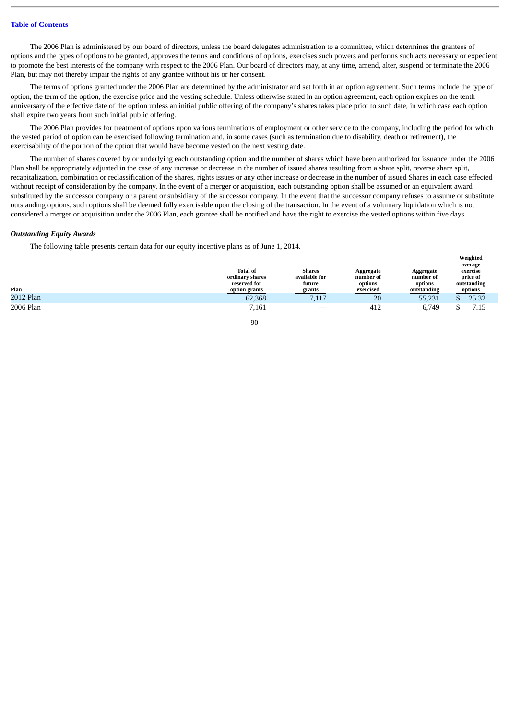The 2006 Plan is administered by our board of directors, unless the board delegates administration to a committee, which determines the grantees of options and the types of options to be granted, approves the terms and conditions of options, exercises such powers and performs such acts necessary or expedient to promote the best interests of the company with respect to the 2006 Plan. Our board of directors may, at any time, amend, alter, suspend or terminate the 2006 Plan, but may not thereby impair the rights of any grantee without his or her consent.

The terms of options granted under the 2006 Plan are determined by the administrator and set forth in an option agreement. Such terms include the type of option, the term of the option, the exercise price and the vesting schedule. Unless otherwise stated in an option agreement, each option expires on the tenth anniversary of the effective date of the option unless an initial public offering of the company's shares takes place prior to such date, in which case each option shall expire two years from such initial public offering.

The 2006 Plan provides for treatment of options upon various terminations of employment or other service to the company, including the period for which the vested period of option can be exercised following termination and, in some cases (such as termination due to disability, death or retirement), the exercisability of the portion of the option that would have become vested on the next vesting date.

The number of shares covered by or underlying each outstanding option and the number of shares which have been authorized for issuance under the 2006 Plan shall be appropriately adjusted in the case of any increase or decrease in the number of issued shares resulting from a share split, reverse share split, recapitalization, combination or reclassification of the shares, rights issues or any other increase or decrease in the number of issued Shares in each case effected without receipt of consideration by the company. In the event of a merger or acquisition, each outstanding option shall be assumed or an equivalent award substituted by the successor company or a parent or subsidiary of the successor company. In the event that the successor company refuses to assume or substitute outstanding options, such options shall be deemed fully exercisable upon the closing of the transaction. In the event of a voluntary liquidation which is not considered a merger or acquisition under the 2006 Plan, each grantee shall be notified and have the right to exercise the vested options within five days.

#### *Outstanding Equity Awards*

The following table presents certain data for our equity incentive plans as of June 1, 2014.

| Plan      | <b>Total of</b><br>ordinary shares<br>reserved for<br>option grants | <b>Shares</b><br>available for<br>future<br>grants | Aggregate<br>number of<br>options<br>exercised | Aggregate<br>number of<br>options<br>outstanding | average<br>exercise<br>price of<br>outstanding<br>options |
|-----------|---------------------------------------------------------------------|----------------------------------------------------|------------------------------------------------|--------------------------------------------------|-----------------------------------------------------------|
| 2012 Plan | 62,368                                                              | 7,117                                              | 20                                             | 55,231                                           | 25.32                                                     |
| 2006 Plan | 7,161                                                               |                                                    | 412                                            | 6,749                                            | 7.15                                                      |
|           | 90                                                                  |                                                    |                                                |                                                  |                                                           |

**Weighted**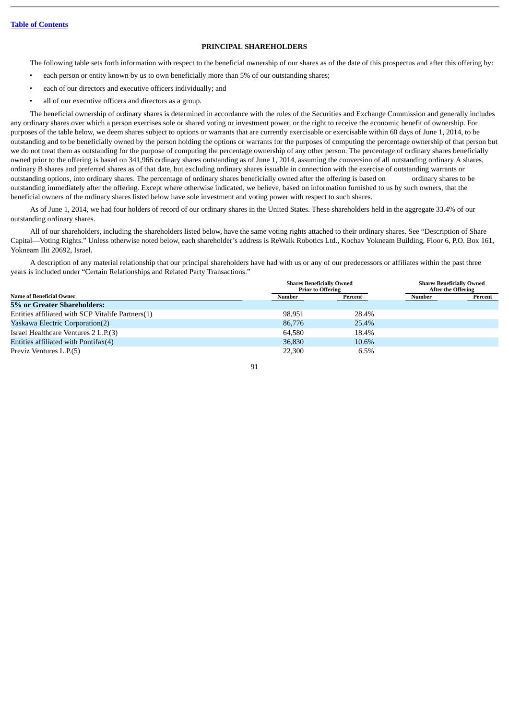# **PRINCIPAL SHAREHOLDERS**

The following table sets forth information with respect to the beneficial ownership of our shares as of the date of this prospectus and after this offering by:

- each person or entity known by us to own beneficially more than 5% of our outstanding shares;
- each of our directors and executive officers individually; and
- all of our executive officers and directors as a group.

The beneficial ownership of ordinary shares is determined in accordance with the rules of the Securities and Exchange Commission and generally includes any ordinary shares over which a person exercises sole or shared voting or investment power, or the right to receive the economic benefit of ownership. For purposes of the table below, we deem shares subject to options or warrants that are currently exercisable or exercisable within 60 days of June 1, 2014, to be outstanding and to be beneficially owned by the person holding the options or warrants for the purposes of computing the percentage ownership of that person but we do not treat them as outstanding for the purpose of computing the percentage ownership of any other person. The percentage of ordinary shares beneficially owned prior to the offering is based on 341,966 ordinary shares outstanding as of June 1, 2014, assuming the conversion of all outstanding ordinary A shares, ordinary B shares and preferred shares as of that date, but excluding ordinary shares issuable in connection with the exercise of outstanding warrants or outstanding options, into ordinary shares. The percentage of ordinary shares beneficially owned after the offering is based on ordinary shares to be outstanding immediately after the offering. Except where otherwise indicated, we believe, based on information furnished to us by such owners, that the beneficial owners of the ordinary shares listed below have sole investment and voting power with respect to such shares.

As of June 1, 2014, we had four holders of record of our ordinary shares in the United States. These shareholders held in the aggregate 33.4% of our outstanding ordinary shares.

All of our shareholders, including the shareholders listed below, have the same voting rights attached to their ordinary shares. See "Description of Share Capital—Voting Rights." Unless otherwise noted below, each shareholder's address is ReWalk Robotics Ltd., Kochav Yokneam Building, Floor 6, P.O. Box 161, Yokneam Ilit 20692, Israel.

A description of any material relationship that our principal shareholders have had with us or any of our predecessors or affiliates within the past three years is included under "Certain Relationships and Related Party Transactions."

|                                                   | <b>Shares Beneficially Owned</b><br><b>Prior to Offering</b> |         | <b>Shares Beneficially Owned</b><br><b>After the Offering</b> |         |
|---------------------------------------------------|--------------------------------------------------------------|---------|---------------------------------------------------------------|---------|
| <b>Name of Beneficial Owner</b>                   | Number                                                       | Percent | Number                                                        | Percent |
| 5% or Greater Shareholders:                       |                                                              |         |                                                               |         |
| Entities affiliated with SCP Vitalife Partners(1) | 98,951                                                       | 28.4%   |                                                               |         |
| <b>Yaskawa Electric Corporation(2)</b>            | 86,776                                                       | 25.4%   |                                                               |         |
| Israel Healthcare Ventures 2 L.P.(3)              | 64.580                                                       | 18.4%   |                                                               |         |
| Entities affiliated with Pontifax(4)              | 36,830                                                       | 10.6%   |                                                               |         |
| Previz Ventures L.P.(5)                           | 22,300                                                       | 6.5%    |                                                               |         |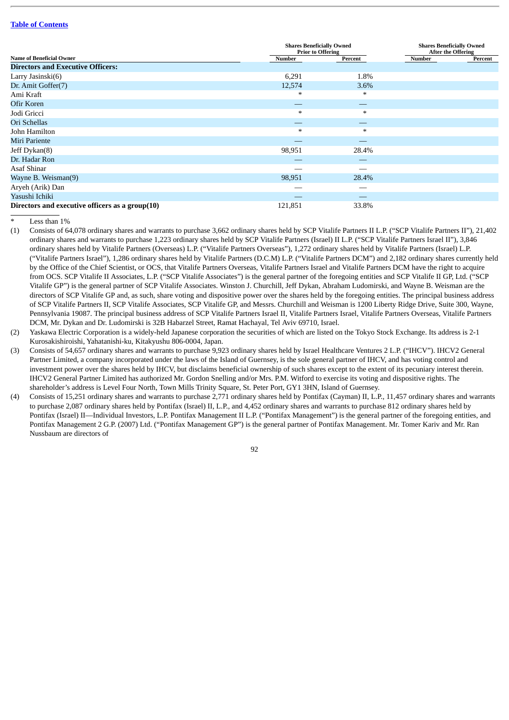|                                                 | <b>Shares Beneficially Owned</b><br><b>Prior to Offering</b> |         | <b>Shares Beneficially Owned</b><br><b>After the Offering</b> |         |  |
|-------------------------------------------------|--------------------------------------------------------------|---------|---------------------------------------------------------------|---------|--|
| <b>Name of Beneficial Owner</b>                 | Number                                                       | Percent | Number                                                        | Percent |  |
| <b>Directors and Executive Officers:</b>        |                                                              |         |                                                               |         |  |
| Larry Jasinski(6)                               | 6,291                                                        | 1.8%    |                                                               |         |  |
| Dr. Amit Goffer(7)                              | 12,574                                                       | 3.6%    |                                                               |         |  |
| Ami Kraft                                       | ∗                                                            | $\ast$  |                                                               |         |  |
| Ofir Koren                                      |                                                              |         |                                                               |         |  |
| Jodi Gricci                                     | $\ast$                                                       | $\ast$  |                                                               |         |  |
| Ori Schellas                                    | __                                                           | __      |                                                               |         |  |
| John Hamilton                                   | $\ast$                                                       | $\ast$  |                                                               |         |  |
| Miri Pariente                                   |                                                              |         |                                                               |         |  |
| Jeff Dykan(8)                                   | 98,951                                                       | 28.4%   |                                                               |         |  |
| Dr. Hadar Ron                                   |                                                              |         |                                                               |         |  |
| Asaf Shinar                                     |                                                              |         |                                                               |         |  |
| Wayne B. Weisman(9)                             | 98,951                                                       | 28.4%   |                                                               |         |  |
| Aryeh (Arik) Dan                                |                                                              |         |                                                               |         |  |
| Yasushi Ichiki                                  |                                                              |         |                                                               |         |  |
| Directors and executive officers as a group(10) | 121,851                                                      | 33.8%   |                                                               |         |  |

Less than  $1%$ 

(1) Consists of 64,078 ordinary shares and warrants to purchase 3,662 ordinary shares held by SCP Vitalife Partners II L.P. ("SCP Vitalife Partners II"), 21,402 ordinary shares and warrants to purchase 1,223 ordinary shares held by SCP Vitalife Partners (Israel) II L.P. ("SCP Vitalife Partners Israel II"), 3,846 ordinary shares held by Vitalife Partners (Overseas) L.P. ("Vitalife Partners Overseas"), 1,272 ordinary shares held by Vitalife Partners (Israel) L.P. ("Vitalife Partners Israel"), 1,286 ordinary shares held by Vitalife Partners (D.C.M) L.P. ("Vitalife Partners DCM") and 2,182 ordinary shares currently held by the Office of the Chief Scientist, or OCS, that Vitalife Partners Overseas, Vitalife Partners Israel and Vitalife Partners DCM have the right to acquire from OCS. SCP Vitalife II Associates, L.P. ("SCP Vitalife Associates") is the general partner of the foregoing entities and SCP Vitalife II GP, Ltd. ("SCP Vitalife GP") is the general partner of SCP Vitalife Associates. Winston J. Churchill, Jeff Dykan, Abraham Ludomirski, and Wayne B. Weisman are the directors of SCP Vitalife GP and, as such, share voting and dispositive power over the shares held by the foregoing entities. The principal business address of SCP Vitalife Partners II, SCP Vitalife Associates, SCP Vitalife GP, and Messrs. Churchill and Weisman is 1200 Liberty Ridge Drive, Suite 300, Wayne, Pennsylvania 19087. The principal business address of SCP Vitalife Partners Israel II, Vitalife Partners Israel, Vitalife Partners Overseas, Vitalife Partners DCM, Mr. Dykan and Dr. Ludomirski is 32B Habarzel Street, Ramat Hachayal, Tel Aviv 69710, Israel.

(2) Yaskawa Electric Corporation is a widely-held Japanese corporation the securities of which are listed on the Tokyo Stock Exchange. Its address is 2-1 Kurosakishiroishi, Yahatanishi-ku, Kitakyushu 806-0004, Japan.

- (3) Consists of 54,657 ordinary shares and warrants to purchase 9,923 ordinary shares held by Israel Healthcare Ventures 2 L.P. ("IHCV"). IHCV2 General Partner Limited, a company incorporated under the laws of the Island of Guernsey, is the sole general partner of IHCV, and has voting control and investment power over the shares held by IHCV, but disclaims beneficial ownership of such shares except to the extent of its pecuniary interest therein. IHCV2 General Partner Limited has authorized Mr. Gordon Snelling and/or Mrs. P.M. Witford to exercise its voting and dispositive rights. The shareholder's address is Level Four North, Town Mills Trinity Square, St. Peter Port, GY1 3HN, Island of Guernsey.
- (4) Consists of 15,251 ordinary shares and warrants to purchase 2,771 ordinary shares held by Pontifax (Cayman) II, L.P., 11,457 ordinary shares and warrants to purchase 2,087 ordinary shares held by Pontifax (Israel) II, L.P., and 4,452 ordinary shares and warrants to purchase 812 ordinary shares held by Pontifax (Israel) II—Individual Investors, L.P. Pontifax Management II L.P. ("Pontifax Management") is the general partner of the foregoing entities, and Pontifax Management 2 G.P. (2007) Ltd. ("Pontifax Management GP") is the general partner of Pontifax Management. Mr. Tomer Kariv and Mr. Ran Nussbaum are directors of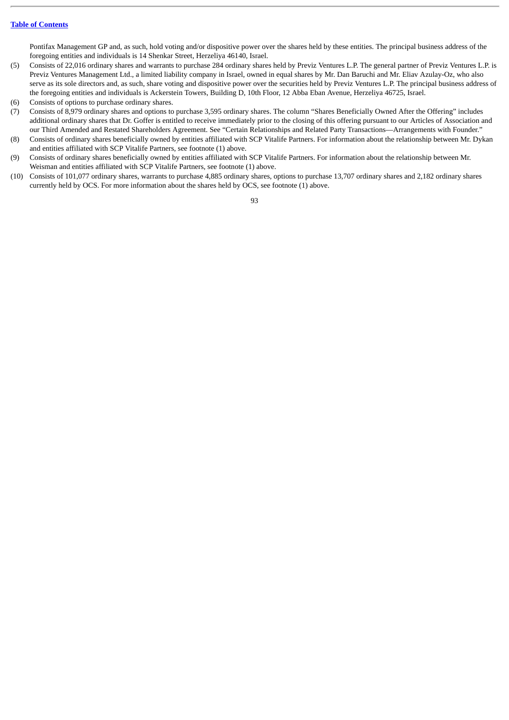Pontifax Management GP and, as such, hold voting and/or dispositive power over the shares held by these entities. The principal business address of the foregoing entities and individuals is 14 Shenkar Street, Herzeliya 46140, Israel.

- (5) Consists of 22,016 ordinary shares and warrants to purchase 284 ordinary shares held by Previz Ventures L.P. The general partner of Previz Ventures L.P. is Previz Ventures Management Ltd., a limited liability company in Israel, owned in equal shares by Mr. Dan Baruchi and Mr. Eliav Azulay-Oz, who also serve as its sole directors and, as such, share voting and dispositive power over the securities held by Previz Ventures L.P. The principal business address of the foregoing entities and individuals is Ackerstein Towers, Building D, 10th Floor, 12 Abba Eban Avenue, Herzeliya 46725, Israel.
- (6) Consists of options to purchase ordinary shares.
- (7) Consists of 8,979 ordinary shares and options to purchase 3,595 ordinary shares. The column "Shares Beneficially Owned After the Offering" includes additional ordinary shares that Dr. Goffer is entitled to receive immediately prior to the closing of this offering pursuant to our Articles of Association and our Third Amended and Restated Shareholders Agreement. See "Certain Relationships and Related Party Transactions—Arrangements with Founder."
- (8) Consists of ordinary shares beneficially owned by entities affiliated with SCP Vitalife Partners. For information about the relationship between Mr. Dykan and entities affiliated with SCP Vitalife Partners, see footnote (1) above.
- (9) Consists of ordinary shares beneficially owned by entities affiliated with SCP Vitalife Partners. For information about the relationship between Mr. Weisman and entities affiliated with SCP Vitalife Partners, see footnote (1) above.
- (10) Consists of 101,077 ordinary shares, warrants to purchase 4,885 ordinary shares, options to purchase 13,707 ordinary shares and 2,182 ordinary shares currently held by OCS. For more information about the shares held by OCS, see footnote (1) above.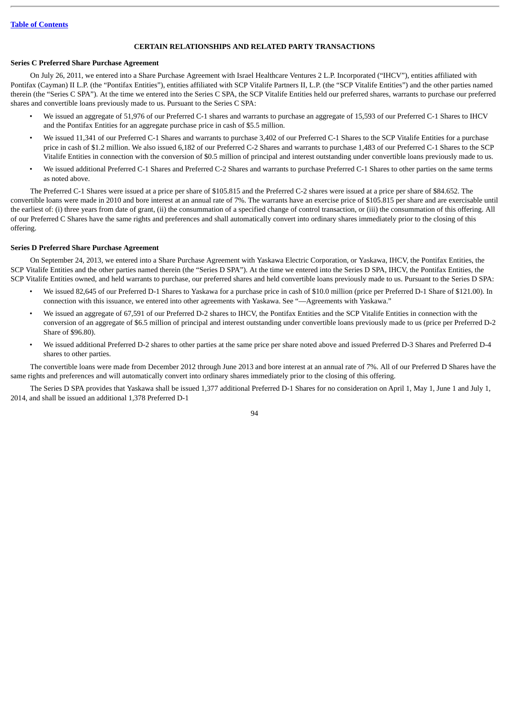# **CERTAIN RELATIONSHIPS AND RELATED PARTY TRANSACTIONS**

# **Series C Preferred Share Purchase Agreement**

On July 26, 2011, we entered into a Share Purchase Agreement with Israel Healthcare Ventures 2 L.P. Incorporated ("IHCV"), entities affiliated with Pontifax (Cayman) II L.P. (the "Pontifax Entities"), entities affiliated with SCP Vitalife Partners II, L.P. (the "SCP Vitalife Entities") and the other parties named therein (the "Series C SPA"). At the time we entered into the Series C SPA, the SCP Vitalife Entities held our preferred shares, warrants to purchase our preferred shares and convertible loans previously made to us. Pursuant to the Series C SPA:

- We issued an aggregate of 51,976 of our Preferred C-1 shares and warrants to purchase an aggregate of 15,593 of our Preferred C-1 Shares to IHCV and the Pontifax Entities for an aggregate purchase price in cash of \$5.5 million.
- We issued 11,341 of our Preferred C-1 Shares and warrants to purchase 3,402 of our Preferred C-1 Shares to the SCP Vitalife Entities for a purchase price in cash of \$1.2 million. We also issued 6,182 of our Preferred C-2 Shares and warrants to purchase 1,483 of our Preferred C-1 Shares to the SCP Vitalife Entities in connection with the conversion of \$0.5 million of principal and interest outstanding under convertible loans previously made to us.
- We issued additional Preferred C-1 Shares and Preferred C-2 Shares and warrants to purchase Preferred C-1 Shares to other parties on the same terms as noted above.

The Preferred C-1 Shares were issued at a price per share of \$105.815 and the Preferred C-2 shares were issued at a price per share of \$84.652. The convertible loans were made in 2010 and bore interest at an annual rate of 7%. The warrants have an exercise price of \$105.815 per share and are exercisable until the earliest of: (i) three years from date of grant, (ii) the consummation of a specified change of control transaction, or (iii) the consummation of this offering. All of our Preferred C Shares have the same rights and preferences and shall automatically convert into ordinary shares immediately prior to the closing of this offering.

# **Series D Preferred Share Purchase Agreement**

On September 24, 2013, we entered into a Share Purchase Agreement with Yaskawa Electric Corporation, or Yaskawa, IHCV, the Pontifax Entities, the SCP Vitalife Entities and the other parties named therein (the "Series D SPA"). At the time we entered into the Series D SPA, IHCV, the Pontifax Entities, the SCP Vitalife Entities owned, and held warrants to purchase, our preferred shares and held convertible loans previously made to us. Pursuant to the Series D SPA:

- We issued 82,645 of our Preferred D-1 Shares to Yaskawa for a purchase price in cash of \$10.0 million (price per Preferred D-1 Share of \$121.00). In connection with this issuance, we entered into other agreements with Yaskawa. See "—Agreements with Yaskawa."
- We issued an aggregate of 67,591 of our Preferred D-2 shares to IHCV, the Pontifax Entities and the SCP Vitalife Entities in connection with the conversion of an aggregate of \$6.5 million of principal and interest outstanding under convertible loans previously made to us (price per Preferred D-2 Share of \$96.80).
- We issued additional Preferred D-2 shares to other parties at the same price per share noted above and issued Preferred D-3 Shares and Preferred D-4 shares to other parties.

The convertible loans were made from December 2012 through June 2013 and bore interest at an annual rate of 7%. All of our Preferred D Shares have the same rights and preferences and will automatically convert into ordinary shares immediately prior to the closing of this offering.

The Series D SPA provides that Yaskawa shall be issued 1,377 additional Preferred D-1 Shares for no consideration on April 1, May 1, June 1 and July 1, 2014, and shall be issued an additional 1,378 Preferred D-1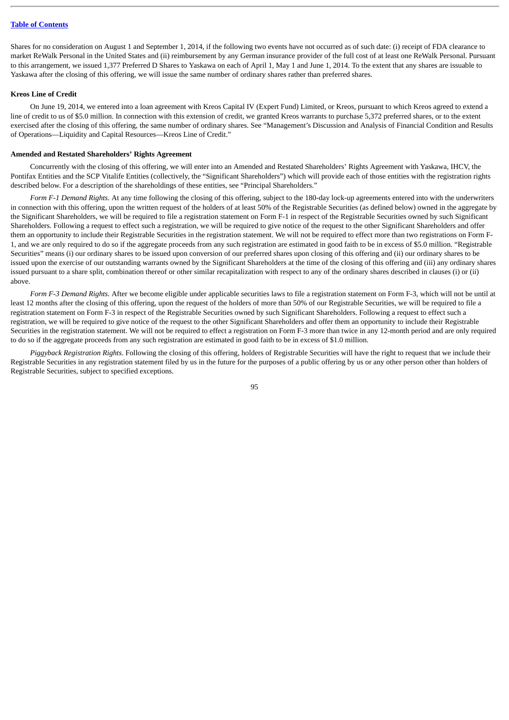Shares for no consideration on August 1 and September 1, 2014, if the following two events have not occurred as of such date: (i) receipt of FDA clearance to market ReWalk Personal in the United States and (ii) reimbursement by any German insurance provider of the full cost of at least one ReWalk Personal. Pursuant to this arrangement, we issued 1,377 Preferred D Shares to Yaskawa on each of April 1, May 1 and June 1, 2014. To the extent that any shares are issuable to Yaskawa after the closing of this offering, we will issue the same number of ordinary shares rather than preferred shares.

### **Kreos Line of Credit**

On June 19, 2014, we entered into a loan agreement with Kreos Capital IV (Expert Fund) Limited, or Kreos, pursuant to which Kreos agreed to extend a line of credit to us of \$5.0 million. In connection with this extension of credit, we granted Kreos warrants to purchase 5,372 preferred shares, or to the extent exercised after the closing of this offering, the same number of ordinary shares. See "Management's Discussion and Analysis of Financial Condition and Results of Operations—Liquidity and Capital Resources—Kreos Line of Credit."

# **Amended and Restated Shareholders' Rights Agreement**

Concurrently with the closing of this offering, we will enter into an Amended and Restated Shareholders' Rights Agreement with Yaskawa, IHCV, the Pontifax Entities and the SCP Vitalife Entities (collectively, the "Significant Shareholders") which will provide each of those entities with the registration rights described below. For a description of the shareholdings of these entities, see "Principal Shareholders."

*Form F-1 Demand Rights*. At any time following the closing of this offering, subject to the 180-day lock-up agreements entered into with the underwriters in connection with this offering, upon the written request of the holders of at least 50% of the Registrable Securities (as defined below) owned in the aggregate by the Significant Shareholders, we will be required to file a registration statement on Form F-1 in respect of the Registrable Securities owned by such Significant Shareholders. Following a request to effect such a registration, we will be required to give notice of the request to the other Significant Shareholders and offer them an opportunity to include their Registrable Securities in the registration statement. We will not be required to effect more than two registrations on Form F-1, and we are only required to do so if the aggregate proceeds from any such registration are estimated in good faith to be in excess of \$5.0 million. "Registrable Securities" means (i) our ordinary shares to be issued upon conversion of our preferred shares upon closing of this offering and (ii) our ordinary shares to be issued upon the exercise of our outstanding warrants owned by the Significant Shareholders at the time of the closing of this offering and (iii) any ordinary shares issued pursuant to a share split, combination thereof or other similar recapitalization with respect to any of the ordinary shares described in clauses (i) or (ii) above.

*Form F-3 Demand Rights.* After we become eligible under applicable securities laws to file a registration statement on Form F-3, which will not be until at least 12 months after the closing of this offering, upon the request of the holders of more than 50% of our Registrable Securities, we will be required to file a registration statement on Form F-3 in respect of the Registrable Securities owned by such Significant Shareholders. Following a request to effect such a registration, we will be required to give notice of the request to the other Significant Shareholders and offer them an opportunity to include their Registrable Securities in the registration statement. We will not be required to effect a registration on Form F-3 more than twice in any 12-month period and are only required to do so if the aggregate proceeds from any such registration are estimated in good faith to be in excess of \$1.0 million.

*Piggyback Registration Rights*. Following the closing of this offering, holders of Registrable Securities will have the right to request that we include their Registrable Securities in any registration statement filed by us in the future for the purposes of a public offering by us or any other person other than holders of Registrable Securities, subject to specified exceptions.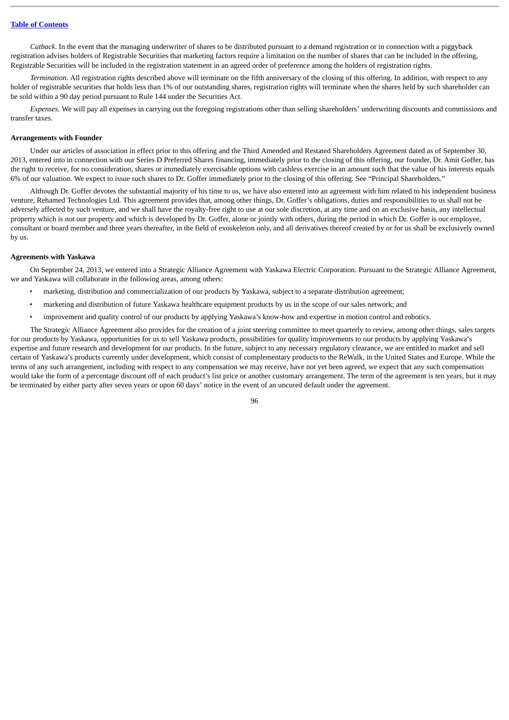*Cutback*. In the event that the managing underwriter of shares to be distributed pursuant to a demand registration or in connection with a piggyback registration advises holders of Registrable Securities that marketing factors require a limitation on the number of shares that can be included in the offering, Registrable Securities will be included in the registration statement in an agreed order of preference among the holders of registration rights.

*Termination*. All registration rights described above will terminate on the fifth anniversary of the closing of this offering. In addition, with respect to any holder of registrable securities that holds less than 1% of our outstanding shares, registration rights will terminate when the shares held by such shareholder can be sold within a 90 day period pursuant to Rule 144 under the Securities Act.

*Expenses*. We will pay all expenses in carrying out the foregoing registrations other than selling shareholders' underwriting discounts and commissions and transfer taxes.

### **Arrangements with Founder**

Under our articles of association in effect prior to this offering and the Third Amended and Restated Shareholders Agreement dated as of September 30, 2013, entered into in connection with our Series D Preferred Shares financing, immediately prior to the closing of this offering, our founder, Dr. Amit Goffer, has the right to receive, for no consideration, shares or immediately exercisable options with cashless exercise in an amount such that the value of his interests equals 6% of our valuation. We expect to issue such shares to Dr. Goffer immediately prior to the closing of this offering. See "Principal Shareholders."

Although Dr. Goffer devotes the substantial majority of his time to us, we have also entered into an agreement with him related to his independent business venture, Rehamed Technologies Ltd. This agreement provides that, among other things, Dr. Goffer's obligations, duties and responsibilities to us shall not be adversely affected by such venture, and we shall have the royalty-free right to use at our sole discretion, at any time and on an exclusive basis, any intellectual property which is not our property and which is developed by Dr. Goffer, alone or jointly with others, during the period in which Dr. Goffer is our employee, consultant or board member and three years thereafter, in the field of exoskeleton only, and all derivatives thereof created by or for us shall be exclusively owned by us.

## **Agreements with Yaskawa**

On September 24, 2013, we entered into a Strategic Alliance Agreement with Yaskawa Electric Corporation. Pursuant to the Strategic Alliance Agreement, we and Yaskawa will collaborate in the following areas, among others:

- marketing, distribution and commercialization of our products by Yaskawa, subject to a separate distribution agreement;
- marketing and distribution of future Yaskawa healthcare equipment products by us in the scope of our sales network; and
- improvement and quality control of our products by applying Yaskawa's know-how and expertise in motion control and robotics.

The Strategic Alliance Agreement also provides for the creation of a joint steering committee to meet quarterly to review, among other things, sales targets for our products by Yaskawa, opportunities for us to sell Yaskawa products, possibilities for quality improvements to our products by applying Yaskawa's expertise and future research and development for our products. In the future, subject to any necessary regulatory clearance, we are entitled to market and sell certain of Yaskawa's products currently under development, which consist of complementary products to the ReWalk, in the United States and Europe. While the terms of any such arrangement, including with respect to any compensation we may receive, have not yet been agreed, we expect that any such compensation would take the form of a percentage discount off of each product's list price or another customary arrangement. The term of the agreement is ten years, but it may be terminated by either party after seven years or upon 60 days' notice in the event of an uncured default under the agreement.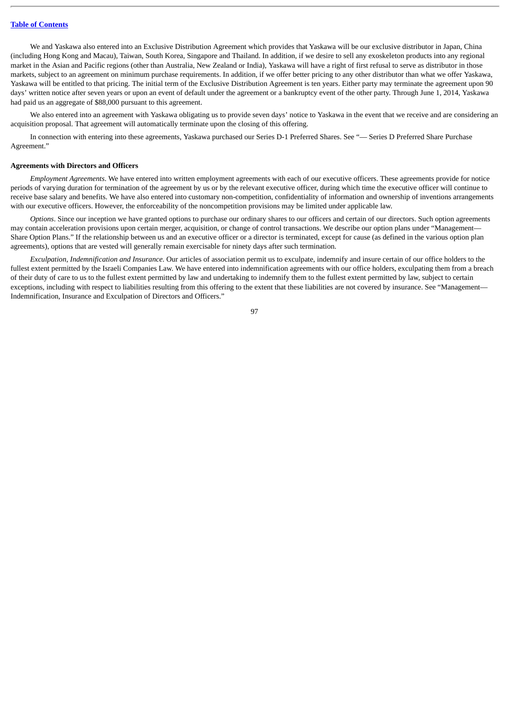We and Yaskawa also entered into an Exclusive Distribution Agreement which provides that Yaskawa will be our exclusive distributor in Japan, China (including Hong Kong and Macau), Taiwan, South Korea, Singapore and Thailand. In addition, if we desire to sell any exoskeleton products into any regional market in the Asian and Pacific regions (other than Australia, New Zealand or India), Yaskawa will have a right of first refusal to serve as distributor in those markets, subject to an agreement on minimum purchase requirements. In addition, if we offer better pricing to any other distributor than what we offer Yaskawa, Yaskawa will be entitled to that pricing. The initial term of the Exclusive Distribution Agreement is ten years. Either party may terminate the agreement upon 90 days' written notice after seven years or upon an event of default under the agreement or a bankruptcy event of the other party. Through June 1, 2014, Yaskawa had paid us an aggregate of \$88,000 pursuant to this agreement.

We also entered into an agreement with Yaskawa obligating us to provide seven days' notice to Yaskawa in the event that we receive and are considering an acquisition proposal. That agreement will automatically terminate upon the closing of this offering.

In connection with entering into these agreements, Yaskawa purchased our Series D-1 Preferred Shares. See "— Series D Preferred Share Purchase Agreement."

### **Agreements with Directors and Officers**

*Employment Agreements*. We have entered into written employment agreements with each of our executive officers. These agreements provide for notice periods of varying duration for termination of the agreement by us or by the relevant executive officer, during which time the executive officer will continue to receive base salary and benefits. We have also entered into customary non-competition, confidentiality of information and ownership of inventions arrangements with our executive officers. However, the enforceability of the noncompetition provisions may be limited under applicable law.

*Options*. Since our inception we have granted options to purchase our ordinary shares to our officers and certain of our directors. Such option agreements may contain acceleration provisions upon certain merger, acquisition, or change of control transactions. We describe our option plans under "Management-Share Option Plans." If the relationship between us and an executive officer or a director is terminated, except for cause (as defined in the various option plan agreements), options that are vested will generally remain exercisable for ninety days after such termination.

*Exculpation, Indemnification and Insurance*. Our articles of association permit us to exculpate, indemnify and insure certain of our office holders to the fullest extent permitted by the Israeli Companies Law. We have entered into indemnification agreements with our office holders, exculpating them from a breach of their duty of care to us to the fullest extent permitted by law and undertaking to indemnify them to the fullest extent permitted by law, subject to certain exceptions, including with respect to liabilities resulting from this offering to the extent that these liabilities are not covered by insurance. See "Management— Indemnification, Insurance and Exculpation of Directors and Officers."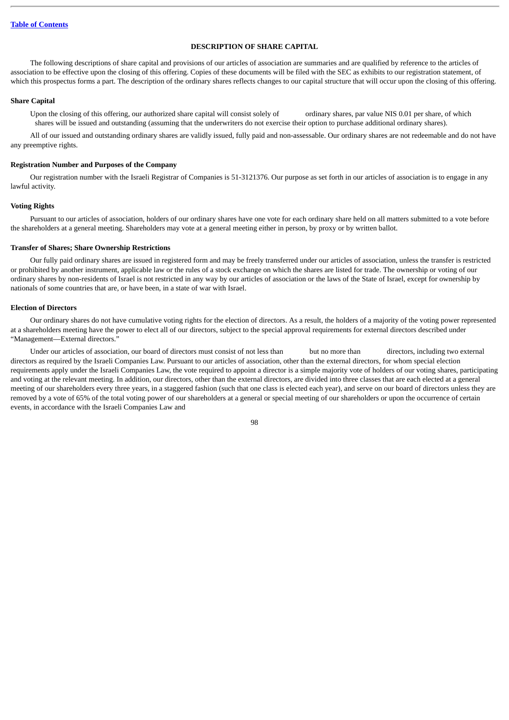# **DESCRIPTION OF SHARE CAPITAL**

The following descriptions of share capital and provisions of our articles of association are summaries and are qualified by reference to the articles of association to be effective upon the closing of this offering. Copies of these documents will be filed with the SEC as exhibits to our registration statement, of which this prospectus forms a part. The description of the ordinary shares reflects changes to our capital structure that will occur upon the closing of this offering.

#### **Share Capital**

Upon the closing of this offering, our authorized share capital will consist solely of ordinary shares, par value NIS 0.01 per share, of which shares will be issued and outstanding (assuming that the underwriters do not exercise their option to purchase additional ordinary shares).

All of our issued and outstanding ordinary shares are validly issued, fully paid and non-assessable. Our ordinary shares are not redeemable and do not have any preemptive rights.

### **Registration Number and Purposes of the Company**

Our registration number with the Israeli Registrar of Companies is 51-3121376. Our purpose as set forth in our articles of association is to engage in any lawful activity.

#### **Voting Rights**

Pursuant to our articles of association, holders of our ordinary shares have one vote for each ordinary share held on all matters submitted to a vote before the shareholders at a general meeting. Shareholders may vote at a general meeting either in person, by proxy or by written ballot.

### **Transfer of Shares; Share Ownership Restrictions**

Our fully paid ordinary shares are issued in registered form and may be freely transferred under our articles of association, unless the transfer is restricted or prohibited by another instrument, applicable law or the rules of a stock exchange on which the shares are listed for trade. The ownership or voting of our ordinary shares by non-residents of Israel is not restricted in any way by our articles of association or the laws of the State of Israel, except for ownership by nationals of some countries that are, or have been, in a state of war with Israel.

# **Election of Directors**

Our ordinary shares do not have cumulative voting rights for the election of directors. As a result, the holders of a majority of the voting power represented at a shareholders meeting have the power to elect all of our directors, subject to the special approval requirements for external directors described under "Management—External directors."

Under our articles of association, our board of directors must consist of not less than but no more than directors, including two external directors as required by the Israeli Companies Law. Pursuant to our articles of association, other than the external directors, for whom special election requirements apply under the Israeli Companies Law, the vote required to appoint a director is a simple majority vote of holders of our voting shares, participating and voting at the relevant meeting. In addition, our directors, other than the external directors, are divided into three classes that are each elected at a general meeting of our shareholders every three years, in a staggered fashion (such that one class is elected each year), and serve on our board of directors unless they are removed by a vote of 65% of the total voting power of our shareholders at a general or special meeting of our shareholders or upon the occurrence of certain events, in accordance with the Israeli Companies Law and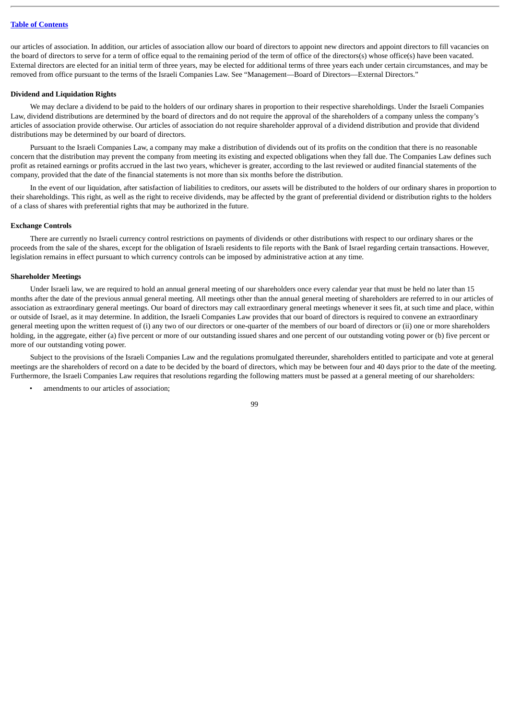our articles of association. In addition, our articles of association allow our board of directors to appoint new directors and appoint directors to fill vacancies on the board of directors to serve for a term of office equal to the remaining period of the term of office of the directors(s) whose office(s) have been vacated. External directors are elected for an initial term of three years, may be elected for additional terms of three years each under certain circumstances, and may be removed from office pursuant to the terms of the Israeli Companies Law. See "Management—Board of Directors—External Directors."

### **Dividend and Liquidation Rights**

We may declare a dividend to be paid to the holders of our ordinary shares in proportion to their respective shareholdings. Under the Israeli Companies Law, dividend distributions are determined by the board of directors and do not require the approval of the shareholders of a company unless the company's articles of association provide otherwise. Our articles of association do not require shareholder approval of a dividend distribution and provide that dividend distributions may be determined by our board of directors.

Pursuant to the Israeli Companies Law, a company may make a distribution of dividends out of its profits on the condition that there is no reasonable concern that the distribution may prevent the company from meeting its existing and expected obligations when they fall due. The Companies Law defines such profit as retained earnings or profits accrued in the last two years, whichever is greater, according to the last reviewed or audited financial statements of the company, provided that the date of the financial statements is not more than six months before the distribution.

In the event of our liquidation, after satisfaction of liabilities to creditors, our assets will be distributed to the holders of our ordinary shares in proportion to their shareholdings. This right, as well as the right to receive dividends, may be affected by the grant of preferential dividend or distribution rights to the holders of a class of shares with preferential rights that may be authorized in the future.

#### **Exchange Controls**

There are currently no Israeli currency control restrictions on payments of dividends or other distributions with respect to our ordinary shares or the proceeds from the sale of the shares, except for the obligation of Israeli residents to file reports with the Bank of Israel regarding certain transactions. However, legislation remains in effect pursuant to which currency controls can be imposed by administrative action at any time.

# **Shareholder Meetings**

Under Israeli law, we are required to hold an annual general meeting of our shareholders once every calendar year that must be held no later than 15 months after the date of the previous annual general meeting. All meetings other than the annual general meeting of shareholders are referred to in our articles of association as extraordinary general meetings. Our board of directors may call extraordinary general meetings whenever it sees fit, at such time and place, within or outside of Israel, as it may determine. In addition, the Israeli Companies Law provides that our board of directors is required to convene an extraordinary general meeting upon the written request of (i) any two of our directors or one-quarter of the members of our board of directors or (ii) one or more shareholders holding, in the aggregate, either (a) five percent or more of our outstanding issued shares and one percent of our outstanding voting power or (b) five percent or more of our outstanding voting power.

Subject to the provisions of the Israeli Companies Law and the regulations promulgated thereunder, shareholders entitled to participate and vote at general meetings are the shareholders of record on a date to be decided by the board of directors, which may be between four and 40 days prior to the date of the meeting. Furthermore, the Israeli Companies Law requires that resolutions regarding the following matters must be passed at a general meeting of our shareholders:

amendments to our articles of association;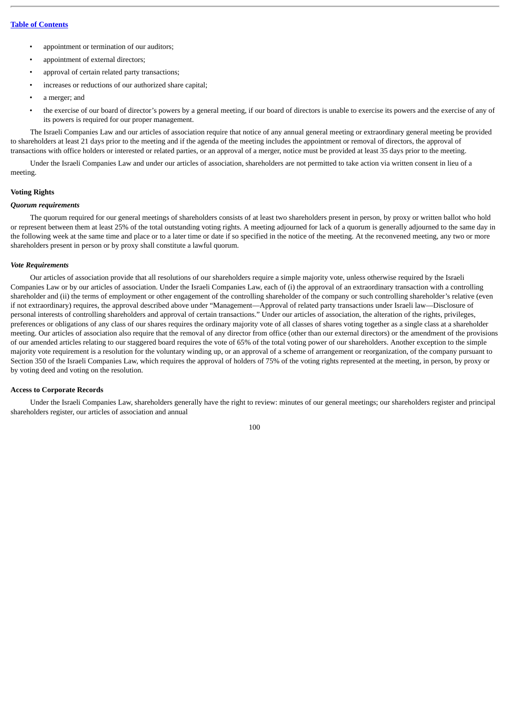- appointment or termination of our auditors;
- appointment of external directors;
- approval of certain related party transactions;
- increases or reductions of our authorized share capital;
- a merger; and
- the exercise of our board of director's powers by a general meeting, if our board of directors is unable to exercise its powers and the exercise of any of its powers is required for our proper management.

The Israeli Companies Law and our articles of association require that notice of any annual general meeting or extraordinary general meeting be provided to shareholders at least 21 days prior to the meeting and if the agenda of the meeting includes the appointment or removal of directors, the approval of transactions with office holders or interested or related parties, or an approval of a merger, notice must be provided at least 35 days prior to the meeting.

Under the Israeli Companies Law and under our articles of association, shareholders are not permitted to take action via written consent in lieu of a meeting.

## **Voting Rights**

### *Quorum requirements*

The quorum required for our general meetings of shareholders consists of at least two shareholders present in person, by proxy or written ballot who hold or represent between them at least 25% of the total outstanding voting rights. A meeting adjourned for lack of a quorum is generally adjourned to the same day in the following week at the same time and place or to a later time or date if so specified in the notice of the meeting. At the reconvened meeting, any two or more shareholders present in person or by proxy shall constitute a lawful quorum.

#### *Vote Requirements*

Our articles of association provide that all resolutions of our shareholders require a simple majority vote, unless otherwise required by the Israeli Companies Law or by our articles of association. Under the Israeli Companies Law, each of (i) the approval of an extraordinary transaction with a controlling shareholder and (ii) the terms of employment or other engagement of the controlling shareholder of the company or such controlling shareholder's relative (even if not extraordinary) requires, the approval described above under "Management—Approval of related party transactions under Israeli law—Disclosure of personal interests of controlling shareholders and approval of certain transactions." Under our articles of association, the alteration of the rights, privileges, preferences or obligations of any class of our shares requires the ordinary majority vote of all classes of shares voting together as a single class at a shareholder meeting. Our articles of association also require that the removal of any director from office (other than our external directors) or the amendment of the provisions of our amended articles relating to our staggered board requires the vote of 65% of the total voting power of our shareholders. Another exception to the simple majority vote requirement is a resolution for the voluntary winding up, or an approval of a scheme of arrangement or reorganization, of the company pursuant to Section 350 of the Israeli Companies Law, which requires the approval of holders of 75% of the voting rights represented at the meeting, in person, by proxy or by voting deed and voting on the resolution.

### **Access to Corporate Records**

Under the Israeli Companies Law, shareholders generally have the right to review: minutes of our general meetings; our shareholders register and principal shareholders register, our articles of association and annual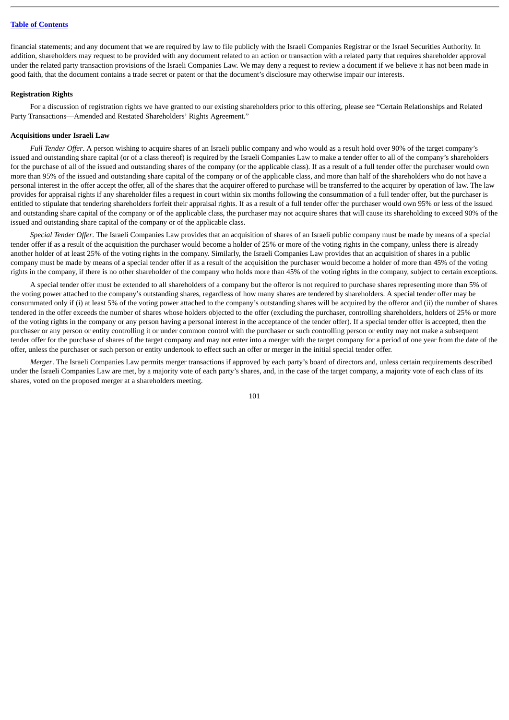financial statements; and any document that we are required by law to file publicly with the Israeli Companies Registrar or the Israel Securities Authority. In addition, shareholders may request to be provided with any document related to an action or transaction with a related party that requires shareholder approval under the related party transaction provisions of the Israeli Companies Law. We may deny a request to review a document if we believe it has not been made in good faith, that the document contains a trade secret or patent or that the document's disclosure may otherwise impair our interests.

### **Registration Rights**

For a discussion of registration rights we have granted to our existing shareholders prior to this offering, please see "Certain Relationships and Related Party Transactions—Amended and Restated Shareholders' Rights Agreement."

### **Acquisitions under Israeli Law**

*Full Tender Offer*. A person wishing to acquire shares of an Israeli public company and who would as a result hold over 90% of the target company's issued and outstanding share capital (or of a class thereof) is required by the Israeli Companies Law to make a tender offer to all of the company's shareholders for the purchase of all of the issued and outstanding shares of the company (or the applicable class). If as a result of a full tender offer the purchaser would own more than 95% of the issued and outstanding share capital of the company or of the applicable class, and more than half of the shareholders who do not have a personal interest in the offer accept the offer, all of the shares that the acquirer offered to purchase will be transferred to the acquirer by operation of law. The law provides for appraisal rights if any shareholder files a request in court within six months following the consummation of a full tender offer, but the purchaser is entitled to stipulate that tendering shareholders forfeit their appraisal rights. If as a result of a full tender offer the purchaser would own 95% or less of the issued and outstanding share capital of the company or of the applicable class, the purchaser may not acquire shares that will cause its shareholding to exceed 90% of the issued and outstanding share capital of the company or of the applicable class.

*Special Tender Offer*. The Israeli Companies Law provides that an acquisition of shares of an Israeli public company must be made by means of a special tender offer if as a result of the acquisition the purchaser would become a holder of 25% or more of the voting rights in the company, unless there is already another holder of at least 25% of the voting rights in the company. Similarly, the Israeli Companies Law provides that an acquisition of shares in a public company must be made by means of a special tender offer if as a result of the acquisition the purchaser would become a holder of more than 45% of the voting rights in the company, if there is no other shareholder of the company who holds more than 45% of the voting rights in the company, subject to certain exceptions.

A special tender offer must be extended to all shareholders of a company but the offeror is not required to purchase shares representing more than 5% of the voting power attached to the company's outstanding shares, regardless of how many shares are tendered by shareholders. A special tender offer may be consummated only if (i) at least 5% of the voting power attached to the company's outstanding shares will be acquired by the offeror and (ii) the number of shares tendered in the offer exceeds the number of shares whose holders objected to the offer (excluding the purchaser, controlling shareholders, holders of 25% or more of the voting rights in the company or any person having a personal interest in the acceptance of the tender offer). If a special tender offer is accepted, then the purchaser or any person or entity controlling it or under common control with the purchaser or such controlling person or entity may not make a subsequent tender offer for the purchase of shares of the target company and may not enter into a merger with the target company for a period of one year from the date of the offer, unless the purchaser or such person or entity undertook to effect such an offer or merger in the initial special tender offer.

*Merger*. The Israeli Companies Law permits merger transactions if approved by each party's board of directors and, unless certain requirements described under the Israeli Companies Law are met, by a majority vote of each party's shares, and, in the case of the target company, a majority vote of each class of its shares, voted on the proposed merger at a shareholders meeting.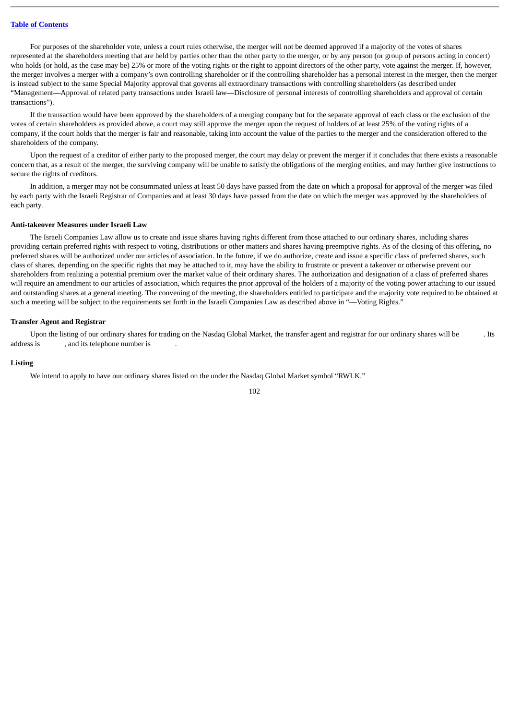For purposes of the shareholder vote, unless a court rules otherwise, the merger will not be deemed approved if a majority of the votes of shares represented at the shareholders meeting that are held by parties other than the other party to the merger, or by any person (or group of persons acting in concert) who holds (or hold, as the case may be) 25% or more of the voting rights or the right to appoint directors of the other party, vote against the merger. If, however, the merger involves a merger with a company's own controlling shareholder or if the controlling shareholder has a personal interest in the merger, then the merger is instead subject to the same Special Majority approval that governs all extraordinary transactions with controlling shareholders (as described under "Management—Approval of related party transactions under Israeli law—Disclosure of personal interests of controlling shareholders and approval of certain transactions").

If the transaction would have been approved by the shareholders of a merging company but for the separate approval of each class or the exclusion of the votes of certain shareholders as provided above, a court may still approve the merger upon the request of holders of at least 25% of the voting rights of a company, if the court holds that the merger is fair and reasonable, taking into account the value of the parties to the merger and the consideration offered to the shareholders of the company.

Upon the request of a creditor of either party to the proposed merger, the court may delay or prevent the merger if it concludes that there exists a reasonable concern that, as a result of the merger, the surviving company will be unable to satisfy the obligations of the merging entities, and may further give instructions to secure the rights of creditors.

In addition, a merger may not be consummated unless at least 50 days have passed from the date on which a proposal for approval of the merger was filed by each party with the Israeli Registrar of Companies and at least 30 days have passed from the date on which the merger was approved by the shareholders of each party.

#### **Anti-takeover Measures under Israeli Law**

The Israeli Companies Law allow us to create and issue shares having rights different from those attached to our ordinary shares, including shares providing certain preferred rights with respect to voting, distributions or other matters and shares having preemptive rights. As of the closing of this offering, no preferred shares will be authorized under our articles of association. In the future, if we do authorize, create and issue a specific class of preferred shares, such class of shares, depending on the specific rights that may be attached to it, may have the ability to frustrate or prevent a takeover or otherwise prevent our shareholders from realizing a potential premium over the market value of their ordinary shares. The authorization and designation of a class of preferred shares will require an amendment to our articles of association, which requires the prior approval of the holders of a majority of the voting power attaching to our issued and outstanding shares at a general meeting. The convening of the meeting, the shareholders entitled to participate and the majority vote required to be obtained at such a meeting will be subject to the requirements set forth in the Israeli Companies Law as described above in "—Voting Rights."

## **Transfer Agent and Registrar**

Upon the listing of our ordinary shares for trading on the Nasdaq Global Market, the transfer agent and registrar for our ordinary shares will be . Its address is , and its telephone number is

# **Listing**

We intend to apply to have our ordinary shares listed on the under the Nasdaq Global Market symbol "RWLK."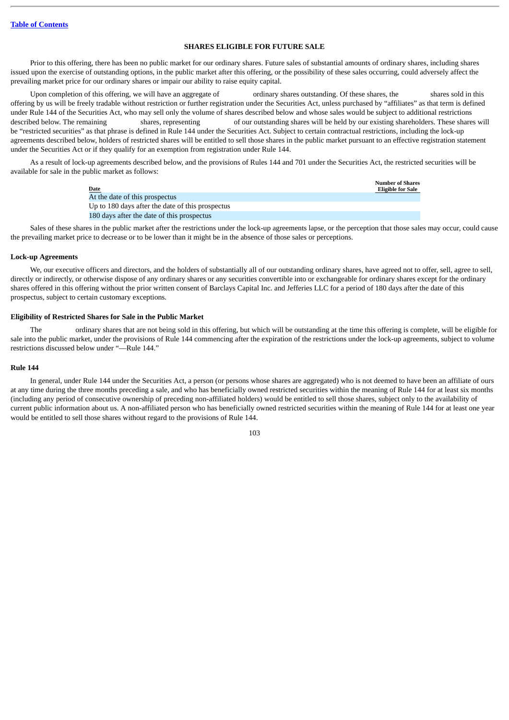### **SHARES ELIGIBLE FOR FUTURE SALE**

Prior to this offering, there has been no public market for our ordinary shares. Future sales of substantial amounts of ordinary shares, including shares issued upon the exercise of outstanding options, in the public market after this offering, or the possibility of these sales occurring, could adversely affect the prevailing market price for our ordinary shares or impair our ability to raise equity capital.

Upon completion of this offering, we will have an aggregate of ordinary shares outstanding. Of these shares, the shares sold in this offering by us will be freely tradable without restriction or further registration under the Securities Act, unless purchased by "affiliates" as that term is defined under Rule 144 of the Securities Act, who may sell only the volume of shares described below and whose sales would be subject to additional restrictions described below. The remaining shares, representing of our outstanding shares will be held by our existing shareholders. These shares will be "restricted securities" as that phrase is defined in Rule 144 under the Securities Act. Subject to certain contractual restrictions, including the lock-up agreements described below, holders of restricted shares will be entitled to sell those shares in the public market pursuant to an effective registration statement under the Securities Act or if they qualify for an exemption from registration under Rule 144.

As a result of lock-up agreements described below, and the provisions of Rules 144 and 701 under the Securities Act, the restricted securities will be available for sale in the public market as follows:

| Date                                             | <b>Number of Shares</b><br><b>Eligible for Sale</b> |
|--------------------------------------------------|-----------------------------------------------------|
| At the date of this prospectus                   |                                                     |
| Up to 180 days after the date of this prospectus |                                                     |
| 180 days after the date of this prospectus       |                                                     |

Sales of these shares in the public market after the restrictions under the lock-up agreements lapse, or the perception that those sales may occur, could cause the prevailing market price to decrease or to be lower than it might be in the absence of those sales or perceptions.

### **Lock-up Agreements**

We, our executive officers and directors, and the holders of substantially all of our outstanding ordinary shares, have agreed not to offer, sell, agree to sell, directly or indirectly, or otherwise dispose of any ordinary shares or any securities convertible into or exchangeable for ordinary shares except for the ordinary shares offered in this offering without the prior written consent of Barclays Capital Inc. and Jefferies LLC for a period of 180 days after the date of this prospectus, subject to certain customary exceptions.

# **Eligibility of Restricted Shares for Sale in the Public Market**

The ordinary shares that are not being sold in this offering, but which will be outstanding at the time this offering is complete, will be eligible for sale into the public market, under the provisions of Rule 144 commencing after the expiration of the restrictions under the lock-up agreements, subject to volume restrictions discussed below under "—Rule 144."

### **Rule 144**

In general, under Rule 144 under the Securities Act, a person (or persons whose shares are aggregated) who is not deemed to have been an affiliate of ours at any time during the three months preceding a sale, and who has beneficially owned restricted securities within the meaning of Rule 144 for at least six months (including any period of consecutive ownership of preceding non-affiliated holders) would be entitled to sell those shares, subject only to the availability of current public information about us. A non-affiliated person who has beneficially owned restricted securities within the meaning of Rule 144 for at least one year would be entitled to sell those shares without regard to the provisions of Rule 144.

| ł<br>×<br>۰, | I<br>×<br>۰. |
|--------------|--------------|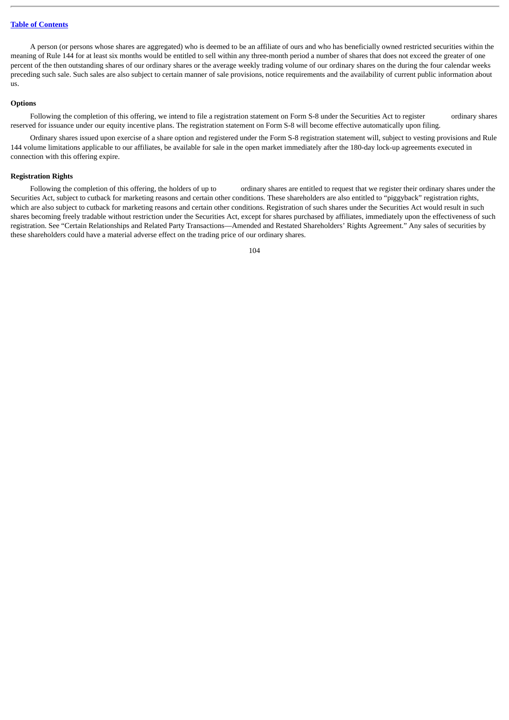A person (or persons whose shares are aggregated) who is deemed to be an affiliate of ours and who has beneficially owned restricted securities within the meaning of Rule 144 for at least six months would be entitled to sell within any three-month period a number of shares that does not exceed the greater of one percent of the then outstanding shares of our ordinary shares or the average weekly trading volume of our ordinary shares on the during the four calendar weeks preceding such sale. Such sales are also subject to certain manner of sale provisions, notice requirements and the availability of current public information about us.

# **Options**

Following the completion of this offering, we intend to file a registration statement on Form S-8 under the Securities Act to register ordinary shares reserved for issuance under our equity incentive plans. The registration statement on Form S-8 will become effective automatically upon filing.

Ordinary shares issued upon exercise of a share option and registered under the Form S-8 registration statement will, subject to vesting provisions and Rule 144 volume limitations applicable to our affiliates, be available for sale in the open market immediately after the 180-day lock-up agreements executed in connection with this offering expire.

### **Registration Rights**

Following the completion of this offering, the holders of up to ordinary shares are entitled to request that we register their ordinary shares under the Securities Act, subject to cutback for marketing reasons and certain other conditions. These shareholders are also entitled to "piggyback" registration rights, which are also subject to cutback for marketing reasons and certain other conditions. Registration of such shares under the Securities Act would result in such shares becoming freely tradable without restriction under the Securities Act, except for shares purchased by affiliates, immediately upon the effectiveness of such registration. See "Certain Relationships and Related Party Transactions—Amended and Restated Shareholders' Rights Agreement." Any sales of securities by these shareholders could have a material adverse effect on the trading price of our ordinary shares.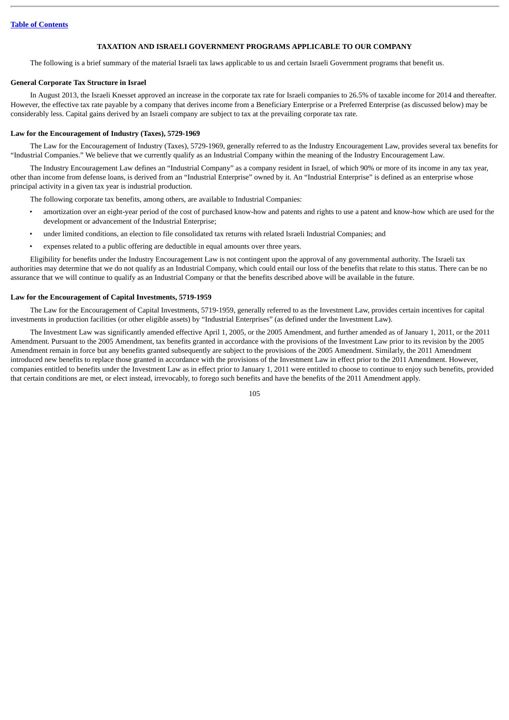## **TAXATION AND ISRAELI GOVERNMENT PROGRAMS APPLICABLE TO OUR COMPANY**

The following is a brief summary of the material Israeli tax laws applicable to us and certain Israeli Government programs that benefit us.

### **General Corporate Tax Structure in Israel**

In August 2013, the Israeli Knesset approved an increase in the corporate tax rate for Israeli companies to 26.5% of taxable income for 2014 and thereafter. However, the effective tax rate payable by a company that derives income from a Beneficiary Enterprise or a Preferred Enterprise (as discussed below) may be considerably less. Capital gains derived by an Israeli company are subject to tax at the prevailing corporate tax rate.

### **Law for the Encouragement of Industry (Taxes), 5729-1969**

The Law for the Encouragement of Industry (Taxes), 5729-1969, generally referred to as the Industry Encouragement Law, provides several tax benefits for "Industrial Companies." We believe that we currently qualify as an Industrial Company within the meaning of the Industry Encouragement Law.

The Industry Encouragement Law defines an "Industrial Company" as a company resident in Israel, of which 90% or more of its income in any tax year, other than income from defense loans, is derived from an "Industrial Enterprise" owned by it. An "Industrial Enterprise" is defined as an enterprise whose principal activity in a given tax year is industrial production.

The following corporate tax benefits, among others, are available to Industrial Companies:

- amortization over an eight-year period of the cost of purchased know-how and patents and rights to use a patent and know-how which are used for the development or advancement of the Industrial Enterprise;
- under limited conditions, an election to file consolidated tax returns with related Israeli Industrial Companies; and
- expenses related to a public offering are deductible in equal amounts over three years.

Eligibility for benefits under the Industry Encouragement Law is not contingent upon the approval of any governmental authority. The Israeli tax authorities may determine that we do not qualify as an Industrial Company, which could entail our loss of the benefits that relate to this status. There can be no assurance that we will continue to qualify as an Industrial Company or that the benefits described above will be available in the future.

## **Law for the Encouragement of Capital Investments, 5719-1959**

The Law for the Encouragement of Capital Investments, 5719-1959, generally referred to as the Investment Law, provides certain incentives for capital investments in production facilities (or other eligible assets) by "Industrial Enterprises" (as defined under the Investment Law).

The Investment Law was significantly amended effective April 1, 2005, or the 2005 Amendment, and further amended as of January 1, 2011, or the 2011 Amendment. Pursuant to the 2005 Amendment, tax benefits granted in accordance with the provisions of the Investment Law prior to its revision by the 2005 Amendment remain in force but any benefits granted subsequently are subject to the provisions of the 2005 Amendment. Similarly, the 2011 Amendment introduced new benefits to replace those granted in accordance with the provisions of the Investment Law in effect prior to the 2011 Amendment. However, companies entitled to benefits under the Investment Law as in effect prior to January 1, 2011 were entitled to choose to continue to enjoy such benefits, provided that certain conditions are met, or elect instead, irrevocably, to forego such benefits and have the benefits of the 2011 Amendment apply.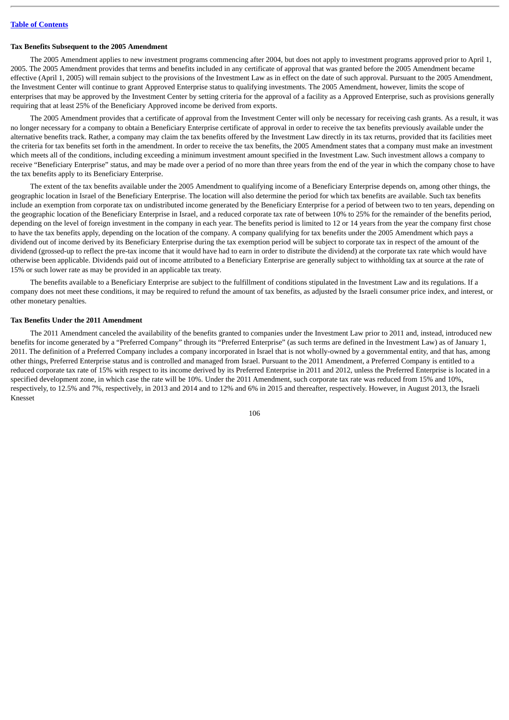### **Tax Benefits Subsequent to the 2005 Amendment**

The 2005 Amendment applies to new investment programs commencing after 2004, but does not apply to investment programs approved prior to April 1, 2005. The 2005 Amendment provides that terms and benefits included in any certificate of approval that was granted before the 2005 Amendment became effective (April 1, 2005) will remain subject to the provisions of the Investment Law as in effect on the date of such approval. Pursuant to the 2005 Amendment, the Investment Center will continue to grant Approved Enterprise status to qualifying investments. The 2005 Amendment, however, limits the scope of enterprises that may be approved by the Investment Center by setting criteria for the approval of a facility as a Approved Enterprise, such as provisions generally requiring that at least 25% of the Beneficiary Approved income be derived from exports.

The 2005 Amendment provides that a certificate of approval from the Investment Center will only be necessary for receiving cash grants. As a result, it was no longer necessary for a company to obtain a Beneficiary Enterprise certificate of approval in order to receive the tax benefits previously available under the alternative benefits track. Rather, a company may claim the tax benefits offered by the Investment Law directly in its tax returns, provided that its facilities meet the criteria for tax benefits set forth in the amendment. In order to receive the tax benefits, the 2005 Amendment states that a company must make an investment which meets all of the conditions, including exceeding a minimum investment amount specified in the Investment Law. Such investment allows a company to receive "Beneficiary Enterprise" status, and may be made over a period of no more than three years from the end of the year in which the company chose to have the tax benefits apply to its Beneficiary Enterprise.

The extent of the tax benefits available under the 2005 Amendment to qualifying income of a Beneficiary Enterprise depends on, among other things, the geographic location in Israel of the Beneficiary Enterprise. The location will also determine the period for which tax benefits are available. Such tax benefits include an exemption from corporate tax on undistributed income generated by the Beneficiary Enterprise for a period of between two to ten years, depending on the geographic location of the Beneficiary Enterprise in Israel, and a reduced corporate tax rate of between 10% to 25% for the remainder of the benefits period, depending on the level of foreign investment in the company in each year. The benefits period is limited to 12 or 14 years from the year the company first chose to have the tax benefits apply, depending on the location of the company. A company qualifying for tax benefits under the 2005 Amendment which pays a dividend out of income derived by its Beneficiary Enterprise during the tax exemption period will be subject to corporate tax in respect of the amount of the dividend (grossed-up to reflect the pre-tax income that it would have had to earn in order to distribute the dividend) at the corporate tax rate which would have otherwise been applicable. Dividends paid out of income attributed to a Beneficiary Enterprise are generally subject to withholding tax at source at the rate of 15% or such lower rate as may be provided in an applicable tax treaty.

The benefits available to a Beneficiary Enterprise are subject to the fulfillment of conditions stipulated in the Investment Law and its regulations. If a company does not meet these conditions, it may be required to refund the amount of tax benefits, as adjusted by the Israeli consumer price index, and interest, or other monetary penalties.

### **Tax Benefits Under the 2011 Amendment**

The 2011 Amendment canceled the availability of the benefits granted to companies under the Investment Law prior to 2011 and, instead, introduced new benefits for income generated by a "Preferred Company" through its "Preferred Enterprise" (as such terms are defined in the Investment Law) as of January 1, 2011. The definition of a Preferred Company includes a company incorporated in Israel that is not wholly-owned by a governmental entity, and that has, among other things, Preferred Enterprise status and is controlled and managed from Israel. Pursuant to the 2011 Amendment, a Preferred Company is entitled to a reduced corporate tax rate of 15% with respect to its income derived by its Preferred Enterprise in 2011 and 2012, unless the Preferred Enterprise is located in a specified development zone, in which case the rate will be 10%. Under the 2011 Amendment, such corporate tax rate was reduced from 15% and 10%, respectively, to 12.5% and 7%, respectively, in 2013 and 2014 and to 12% and 6% in 2015 and thereafter, respectively. However, in August 2013, the Israeli Knesset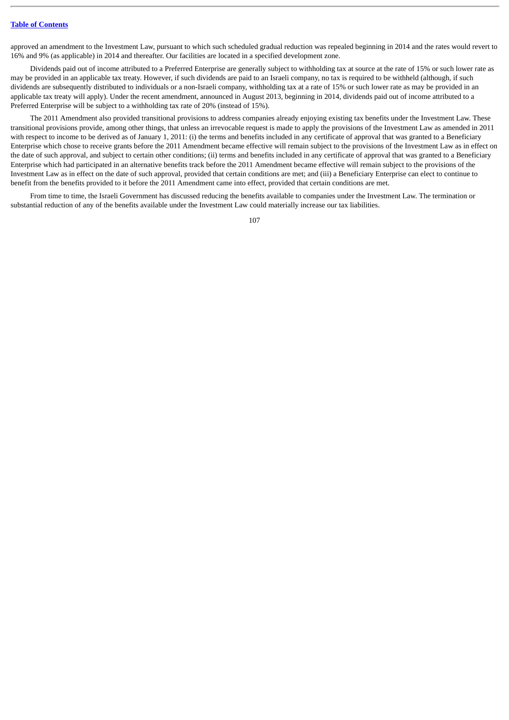## **Table of [Contents](#page-3-0)**

approved an amendment to the Investment Law, pursuant to which such scheduled gradual reduction was repealed beginning in 2014 and the rates would revert to 16% and 9% (as applicable) in 2014 and thereafter. Our facilities are located in a specified development zone.

Dividends paid out of income attributed to a Preferred Enterprise are generally subject to withholding tax at source at the rate of 15% or such lower rate as may be provided in an applicable tax treaty. However, if such dividends are paid to an Israeli company, no tax is required to be withheld (although, if such dividends are subsequently distributed to individuals or a non-Israeli company, withholding tax at a rate of 15% or such lower rate as may be provided in an applicable tax treaty will apply). Under the recent amendment, announced in August 2013, beginning in 2014, dividends paid out of income attributed to a Preferred Enterprise will be subject to a withholding tax rate of 20% (instead of 15%).

The 2011 Amendment also provided transitional provisions to address companies already enjoying existing tax benefits under the Investment Law. These transitional provisions provide, among other things, that unless an irrevocable request is made to apply the provisions of the Investment Law as amended in 2011 with respect to income to be derived as of January 1, 2011: (i) the terms and benefits included in any certificate of approval that was granted to a Beneficiary Enterprise which chose to receive grants before the 2011 Amendment became effective will remain subject to the provisions of the Investment Law as in effect on the date of such approval, and subject to certain other conditions; (ii) terms and benefits included in any certificate of approval that was granted to a Beneficiary Enterprise which had participated in an alternative benefits track before the 2011 Amendment became effective will remain subject to the provisions of the Investment Law as in effect on the date of such approval, provided that certain conditions are met; and (iii) a Beneficiary Enterprise can elect to continue to benefit from the benefits provided to it before the 2011 Amendment came into effect, provided that certain conditions are met.

From time to time, the Israeli Government has discussed reducing the benefits available to companies under the Investment Law. The termination or substantial reduction of any of the benefits available under the Investment Law could materially increase our tax liabilities.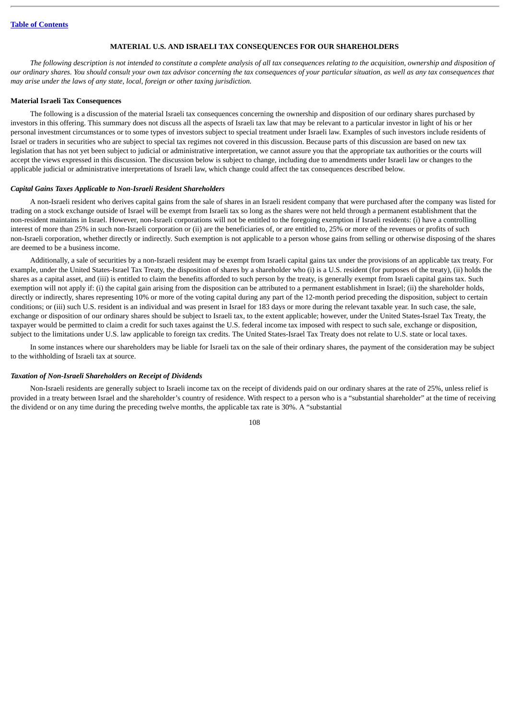# **MATERIAL U.S. AND ISRAELI TAX CONSEQUENCES FOR OUR SHAREHOLDERS**

*The following description is not intended to constitute a complete analysis of all tax consequences relating to the acquisition, ownership and disposition of our ordinary shares. You should consult your own tax advisor concerning the tax consequences of your particular situation, as well as any tax consequences that may arise under the laws of any state, local, foreign or other taxing jurisdiction.*

### **Material Israeli Tax Consequences**

The following is a discussion of the material Israeli tax consequences concerning the ownership and disposition of our ordinary shares purchased by investors in this offering. This summary does not discuss all the aspects of Israeli tax law that may be relevant to a particular investor in light of his or her personal investment circumstances or to some types of investors subject to special treatment under Israeli law. Examples of such investors include residents of Israel or traders in securities who are subject to special tax regimes not covered in this discussion. Because parts of this discussion are based on new tax legislation that has not yet been subject to judicial or administrative interpretation, we cannot assure you that the appropriate tax authorities or the courts will accept the views expressed in this discussion. The discussion below is subject to change, including due to amendments under Israeli law or changes to the applicable judicial or administrative interpretations of Israeli law, which change could affect the tax consequences described below.

### *Capital Gains Taxes Applicable to Non-Israeli Resident Shareholders*

A non-Israeli resident who derives capital gains from the sale of shares in an Israeli resident company that were purchased after the company was listed for trading on a stock exchange outside of Israel will be exempt from Israeli tax so long as the shares were not held through a permanent establishment that the non-resident maintains in Israel. However, non-Israeli corporations will not be entitled to the foregoing exemption if Israeli residents: (i) have a controlling interest of more than 25% in such non-Israeli corporation or (ii) are the beneficiaries of, or are entitled to, 25% or more of the revenues or profits of such non-Israeli corporation, whether directly or indirectly. Such exemption is not applicable to a person whose gains from selling or otherwise disposing of the shares are deemed to be a business income.

Additionally, a sale of securities by a non-Israeli resident may be exempt from Israeli capital gains tax under the provisions of an applicable tax treaty. For example, under the United States-Israel Tax Treaty, the disposition of shares by a shareholder who (i) is a U.S. resident (for purposes of the treaty), (ii) holds the shares as a capital asset, and (iii) is entitled to claim the benefits afforded to such person by the treaty, is generally exempt from Israeli capital gains tax. Such exemption will not apply if: (i) the capital gain arising from the disposition can be attributed to a permanent establishment in Israel; (ii) the shareholder holds, directly or indirectly, shares representing 10% or more of the voting capital during any part of the 12-month period preceding the disposition, subject to certain conditions; or (iii) such U.S. resident is an individual and was present in Israel for 183 days or more during the relevant taxable year. In such case, the sale, exchange or disposition of our ordinary shares should be subject to Israeli tax, to the extent applicable; however, under the United States-Israel Tax Treaty, the taxpayer would be permitted to claim a credit for such taxes against the U.S. federal income tax imposed with respect to such sale, exchange or disposition, subject to the limitations under U.S. law applicable to foreign tax credits. The United States-Israel Tax Treaty does not relate to U.S. state or local taxes.

In some instances where our shareholders may be liable for Israeli tax on the sale of their ordinary shares, the payment of the consideration may be subject to the withholding of Israeli tax at source.

#### *Taxation of Non-Israeli Shareholders on Receipt of Dividends*

Non-Israeli residents are generally subject to Israeli income tax on the receipt of dividends paid on our ordinary shares at the rate of 25%, unless relief is provided in a treaty between Israel and the shareholder's country of residence. With respect to a person who is a "substantial shareholder" at the time of receiving the dividend or on any time during the preceding twelve months, the applicable tax rate is 30%. A "substantial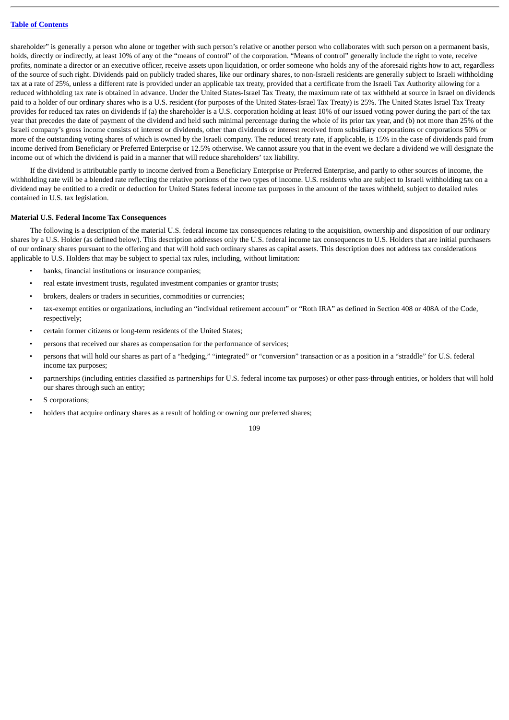shareholder" is generally a person who alone or together with such person's relative or another person who collaborates with such person on a permanent basis, holds, directly or indirectly, at least 10% of any of the "means of control" of the corporation. "Means of control" generally include the right to vote, receive profits, nominate a director or an executive officer, receive assets upon liquidation, or order someone who holds any of the aforesaid rights how to act, regardless of the source of such right. Dividends paid on publicly traded shares, like our ordinary shares, to non-Israeli residents are generally subject to Israeli withholding tax at a rate of 25%, unless a different rate is provided under an applicable tax treaty, provided that a certificate from the Israeli Tax Authority allowing for a reduced withholding tax rate is obtained in advance. Under the United States-Israel Tax Treaty, the maximum rate of tax withheld at source in Israel on dividends paid to a holder of our ordinary shares who is a U.S. resident (for purposes of the United States-Israel Tax Treaty) is 25%. The United States Israel Tax Treaty provides for reduced tax rates on dividends if (a) the shareholder is a U.S. corporation holding at least 10% of our issued voting power during the part of the tax year that precedes the date of payment of the dividend and held such minimal percentage during the whole of its prior tax year, and (b) not more than 25% of the Israeli company's gross income consists of interest or dividends, other than dividends or interest received from subsidiary corporations or corporations 50% or more of the outstanding voting shares of which is owned by the Israeli company. The reduced treaty rate, if applicable, is 15% in the case of dividends paid from income derived from Beneficiary or Preferred Enterprise or 12.5% otherwise. We cannot assure you that in the event we declare a dividend we will designate the income out of which the dividend is paid in a manner that will reduce shareholders' tax liability.

If the dividend is attributable partly to income derived from a Beneficiary Enterprise or Preferred Enterprise, and partly to other sources of income, the withholding rate will be a blended rate reflecting the relative portions of the two types of income. U.S. residents who are subject to Israeli withholding tax on a dividend may be entitled to a credit or deduction for United States federal income tax purposes in the amount of the taxes withheld, subject to detailed rules contained in U.S. tax legislation.

### **Material U.S. Federal Income Tax Consequences**

The following is a description of the material U.S. federal income tax consequences relating to the acquisition, ownership and disposition of our ordinary shares by a U.S. Holder (as defined below). This description addresses only the U.S. federal income tax consequences to U.S. Holders that are initial purchasers of our ordinary shares pursuant to the offering and that will hold such ordinary shares as capital assets. This description does not address tax considerations applicable to U.S. Holders that may be subject to special tax rules, including, without limitation:

- banks, financial institutions or insurance companies;
- real estate investment trusts, regulated investment companies or grantor trusts;
- brokers, dealers or traders in securities, commodities or currencies;
- tax-exempt entities or organizations, including an "individual retirement account" or "Roth IRA" as defined in Section 408 or 408A of the Code, respectively;
- certain former citizens or long-term residents of the United States;
- persons that received our shares as compensation for the performance of services;
- persons that will hold our shares as part of a "hedging," "integrated" or "conversion" transaction or as a position in a "straddle" for U.S. federal income tax purposes;
- partnerships (including entities classified as partnerships for U.S. federal income tax purposes) or other pass-through entities, or holders that will hold our shares through such an entity;
- S corporations;
- holders that acquire ordinary shares as a result of holding or owning our preferred shares;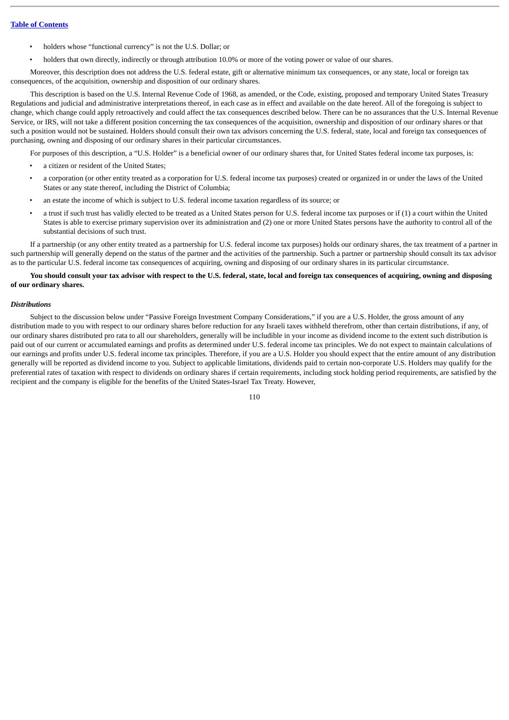- holders whose "functional currency" is not the U.S. Dollar; or
- holders that own directly, indirectly or through attribution 10.0% or more of the voting power or value of our shares.

Moreover, this description does not address the U.S. federal estate, gift or alternative minimum tax consequences, or any state, local or foreign tax consequences, of the acquisition, ownership and disposition of our ordinary shares.

This description is based on the U.S. Internal Revenue Code of 1968, as amended, or the Code, existing, proposed and temporary United States Treasury Regulations and judicial and administrative interpretations thereof, in each case as in effect and available on the date hereof. All of the foregoing is subject to change, which change could apply retroactively and could affect the tax consequences described below. There can be no assurances that the U.S. Internal Revenue Service, or IRS, will not take a different position concerning the tax consequences of the acquisition, ownership and disposition of our ordinary shares or that such a position would not be sustained. Holders should consult their own tax advisors concerning the U.S. federal, state, local and foreign tax consequences of purchasing, owning and disposing of our ordinary shares in their particular circumstances.

For purposes of this description, a "U.S. Holder" is a beneficial owner of our ordinary shares that, for United States federal income tax purposes, is:

- a citizen or resident of the United States;
- a corporation (or other entity treated as a corporation for U.S. federal income tax purposes) created or organized in or under the laws of the United States or any state thereof, including the District of Columbia;
- an estate the income of which is subject to U.S. federal income taxation regardless of its source; or
- a trust if such trust has validly elected to be treated as a United States person for U.S. federal income tax purposes or if (1) a court within the United States is able to exercise primary supervision over its administration and (2) one or more United States persons have the authority to control all of the substantial decisions of such trust.

If a partnership (or any other entity treated as a partnership for U.S. federal income tax purposes) holds our ordinary shares, the tax treatment of a partner in such partnership will generally depend on the status of the partner and the activities of the partnership. Such a partner or partnership should consult its tax advisor as to the particular U.S. federal income tax consequences of acquiring, owning and disposing of our ordinary shares in its particular circumstance.

# **You should consult your tax advisor with respect to the U.S. federal, state, local and foreign tax consequences of acquiring, owning and disposing of our ordinary shares.**

### *Distributions*

Subject to the discussion below under "Passive Foreign Investment Company Considerations," if you are a U.S. Holder, the gross amount of any distribution made to you with respect to our ordinary shares before reduction for any Israeli taxes withheld therefrom, other than certain distributions, if any, of our ordinary shares distributed pro rata to all our shareholders, generally will be includible in your income as dividend income to the extent such distribution is paid out of our current or accumulated earnings and profits as determined under U.S. federal income tax principles. We do not expect to maintain calculations of our earnings and profits under U.S. federal income tax principles. Therefore, if you are a U.S. Holder you should expect that the entire amount of any distribution generally will be reported as dividend income to you. Subject to applicable limitations, dividends paid to certain non-corporate U.S. Holders may qualify for the preferential rates of taxation with respect to dividends on ordinary shares if certain requirements, including stock holding period requirements, are satisfied by the recipient and the company is eligible for the benefits of the United States-Israel Tax Treaty. However,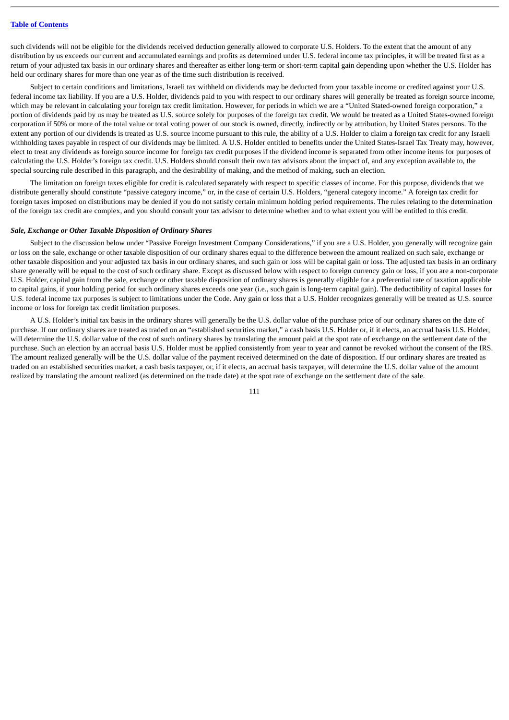such dividends will not be eligible for the dividends received deduction generally allowed to corporate U.S. Holders. To the extent that the amount of any distribution by us exceeds our current and accumulated earnings and profits as determined under U.S. federal income tax principles, it will be treated first as a return of your adjusted tax basis in our ordinary shares and thereafter as either long-term or short-term capital gain depending upon whether the U.S. Holder has held our ordinary shares for more than one year as of the time such distribution is received.

Subject to certain conditions and limitations, Israeli tax withheld on dividends may be deducted from your taxable income or credited against your U.S. federal income tax liability. If you are a U.S. Holder, dividends paid to you with respect to our ordinary shares will generally be treated as foreign source income, which may be relevant in calculating your foreign tax credit limitation. However, for periods in which we are a "United Stated-owned foreign corporation," a portion of dividends paid by us may be treated as U.S. source solely for purposes of the foreign tax credit. We would be treated as a United States-owned foreign corporation if 50% or more of the total value or total voting power of our stock is owned, directly, indirectly or by attribution, by United States persons. To the extent any portion of our dividends is treated as U.S. source income pursuant to this rule, the ability of a U.S. Holder to claim a foreign tax credit for any Israeli withholding taxes payable in respect of our dividends may be limited. A U.S. Holder entitled to benefits under the United States-Israel Tax Treaty may, however, elect to treat any dividends as foreign source income for foreign tax credit purposes if the dividend income is separated from other income items for purposes of calculating the U.S. Holder's foreign tax credit. U.S. Holders should consult their own tax advisors about the impact of, and any exception available to, the special sourcing rule described in this paragraph, and the desirability of making, and the method of making, such an election.

The limitation on foreign taxes eligible for credit is calculated separately with respect to specific classes of income. For this purpose, dividends that we distribute generally should constitute "passive category income," or, in the case of certain U.S. Holders, "general category income." A foreign tax credit for foreign taxes imposed on distributions may be denied if you do not satisfy certain minimum holding period requirements. The rules relating to the determination of the foreign tax credit are complex, and you should consult your tax advisor to determine whether and to what extent you will be entitled to this credit.

## *Sale, Exchange or Other Taxable Disposition of Ordinary Shares*

Subject to the discussion below under "Passive Foreign Investment Company Considerations," if you are a U.S. Holder, you generally will recognize gain or loss on the sale, exchange or other taxable disposition of our ordinary shares equal to the difference between the amount realized on such sale, exchange or other taxable disposition and your adjusted tax basis in our ordinary shares, and such gain or loss will be capital gain or loss. The adjusted tax basis in an ordinary share generally will be equal to the cost of such ordinary share. Except as discussed below with respect to foreign currency gain or loss, if you are a non-corporate U.S. Holder, capital gain from the sale, exchange or other taxable disposition of ordinary shares is generally eligible for a preferential rate of taxation applicable to capital gains, if your holding period for such ordinary shares exceeds one year (i.e., such gain is long-term capital gain). The deductibility of capital losses for U.S. federal income tax purposes is subject to limitations under the Code. Any gain or loss that a U.S. Holder recognizes generally will be treated as U.S. source income or loss for foreign tax credit limitation purposes.

A U.S. Holder's initial tax basis in the ordinary shares will generally be the U.S. dollar value of the purchase price of our ordinary shares on the date of purchase. If our ordinary shares are treated as traded on an "established securities market," a cash basis U.S. Holder or, if it elects, an accrual basis U.S. Holder, will determine the U.S. dollar value of the cost of such ordinary shares by translating the amount paid at the spot rate of exchange on the settlement date of the purchase. Such an election by an accrual basis U.S. Holder must be applied consistently from year to year and cannot be revoked without the consent of the IRS. The amount realized generally will be the U.S. dollar value of the payment received determined on the date of disposition. If our ordinary shares are treated as traded on an established securities market, a cash basis taxpayer, or, if it elects, an accrual basis taxpayer, will determine the U.S. dollar value of the amount realized by translating the amount realized (as determined on the trade date) at the spot rate of exchange on the settlement date of the sale.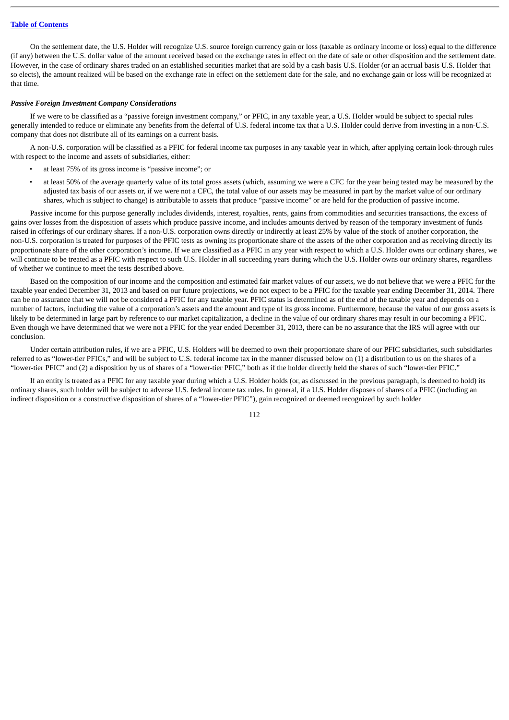# **Table of [Contents](#page-3-0)**

On the settlement date, the U.S. Holder will recognize U.S. source foreign currency gain or loss (taxable as ordinary income or loss) equal to the difference (if any) between the U.S. dollar value of the amount received based on the exchange rates in effect on the date of sale or other disposition and the settlement date. However, in the case of ordinary shares traded on an established securities market that are sold by a cash basis U.S. Holder (or an accrual basis U.S. Holder that so elects), the amount realized will be based on the exchange rate in effect on the settlement date for the sale, and no exchange gain or loss will be recognized at that time.

### *Passive Foreign Investment Company Considerations*

If we were to be classified as a "passive foreign investment company," or PFIC, in any taxable year, a U.S. Holder would be subject to special rules generally intended to reduce or eliminate any benefits from the deferral of U.S. federal income tax that a U.S. Holder could derive from investing in a non-U.S. company that does not distribute all of its earnings on a current basis.

A non-U.S. corporation will be classified as a PFIC for federal income tax purposes in any taxable year in which, after applying certain look-through rules with respect to the income and assets of subsidiaries, either:

- at least 75% of its gross income is "passive income"; or
	- at least 50% of the average quarterly value of its total gross assets (which, assuming we were a CFC for the year being tested may be measured by the adjusted tax basis of our assets or, if we were not a CFC, the total value of our assets may be measured in part by the market value of our ordinary shares, which is subject to change) is attributable to assets that produce "passive income" or are held for the production of passive income.

Passive income for this purpose generally includes dividends, interest, royalties, rents, gains from commodities and securities transactions, the excess of gains over losses from the disposition of assets which produce passive income, and includes amounts derived by reason of the temporary investment of funds raised in offerings of our ordinary shares. If a non-U.S. corporation owns directly or indirectly at least 25% by value of the stock of another corporation, the non-U.S. corporation is treated for purposes of the PFIC tests as owning its proportionate share of the assets of the other corporation and as receiving directly its proportionate share of the other corporation's income. If we are classified as a PFIC in any year with respect to which a U.S. Holder owns our ordinary shares, we will continue to be treated as a PFIC with respect to such U.S. Holder in all succeeding years during which the U.S. Holder owns our ordinary shares, regardless of whether we continue to meet the tests described above.

Based on the composition of our income and the composition and estimated fair market values of our assets, we do not believe that we were a PFIC for the taxable year ended December 31, 2013 and based on our future projections, we do not expect to be a PFIC for the taxable year ending December 31, 2014. There can be no assurance that we will not be considered a PFIC for any taxable year. PFIC status is determined as of the end of the taxable year and depends on a number of factors, including the value of a corporation's assets and the amount and type of its gross income. Furthermore, because the value of our gross assets is likely to be determined in large part by reference to our market capitalization, a decline in the value of our ordinary shares may result in our becoming a PFIC. Even though we have determined that we were not a PFIC for the year ended December 31, 2013, there can be no assurance that the IRS will agree with our conclusion.

Under certain attribution rules, if we are a PFIC, U.S. Holders will be deemed to own their proportionate share of our PFIC subsidiaries, such subsidiaries referred to as "lower-tier PFICs," and will be subject to U.S. federal income tax in the manner discussed below on (1) a distribution to us on the shares of a "lower-tier PFIC" and (2) a disposition by us of shares of a "lower-tier PFIC," both as if the holder directly held the shares of such "lower-tier PFIC."

If an entity is treated as a PFIC for any taxable year during which a U.S. Holder holds (or, as discussed in the previous paragraph, is deemed to hold) its ordinary shares, such holder will be subject to adverse U.S. federal income tax rules. In general, if a U.S. Holder disposes of shares of a PFIC (including an indirect disposition or a constructive disposition of shares of a "lower-tier PFIC"), gain recognized or deemed recognized by such holder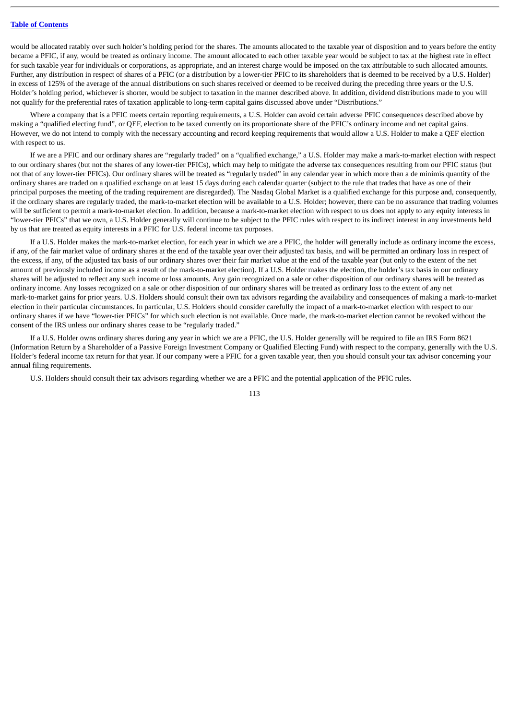## **Table of [Contents](#page-3-0)**

would be allocated ratably over such holder's holding period for the shares. The amounts allocated to the taxable year of disposition and to years before the entity became a PFIC, if any, would be treated as ordinary income. The amount allocated to each other taxable year would be subject to tax at the highest rate in effect for such taxable year for individuals or corporations, as appropriate, and an interest charge would be imposed on the tax attributable to such allocated amounts. Further, any distribution in respect of shares of a PFIC (or a distribution by a lower-tier PFIC to its shareholders that is deemed to be received by a U.S. Holder) in excess of 125% of the average of the annual distributions on such shares received or deemed to be received during the preceding three years or the U.S. Holder's holding period, whichever is shorter, would be subject to taxation in the manner described above. In addition, dividend distributions made to you will not qualify for the preferential rates of taxation applicable to long-term capital gains discussed above under "Distributions."

Where a company that is a PFIC meets certain reporting requirements, a U.S. Holder can avoid certain adverse PFIC consequences described above by making a "qualified electing fund", or QEF, election to be taxed currently on its proportionate share of the PFIC's ordinary income and net capital gains. However, we do not intend to comply with the necessary accounting and record keeping requirements that would allow a U.S. Holder to make a QEF election with respect to us.

If we are a PFIC and our ordinary shares are "regularly traded" on a "qualified exchange," a U.S. Holder may make a mark-to-market election with respect to our ordinary shares (but not the shares of any lower-tier PFICs), which may help to mitigate the adverse tax consequences resulting from our PFIC status (but not that of any lower-tier PFICs). Our ordinary shares will be treated as "regularly traded" in any calendar year in which more than a de minimis quantity of the ordinary shares are traded on a qualified exchange on at least 15 days during each calendar quarter (subject to the rule that trades that have as one of their principal purposes the meeting of the trading requirement are disregarded). The Nasdaq Global Market is a qualified exchange for this purpose and, consequently, if the ordinary shares are regularly traded, the mark-to-market election will be available to a U.S. Holder; however, there can be no assurance that trading volumes will be sufficient to permit a mark-to-market election. In addition, because a mark-to-market election with respect to us does not apply to any equity interests in "lower-tier PFICs" that we own, a U.S. Holder generally will continue to be subject to the PFIC rules with respect to its indirect interest in any investments held by us that are treated as equity interests in a PFIC for U.S. federal income tax purposes.

If a U.S. Holder makes the mark-to-market election, for each year in which we are a PFIC, the holder will generally include as ordinary income the excess, if any, of the fair market value of ordinary shares at the end of the taxable year over their adjusted tax basis, and will be permitted an ordinary loss in respect of the excess, if any, of the adjusted tax basis of our ordinary shares over their fair market value at the end of the taxable year (but only to the extent of the net amount of previously included income as a result of the mark-to-market election). If a U.S. Holder makes the election, the holder's tax basis in our ordinary shares will be adjusted to reflect any such income or loss amounts. Any gain recognized on a sale or other disposition of our ordinary shares will be treated as ordinary income. Any losses recognized on a sale or other disposition of our ordinary shares will be treated as ordinary loss to the extent of any net mark-to-market gains for prior years. U.S. Holders should consult their own tax advisors regarding the availability and consequences of making a mark-to-market election in their particular circumstances. In particular, U.S. Holders should consider carefully the impact of a mark-to-market election with respect to our ordinary shares if we have "lower-tier PFICs" for which such election is not available. Once made, the mark-to-market election cannot be revoked without the consent of the IRS unless our ordinary shares cease to be "regularly traded."

If a U.S. Holder owns ordinary shares during any year in which we are a PFIC, the U.S. Holder generally will be required to file an IRS Form 8621 (Information Return by a Shareholder of a Passive Foreign Investment Company or Qualified Electing Fund) with respect to the company, generally with the U.S. Holder's federal income tax return for that year. If our company were a PFIC for a given taxable year, then you should consult your tax advisor concerning your annual filing requirements.

U.S. Holders should consult their tax advisors regarding whether we are a PFIC and the potential application of the PFIC rules.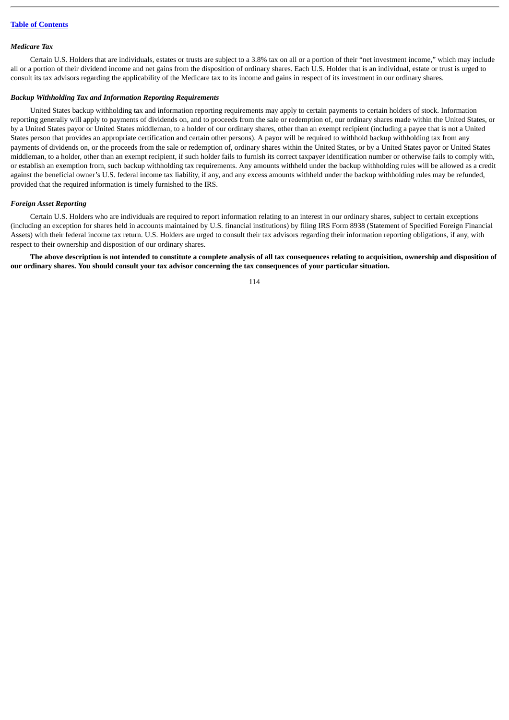## *Medicare Tax*

Certain U.S. Holders that are individuals, estates or trusts are subject to a 3.8% tax on all or a portion of their "net investment income," which may include all or a portion of their dividend income and net gains from the disposition of ordinary shares. Each U.S. Holder that is an individual, estate or trust is urged to consult its tax advisors regarding the applicability of the Medicare tax to its income and gains in respect of its investment in our ordinary shares.

### *Backup Withholding Tax and Information Reporting Requirements*

United States backup withholding tax and information reporting requirements may apply to certain payments to certain holders of stock. Information reporting generally will apply to payments of dividends on, and to proceeds from the sale or redemption of, our ordinary shares made within the United States, or by a United States payor or United States middleman, to a holder of our ordinary shares, other than an exempt recipient (including a payee that is not a United States person that provides an appropriate certification and certain other persons). A payor will be required to withhold backup withholding tax from any payments of dividends on, or the proceeds from the sale or redemption of, ordinary shares within the United States, or by a United States payor or United States middleman, to a holder, other than an exempt recipient, if such holder fails to furnish its correct taxpayer identification number or otherwise fails to comply with, or establish an exemption from, such backup withholding tax requirements. Any amounts withheld under the backup withholding rules will be allowed as a credit against the beneficial owner's U.S. federal income tax liability, if any, and any excess amounts withheld under the backup withholding rules may be refunded, provided that the required information is timely furnished to the IRS.

### *Foreign Asset Reporting*

Certain U.S. Holders who are individuals are required to report information relating to an interest in our ordinary shares, subject to certain exceptions (including an exception for shares held in accounts maintained by U.S. financial institutions) by filing IRS Form 8938 (Statement of Specified Foreign Financial Assets) with their federal income tax return. U.S. Holders are urged to consult their tax advisors regarding their information reporting obligations, if any, with respect to their ownership and disposition of our ordinary shares.

**The above description is not intended to constitute a complete analysis of all tax consequences relating to acquisition, ownership and disposition of our ordinary shares. You should consult your tax advisor concerning the tax consequences of your particular situation.**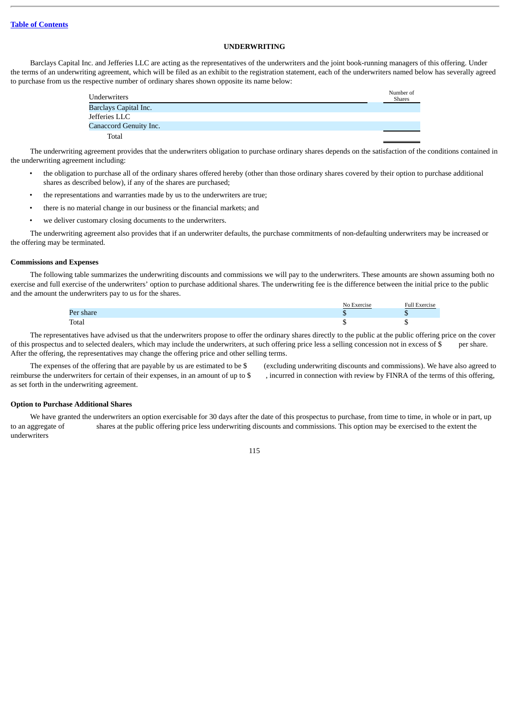# **UNDERWRITING**

Barclays Capital Inc. and Jefferies LLC are acting as the representatives of the underwriters and the joint book-running managers of this offering. Under the terms of an underwriting agreement, which will be filed as an exhibit to the registration statement, each of the underwriters named below has severally agreed to purchase from us the respective number of ordinary shares shown opposite its name below:

| <b>Underwriters</b>    | Number of<br><b>Shares</b> |
|------------------------|----------------------------|
| Barclays Capital Inc.  |                            |
| Jefferies LLC          |                            |
| Canaccord Genuity Inc. |                            |
| Total                  |                            |

The underwriting agreement provides that the underwriters obligation to purchase ordinary shares depends on the satisfaction of the conditions contained in the underwriting agreement including:

- the obligation to purchase all of the ordinary shares offered hereby (other than those ordinary shares covered by their option to purchase additional shares as described below), if any of the shares are purchased;
- the representations and warranties made by us to the underwriters are true;
- there is no material change in our business or the financial markets; and
- we deliver customary closing documents to the underwriters.

The underwriting agreement also provides that if an underwriter defaults, the purchase commitments of non-defaulting underwriters may be increased or the offering may be terminated.

### **Commissions and Expenses**

The following table summarizes the underwriting discounts and commissions we will pay to the underwriters. These amounts are shown assuming both no exercise and full exercise of the underwriters' option to purchase additional shares. The underwriting fee is the difference between the initial price to the public and the amount the underwriters pay to us for the shares.

|           | No Exercise | <b>Full Exercise</b> |
|-----------|-------------|----------------------|
| Per share |             |                      |
| Total     |             |                      |

The representatives have advised us that the underwriters propose to offer the ordinary shares directly to the public at the public offering price on the cover of this prospectus and to selected dealers, which may include the underwriters, at such offering price less a selling concession not in excess of \$ per share. After the offering, the representatives may change the offering price and other selling terms.

reimburse the underwriters for certain of their expenses, in an amount of up to \$ , incurred in connection with review by FINRA of the terms of this offering, as set forth in the underwriting agreement.

The expenses of the offering that are payable by us are estimated to be \$ (excluding underwriting discounts and commissions). We have also agreed to

#### **Option to Purchase Additional Shares**

We have granted the underwriters an option exercisable for 30 days after the date of this prospectus to purchase, from time to time, in whole or in part, up to an aggregate of shares at the public offering price less underwriting discounts and commissions. This option may be exercised to the extent the underwriters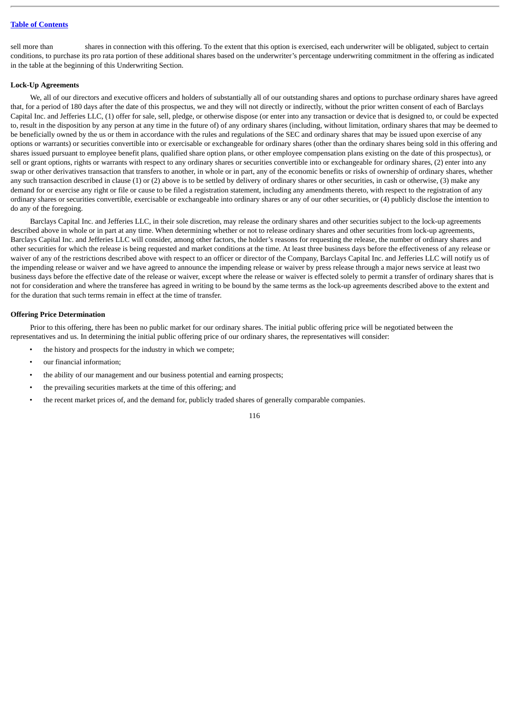### **Table of [Contents](#page-3-0)**

sell more than shares in connection with this offering. To the extent that this option is exercised, each underwriter will be obligated, subject to certain conditions, to purchase its pro rata portion of these additional shares based on the underwriter's percentage underwriting commitment in the offering as indicated in the table at the beginning of this Underwriting Section.

### **Lock-Up Agreements**

We, all of our directors and executive officers and holders of substantially all of our outstanding shares and options to purchase ordinary shares have agreed that, for a period of 180 days after the date of this prospectus, we and they will not directly or indirectly, without the prior written consent of each of Barclays Capital Inc. and Jefferies LLC, (1) offer for sale, sell, pledge, or otherwise dispose (or enter into any transaction or device that is designed to, or could be expected to, result in the disposition by any person at any time in the future of) of any ordinary shares (including, without limitation, ordinary shares that may be deemed to be beneficially owned by the us or them in accordance with the rules and regulations of the SEC and ordinary shares that may be issued upon exercise of any options or warrants) or securities convertible into or exercisable or exchangeable for ordinary shares (other than the ordinary shares being sold in this offering and shares issued pursuant to employee benefit plans, qualified share option plans, or other employee compensation plans existing on the date of this prospectus), or sell or grant options, rights or warrants with respect to any ordinary shares or securities convertible into or exchangeable for ordinary shares, (2) enter into any swap or other derivatives transaction that transfers to another, in whole or in part, any of the economic benefits or risks of ownership of ordinary shares, whether any such transaction described in clause (1) or (2) above is to be settled by delivery of ordinary shares or other securities, in cash or otherwise, (3) make any demand for or exercise any right or file or cause to be filed a registration statement, including any amendments thereto, with respect to the registration of any ordinary shares or securities convertible, exercisable or exchangeable into ordinary shares or any of our other securities, or (4) publicly disclose the intention to do any of the foregoing.

Barclays Capital Inc. and Jefferies LLC, in their sole discretion, may release the ordinary shares and other securities subject to the lock-up agreements described above in whole or in part at any time. When determining whether or not to release ordinary shares and other securities from lock-up agreements, Barclays Capital Inc. and Jefferies LLC will consider, among other factors, the holder's reasons for requesting the release, the number of ordinary shares and other securities for which the release is being requested and market conditions at the time. At least three business days before the effectiveness of any release or waiver of any of the restrictions described above with respect to an officer or director of the Company, Barclays Capital Inc. and Jefferies LLC will notify us of the impending release or waiver and we have agreed to announce the impending release or waiver by press release through a major news service at least two business days before the effective date of the release or waiver, except where the release or waiver is effected solely to permit a transfer of ordinary shares that is not for consideration and where the transferee has agreed in writing to be bound by the same terms as the lock-up agreements described above to the extent and for the duration that such terms remain in effect at the time of transfer.

## **Offering Price Determination**

Prior to this offering, there has been no public market for our ordinary shares. The initial public offering price will be negotiated between the representatives and us. In determining the initial public offering price of our ordinary shares, the representatives will consider:

- the history and prospects for the industry in which we compete;
- our financial information;
- the ability of our management and our business potential and earning prospects;
- the prevailing securities markets at the time of this offering; and
- the recent market prices of, and the demand for, publicly traded shares of generally comparable companies.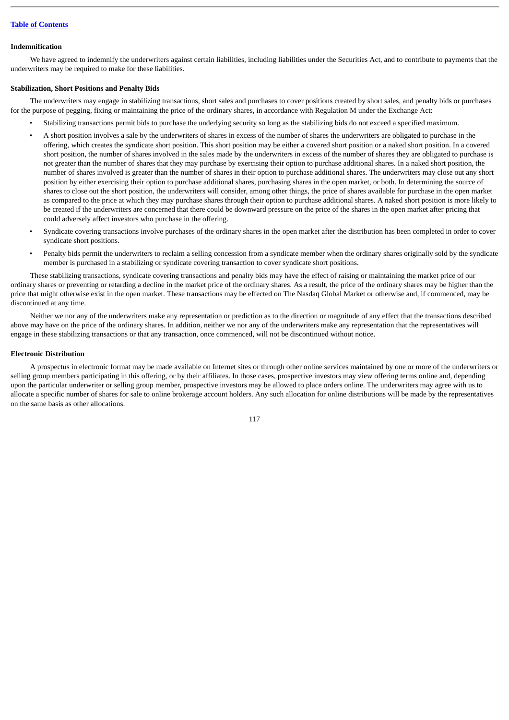## **Indemnification**

We have agreed to indemnify the underwriters against certain liabilities, including liabilities under the Securities Act, and to contribute to payments that the underwriters may be required to make for these liabilities.

## **Stabilization, Short Positions and Penalty Bids**

The underwriters may engage in stabilizing transactions, short sales and purchases to cover positions created by short sales, and penalty bids or purchases for the purpose of pegging, fixing or maintaining the price of the ordinary shares, in accordance with Regulation M under the Exchange Act:

- Stabilizing transactions permit bids to purchase the underlying security so long as the stabilizing bids do not exceed a specified maximum.
- A short position involves a sale by the underwriters of shares in excess of the number of shares the underwriters are obligated to purchase in the offering, which creates the syndicate short position. This short position may be either a covered short position or a naked short position. In a covered short position, the number of shares involved in the sales made by the underwriters in excess of the number of shares they are obligated to purchase is not greater than the number of shares that they may purchase by exercising their option to purchase additional shares. In a naked short position, the number of shares involved is greater than the number of shares in their option to purchase additional shares. The underwriters may close out any short position by either exercising their option to purchase additional shares, purchasing shares in the open market, or both. In determining the source of shares to close out the short position, the underwriters will consider, among other things, the price of shares available for purchase in the open market as compared to the price at which they may purchase shares through their option to purchase additional shares. A naked short position is more likely to be created if the underwriters are concerned that there could be downward pressure on the price of the shares in the open market after pricing that could adversely affect investors who purchase in the offering.
- Syndicate covering transactions involve purchases of the ordinary shares in the open market after the distribution has been completed in order to cover syndicate short positions.
- Penalty bids permit the underwriters to reclaim a selling concession from a syndicate member when the ordinary shares originally sold by the syndicate member is purchased in a stabilizing or syndicate covering transaction to cover syndicate short positions.

These stabilizing transactions, syndicate covering transactions and penalty bids may have the effect of raising or maintaining the market price of our ordinary shares or preventing or retarding a decline in the market price of the ordinary shares. As a result, the price of the ordinary shares may be higher than the price that might otherwise exist in the open market. These transactions may be effected on The Nasdaq Global Market or otherwise and, if commenced, may be discontinued at any time.

Neither we nor any of the underwriters make any representation or prediction as to the direction or magnitude of any effect that the transactions described above may have on the price of the ordinary shares. In addition, neither we nor any of the underwriters make any representation that the representatives will engage in these stabilizing transactions or that any transaction, once commenced, will not be discontinued without notice.

## **Electronic Distribution**

A prospectus in electronic format may be made available on Internet sites or through other online services maintained by one or more of the underwriters or selling group members participating in this offering, or by their affiliates. In those cases, prospective investors may view offering terms online and, depending upon the particular underwriter or selling group member, prospective investors may be allowed to place orders online. The underwriters may agree with us to allocate a specific number of shares for sale to online brokerage account holders. Any such allocation for online distributions will be made by the representatives on the same basis as other allocations.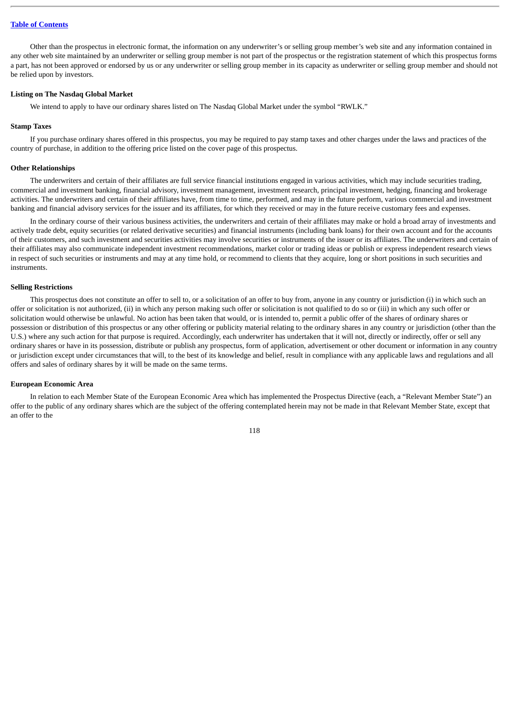## **Table of [Contents](#page-3-0)**

Other than the prospectus in electronic format, the information on any underwriter's or selling group member's web site and any information contained in any other web site maintained by an underwriter or selling group member is not part of the prospectus or the registration statement of which this prospectus forms a part, has not been approved or endorsed by us or any underwriter or selling group member in its capacity as underwriter or selling group member and should not be relied upon by investors.

### **Listing on The Nasdaq Global Market**

We intend to apply to have our ordinary shares listed on The Nasdaq Global Market under the symbol "RWLK."

### **Stamp Taxes**

If you purchase ordinary shares offered in this prospectus, you may be required to pay stamp taxes and other charges under the laws and practices of the country of purchase, in addition to the offering price listed on the cover page of this prospectus.

## **Other Relationships**

The underwriters and certain of their affiliates are full service financial institutions engaged in various activities, which may include securities trading, commercial and investment banking, financial advisory, investment management, investment research, principal investment, hedging, financing and brokerage activities. The underwriters and certain of their affiliates have, from time to time, performed, and may in the future perform, various commercial and investment banking and financial advisory services for the issuer and its affiliates, for which they received or may in the future receive customary fees and expenses.

In the ordinary course of their various business activities, the underwriters and certain of their affiliates may make or hold a broad array of investments and actively trade debt, equity securities (or related derivative securities) and financial instruments (including bank loans) for their own account and for the accounts of their customers, and such investment and securities activities may involve securities or instruments of the issuer or its affiliates. The underwriters and certain of their affiliates may also communicate independent investment recommendations, market color or trading ideas or publish or express independent research views in respect of such securities or instruments and may at any time hold, or recommend to clients that they acquire, long or short positions in such securities and instruments.

### **Selling Restrictions**

This prospectus does not constitute an offer to sell to, or a solicitation of an offer to buy from, anyone in any country or jurisdiction (i) in which such an offer or solicitation is not authorized, (ii) in which any person making such offer or solicitation is not qualified to do so or (iii) in which any such offer or solicitation would otherwise be unlawful. No action has been taken that would, or is intended to, permit a public offer of the shares of ordinary shares or possession or distribution of this prospectus or any other offering or publicity material relating to the ordinary shares in any country or jurisdiction (other than the U.S.) where any such action for that purpose is required. Accordingly, each underwriter has undertaken that it will not, directly or indirectly, offer or sell any ordinary shares or have in its possession, distribute or publish any prospectus, form of application, advertisement or other document or information in any country or jurisdiction except under circumstances that will, to the best of its knowledge and belief, result in compliance with any applicable laws and regulations and all offers and sales of ordinary shares by it will be made on the same terms.

### **European Economic Area**

In relation to each Member State of the European Economic Area which has implemented the Prospectus Directive (each, a "Relevant Member State") an offer to the public of any ordinary shares which are the subject of the offering contemplated herein may not be made in that Relevant Member State, except that an offer to the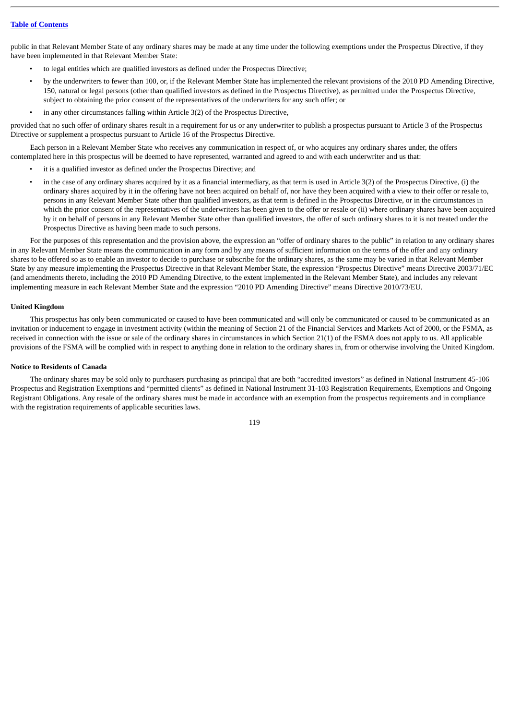public in that Relevant Member State of any ordinary shares may be made at any time under the following exemptions under the Prospectus Directive, if they have been implemented in that Relevant Member State:

- to legal entities which are qualified investors as defined under the Prospectus Directive;
- by the underwriters to fewer than 100, or, if the Relevant Member State has implemented the relevant provisions of the 2010 PD Amending Directive, 150, natural or legal persons (other than qualified investors as defined in the Prospectus Directive), as permitted under the Prospectus Directive, subject to obtaining the prior consent of the representatives of the underwriters for any such offer; or
- in any other circumstances falling within Article 3(2) of the Prospectus Directive,

provided that no such offer of ordinary shares result in a requirement for us or any underwriter to publish a prospectus pursuant to Article 3 of the Prospectus Directive or supplement a prospectus pursuant to Article 16 of the Prospectus Directive.

Each person in a Relevant Member State who receives any communication in respect of, or who acquires any ordinary shares under, the offers contemplated here in this prospectus will be deemed to have represented, warranted and agreed to and with each underwriter and us that:

- it is a qualified investor as defined under the Prospectus Directive; and
- in the case of any ordinary shares acquired by it as a financial intermediary, as that term is used in Article 3(2) of the Prospectus Directive, (i) the ordinary shares acquired by it in the offering have not been acquired on behalf of, nor have they been acquired with a view to their offer or resale to, persons in any Relevant Member State other than qualified investors, as that term is defined in the Prospectus Directive, or in the circumstances in which the prior consent of the representatives of the underwriters has been given to the offer or resale or (ii) where ordinary shares have been acquired by it on behalf of persons in any Relevant Member State other than qualified investors, the offer of such ordinary shares to it is not treated under the Prospectus Directive as having been made to such persons.

For the purposes of this representation and the provision above, the expression an "offer of ordinary shares to the public" in relation to any ordinary shares in any Relevant Member State means the communication in any form and by any means of sufficient information on the terms of the offer and any ordinary shares to be offered so as to enable an investor to decide to purchase or subscribe for the ordinary shares, as the same may be varied in that Relevant Member State by any measure implementing the Prospectus Directive in that Relevant Member State, the expression "Prospectus Directive" means Directive 2003/71/EC (and amendments thereto, including the 2010 PD Amending Directive, to the extent implemented in the Relevant Member State), and includes any relevant implementing measure in each Relevant Member State and the expression "2010 PD Amending Directive" means Directive 2010/73/EU.

# **United Kingdom**

This prospectus has only been communicated or caused to have been communicated and will only be communicated or caused to be communicated as an invitation or inducement to engage in investment activity (within the meaning of Section 21 of the Financial Services and Markets Act of 2000, or the FSMA, as received in connection with the issue or sale of the ordinary shares in circumstances in which Section 21(1) of the FSMA does not apply to us. All applicable provisions of the FSMA will be complied with in respect to anything done in relation to the ordinary shares in, from or otherwise involving the United Kingdom.

# **Notice to Residents of Canada**

The ordinary shares may be sold only to purchasers purchasing as principal that are both "accredited investors" as defined in National Instrument 45-106 Prospectus and Registration Exemptions and "permitted clients" as defined in National Instrument 31-103 Registration Requirements, Exemptions and Ongoing Registrant Obligations. Any resale of the ordinary shares must be made in accordance with an exemption from the prospectus requirements and in compliance with the registration requirements of applicable securities laws.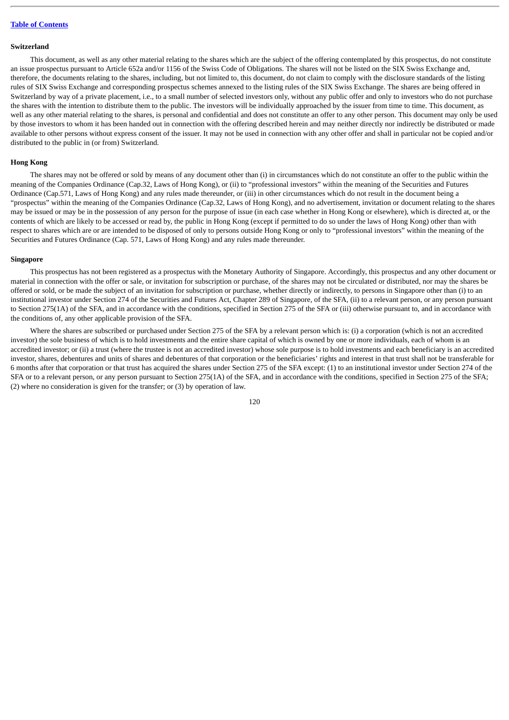### **Switzerland**

This document, as well as any other material relating to the shares which are the subject of the offering contemplated by this prospectus, do not constitute an issue prospectus pursuant to Article 652a and/or 1156 of the Swiss Code of Obligations. The shares will not be listed on the SIX Swiss Exchange and, therefore, the documents relating to the shares, including, but not limited to, this document, do not claim to comply with the disclosure standards of the listing rules of SIX Swiss Exchange and corresponding prospectus schemes annexed to the listing rules of the SIX Swiss Exchange. The shares are being offered in Switzerland by way of a private placement, i.e., to a small number of selected investors only, without any public offer and only to investors who do not purchase the shares with the intention to distribute them to the public. The investors will be individually approached by the issuer from time to time. This document, as well as any other material relating to the shares, is personal and confidential and does not constitute an offer to any other person. This document may only be used by those investors to whom it has been handed out in connection with the offering described herein and may neither directly nor indirectly be distributed or made available to other persons without express consent of the issuer. It may not be used in connection with any other offer and shall in particular not be copied and/or distributed to the public in (or from) Switzerland.

### **Hong Kong**

The shares may not be offered or sold by means of any document other than (i) in circumstances which do not constitute an offer to the public within the meaning of the Companies Ordinance (Cap.32, Laws of Hong Kong), or (ii) to "professional investors" within the meaning of the Securities and Futures Ordinance (Cap.571, Laws of Hong Kong) and any rules made thereunder, or (iii) in other circumstances which do not result in the document being a "prospectus" within the meaning of the Companies Ordinance (Cap.32, Laws of Hong Kong), and no advertisement, invitation or document relating to the shares may be issued or may be in the possession of any person for the purpose of issue (in each case whether in Hong Kong or elsewhere), which is directed at, or the contents of which are likely to be accessed or read by, the public in Hong Kong (except if permitted to do so under the laws of Hong Kong) other than with respect to shares which are or are intended to be disposed of only to persons outside Hong Kong or only to "professional investors" within the meaning of the Securities and Futures Ordinance (Cap. 571, Laws of Hong Kong) and any rules made thereunder.

### **Singapore**

This prospectus has not been registered as a prospectus with the Monetary Authority of Singapore. Accordingly, this prospectus and any other document or material in connection with the offer or sale, or invitation for subscription or purchase, of the shares may not be circulated or distributed, nor may the shares be offered or sold, or be made the subject of an invitation for subscription or purchase, whether directly or indirectly, to persons in Singapore other than (i) to an institutional investor under Section 274 of the Securities and Futures Act, Chapter 289 of Singapore, of the SFA, (ii) to a relevant person, or any person pursuant to Section 275(1A) of the SFA, and in accordance with the conditions, specified in Section 275 of the SFA or (iii) otherwise pursuant to, and in accordance with the conditions of, any other applicable provision of the SFA.

Where the shares are subscribed or purchased under Section 275 of the SFA by a relevant person which is: (i) a corporation (which is not an accredited investor) the sole business of which is to hold investments and the entire share capital of which is owned by one or more individuals, each of whom is an accredited investor; or (ii) a trust (where the trustee is not an accredited investor) whose sole purpose is to hold investments and each beneficiary is an accredited investor, shares, debentures and units of shares and debentures of that corporation or the beneficiaries' rights and interest in that trust shall not be transferable for 6 months after that corporation or that trust has acquired the shares under Section 275 of the SFA except: (1) to an institutional investor under Section 274 of the SFA or to a relevant person, or any person pursuant to Section 275(1A) of the SFA, and in accordance with the conditions, specified in Section 275 of the SFA; (2) where no consideration is given for the transfer; or (3) by operation of law.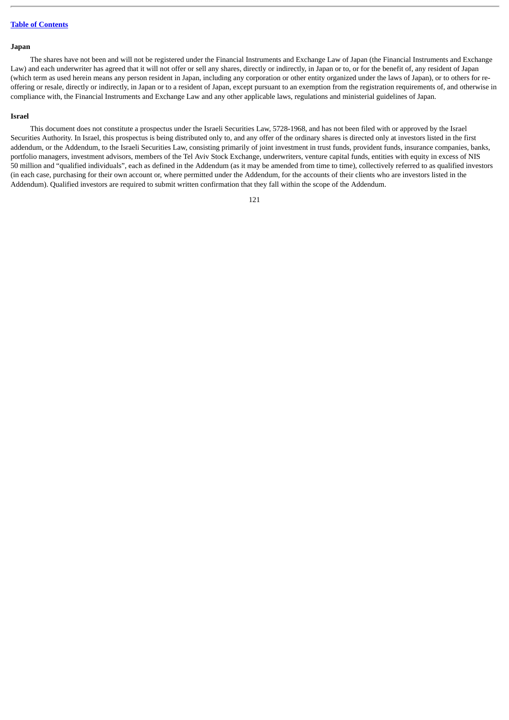## **Japan**

The shares have not been and will not be registered under the Financial Instruments and Exchange Law of Japan (the Financial Instruments and Exchange Law) and each underwriter has agreed that it will not offer or sell any shares, directly or indirectly, in Japan or to, or for the benefit of, any resident of Japan (which term as used herein means any person resident in Japan, including any corporation or other entity organized under the laws of Japan), or to others for reoffering or resale, directly or indirectly, in Japan or to a resident of Japan, except pursuant to an exemption from the registration requirements of, and otherwise in compliance with, the Financial Instruments and Exchange Law and any other applicable laws, regulations and ministerial guidelines of Japan.

### **Israel**

This document does not constitute a prospectus under the Israeli Securities Law, 5728-1968, and has not been filed with or approved by the Israel Securities Authority. In Israel, this prospectus is being distributed only to, and any offer of the ordinary shares is directed only at investors listed in the first addendum, or the Addendum, to the Israeli Securities Law, consisting primarily of joint investment in trust funds, provident funds, insurance companies, banks, portfolio managers, investment advisors, members of the Tel Aviv Stock Exchange, underwriters, venture capital funds, entities with equity in excess of NIS 50 million and "qualified individuals", each as defined in the Addendum (as it may be amended from time to time), collectively referred to as qualified investors (in each case, purchasing for their own account or, where permitted under the Addendum, for the accounts of their clients who are investors listed in the Addendum). Qualified investors are required to submit written confirmation that they fall within the scope of the Addendum.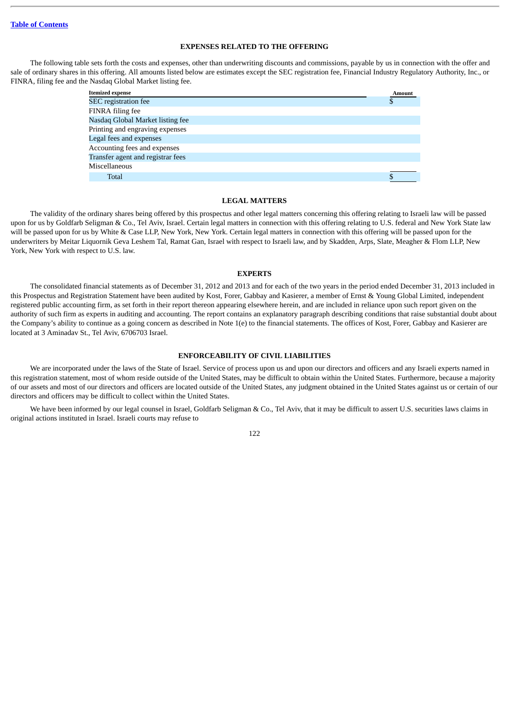## **EXPENSES RELATED TO THE OFFERING**

The following table sets forth the costs and expenses, other than underwriting discounts and commissions, payable by us in connection with the offer and sale of ordinary shares in this offering. All amounts listed below are estimates except the SEC registration fee, Financial Industry Regulatory Authority, Inc., or FINRA, filing fee and the Nasdaq Global Market listing fee.

| <b>Itemized</b> expense           | <b>Amount</b> |
|-----------------------------------|---------------|
| <b>SEC</b> registration fee       | Ф             |
| FINRA filing fee                  |               |
| Nasdaq Global Market listing fee  |               |
| Printing and engraving expenses   |               |
| Legal fees and expenses           |               |
| Accounting fees and expenses      |               |
| Transfer agent and registrar fees |               |
| Miscellaneous                     |               |
| Total                             |               |
|                                   |               |

## **LEGAL MATTERS**

The validity of the ordinary shares being offered by this prospectus and other legal matters concerning this offering relating to Israeli law will be passed upon for us by Goldfarb Seligman & Co., Tel Aviv, Israel. Certain legal matters in connection with this offering relating to U.S. federal and New York State law will be passed upon for us by White & Case LLP, New York, New York. Certain legal matters in connection with this offering will be passed upon for the underwriters by Meitar Liquornik Geva Leshem Tal, Ramat Gan, Israel with respect to Israeli law, and by Skadden, Arps, Slate, Meagher & Flom LLP, New York, New York with respect to U.S. law.

# **EXPERTS**

The consolidated financial statements as of December 31, 2012 and 2013 and for each of the two years in the period ended December 31, 2013 included in this Prospectus and Registration Statement have been audited by Kost, Forer, Gabbay and Kasierer, a member of Ernst & Young Global Limited, independent registered public accounting firm, as set forth in their report thereon appearing elsewhere herein, and are included in reliance upon such report given on the authority of such firm as experts in auditing and accounting. The report contains an explanatory paragraph describing conditions that raise substantial doubt about the Company's ability to continue as a going concern as described in Note 1(e) to the financial statements. The offices of Kost, Forer, Gabbay and Kasierer are located at 3 Aminadav St., Tel Aviv, 6706703 Israel.

## **ENFORCEABILITY OF CIVIL LIABILITIES**

We are incorporated under the laws of the State of Israel. Service of process upon us and upon our directors and officers and any Israeli experts named in this registration statement, most of whom reside outside of the United States, may be difficult to obtain within the United States. Furthermore, because a majority of our assets and most of our directors and officers are located outside of the United States, any judgment obtained in the United States against us or certain of our directors and officers may be difficult to collect within the United States.

We have been informed by our legal counsel in Israel, Goldfarb Seligman & Co., Tel Aviv, that it may be difficult to assert U.S. securities laws claims in original actions instituted in Israel. Israeli courts may refuse to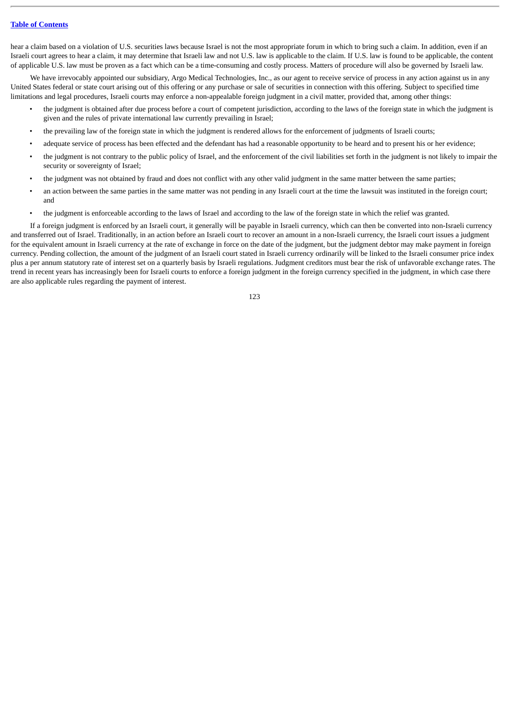# **Table of [Contents](#page-3-0)**

hear a claim based on a violation of U.S. securities laws because Israel is not the most appropriate forum in which to bring such a claim. In addition, even if an Israeli court agrees to hear a claim, it may determine that Israeli law and not U.S. law is applicable to the claim. If U.S. law is found to be applicable, the content of applicable U.S. law must be proven as a fact which can be a time-consuming and costly process. Matters of procedure will also be governed by Israeli law.

We have irrevocably appointed our subsidiary, Argo Medical Technologies, Inc., as our agent to receive service of process in any action against us in any United States federal or state court arising out of this offering or any purchase or sale of securities in connection with this offering. Subject to specified time limitations and legal procedures, Israeli courts may enforce a non-appealable foreign judgment in a civil matter, provided that, among other things:

- the judgment is obtained after due process before a court of competent jurisdiction, according to the laws of the foreign state in which the judgment is given and the rules of private international law currently prevailing in Israel;
- the prevailing law of the foreign state in which the judgment is rendered allows for the enforcement of judgments of Israeli courts;
- adequate service of process has been effected and the defendant has had a reasonable opportunity to be heard and to present his or her evidence;
- the judgment is not contrary to the public policy of Israel, and the enforcement of the civil liabilities set forth in the judgment is not likely to impair the security or sovereignty of Israel;
- the judgment was not obtained by fraud and does not conflict with any other valid judgment in the same matter between the same parties;
- an action between the same parties in the same matter was not pending in any Israeli court at the time the lawsuit was instituted in the foreign court; and
- the judgment is enforceable according to the laws of Israel and according to the law of the foreign state in which the relief was granted.

If a foreign judgment is enforced by an Israeli court, it generally will be payable in Israeli currency, which can then be converted into non-Israeli currency and transferred out of Israel. Traditionally, in an action before an Israeli court to recover an amount in a non-Israeli currency, the Israeli court issues a judgment for the equivalent amount in Israeli currency at the rate of exchange in force on the date of the judgment, but the judgment debtor may make payment in foreign currency. Pending collection, the amount of the judgment of an Israeli court stated in Israeli currency ordinarily will be linked to the Israeli consumer price index plus a per annum statutory rate of interest set on a quarterly basis by Israeli regulations. Judgment creditors must bear the risk of unfavorable exchange rates. The trend in recent years has increasingly been for Israeli courts to enforce a foreign judgment in the foreign currency specified in the judgment, in which case there are also applicable rules regarding the payment of interest.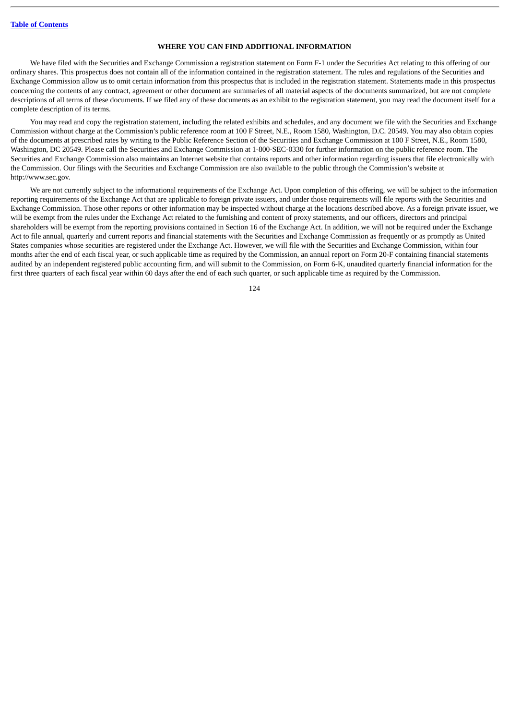## **WHERE YOU CAN FIND ADDITIONAL INFORMATION**

We have filed with the Securities and Exchange Commission a registration statement on Form F-1 under the Securities Act relating to this offering of our ordinary shares. This prospectus does not contain all of the information contained in the registration statement. The rules and regulations of the Securities and Exchange Commission allow us to omit certain information from this prospectus that is included in the registration statement. Statements made in this prospectus concerning the contents of any contract, agreement or other document are summaries of all material aspects of the documents summarized, but are not complete descriptions of all terms of these documents. If we filed any of these documents as an exhibit to the registration statement, you may read the document itself for a complete description of its terms.

You may read and copy the registration statement, including the related exhibits and schedules, and any document we file with the Securities and Exchange Commission without charge at the Commission's public reference room at 100 F Street, N.E., Room 1580, Washington, D.C. 20549. You may also obtain copies of the documents at prescribed rates by writing to the Public Reference Section of the Securities and Exchange Commission at 100 F Street, N.E., Room 1580, Washington, DC 20549. Please call the Securities and Exchange Commission at 1-800-SEC-0330 for further information on the public reference room. The Securities and Exchange Commission also maintains an Internet website that contains reports and other information regarding issuers that file electronically with the Commission. Our filings with the Securities and Exchange Commission are also available to the public through the Commission's website at http://www.sec.gov.

We are not currently subject to the informational requirements of the Exchange Act. Upon completion of this offering, we will be subject to the information reporting requirements of the Exchange Act that are applicable to foreign private issuers, and under those requirements will file reports with the Securities and Exchange Commission. Those other reports or other information may be inspected without charge at the locations described above. As a foreign private issuer, we will be exempt from the rules under the Exchange Act related to the furnishing and content of proxy statements, and our officers, directors and principal shareholders will be exempt from the reporting provisions contained in Section 16 of the Exchange Act. In addition, we will not be required under the Exchange Act to file annual, quarterly and current reports and financial statements with the Securities and Exchange Commission as frequently or as promptly as United States companies whose securities are registered under the Exchange Act. However, we will file with the Securities and Exchange Commission, within four months after the end of each fiscal year, or such applicable time as required by the Commission, an annual report on Form 20-F containing financial statements audited by an independent registered public accounting firm, and will submit to the Commission, on Form 6-K, unaudited quarterly financial information for the first three quarters of each fiscal year within 60 days after the end of each such quarter, or such applicable time as required by the Commission.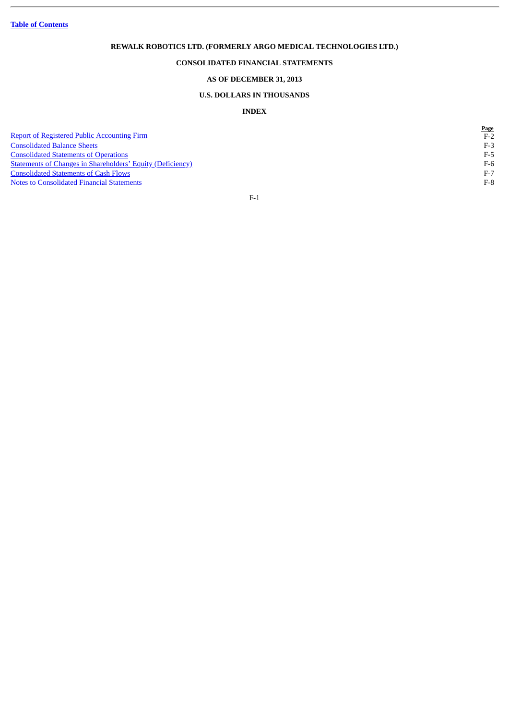**Table of [Contents](#page-3-0)**

# **REWALK ROBOTICS LTD. (FORMERLY ARGO MEDICAL TECHNOLOGIES LTD.)**

# **CONSOLIDATED FINANCIAL STATEMENTS**

# **AS OF DECEMBER 31, 2013**

# **U.S. DOLLARS IN THOUSANDS**

# **INDEX**

**Page**

[Report of Registered Public Accounting Firm](#page-129-0) F-2<br>
Consolidated Balance Sheets<br>
F-3 [Consolidated Balance Sheets](#page-130-0) F-3<br>
Consolidated Statements of Operations F-5 **[Consolidated Statements of Operations](#page-132-0)**<br>
Statements of Changes in Shareholders' Equity (Deficiency)<br>
F-6 [Statements of Changes in Shareholders' Equity \(Deficiency\)](#page-133-0) F-6 **[Consolidated Statements of Cash Flows](#page-134-0)** F-7 **[Notes to Consolidated Financial Statements](#page-135-0)** F-8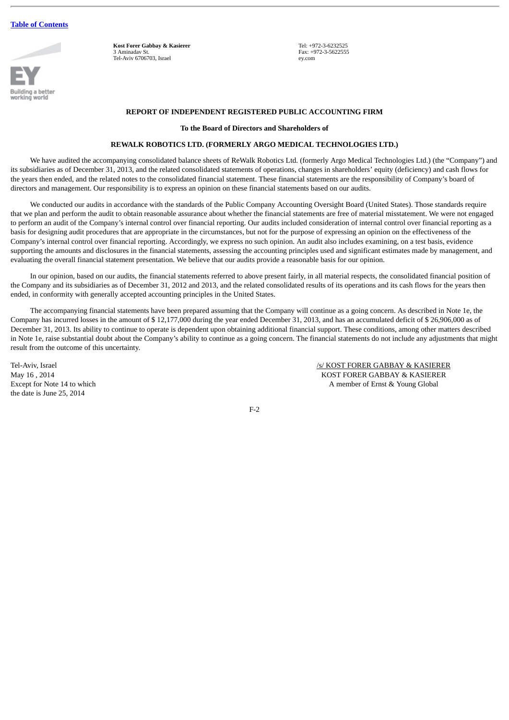

**Kost Forer Gabbay & Kasierer** 3 Aminadav St. Tel-Aviv 6706703, Israel

Tel: +972-3-6232525 Fax: +972-3-5622555 ey.com

## **REPORT OF INDEPENDENT REGISTERED PUBLIC ACCOUNTING FIRM**

### **To the Board of Directors and Shareholders of**

# **REWALK ROBOTICS LTD. (FORMERLY ARGO MEDICAL TECHNOLOGIES LTD.)**

<span id="page-129-0"></span>We have audited the accompanying consolidated balance sheets of ReWalk Robotics Ltd. (formerly Argo Medical Technologies Ltd.) (the "Company") and its subsidiaries as of December 31, 2013, and the related consolidated statements of operations, changes in shareholders' equity (deficiency) and cash flows for the years then ended, and the related notes to the consolidated financial statement. These financial statements are the responsibility of Company's board of directors and management. Our responsibility is to express an opinion on these financial statements based on our audits.

We conducted our audits in accordance with the standards of the Public Company Accounting Oversight Board (United States). Those standards require that we plan and perform the audit to obtain reasonable assurance about whether the financial statements are free of material misstatement. We were not engaged to perform an audit of the Company's internal control over financial reporting. Our audits included consideration of internal control over financial reporting as a basis for designing audit procedures that are appropriate in the circumstances, but not for the purpose of expressing an opinion on the effectiveness of the Company's internal control over financial reporting. Accordingly, we express no such opinion. An audit also includes examining, on a test basis, evidence supporting the amounts and disclosures in the financial statements, assessing the accounting principles used and significant estimates made by management, and evaluating the overall financial statement presentation. We believe that our audits provide a reasonable basis for our opinion.

In our opinion, based on our audits, the financial statements referred to above present fairly, in all material respects, the consolidated financial position of the Company and its subsidiaries as of December 31, 2012 and 2013, and the related consolidated results of its operations and its cash flows for the years then ended, in conformity with generally accepted accounting principles in the United States.

The accompanying financial statements have been prepared assuming that the Company will continue as a going concern. As described in Note 1e, the Company has incurred losses in the amount of \$ 12,177,000 during the year ended December 31, 2013, and has an accumulated deficit of \$ 26,906,000 as of December 31, 2013. Its ability to continue to operate is dependent upon obtaining additional financial support. These conditions, among other matters described in Note 1e, raise substantial doubt about the Company's ability to continue as a going concern. The financial statements do not include any adjustments that might result from the outcome of this uncertainty.

the date is June 25, 2014

Tel-Aviv, Israel *Islama* (San Francisco Controller) and the *Islama May 16* . 2014<br>May 16 . 2014 **May 16 . 2014** May 16, 2014<br>
Except for Note 14 to which<br>
Except for Note 14 to which<br>
A member of Ernst & Young Global A member of Ernst & Young Global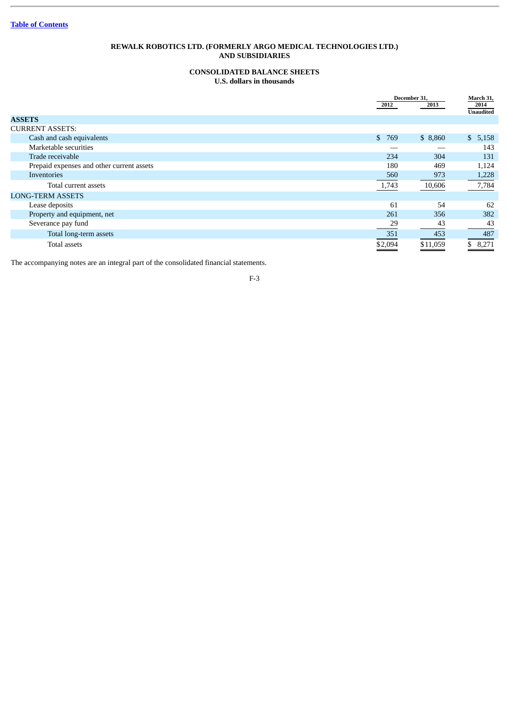# **CONSOLIDATED BALANCE SHEETS U.S. dollars in thousands**

<span id="page-130-0"></span>

|                                           | December 31, |          | March 31,                |
|-------------------------------------------|--------------|----------|--------------------------|
|                                           | 2012         | 2013     | 2014<br><b>Unaudited</b> |
| <b>ASSETS</b>                             |              |          |                          |
| <b>CURRENT ASSETS:</b>                    |              |          |                          |
| Cash and cash equivalents                 | \$769        | \$8,860  | \$5,158                  |
| Marketable securities                     |              |          | 143                      |
| Trade receivable                          | 234          | 304      | 131                      |
| Prepaid expenses and other current assets | 180          | 469      | 1,124                    |
| <b>Inventories</b>                        | 560          | 973      | 1,228                    |
| Total current assets                      | 1,743        | 10,606   | 7,784                    |
| <b>LONG-TERM ASSETS</b>                   |              |          |                          |
| Lease deposits                            | 61           | 54       | 62                       |
| Property and equipment, net               | 261          | 356      | 382                      |
| Severance pay fund                        | 29           | 43       | 43                       |
| Total long-term assets                    | 351          | 453      | 487                      |
| Total assets                              | \$2,094      | \$11,059 | \$8,271                  |

The accompanying notes are an integral part of the consolidated financial statements.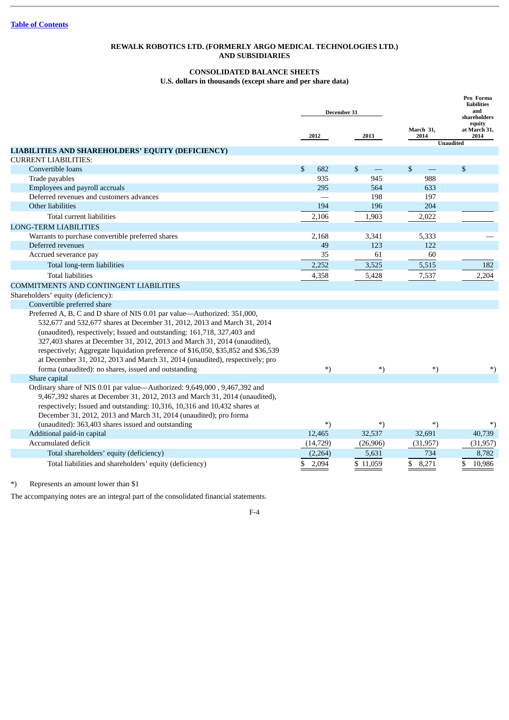# **CONSOLIDATED BALANCE SHEETS U.S. dollars in thousands (except share and per share data)**

|                                                                                                                                                                                                                                                                                                                                                                                                                                                                                   |                     | December 31 |                   | Pro Forma<br>liabilities<br>and<br>shareholders    |
|-----------------------------------------------------------------------------------------------------------------------------------------------------------------------------------------------------------------------------------------------------------------------------------------------------------------------------------------------------------------------------------------------------------------------------------------------------------------------------------|---------------------|-------------|-------------------|----------------------------------------------------|
|                                                                                                                                                                                                                                                                                                                                                                                                                                                                                   | 2012                | 2013        | March 31,<br>2014 | equity<br>at March 31,<br>2014<br><b>Unaudited</b> |
| LIABILITIES AND SHAREHOLDERS' EQUITY (DEFICIENCY)                                                                                                                                                                                                                                                                                                                                                                                                                                 |                     |             |                   |                                                    |
| <b>CURRENT LIABILITIES:</b>                                                                                                                                                                                                                                                                                                                                                                                                                                                       |                     |             |                   |                                                    |
| Convertible loans                                                                                                                                                                                                                                                                                                                                                                                                                                                                 | $\mathbb{S}$<br>682 | $\mathbf S$ | $\mathbb{S}$      | $\mathbb{S}$                                       |
| Trade payables                                                                                                                                                                                                                                                                                                                                                                                                                                                                    | 935                 | 945         | 988               |                                                    |
| Employees and payroll accruals                                                                                                                                                                                                                                                                                                                                                                                                                                                    | 295                 | 564         | 633               |                                                    |
| Deferred revenues and customers advances                                                                                                                                                                                                                                                                                                                                                                                                                                          |                     | 198         | 197               |                                                    |
| Other liabilities                                                                                                                                                                                                                                                                                                                                                                                                                                                                 | 194                 | 196         | 204               |                                                    |
| Total current liabilities                                                                                                                                                                                                                                                                                                                                                                                                                                                         | 2,106               | 1,903       | 2,022             |                                                    |
| <b>LONG-TERM LIABILITIES</b>                                                                                                                                                                                                                                                                                                                                                                                                                                                      |                     |             |                   |                                                    |
| Warrants to purchase convertible preferred shares                                                                                                                                                                                                                                                                                                                                                                                                                                 | 2,168               | 3,341       | 5,333             |                                                    |
| Deferred revenues                                                                                                                                                                                                                                                                                                                                                                                                                                                                 | 49                  | 123         | 122               |                                                    |
| Accrued severance pay                                                                                                                                                                                                                                                                                                                                                                                                                                                             | 35                  | 61          | 60                |                                                    |
| Total long-term liabilities                                                                                                                                                                                                                                                                                                                                                                                                                                                       | 2,252               | 3,525       | 5,515             | 182                                                |
| <b>Total liabilities</b>                                                                                                                                                                                                                                                                                                                                                                                                                                                          | 4,358               | 5,428       | 7,537             | 2,204                                              |
| <b>COMMITMENTS AND CONTINGENT LIABILITIES</b>                                                                                                                                                                                                                                                                                                                                                                                                                                     |                     |             |                   |                                                    |
| Shareholders' equity (deficiency):                                                                                                                                                                                                                                                                                                                                                                                                                                                |                     |             |                   |                                                    |
| Convertible preferred share                                                                                                                                                                                                                                                                                                                                                                                                                                                       |                     |             |                   |                                                    |
| Preferred A, B, C and D share of NIS 0.01 par value-Authorized: 351,000,<br>532,677 and 532,677 shares at December 31, 2012, 2013 and March 31, 2014<br>(unaudited), respectively; Issued and outstanding: 161,718, 327,403 and<br>327,403 shares at December 31, 2012, 2013 and March 31, 2014 (unaudited),<br>respectively; Aggregate liquidation preference of \$16,050, \$35,852 and \$36,539<br>at December 31, 2012, 2013 and March 31, 2014 (unaudited), respectively; pro |                     |             |                   |                                                    |
| forma (unaudited): no shares, issued and outstanding                                                                                                                                                                                                                                                                                                                                                                                                                              | *)                  | $\ast$      | $\ast$            | $^{*}$                                             |
| Share capital                                                                                                                                                                                                                                                                                                                                                                                                                                                                     |                     |             |                   |                                                    |
| Ordinary share of NIS 0.01 par value-Authorized: 9,649,000, 9,467,392 and<br>9,467,392 shares at December 31, 2012, 2013 and March 31, 2014 (unaudited),<br>respectively; Issued and outstanding: 10,316, 10,316 and 10,432 shares at<br>December 31, 2012, 2013 and March 31, 2014 (unaudited); pro forma                                                                                                                                                                        |                     |             |                   |                                                    |
| (unaudited): 363,403 shares issued and outstanding                                                                                                                                                                                                                                                                                                                                                                                                                                | $^*)$               | $^*)$       | $^{*}$            |                                                    |
| Additional paid-in capital                                                                                                                                                                                                                                                                                                                                                                                                                                                        | 12,465              | 32,537      | 32,691            | 40,739                                             |
| Accumulated deficit                                                                                                                                                                                                                                                                                                                                                                                                                                                               | (14, 729)           | (26,906)    | (31, 957)         | (31, 957)                                          |
| Total shareholders' equity (deficiency)                                                                                                                                                                                                                                                                                                                                                                                                                                           | (2,264)             | 5,631       | 734               | 8,782                                              |
| Total liabilities and shareholders' equity (deficiency)                                                                                                                                                                                                                                                                                                                                                                                                                           | \$<br>2,094         | \$11,059    | \$8,271           | \$ 10,986                                          |

\*) Represents an amount lower than \$1

The accompanying notes are an integral part of the consolidated financial statements.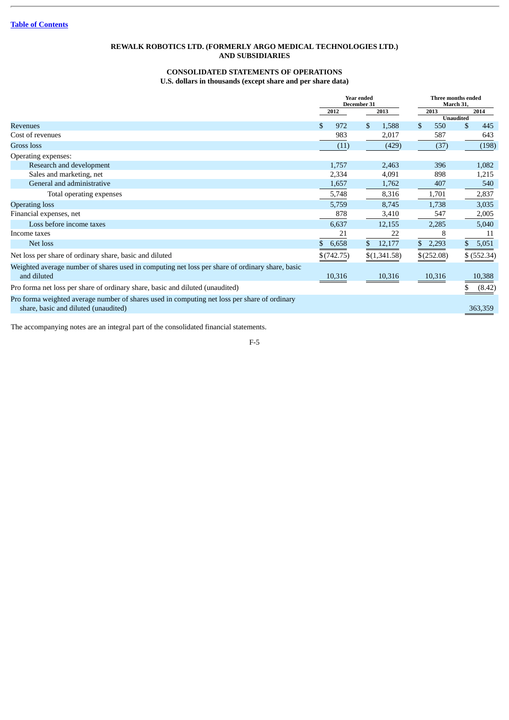# **CONSOLIDATED STATEMENTS OF OPERATIONS U.S. dollars in thousands (except share and per share data)**

<span id="page-132-0"></span>

|                                                                                                                |             | <b>Year ended</b><br>December 31 | Three months ended<br>March 31, |                  |  |
|----------------------------------------------------------------------------------------------------------------|-------------|----------------------------------|---------------------------------|------------------|--|
|                                                                                                                | 2012        | 2013                             | 2013                            | 2014             |  |
|                                                                                                                |             |                                  |                                 | <b>Unaudited</b> |  |
| <b>Revenues</b>                                                                                                | \$.<br>972  | $\mathbf{s}$<br>1,588            | \$<br>550                       | \$<br>445        |  |
| Cost of revenues                                                                                               | 983         | 2,017                            | 587                             | 643              |  |
| Gross loss                                                                                                     | (11)        | (429)                            | (37)                            | (198)            |  |
| Operating expenses:                                                                                            |             |                                  |                                 |                  |  |
| Research and development                                                                                       | 1,757       | 2,463                            | 396                             | 1,082            |  |
| Sales and marketing, net                                                                                       | 2,334       | 4,091                            | 898                             | 1,215            |  |
| General and administrative                                                                                     | 1,657       | 1,762                            | 407                             | 540              |  |
| Total operating expenses                                                                                       | 5,748       | 8,316                            | 1,701                           | 2,837            |  |
| <b>Operating loss</b>                                                                                          | 5,759       | 8,745                            | 1,738                           | 3,035            |  |
| Financial expenses, net                                                                                        | 878         | 3,410                            | 547                             | 2,005            |  |
| Loss before income taxes                                                                                       | 6,637       | 12,155                           | 2,285                           | 5,040            |  |
| Income taxes                                                                                                   | 21          | 22                               | 8                               | 11               |  |
| Net loss                                                                                                       | 6,658<br>S. | \$<br>12,177                     | \$<br>2,293                     | 5,051            |  |
| Net loss per share of ordinary share, basic and diluted                                                        | \$(742.75)  | \$(1,341.58)                     | \$(252.08)                      | $$$ (552.34)     |  |
| Weighted average number of shares used in computing net loss per share of ordinary share, basic<br>and diluted | 10,316      | 10,316                           | 10,316                          | 10,388           |  |
| Pro forma net loss per share of ordinary share, basic and diluted (unaudited)                                  |             |                                  |                                 |                  |  |
|                                                                                                                |             |                                  |                                 | (8.42)           |  |
| Pro forma weighted average number of shares used in computing net loss per share of ordinary                   |             |                                  |                                 |                  |  |
| share, basic and diluted (unaudited)                                                                           |             |                                  |                                 | 363,359          |  |

The accompanying notes are an integral part of the consolidated financial statements.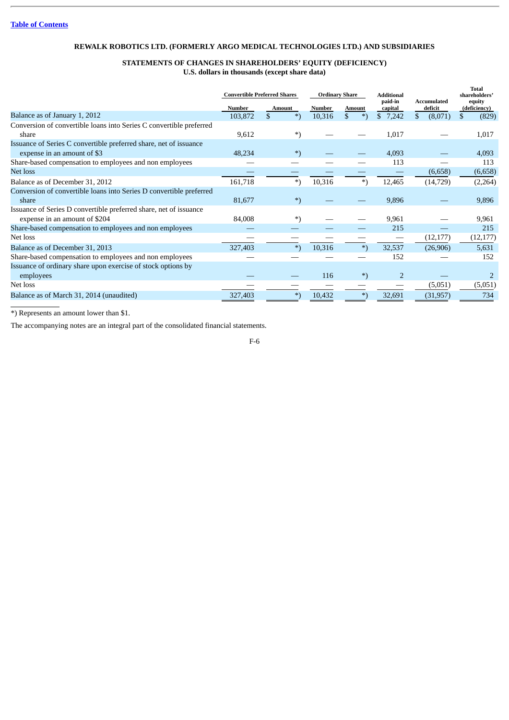# **STATEMENTS OF CHANGES IN SHAREHOLDERS' EQUITY (DEFICIENCY) U.S. dollars in thousands (except share data)**

<span id="page-133-0"></span>

|                                                                              | <b>Convertible Preferred Shares</b> |               | <b>Ordinary Share</b> |               | <b>Additional</b><br>paid-in | Accumulated   | <b>Total</b><br>shareholders'<br>equity |
|------------------------------------------------------------------------------|-------------------------------------|---------------|-----------------------|---------------|------------------------------|---------------|-----------------------------------------|
|                                                                              | Number                              | <b>Amount</b> | Number                | <b>Amount</b> | capital                      | deficit       | (deficiency)                            |
| Balance as of January 1, 2012                                                | 103,872                             | \$<br>$^{*}$  | 10,316                | \$<br>$^{*}$  | \$<br>7,242                  | \$<br>(8,071) | (829)<br>S.                             |
| Conversion of convertible loans into Series C convertible preferred<br>share | 9,612                               | $^*)$         |                       |               | 1,017                        |               | 1,017                                   |
| Issuance of Series C convertible preferred share, net of issuance            |                                     |               |                       |               |                              |               |                                         |
| expense in an amount of \$3                                                  | 48,234                              | $^{*}$        |                       |               | 4,093                        |               | 4,093                                   |
| Share-based compensation to employees and non employees                      |                                     |               |                       |               | 113                          |               | 113                                     |
| Net loss                                                                     |                                     |               |                       |               |                              | (6,658)       | (6,658)                                 |
| Balance as of December 31, 2012                                              | 161,718                             | *)            | 10,316                | $^{*}$        | 12,465                       | (14, 729)     | (2,264)                                 |
| Conversion of convertible loans into Series D convertible preferred          |                                     |               |                       |               |                              |               |                                         |
| share                                                                        | 81,677                              | $^*)$         |                       |               | 9,896                        |               | 9,896                                   |
| Issuance of Series D convertible preferred share, net of issuance            |                                     |               |                       |               |                              |               |                                         |
| expense in an amount of \$204                                                | 84,008                              | *)            |                       |               | 9,961                        |               | 9,961                                   |
| Share-based compensation to employees and non employees                      |                                     |               |                       |               | 215                          |               | 215                                     |
| Net loss                                                                     |                                     |               |                       |               |                              | (12, 177)     | (12, 177)                               |
| Balance as of December 31, 2013                                              | 327,403                             | $^{*}$        | 10,316                | $^{*}$        | 32,537                       | (26,906)      | 5,631                                   |
| Share-based compensation to employees and non employees                      |                                     |               |                       |               | 152                          |               | 152                                     |
| Issuance of ordinary share upon exercise of stock options by                 |                                     |               |                       |               |                              |               |                                         |
| employees                                                                    |                                     |               | 116                   | $^{*}$        | $\overline{2}$               |               |                                         |
| Net loss                                                                     |                                     |               |                       |               |                              | (5,051)       | (5,051)                                 |
| Balance as of March 31, 2014 (unaudited)                                     | 327,403                             | $^{*}$        | 10,432                | $^{*}$        | 32,691                       | (31, 957)     | 734                                     |

\*) Represents an amount lower than \$1.

The accompanying notes are an integral part of the consolidated financial statements.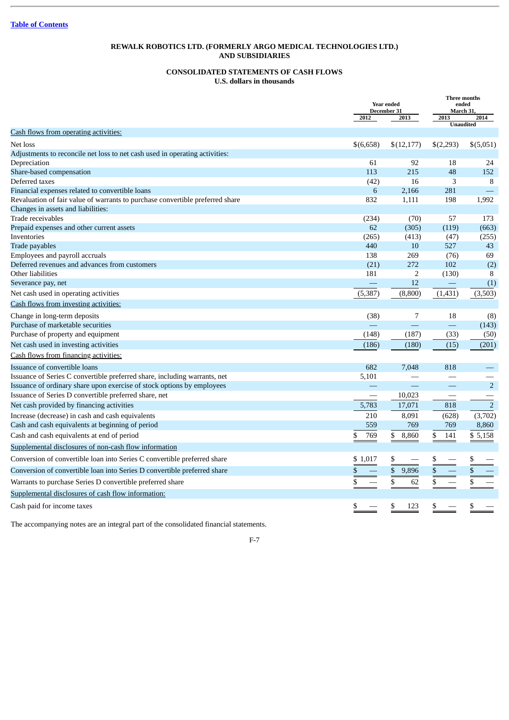# **CONSOLIDATED STATEMENTS OF CASH FLOWS U.S. dollars in thousands**

<span id="page-134-0"></span>

|                                                                               |           | <b>Year ended</b><br>December 31 |                  | Three months<br>ended<br>March 31 |
|-------------------------------------------------------------------------------|-----------|----------------------------------|------------------|-----------------------------------|
|                                                                               | 2012      | 2013                             | 2013             | 2014                              |
| <b>Cash flows from operating activities:</b>                                  |           |                                  | <b>Unaudited</b> |                                   |
| Net loss                                                                      | \$(6,658) | \$(12, 177)                      | \$(2,293)        | \$(5,051)                         |
| Adjustments to reconcile net loss to net cash used in operating activities:   |           |                                  |                  |                                   |
| Depreciation                                                                  | 61        | 92                               | 18               | 24                                |
| Share-based compensation                                                      | 113       | 215                              | 48               | 152                               |
| Deferred taxes                                                                | (42)      | 16                               | 3                | 8                                 |
| Financial expenses related to convertible loans                               | 6         | 2,166                            | 281              |                                   |
| Revaluation of fair value of warrants to purchase convertible preferred share | 832       | 1,111                            | 198              | 1,992                             |
| Changes in assets and liabilities:                                            |           |                                  |                  |                                   |
| Trade receivables                                                             | (234)     | (70)                             | 57               | 173                               |
| Prepaid expenses and other current assets                                     | 62        | (305)                            | (119)            | (663)                             |
| Inventories                                                                   | (265)     | (413)                            | (47)             | (255)                             |
| Trade payables                                                                | 440       | 10                               | 527              | 43                                |
| Employees and payroll accruals                                                | 138       | 269                              | (76)             | 69                                |
| Deferred revenues and advances from customers                                 | (21)      | 272                              | 102              | (2)                               |
| Other liabilities                                                             | 181       | $\overline{2}$                   | (130)            | 8                                 |
| Severance pay, net                                                            |           | 12                               |                  | (1)                               |
| Net cash used in operating activities                                         | (5, 387)  | (8,800)                          | (1,431)          | (3,503)                           |
| Cash flows from investing activities:                                         |           |                                  |                  |                                   |
| Change in long-term deposits                                                  | (38)      | $\overline{7}$                   | 18               | (8)                               |
| Purchase of marketable securities                                             |           |                                  | $\equiv$         | (143)                             |
| Purchase of property and equipment                                            | (148)     | (187)                            | (33)             | (50)                              |
| Net cash used in investing activities                                         | (186)     | (180)                            | (15)             | (201)                             |
| Cash flows from financing activities:                                         |           |                                  |                  |                                   |
| Issuance of convertible loans                                                 | 682       | 7,048                            | 818              |                                   |
| Issuance of Series C convertible preferred share, including warrants, net     | 5,101     |                                  |                  |                                   |
| Issuance of ordinary share upon exercise of stock options by employees        |           |                                  |                  | 2                                 |
| Issuance of Series D convertible preferred share, net                         |           | 10,023                           |                  |                                   |
| Net cash provided by financing activities                                     | 5,783     | 17,071                           | 818              | $\overline{2}$                    |
| Increase (decrease) in cash and cash equivalents                              | 210       | 8,091                            | (628)            | (3,702)                           |
| Cash and cash equivalents at beginning of period                              | 559       | 769                              | 769              | 8,860                             |
| Cash and cash equivalents at end of period                                    | 769<br>\$ | \$<br>8,860                      | \$<br>141        | \$5,158                           |
| Supplemental disclosures of non-cash flow information                         |           |                                  |                  |                                   |
| Conversion of convertible loan into Series C convertible preferred share      | \$1,017   | \$                               |                  | S                                 |
| Conversion of convertible loan into Series D convertible preferred share      |           | $\frac{1}{2}$<br>9,896           | \$               | \$                                |
| Warrants to purchase Series D convertible preferred share                     |           | \$<br>62                         | \$               | \$                                |
| Supplemental disclosures of cash flow information:                            |           |                                  |                  |                                   |
| Cash paid for income taxes                                                    | \$        | \$<br>123                        | \$               | \$                                |

The accompanying notes are an integral part of the consolidated financial statements.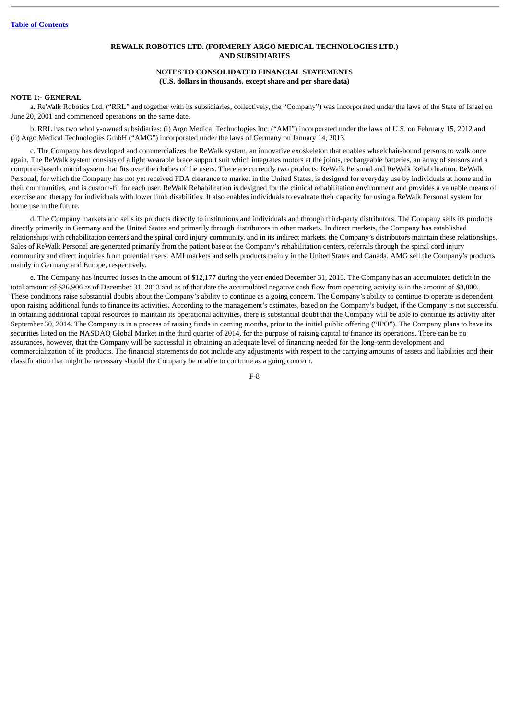# **NOTES TO CONSOLIDATED FINANCIAL STATEMENTS (U.S. dollars in thousands, except share and per share data)**

# <span id="page-135-0"></span>**NOTE 1:- GENERAL**

a. ReWalk Robotics Ltd. ("RRL" and together with its subsidiaries, collectively, the "Company") was incorporated under the laws of the State of Israel on June 20, 2001 and commenced operations on the same date.

b. RRL has two wholly-owned subsidiaries: (i) Argo Medical Technologies Inc. ("AMI") incorporated under the laws of U.S. on February 15, 2012 and (ii) Argo Medical Technologies GmbH ("AMG") incorporated under the laws of Germany on January 14, 2013.

c. The Company has developed and commercializes the ReWalk system, an innovative exoskeleton that enables wheelchair-bound persons to walk once again. The ReWalk system consists of a light wearable brace support suit which integrates motors at the joints, rechargeable batteries, an array of sensors and a computer-based control system that fits over the clothes of the users. There are currently two products: ReWalk Personal and ReWalk Rehabilitation. ReWalk Personal, for which the Company has not yet received FDA clearance to market in the United States, is designed for everyday use by individuals at home and in their communities, and is custom-fit for each user. ReWalk Rehabilitation is designed for the clinical rehabilitation environment and provides a valuable means of exercise and therapy for individuals with lower limb disabilities. It also enables individuals to evaluate their capacity for using a ReWalk Personal system for home use in the future.

d. The Company markets and sells its products directly to institutions and individuals and through third-party distributors. The Company sells its products directly primarily in Germany and the United States and primarily through distributors in other markets. In direct markets, the Company has established relationships with rehabilitation centers and the spinal cord injury community, and in its indirect markets, the Company's distributors maintain these relationships. Sales of ReWalk Personal are generated primarily from the patient base at the Company's rehabilitation centers, referrals through the spinal cord injury community and direct inquiries from potential users. AMI markets and sells products mainly in the United States and Canada. AMG sell the Company's products mainly in Germany and Europe, respectively.

e. The Company has incurred losses in the amount of \$12,177 during the year ended December 31, 2013. The Company has an accumulated deficit in the total amount of \$26,906 as of December 31, 2013 and as of that date the accumulated negative cash flow from operating activity is in the amount of \$8,800. These conditions raise substantial doubts about the Company's ability to continue as a going concern. The Company's ability to continue to operate is dependent upon raising additional funds to finance its activities. According to the management's estimates, based on the Company's budget, if the Company is not successful in obtaining additional capital resources to maintain its operational activities, there is substantial doubt that the Company will be able to continue its activity after September 30, 2014. The Company is in a process of raising funds in coming months, prior to the initial public offering ("IPO"). The Company plans to have its securities listed on the NASDAQ Global Market in the third quarter of 2014, for the purpose of raising capital to finance its operations. There can be no assurances, however, that the Company will be successful in obtaining an adequate level of financing needed for the long-term development and commercialization of its products. The financial statements do not include any adjustments with respect to the carrying amounts of assets and liabilities and their classification that might be necessary should the Company be unable to continue as a going concern.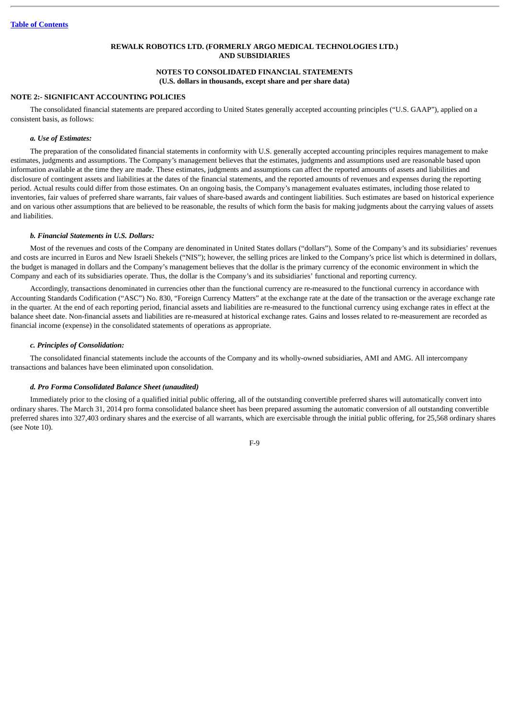# **NOTES TO CONSOLIDATED FINANCIAL STATEMENTS (U.S. dollars in thousands, except share and per share data)**

# **NOTE 2:- SIGNIFICANT ACCOUNTING POLICIES**

The consolidated financial statements are prepared according to United States generally accepted accounting principles ("U.S. GAAP"), applied on a consistent basis, as follows:

## *a. Use of Estimates:*

The preparation of the consolidated financial statements in conformity with U.S. generally accepted accounting principles requires management to make estimates, judgments and assumptions. The Company's management believes that the estimates, judgments and assumptions used are reasonable based upon information available at the time they are made. These estimates, judgments and assumptions can affect the reported amounts of assets and liabilities and disclosure of contingent assets and liabilities at the dates of the financial statements, and the reported amounts of revenues and expenses during the reporting period. Actual results could differ from those estimates. On an ongoing basis, the Company's management evaluates estimates, including those related to inventories, fair values of preferred share warrants, fair values of share-based awards and contingent liabilities. Such estimates are based on historical experience and on various other assumptions that are believed to be reasonable, the results of which form the basis for making judgments about the carrying values of assets and liabilities.

## *b. Financial Statements in U.S. Dollars:*

Most of the revenues and costs of the Company are denominated in United States dollars ("dollars"). Some of the Company's and its subsidiaries' revenues and costs are incurred in Euros and New Israeli Shekels ("NIS"); however, the selling prices are linked to the Company's price list which is determined in dollars, the budget is managed in dollars and the Company's management believes that the dollar is the primary currency of the economic environment in which the Company and each of its subsidiaries operate. Thus, the dollar is the Company's and its subsidiaries' functional and reporting currency.

Accordingly, transactions denominated in currencies other than the functional currency are re-measured to the functional currency in accordance with Accounting Standards Codification ("ASC") No. 830, "Foreign Currency Matters" at the exchange rate at the date of the transaction or the average exchange rate in the quarter. At the end of each reporting period, financial assets and liabilities are re-measured to the functional currency using exchange rates in effect at the balance sheet date. Non-financial assets and liabilities are re-measured at historical exchange rates. Gains and losses related to re-measurement are recorded as financial income (expense) in the consolidated statements of operations as appropriate.

### *c. Principles of Consolidation:*

The consolidated financial statements include the accounts of the Company and its wholly-owned subsidiaries, AMI and AMG. All intercompany transactions and balances have been eliminated upon consolidation.

# *d. Pro Forma Consolidated Balance Sheet (unaudited)*

Immediately prior to the closing of a qualified initial public offering, all of the outstanding convertible preferred shares will automatically convert into ordinary shares. The March 31, 2014 pro forma consolidated balance sheet has been prepared assuming the automatic conversion of all outstanding convertible preferred shares into 327,403 ordinary shares and the exercise of all warrants, which are exercisable through the initial public offering, for 25,568 ordinary shares (see Note 10).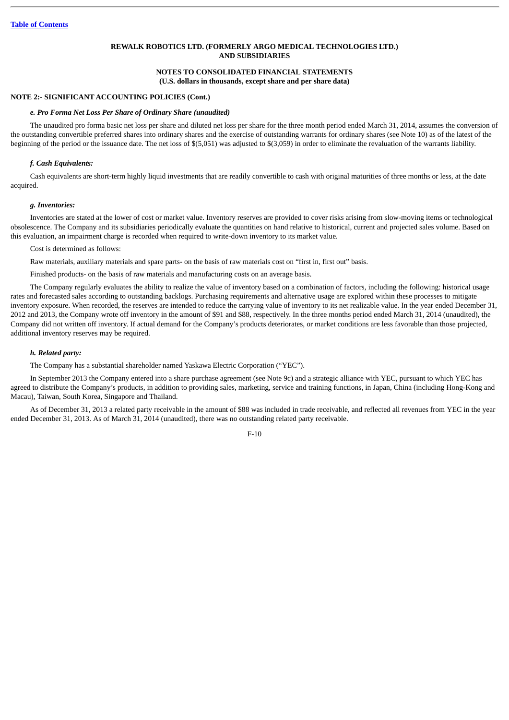# **NOTES TO CONSOLIDATED FINANCIAL STATEMENTS (U.S. dollars in thousands, except share and per share data)**

## **NOTE 2:- SIGNIFICANT ACCOUNTING POLICIES (Cont.)**

#### *e. Pro Forma Net Loss Per Share of Ordinary Share (unaudited)*

The unaudited pro forma basic net loss per share and diluted net loss per share for the three month period ended March 31, 2014, assumes the conversion of the outstanding convertible preferred shares into ordinary shares and the exercise of outstanding warrants for ordinary shares (see Note 10) as of the latest of the beginning of the period or the issuance date. The net loss of \$(5,051) was adjusted to \$(3,059) in order to eliminate the revaluation of the warrants liability.

## *f. Cash Equivalents:*

Cash equivalents are short-term highly liquid investments that are readily convertible to cash with original maturities of three months or less, at the date acquired.

#### *g. Inventories:*

Inventories are stated at the lower of cost or market value. Inventory reserves are provided to cover risks arising from slow-moving items or technological obsolescence. The Company and its subsidiaries periodically evaluate the quantities on hand relative to historical, current and projected sales volume. Based on this evaluation, an impairment charge is recorded when required to write-down inventory to its market value.

Cost is determined as follows:

Raw materials, auxiliary materials and spare parts- on the basis of raw materials cost on "first in, first out" basis.

Finished products- on the basis of raw materials and manufacturing costs on an average basis.

The Company regularly evaluates the ability to realize the value of inventory based on a combination of factors, including the following: historical usage rates and forecasted sales according to outstanding backlogs. Purchasing requirements and alternative usage are explored within these processes to mitigate inventory exposure. When recorded, the reserves are intended to reduce the carrying value of inventory to its net realizable value. In the year ended December 31, 2012 and 2013, the Company wrote off inventory in the amount of \$91 and \$88, respectively. In the three months period ended March 31, 2014 (unaudited), the Company did not written off inventory. If actual demand for the Company's products deteriorates, or market conditions are less favorable than those projected, additional inventory reserves may be required.

## *h. Related party:*

The Company has a substantial shareholder named Yaskawa Electric Corporation ("YEC").

In September 2013 the Company entered into a share purchase agreement (see Note 9c) and a strategic alliance with YEC, pursuant to which YEC has agreed to distribute the Company's products, in addition to providing sales, marketing, service and training functions, in Japan, China (including Hong-Kong and Macau), Taiwan, South Korea, Singapore and Thailand.

As of December 31, 2013 a related party receivable in the amount of \$88 was included in trade receivable, and reflected all revenues from YEC in the year ended December 31, 2013. As of March 31, 2014 (unaudited), there was no outstanding related party receivable.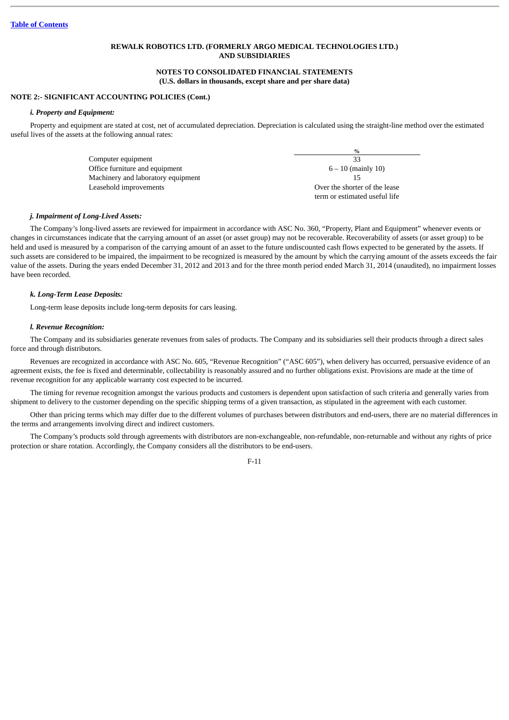# **NOTES TO CONSOLIDATED FINANCIAL STATEMENTS (U.S. dollars in thousands, except share and per share data)**

# **NOTE 2:- SIGNIFICANT ACCOUNTING POLICIES (Cont.)**

## *i. Property and Equipment:*

Property and equipment are stated at cost, net of accumulated depreciation. Depreciation is calculated using the straight-line method over the estimated useful lives of the assets at the following annual rates:

|                                    | $\frac{0}{2}$                 |
|------------------------------------|-------------------------------|
| Computer equipment                 | 33                            |
| Office furniture and equipment     | $6 - 10$ (mainly 10)          |
| Machinery and laboratory equipment |                               |
| Leasehold improvements             | Over the shorter of the lease |
|                                    | term or estimated useful life |

#### *j. Impairment of Long-Lived Assets:*

The Company's long-lived assets are reviewed for impairment in accordance with ASC No. 360, "Property, Plant and Equipment" whenever events or changes in circumstances indicate that the carrying amount of an asset (or asset group) may not be recoverable. Recoverability of assets (or asset group) to be held and used is measured by a comparison of the carrying amount of an asset to the future undiscounted cash flows expected to be generated by the assets. If such assets are considered to be impaired, the impairment to be recognized is measured by the amount by which the carrying amount of the assets exceeds the fair value of the assets. During the years ended December 31, 2012 and 2013 and for the three month period ended March 31, 2014 (unaudited), no impairment losses have been recorded.

### *k. Long-Term Lease Deposits:*

Long-term lease deposits include long-term deposits for cars leasing.

#### *l. Revenue Recognition:*

The Company and its subsidiaries generate revenues from sales of products. The Company and its subsidiaries sell their products through a direct sales force and through distributors.

Revenues are recognized in accordance with ASC No. 605, "Revenue Recognition" ("ASC 605"), when delivery has occurred, persuasive evidence of an agreement exists, the fee is fixed and determinable, collectability is reasonably assured and no further obligations exist. Provisions are made at the time of revenue recognition for any applicable warranty cost expected to be incurred.

The timing for revenue recognition amongst the various products and customers is dependent upon satisfaction of such criteria and generally varies from shipment to delivery to the customer depending on the specific shipping terms of a given transaction, as stipulated in the agreement with each customer.

Other than pricing terms which may differ due to the different volumes of purchases between distributors and end-users, there are no material differences in the terms and arrangements involving direct and indirect customers.

The Company's products sold through agreements with distributors are non-exchangeable, non-refundable, non-returnable and without any rights of price protection or share rotation. Accordingly, the Company considers all the distributors to be end-users.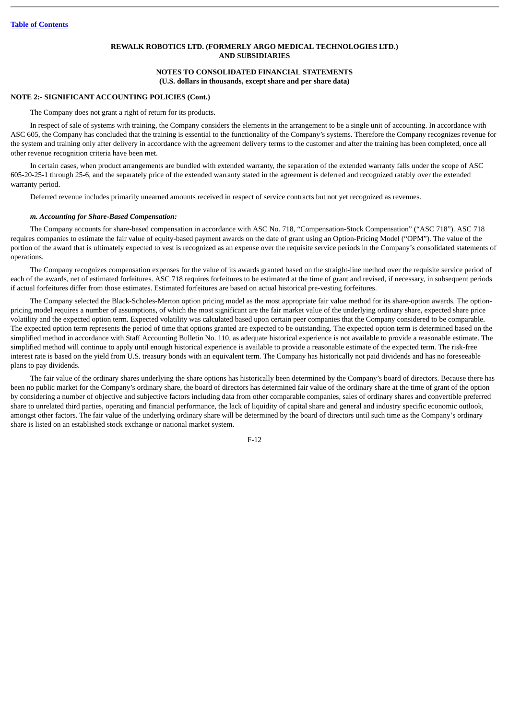# **NOTES TO CONSOLIDATED FINANCIAL STATEMENTS (U.S. dollars in thousands, except share and per share data)**

# **NOTE 2:- SIGNIFICANT ACCOUNTING POLICIES (Cont.)**

The Company does not grant a right of return for its products.

In respect of sale of systems with training, the Company considers the elements in the arrangement to be a single unit of accounting. In accordance with ASC 605, the Company has concluded that the training is essential to the functionality of the Company's systems. Therefore the Company recognizes revenue for the system and training only after delivery in accordance with the agreement delivery terms to the customer and after the training has been completed, once all other revenue recognition criteria have been met.

In certain cases, when product arrangements are bundled with extended warranty, the separation of the extended warranty falls under the scope of ASC 605-20-25-1 through 25-6, and the separately price of the extended warranty stated in the agreement is deferred and recognized ratably over the extended warranty period.

Deferred revenue includes primarily unearned amounts received in respect of service contracts but not yet recognized as revenues.

### *m. Accounting for Share-Based Compensation:*

The Company accounts for share-based compensation in accordance with ASC No. 718, "Compensation-Stock Compensation" ("ASC 718"). ASC 718 requires companies to estimate the fair value of equity-based payment awards on the date of grant using an Option-Pricing Model ("OPM"). The value of the portion of the award that is ultimately expected to vest is recognized as an expense over the requisite service periods in the Company's consolidated statements of operations.

The Company recognizes compensation expenses for the value of its awards granted based on the straight-line method over the requisite service period of each of the awards, net of estimated forfeitures. ASC 718 requires forfeitures to be estimated at the time of grant and revised, if necessary, in subsequent periods if actual forfeitures differ from those estimates. Estimated forfeitures are based on actual historical pre-vesting forfeitures.

The Company selected the Black-Scholes-Merton option pricing model as the most appropriate fair value method for its share-option awards. The optionpricing model requires a number of assumptions, of which the most significant are the fair market value of the underlying ordinary share, expected share price volatility and the expected option term. Expected volatility was calculated based upon certain peer companies that the Company considered to be comparable. The expected option term represents the period of time that options granted are expected to be outstanding. The expected option term is determined based on the simplified method in accordance with Staff Accounting Bulletin No. 110, as adequate historical experience is not available to provide a reasonable estimate. The simplified method will continue to apply until enough historical experience is available to provide a reasonable estimate of the expected term. The risk-free interest rate is based on the yield from U.S. treasury bonds with an equivalent term. The Company has historically not paid dividends and has no foreseeable plans to pay dividends.

The fair value of the ordinary shares underlying the share options has historically been determined by the Company's board of directors. Because there has been no public market for the Company's ordinary share, the board of directors has determined fair value of the ordinary share at the time of grant of the option by considering a number of objective and subjective factors including data from other comparable companies, sales of ordinary shares and convertible preferred share to unrelated third parties, operating and financial performance, the lack of liquidity of capital share and general and industry specific economic outlook, amongst other factors. The fair value of the underlying ordinary share will be determined by the board of directors until such time as the Company's ordinary share is listed on an established stock exchange or national market system.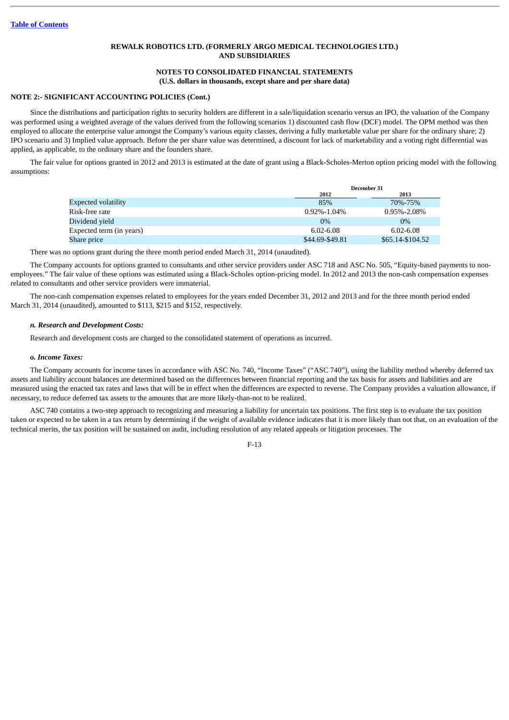# **NOTES TO CONSOLIDATED FINANCIAL STATEMENTS (U.S. dollars in thousands, except share and per share data)**

## **NOTE 2:- SIGNIFICANT ACCOUNTING POLICIES (Cont.)**

Since the distributions and participation rights to security holders are different in a sale/liquidation scenario versus an IPO, the valuation of the Company was performed using a weighted average of the values derived from the following scenarios 1) discounted cash flow (DCF) model. The OPM method was then employed to allocate the enterprise value amongst the Company's various equity classes, deriving a fully marketable value per share for the ordinary share; 2) IPO scenario and 3) Implied value approach. Before the per share value was determined, a discount for lack of marketability and a voting right differential was applied, as applicable, to the ordinary share and the founders share.

The fair value for options granted in 2012 and 2013 is estimated at the date of grant using a Black-Scholes-Merton option pricing model with the following assumptions:

|                          | December 31       |                   |  |
|--------------------------|-------------------|-------------------|--|
|                          | 2012              | 2013              |  |
| Expected volatility      | 85%               | 70\%-75\%         |  |
| Risk-free rate           | $0.92\% - 1.04\%$ | $0.95\% - 2.08\%$ |  |
| Dividend vield           | $0\%$             | $0\%$             |  |
| Expected term (in years) | 6.02-6.08         | 6.02-6.08         |  |
| Share price              | \$44.69-\$49.81   | \$65.14-\$104.52  |  |

There was no options grant during the three month period ended March 31, 2014 (unaudited).

The Company accounts for options granted to consultants and other service providers under ASC 718 and ASC No. 505, "Equity-based payments to nonemployees." The fair value of these options was estimated using a Black-Scholes option-pricing model. In 2012 and 2013 the non-cash compensation expenses related to consultants and other service providers were immaterial.

The non-cash compensation expenses related to employees for the years ended December 31, 2012 and 2013 and for the three month period ended March 31, 2014 (unaudited), amounted to \$113, \$215 and \$152, respectively.

## *n. Research and Development Costs:*

Research and development costs are charged to the consolidated statement of operations as incurred.

### *o. Income Taxes:*

The Company accounts for income taxes in accordance with ASC No. 740, "Income Taxes" ("ASC 740"), using the liability method whereby deferred tax assets and liability account balances are determined based on the differences between financial reporting and the tax basis for assets and liabilities and are measured using the enacted tax rates and laws that will be in effect when the differences are expected to reverse. The Company provides a valuation allowance, if necessary, to reduce deferred tax assets to the amounts that are more likely-than-not to be realized.

ASC 740 contains a two-step approach to recognizing and measuring a liability for uncertain tax positions. The first step is to evaluate the tax position taken or expected to be taken in a tax return by determining if the weight of available evidence indicates that it is more likely than not that, on an evaluation of the technical merits, the tax position will be sustained on audit, including resolution of any related appeals or litigation processes. The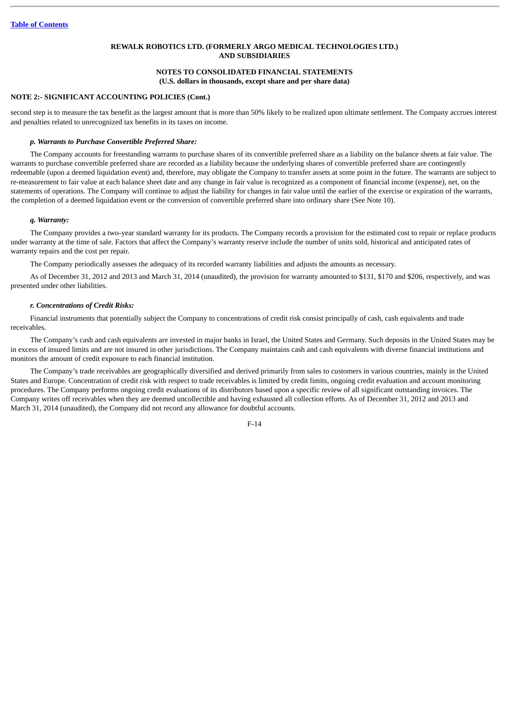# **NOTES TO CONSOLIDATED FINANCIAL STATEMENTS (U.S. dollars in thousands, except share and per share data)**

# **NOTE 2:- SIGNIFICANT ACCOUNTING POLICIES (Cont.)**

second step is to measure the tax benefit as the largest amount that is more than 50% likely to be realized upon ultimate settlement. The Company accrues interest and penalties related to unrecognized tax benefits in its taxes on income.

### *p. Warrants to Purchase Convertible Preferred Share:*

The Company accounts for freestanding warrants to purchase shares of its convertible preferred share as a liability on the balance sheets at fair value. The warrants to purchase convertible preferred share are recorded as a liability because the underlying shares of convertible preferred share are contingently redeemable (upon a deemed liquidation event) and, therefore, may obligate the Company to transfer assets at some point in the future. The warrants are subject to re-measurement to fair value at each balance sheet date and any change in fair value is recognized as a component of financial income (expense), net, on the statements of operations. The Company will continue to adjust the liability for changes in fair value until the earlier of the exercise or expiration of the warrants, the completion of a deemed liquidation event or the conversion of convertible preferred share into ordinary share (See Note 10).

### *q. Warranty:*

The Company provides a two-year standard warranty for its products. The Company records a provision for the estimated cost to repair or replace products under warranty at the time of sale. Factors that affect the Company's warranty reserve include the number of units sold, historical and anticipated rates of warranty repairs and the cost per repair.

The Company periodically assesses the adequacy of its recorded warranty liabilities and adjusts the amounts as necessary.

As of December 31, 2012 and 2013 and March 31, 2014 (unaudited), the provision for warranty amounted to \$131, \$170 and \$206, respectively, and was presented under other liabilities.

# *r. Concentrations of Credit Risks:*

Financial instruments that potentially subject the Company to concentrations of credit risk consist principally of cash, cash equivalents and trade receivables.

The Company's cash and cash equivalents are invested in major banks in Israel, the United States and Germany. Such deposits in the United States may be in excess of insured limits and are not insured in other jurisdictions. The Company maintains cash and cash equivalents with diverse financial institutions and monitors the amount of credit exposure to each financial institution.

The Company's trade receivables are geographically diversified and derived primarily from sales to customers in various countries, mainly in the United States and Europe. Concentration of credit risk with respect to trade receivables is limited by credit limits, ongoing credit evaluation and account monitoring procedures. The Company performs ongoing credit evaluations of its distributors based upon a specific review of all significant outstanding invoices. The Company writes off receivables when they are deemed uncollectible and having exhausted all collection efforts. As of December 31, 2012 and 2013 and March 31, 2014 (unaudited), the Company did not record any allowance for doubtful accounts.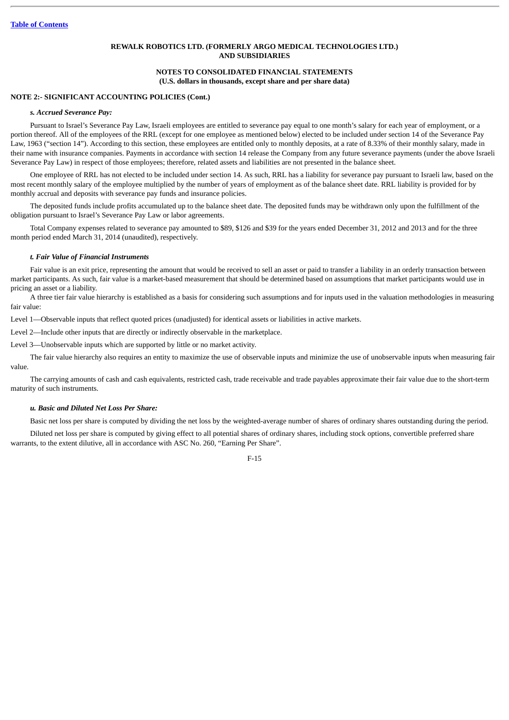## **NOTES TO CONSOLIDATED FINANCIAL STATEMENTS (U.S. dollars in thousands, except share and per share data)**

## **NOTE 2:- SIGNIFICANT ACCOUNTING POLICIES (Cont.)**

### *s. Accrued Severance Pay:*

Pursuant to Israel's Severance Pay Law, Israeli employees are entitled to severance pay equal to one month's salary for each year of employment, or a portion thereof. All of the employees of the RRL (except for one employee as mentioned below) elected to be included under section 14 of the Severance Pay Law, 1963 ("section 14"). According to this section, these employees are entitled only to monthly deposits, at a rate of 8.33% of their monthly salary, made in their name with insurance companies. Payments in accordance with section 14 release the Company from any future severance payments (under the above Israeli Severance Pay Law) in respect of those employees; therefore, related assets and liabilities are not presented in the balance sheet.

One employee of RRL has not elected to be included under section 14. As such, RRL has a liability for severance pay pursuant to Israeli law, based on the most recent monthly salary of the employee multiplied by the number of years of employment as of the balance sheet date. RRL liability is provided for by monthly accrual and deposits with severance pay funds and insurance policies.

The deposited funds include profits accumulated up to the balance sheet date. The deposited funds may be withdrawn only upon the fulfillment of the obligation pursuant to Israel's Severance Pay Law or labor agreements.

Total Company expenses related to severance pay amounted to \$89, \$126 and \$39 for the years ended December 31, 2012 and 2013 and for the three month period ended March 31, 2014 (unaudited), respectively.

# *t. Fair Value of Financial Instruments*

Fair value is an exit price, representing the amount that would be received to sell an asset or paid to transfer a liability in an orderly transaction between market participants. As such, fair value is a market-based measurement that should be determined based on assumptions that market participants would use in pricing an asset or a liability.

A three tier fair value hierarchy is established as a basis for considering such assumptions and for inputs used in the valuation methodologies in measuring fair value:

Level 1—Observable inputs that reflect quoted prices (unadjusted) for identical assets or liabilities in active markets.

Level 2—Include other inputs that are directly or indirectly observable in the marketplace.

Level 3—Unobservable inputs which are supported by little or no market activity.

The fair value hierarchy also requires an entity to maximize the use of observable inputs and minimize the use of unobservable inputs when measuring fair value.

The carrying amounts of cash and cash equivalents, restricted cash, trade receivable and trade payables approximate their fair value due to the short-term maturity of such instruments.

### *u. Basic and Diluted Net Loss Per Share:*

Basic net loss per share is computed by dividing the net loss by the weighted-average number of shares of ordinary shares outstanding during the period.

Diluted net loss per share is computed by giving effect to all potential shares of ordinary shares, including stock options, convertible preferred share warrants, to the extent dilutive, all in accordance with ASC No. 260, "Earning Per Share".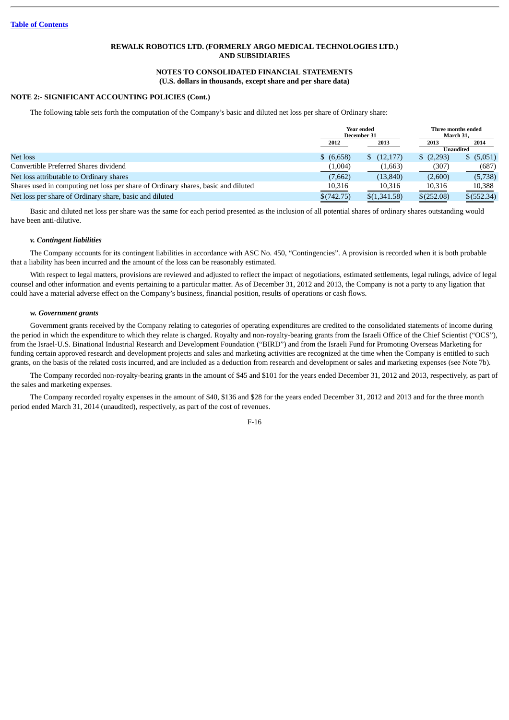# **NOTES TO CONSOLIDATED FINANCIAL STATEMENTS (U.S. dollars in thousands, except share and per share data)**

## **NOTE 2:- SIGNIFICANT ACCOUNTING POLICIES (Cont.)**

The following table sets forth the computation of the Company's basic and diluted net loss per share of Ordinary share:

|                                                                                   | Year ended<br>December 31 |                    | March 31.  | Three months ended |
|-----------------------------------------------------------------------------------|---------------------------|--------------------|------------|--------------------|
|                                                                                   | 2012                      | 2013               | 2013       | 2014               |
|                                                                                   |                           |                    |            | Unaudited          |
| Net loss                                                                          | \$ (6,658)                | $\frac{12,177}{2}$ | (2,293)    | \$ (5,051)         |
| Convertible Preferred Shares dividend                                             | (1,004)                   | (1,663)            | (307)      | (687)              |
| Net loss attributable to Ordinary shares                                          | (7,662)                   | (13, 840)          | (2,600)    | (5,738)            |
| Shares used in computing net loss per share of Ordinary shares, basic and diluted | 10,316                    | 10,316             | 10,316     | 10,388             |
| Net loss per share of Ordinary share, basic and diluted                           | \$(742.75)                | \$(1,341.58)       | \$(252.08) | \$(552.34)         |

Basic and diluted net loss per share was the same for each period presented as the inclusion of all potential shares of ordinary shares outstanding would have been anti-dilutive.

## *v. Contingent liabilities*

The Company accounts for its contingent liabilities in accordance with ASC No. 450, "Contingencies". A provision is recorded when it is both probable that a liability has been incurred and the amount of the loss can be reasonably estimated.

With respect to legal matters, provisions are reviewed and adjusted to reflect the impact of negotiations, estimated settlements, legal rulings, advice of legal counsel and other information and events pertaining to a particular matter. As of December 31, 2012 and 2013, the Company is not a party to any ligation that could have a material adverse effect on the Company's business, financial position, results of operations or cash flows.

### *w. Government grants*

Government grants received by the Company relating to categories of operating expenditures are credited to the consolidated statements of income during the period in which the expenditure to which they relate is charged. Royalty and non-royalty-bearing grants from the Israeli Office of the Chief Scientist ("OCS"), from the Israel-U.S. Binational Industrial Research and Development Foundation ("BIRD") and from the Israeli Fund for Promoting Overseas Marketing for funding certain approved research and development projects and sales and marketing activities are recognized at the time when the Company is entitled to such grants, on the basis of the related costs incurred, and are included as a deduction from research and development or sales and marketing expenses (see Note 7b).

The Company recorded non-royalty-bearing grants in the amount of \$45 and \$101 for the years ended December 31, 2012 and 2013, respectively, as part of the sales and marketing expenses.

The Company recorded royalty expenses in the amount of \$40, \$136 and \$28 for the years ended December 31, 2012 and 2013 and for the three month period ended March 31, 2014 (unaudited), respectively, as part of the cost of revenues.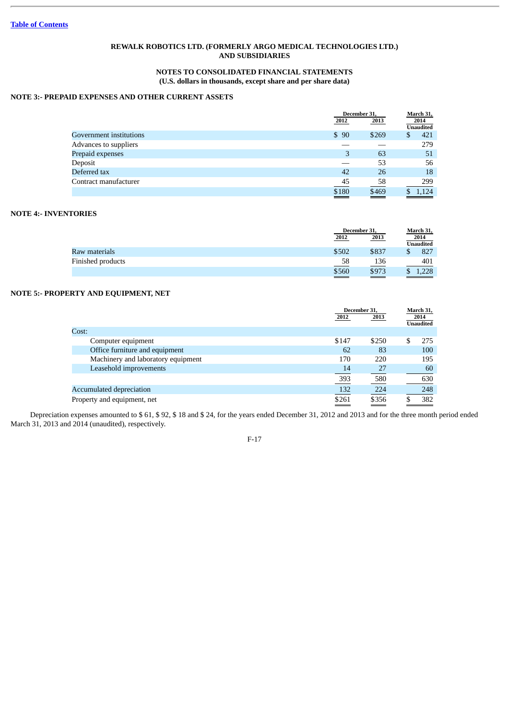# **NOTES TO CONSOLIDATED FINANCIAL STATEMENTS (U.S. dollars in thousands, except share and per share data)**

# **NOTE 3:- PREPAID EXPENSES AND OTHER CURRENT ASSETS**

|                         |                | December 31. |                          |
|-------------------------|----------------|--------------|--------------------------|
|                         | 2012           | 2013         | 2014<br><b>Unaudited</b> |
| Government institutions | \$90           | \$269        | 421<br>S                 |
| Advances to suppliers   |                |              | 279                      |
| Prepaid expenses        | 3              | 63           | 51                       |
| Deposit                 |                | 53           | 56                       |
| Deferred tax            | 42             | 26           | 18                       |
| Contract manufacturer   | $\frac{45}{5}$ | 58           | 299                      |
|                         | \$180          | \$469        | 1.124                    |

# **NOTE 4:- INVENTORIES**

|                   |                        | December 31,    |                  |
|-------------------|------------------------|-----------------|------------------|
|                   | 2012                   | 2013            | 2014             |
|                   |                        |                 | <b>Unaudited</b> |
| Raw materials     | \$502                  | \$837           | 827              |
| Finished products | 58<br>___              | 136             | 401              |
|                   | \$560<br>$\sim$ $\sim$ | \$973<br>$\sim$ | 1,228            |

# **NOTE 5:- PROPERTY AND EQUIPMENT, NET**

| 2014<br><b>Unaudited</b> |
|--------------------------|
|                          |
|                          |
|                          |
| 275                      |
| 100                      |
| 195                      |
| 60                       |
| 630                      |
| 248                      |
| 382                      |
|                          |

Depreciation expenses amounted to \$ 61, \$ 92, \$ 18 and \$ 24, for the years ended December 31, 2012 and 2013 and for the three month period ended March 31, 2013 and 2014 (unaudited), respectively.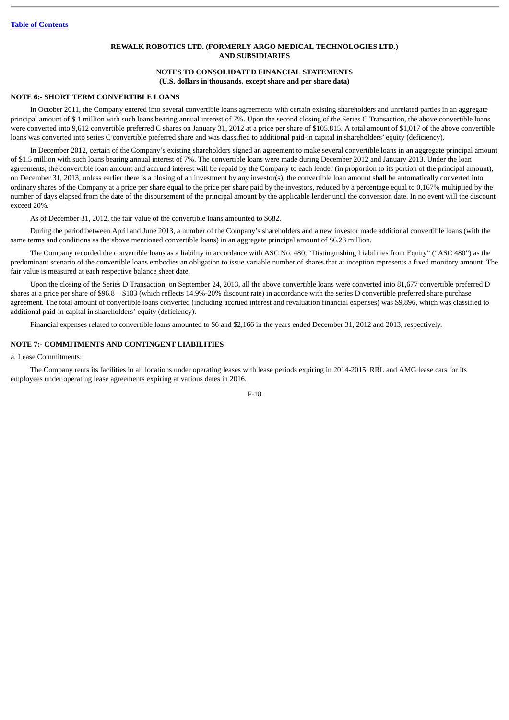### **NOTES TO CONSOLIDATED FINANCIAL STATEMENTS (U.S. dollars in thousands, except share and per share data)**

#### **NOTE 6:- SHORT TERM CONVERTIBLE LOANS**

In October 2011, the Company entered into several convertible loans agreements with certain existing shareholders and unrelated parties in an aggregate principal amount of \$ 1 million with such loans bearing annual interest of 7%. Upon the second closing of the Series C Transaction, the above convertible loans were converted into 9,612 convertible preferred C shares on January 31, 2012 at a price per share of \$105.815. A total amount of \$1,017 of the above convertible loans was converted into series C convertible preferred share and was classified to additional paid-in capital in shareholders' equity (deficiency).

In December 2012, certain of the Company's existing shareholders signed an agreement to make several convertible loans in an aggregate principal amount of \$1.5 million with such loans bearing annual interest of 7%. The convertible loans were made during December 2012 and January 2013. Under the loan agreements, the convertible loan amount and accrued interest will be repaid by the Company to each lender (in proportion to its portion of the principal amount), on December 31, 2013, unless earlier there is a closing of an investment by any investor(s), the convertible loan amount shall be automatically converted into ordinary shares of the Company at a price per share equal to the price per share paid by the investors, reduced by a percentage equal to 0.167% multiplied by the number of days elapsed from the date of the disbursement of the principal amount by the applicable lender until the conversion date. In no event will the discount exceed 20%.

As of December 31, 2012, the fair value of the convertible loans amounted to \$682.

During the period between April and June 2013, a number of the Company's shareholders and a new investor made additional convertible loans (with the same terms and conditions as the above mentioned convertible loans) in an aggregate principal amount of \$6.23 million.

The Company recorded the convertible loans as a liability in accordance with ASC No. 480, "Distinguishing Liabilities from Equity" ("ASC 480") as the predominant scenario of the convertible loans embodies an obligation to issue variable number of shares that at inception represents a fixed monitory amount. The fair value is measured at each respective balance sheet date.

Upon the closing of the Series D Transaction, on September 24, 2013, all the above convertible loans were converted into 81,677 convertible preferred D shares at a price per share of \$96.8—\$103 (which reflects 14.9%-20% discount rate) in accordance with the series D convertible preferred share purchase agreement. The total amount of convertible loans converted (including accrued interest and revaluation financial expenses) was \$9,896, which was classified to additional paid-in capital in shareholders' equity (deficiency).

Financial expenses related to convertible loans amounted to \$6 and \$2,166 in the years ended December 31, 2012 and 2013, respectively.

### **NOTE 7:- COMMITMENTS AND CONTINGENT LIABILITIES**

a. Lease Commitments:

The Company rents its facilities in all locations under operating leases with lease periods expiring in 2014-2015. RRL and AMG lease cars for its employees under operating lease agreements expiring at various dates in 2016.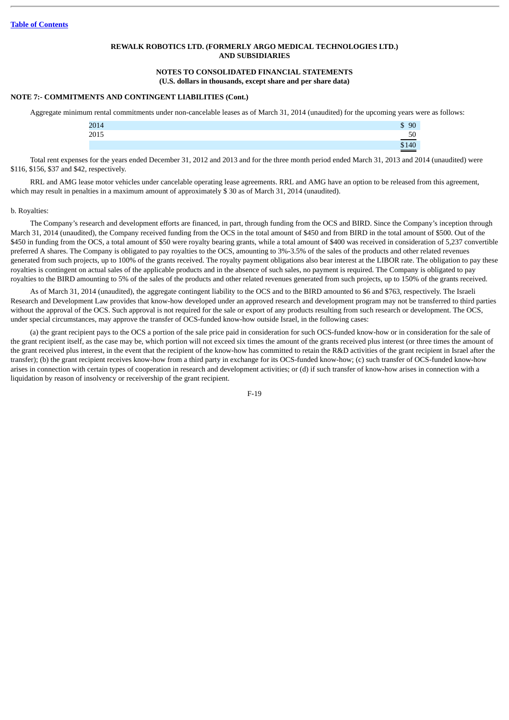#### **NOTES TO CONSOLIDATED FINANCIAL STATEMENTS (U.S. dollars in thousands, except share and per share data)**

#### **NOTE 7:- COMMITMENTS AND CONTINGENT LIABILITIES (Cont.)**

Aggregate minimum rental commitments under non-cancelable leases as of March 31, 2014 (unaudited) for the upcoming years were as follows:

| 2014 | 90<br>D   |
|------|-----------|
| 2015 | эı<br>___ |
|      |           |

Total rent expenses for the years ended December 31, 2012 and 2013 and for the three month period ended March 31, 2013 and 2014 (unaudited) were \$116, \$156, \$37 and \$42, respectively.

RRL and AMG lease motor vehicles under cancelable operating lease agreements. RRL and AMG have an option to be released from this agreement, which may result in penalties in a maximum amount of approximately \$ 30 as of March 31, 2014 (unaudited).

#### b. Royalties:

The Company's research and development efforts are financed, in part, through funding from the OCS and BIRD. Since the Company's inception through March 31, 2014 (unaudited), the Company received funding from the OCS in the total amount of \$450 and from BIRD in the total amount of \$500. Out of the \$450 in funding from the OCS, a total amount of \$50 were royalty bearing grants, while a total amount of \$400 was received in consideration of 5,237 convertible preferred A shares. The Company is obligated to pay royalties to the OCS, amounting to 3%-3.5% of the sales of the products and other related revenues generated from such projects, up to 100% of the grants received. The royalty payment obligations also bear interest at the LIBOR rate. The obligation to pay these royalties is contingent on actual sales of the applicable products and in the absence of such sales, no payment is required. The Company is obligated to pay royalties to the BIRD amounting to 5% of the sales of the products and other related revenues generated from such projects, up to 150% of the grants received.

As of March 31, 2014 (unaudited), the aggregate contingent liability to the OCS and to the BIRD amounted to \$6 and \$763, respectively. The Israeli Research and Development Law provides that know-how developed under an approved research and development program may not be transferred to third parties without the approval of the OCS. Such approval is not required for the sale or export of any products resulting from such research or development. The OCS, under special circumstances, may approve the transfer of OCS-funded know-how outside Israel, in the following cases:

(a) the grant recipient pays to the OCS a portion of the sale price paid in consideration for such OCS-funded know-how or in consideration for the sale of the grant recipient itself, as the case may be, which portion will not exceed six times the amount of the grants received plus interest (or three times the amount of the grant received plus interest, in the event that the recipient of the know-how has committed to retain the R&D activities of the grant recipient in Israel after the transfer); (b) the grant recipient receives know-how from a third party in exchange for its OCS-funded know-how; (c) such transfer of OCS-funded know-how arises in connection with certain types of cooperation in research and development activities; or (d) if such transfer of know-how arises in connection with a liquidation by reason of insolvency or receivership of the grant recipient.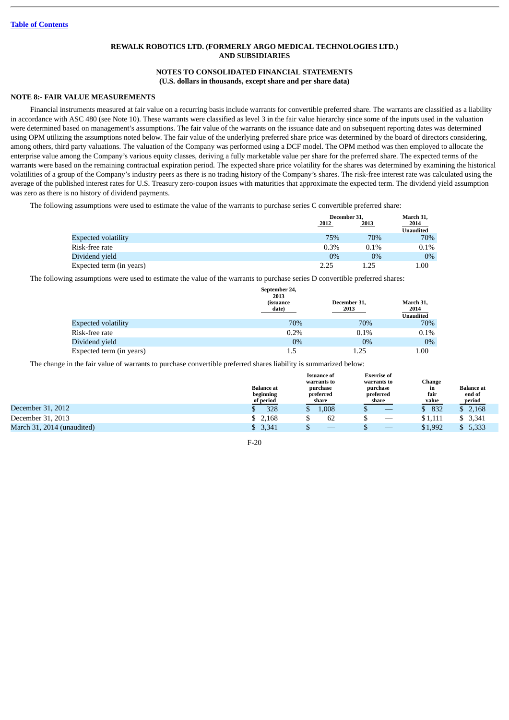### **NOTES TO CONSOLIDATED FINANCIAL STATEMENTS (U.S. dollars in thousands, except share and per share data)**

### **NOTE 8:- FAIR VALUE MEASUREMENTS**

Financial instruments measured at fair value on a recurring basis include warrants for convertible preferred share. The warrants are classified as a liability in accordance with ASC 480 (see Note 10). These warrants were classified as level 3 in the fair value hierarchy since some of the inputs used in the valuation were determined based on management's assumptions. The fair value of the warrants on the issuance date and on subsequent reporting dates was determined using OPM utilizing the assumptions noted below. The fair value of the underlying preferred share price was determined by the board of directors considering, among others, third party valuations. The valuation of the Company was performed using a DCF model. The OPM method was then employed to allocate the enterprise value among the Company's various equity classes, deriving a fully marketable value per share for the preferred share. The expected terms of the warrants were based on the remaining contractual expiration period. The expected share price volatility for the shares was determined by examining the historical volatilities of a group of the Company's industry peers as there is no trading history of the Company's shares. The risk-free interest rate was calculated using the average of the published interest rates for U.S. Treasury zero-coupon issues with maturities that approximate the expected term. The dividend yield assumption was zero as there is no history of dividend payments.

The following assumptions were used to estimate the value of the warrants to purchase series C convertible preferred share:

|                            |         | December 31, |                  |
|----------------------------|---------|--------------|------------------|
|                            | 2012    | 2013         | 2014             |
|                            |         |              | <b>Unaudited</b> |
| <b>Expected volatility</b> | 75%     | 70%          | 70%              |
| Risk-free rate             | $0.3\%$ | $0.1\%$      | $0.1\%$          |
| Dividend vield             | $0\%$   | $0\%$        | $0\%$            |
| Expected term (in years)   | 2.25    | 1.25         | $1.00\,$         |

The following assumptions were used to estimate the value of the warrants to purchase series D convertible preferred shares:

|                            | September 24,<br>2013     |                      |                                       |
|----------------------------|---------------------------|----------------------|---------------------------------------|
|                            | <i>(issuance</i><br>date) | December 31,<br>2013 | March 31,<br>2014<br><b>Unaudited</b> |
| <b>Expected volatility</b> | 70%                       | 70%                  | 70%                                   |
| Risk-free rate             | 0.2%                      | 0.1%                 | $0.1\%$                               |
| Dividend yield             | $0\%$                     | $0\%$                | $0\%$                                 |
| Expected term (in years)   | 1.5                       | 1.25                 | 1.00                                  |

The change in the fair value of warrants to purchase convertible preferred shares liability is summarized below:

|                            | <b>Balance</b> at<br>beginning<br>of period | <b>Issuance of</b><br>warrants to<br>purchase<br>preferred<br>share | <b>Exercise of</b><br>warrants to<br>purchase<br>preferred<br>share | <b>Change</b><br>in<br>fair<br>value | <b>Balance</b> at<br>end of<br>period |
|----------------------------|---------------------------------------------|---------------------------------------------------------------------|---------------------------------------------------------------------|--------------------------------------|---------------------------------------|
| December 31, 2012          | 328                                         | 1,008                                                               |                                                                     | 832                                  | \$2,168                               |
| December 31, 2013          | \$ 2.168                                    | 62                                                                  | $\hspace{0.05cm}$                                                   | \$1,111                              | \$3,341                               |
| March 31, 2014 (unaudited) | \$3,341                                     |                                                                     |                                                                     | \$1,992                              | 5,333                                 |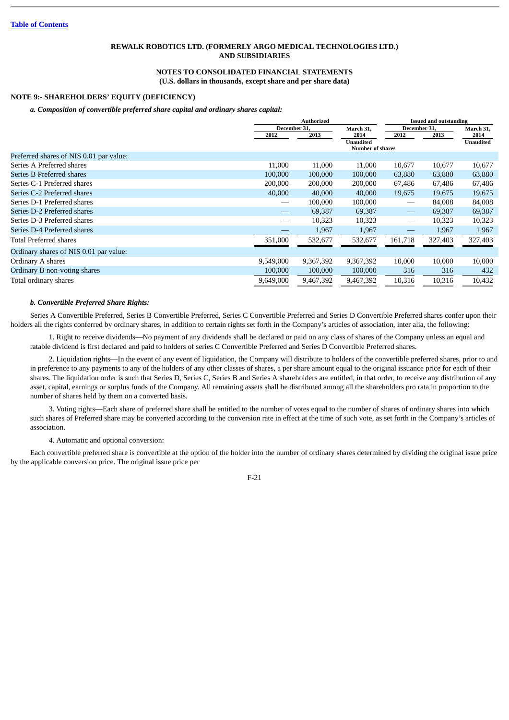### **NOTES TO CONSOLIDATED FINANCIAL STATEMENTS (U.S. dollars in thousands, except share and per share data)**

### **NOTE 9:- SHAREHOLDERS' EQUITY (DEFICIENCY)**

#### *a. Composition of convertible preferred share capital and ordinary shares capital:*

|                                         |              | <b>Authorized</b> |                                      | <b>Issued and outstanding</b>   |         |                  |
|-----------------------------------------|--------------|-------------------|--------------------------------------|---------------------------------|---------|------------------|
|                                         | December 31, |                   | March 31,                            | December 31,                    |         | March 31,        |
|                                         | 2012         | 2013              | 2014                                 | 2012                            | 2013    | 2014             |
|                                         |              |                   | Unaudited<br><b>Number of shares</b> |                                 |         | <b>Unaudited</b> |
| Preferred shares of NIS 0.01 par value: |              |                   |                                      |                                 |         |                  |
| Series A Preferred shares               | 11,000       | 11,000            | 11,000                               | 10,677                          | 10,677  | 10,677           |
| Series B Preferred shares               | 100,000      | 100,000           | 100,000                              | 63,880                          | 63,880  | 63,880           |
| Series C-1 Preferred shares             | 200,000      | 200,000           | 200,000                              | 67,486                          | 67,486  | 67,486           |
| Series C-2 Preferred shares             | 40,000       | 40,000            | 40,000                               | 19,675                          | 19,675  | 19,675           |
| Series D-1 Preferred shares             |              | 100,000           | 100,000                              | $\hspace{0.1mm}-\hspace{0.1mm}$ | 84,008  | 84,008           |
| Series D-2 Preferred shares             |              | 69,387            | 69,387                               |                                 | 69,387  | 69,387           |
| Series D-3 Preferred shares             |              | 10,323            | 10,323                               | $\hspace{0.05cm}$               | 10,323  | 10,323           |
| Series D-4 Preferred shares             | --           | 1,967             | 1,967                                |                                 | 1,967   | 1,967            |
| <b>Total Preferred shares</b>           | 351,000      | 532,677           | 532,677                              | 161,718                         | 327,403 | 327,403          |
| Ordinary shares of NIS 0.01 par value:  |              |                   |                                      |                                 |         |                  |
| Ordinary A shares                       | 9,549,000    | 9,367,392         | 9,367,392                            | 10,000                          | 10,000  | 10,000           |
| Ordinary B non-voting shares            | 100,000      | 100,000           | 100,000                              | 316                             | 316     | 432              |
| Total ordinary shares                   | 9,649,000    | 9,467,392         | 9,467,392                            | 10,316                          | 10,316  | 10,432           |

#### *b. Convertible Preferred Share Rights:*

Series A Convertible Preferred, Series B Convertible Preferred, Series C Convertible Preferred and Series D Convertible Preferred shares confer upon their holders all the rights conferred by ordinary shares, in addition to certain rights set forth in the Company's articles of association, inter alia, the following:

1. Right to receive dividends—No payment of any dividends shall be declared or paid on any class of shares of the Company unless an equal and ratable dividend is first declared and paid to holders of series C Convertible Preferred and Series D Convertible Preferred shares.

2. Liquidation rights—In the event of any event of liquidation, the Company will distribute to holders of the convertible preferred shares, prior to and in preference to any payments to any of the holders of any other classes of shares, a per share amount equal to the original issuance price for each of their shares. The liquidation order is such that Series D, Series C, Series B and Series A shareholders are entitled, in that order, to receive any distribution of any asset, capital, earnings or surplus funds of the Company. All remaining assets shall be distributed among all the shareholders pro rata in proportion to the number of shares held by them on a converted basis.

3. Voting rights—Each share of preferred share shall be entitled to the number of votes equal to the number of shares of ordinary shares into which such shares of Preferred share may be converted according to the conversion rate in effect at the time of such vote, as set forth in the Company's articles of association.

4. Automatic and optional conversion:

Each convertible preferred share is convertible at the option of the holder into the number of ordinary shares determined by dividing the original issue price by the applicable conversion price. The original issue price per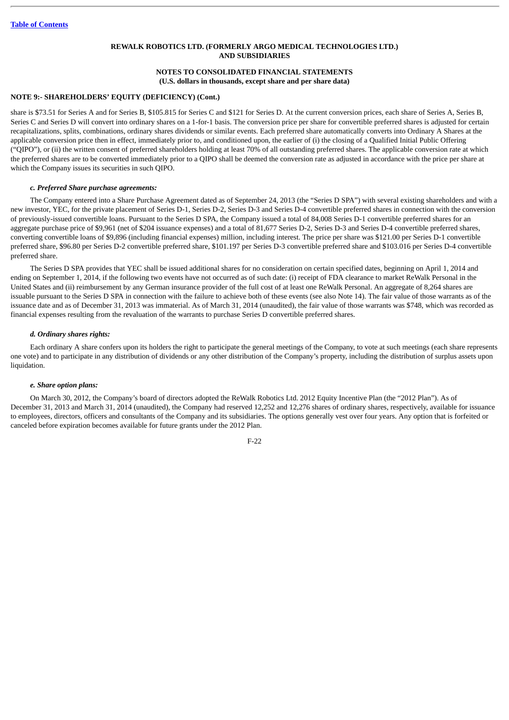# **NOTES TO CONSOLIDATED FINANCIAL STATEMENTS (U.S. dollars in thousands, except share and per share data)**

#### **NOTE 9:- SHAREHOLDERS' EQUITY (DEFICIENCY) (Cont.)**

share is \$73.51 for Series A and for Series B, \$105.815 for Series C and \$121 for Series D. At the current conversion prices, each share of Series A, Series B, Series C and Series D will convert into ordinary shares on a 1-for-1 basis. The conversion price per share for convertible preferred shares is adjusted for certain recapitalizations, splits, combinations, ordinary shares dividends or similar events. Each preferred share automatically converts into Ordinary A Shares at the applicable conversion price then in effect, immediately prior to, and conditioned upon, the earlier of (i) the closing of a Qualified Initial Public Offering ("QIPO"), or (ii) the written consent of preferred shareholders holding at least 70% of all outstanding preferred shares. The applicable conversion rate at which the preferred shares are to be converted immediately prior to a QIPO shall be deemed the conversion rate as adjusted in accordance with the price per share at which the Company issues its securities in such QIPO.

#### *c. Preferred Share purchase agreements:*

The Company entered into a Share Purchase Agreement dated as of September 24, 2013 (the "Series D SPA") with several existing shareholders and with a new investor, YEC, for the private placement of Series D-1, Series D-2, Series D-3 and Series D-4 convertible preferred shares in connection with the conversion of previously-issued convertible loans. Pursuant to the Series D SPA, the Company issued a total of 84,008 Series D-1 convertible preferred shares for an aggregate purchase price of \$9,961 (net of \$204 issuance expenses) and a total of 81,677 Series D-2, Series D-3 and Series D-4 convertible preferred shares, converting convertible loans of \$9,896 (including financial expenses) million, including interest. The price per share was \$121.00 per Series D-1 convertible preferred share, \$96.80 per Series D-2 convertible preferred share, \$101.197 per Series D-3 convertible preferred share and \$103.016 per Series D-4 convertible preferred share.

The Series D SPA provides that YEC shall be issued additional shares for no consideration on certain specified dates, beginning on April 1, 2014 and ending on September 1, 2014, if the following two events have not occurred as of such date: (i) receipt of FDA clearance to market ReWalk Personal in the United States and (ii) reimbursement by any German insurance provider of the full cost of at least one ReWalk Personal. An aggregate of 8,264 shares are issuable pursuant to the Series D SPA in connection with the failure to achieve both of these events (see also Note 14). The fair value of those warrants as of the issuance date and as of December 31, 2013 was immaterial. As of March 31, 2014 (unaudited), the fair value of those warrants was \$748, which was recorded as financial expenses resulting from the revaluation of the warrants to purchase Series D convertible preferred shares.

#### *d. Ordinary shares rights:*

Each ordinary A share confers upon its holders the right to participate the general meetings of the Company, to vote at such meetings (each share represents one vote) and to participate in any distribution of dividends or any other distribution of the Company's property, including the distribution of surplus assets upon liquidation.

#### *e. Share option plans:*

On March 30, 2012, the Company's board of directors adopted the ReWalk Robotics Ltd. 2012 Equity Incentive Plan (the "2012 Plan"). As of December 31, 2013 and March 31, 2014 (unaudited), the Company had reserved 12,252 and 12,276 shares of ordinary shares, respectively, available for issuance to employees, directors, officers and consultants of the Company and its subsidiaries. The options generally vest over four years. Any option that is forfeited or canceled before expiration becomes available for future grants under the 2012 Plan.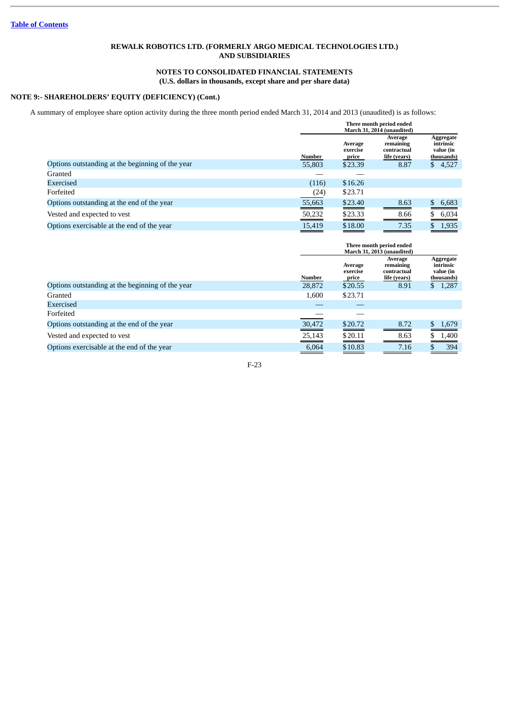# **NOTES TO CONSOLIDATED FINANCIAL STATEMENTS (U.S. dollars in thousands, except share and per share data)**

# **NOTE 9:- SHAREHOLDERS' EQUITY (DEFICIENCY) (Cont.)**

A summary of employee share option activity during the three month period ended March 31, 2014 and 2013 (unaudited) is as follows:

|                                                  | Three month period ended<br>March 31, 2014 (unaudited) |                              |                                                     |                                                   |
|--------------------------------------------------|--------------------------------------------------------|------------------------------|-----------------------------------------------------|---------------------------------------------------|
|                                                  | Number                                                 | Average<br>exercise<br>price | Average<br>remaining<br>contractual<br>life (years) | Aggregate<br>intrinsic<br>value (in<br>thousands) |
| Options outstanding at the beginning of the year | 55,803                                                 | \$23.39                      | 8.87                                                | 4,527<br>\$                                       |
| Granted                                          |                                                        |                              |                                                     |                                                   |
| Exercised                                        | (116)                                                  | \$16.26                      |                                                     |                                                   |
| Forfeited                                        | (24)                                                   | \$23.71                      |                                                     |                                                   |
| Options outstanding at the end of the year       | 55,663                                                 | \$23.40                      | 8.63                                                | \$.<br>6,683                                      |
| Vested and expected to vest                      | 50,232                                                 | \$23.33                      | 8.66                                                | 6,034<br>S                                        |
| Options exercisable at the end of the year       | 15,419                                                 | \$18.00                      | 7.35                                                | 1,935<br>S                                        |

|                                                  | Three month period ended<br>March 31, 2013 (unaudited) |                              |                                                     |                                                   |
|--------------------------------------------------|--------------------------------------------------------|------------------------------|-----------------------------------------------------|---------------------------------------------------|
|                                                  | Number                                                 | Average<br>exercise<br>price | Average<br>remaining<br>contractual<br>life (years) | Aggregate<br>intrinsic<br>value (in<br>thousands) |
| Options outstanding at the beginning of the year | 28,872                                                 | \$20.55                      | 8.91                                                | 1,287<br>\$                                       |
| Granted                                          | 1,600                                                  | \$23.71                      |                                                     |                                                   |
| Exercised                                        |                                                        |                              |                                                     |                                                   |
| Forfeited                                        |                                                        |                              |                                                     |                                                   |
| Options outstanding at the end of the year       | 30,472                                                 | \$20.72                      | 8.72                                                | 1,679<br>S.                                       |
| Vested and expected to vest                      | 25,143                                                 | \$20.11                      | 8.63                                                | 1,400                                             |
| Options exercisable at the end of the year       | 6,064                                                  | \$10.83                      | 7.16                                                | 394                                               |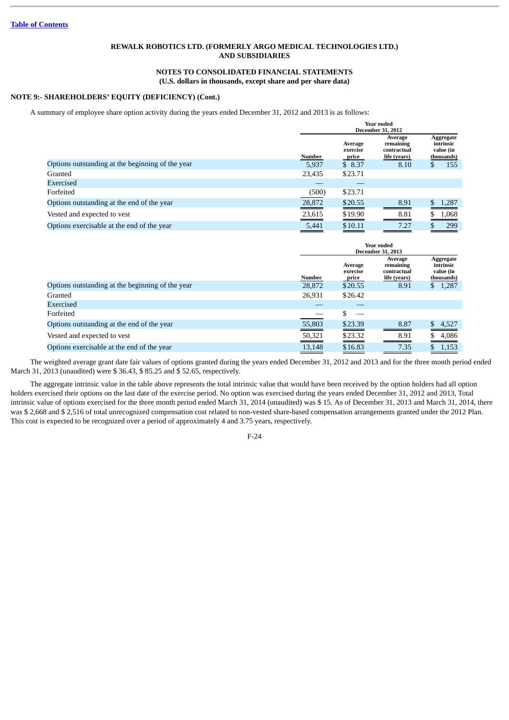### **NOTES TO CONSOLIDATED FINANCIAL STATEMENTS (U.S. dollars in thousands, except share and per share data)**

# **NOTE 9:- SHAREHOLDERS' EQUITY (DEFICIENCY) (Cont.)**

A summary of employee share option activity during the years ended December 31, 2012 and 2013 is as follows:

|                                                  |        | Year ended<br><b>December 31, 2012</b> |                                                     |                                                   |  |  |
|--------------------------------------------------|--------|----------------------------------------|-----------------------------------------------------|---------------------------------------------------|--|--|
|                                                  | Number | Average<br>exercise<br>price           | Average<br>remaining<br>contractual<br>life (years) | Aggregate<br>intrinsic<br>value (in<br>thousands) |  |  |
| Options outstanding at the beginning of the year | 5.937  | \$8.37                                 | 8.10                                                | 155<br>D                                          |  |  |
| Granted                                          | 23,435 | \$23.71                                |                                                     |                                                   |  |  |
| Exercised                                        |        |                                        |                                                     |                                                   |  |  |
| Forfeited                                        | (500)  | \$23.71                                |                                                     |                                                   |  |  |
| Options outstanding at the end of the year       | 28,872 | \$20.55                                | 8.91                                                | 1,287                                             |  |  |
| Vested and expected to vest                      | 23,615 | \$19.90                                | 8.81                                                | 1,068                                             |  |  |
| Options exercisable at the end of the year       | 5.441  | \$10.11                                | 7.27                                                | 299                                               |  |  |

|                                                  | Year ended<br><b>December 31, 2013</b> |                              |                                                     |                                                   |
|--------------------------------------------------|----------------------------------------|------------------------------|-----------------------------------------------------|---------------------------------------------------|
|                                                  | Number                                 | Average<br>exercise<br>price | Average<br>remaining<br>contractual<br>life (years) | Aggregate<br>intrinsic<br>value (in<br>thousands) |
| Options outstanding at the beginning of the year | 28,872                                 | \$20.55                      | 8.91                                                | 1,287<br>\$.                                      |
| Granted                                          | 26,931                                 | \$26.42                      |                                                     |                                                   |
| Exercised                                        |                                        |                              |                                                     |                                                   |
| Forfeited                                        |                                        |                              |                                                     |                                                   |
| Options outstanding at the end of the year       | 55,803                                 | \$23.39                      | 8.87                                                | \$.<br>4,527                                      |
| Vested and expected to vest                      | 50,321                                 | \$23.32                      | 8.91                                                | 4,086<br>\$                                       |
| Options exercisable at the end of the year       | 13,148                                 | \$16.83                      | 7.35                                                | 1,153<br>S.                                       |

The weighted average grant date fair values of options granted during the years ended December 31, 2012 and 2013 and for the three month period ended March 31, 2013 (unaudited) were \$ 36.43, \$ 85.25 and \$ 52.65, respectively.

The aggregate intrinsic value in the table above represents the total intrinsic value that would have been received by the option holders had all option holders exercised their options on the last date of the exercise period. No option was exercised during the years ended December 31, 2012 and 2013, Total intrinsic value of options exercised for the three month period ended March 31, 2014 (unaudited) was \$ 15. As of December 31, 2013 and March 31, 2014, there was \$ 2,668 and \$ 2,516 of total unrecognized compensation cost related to non-vested share-based compensation arrangements granted under the 2012 Plan. This cost is expected to be recognized over a period of approximately 4 and 3.75 years, respectively.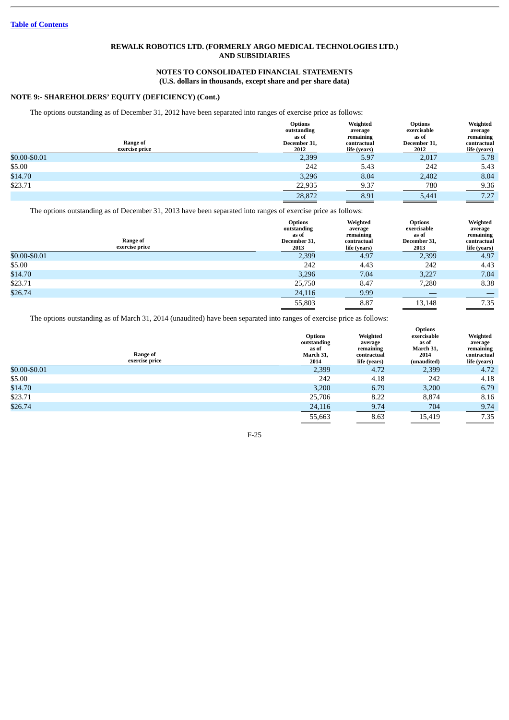### **NOTES TO CONSOLIDATED FINANCIAL STATEMENTS (U.S. dollars in thousands, except share and per share data)**

# **NOTE 9:- SHAREHOLDERS' EQUITY (DEFICIENCY) (Cont.)**

The options outstanding as of December 31, 2012 have been separated into ranges of exercise price as follows:

| Range of<br>exercise price | <b>Options</b><br>outstanding<br>as of<br>December 31,<br>2012 | Weighted<br>average<br>remaining<br>contractual<br>life (years) | <b>Options</b><br>exercisable<br>as of<br>December 31,<br>2012 | Weighted<br>average<br>remaining<br>contractual<br>life (years) |
|----------------------------|----------------------------------------------------------------|-----------------------------------------------------------------|----------------------------------------------------------------|-----------------------------------------------------------------|
| \$0.00-\$0.01              | 2,399                                                          | 5.97                                                            | 2,017                                                          | 5.78                                                            |
| \$5.00                     | 242                                                            | 5.43                                                            | 242                                                            | 5.43                                                            |
| \$14.70                    | 3,296                                                          | 8.04                                                            | 2,402                                                          | 8.04                                                            |
| \$23.71                    | 22,935                                                         | 9.37                                                            | 780                                                            | 9.36                                                            |
|                            | 28,872                                                         | 8.91                                                            | 5,441                                                          | 7.27                                                            |

The options outstanding as of December 31, 2013 have been separated into ranges of exercise price as follows:

| Range of<br>exercise price | <b>Options</b><br>outstanding<br>as of<br>December 31,<br>2013 | Weighted<br>average<br>remaining<br>contractual<br>life (years) | Options<br>exercisable<br>as of<br>December 31,<br>2013 | Weighted<br>average<br>remaining<br>contractual<br>life (years) |
|----------------------------|----------------------------------------------------------------|-----------------------------------------------------------------|---------------------------------------------------------|-----------------------------------------------------------------|
| \$0.00-\$0.01              | 2,399                                                          | 4.97                                                            | 2,399                                                   | 4.97                                                            |
| \$5.00                     | 242                                                            | 4.43                                                            | 242                                                     | 4.43                                                            |
| \$14.70                    | 3,296                                                          | 7.04                                                            | 3,227                                                   | 7.04                                                            |
| \$23.71                    | 25,750                                                         | 8.47                                                            | 7,280                                                   | 8.38                                                            |
| \$26.74                    | 24,116                                                         | 9.99                                                            |                                                         |                                                                 |
|                            | 55,803                                                         | 8.87                                                            | 13,148                                                  | 7.35                                                            |

The options outstanding as of March 31, 2014 (unaudited) have been separated into ranges of exercise price as follows:

| Range of<br>exercise price | <b>Options</b><br>outstanding<br>as of<br>March 31,<br>2014 | Weighted<br>average<br>remaining<br>contractual<br>life (years) | <b>Options</b><br>exercisable<br>as of<br>March 31,<br>2014<br>(unaudited) | Weighted<br>average<br>remaining<br>contractual<br>life (years) |
|----------------------------|-------------------------------------------------------------|-----------------------------------------------------------------|----------------------------------------------------------------------------|-----------------------------------------------------------------|
| \$0.00-\$0.01              | 2,399                                                       | 4.72                                                            | 2,399                                                                      | 4.72                                                            |
| \$5.00                     | 242                                                         | 4.18                                                            | 242                                                                        | 4.18                                                            |
| \$14.70                    | 3,200                                                       | 6.79                                                            | 3,200                                                                      | 6.79                                                            |
| \$23.71                    | 25,706                                                      | 8.22                                                            | 8,874                                                                      | 8.16                                                            |
| \$26.74                    | 24,116                                                      | 9.74                                                            | 704                                                                        | 9.74                                                            |
|                            | 55,663                                                      | 8.63                                                            | 15,419                                                                     | 7.35                                                            |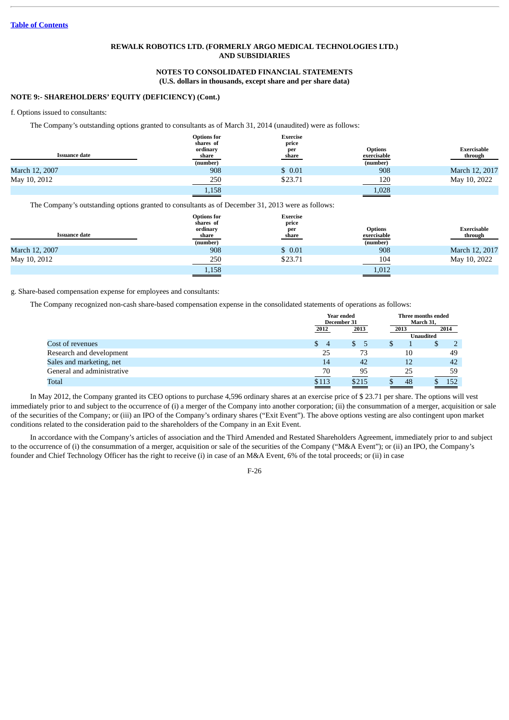## **NOTES TO CONSOLIDATED FINANCIAL STATEMENTS (U.S. dollars in thousands, except share and per share data)**

#### **NOTE 9:- SHAREHOLDERS' EQUITY (DEFICIENCY) (Cont.)**

#### f. Options issued to consultants:

The Company's outstanding options granted to consultants as of March 31, 2014 (unaudited) were as follows:

|                | <b>Options for</b><br>shares of | <b>Exercise</b><br>price |                               |                        |
|----------------|---------------------------------|--------------------------|-------------------------------|------------------------|
| Issuance date  | ordinary<br>share               | per<br>share             | <b>Options</b><br>exercisable | Exercisable<br>through |
|                | (number)                        |                          | (number)                      |                        |
| March 12, 2007 | 908                             | \$0.01                   | 908                           | March 12, 2017         |
| May 10, 2012   | 250                             | \$23.71                  | 120                           | May 10, 2022           |
|                | 1,158                           |                          | 1,028                         |                        |

The Company's outstanding options granted to consultants as of December 31, 2013 were as follows:

|                      | <b>Options for</b><br>shares of | <b>Exercise</b><br>price |                               |                               |
|----------------------|---------------------------------|--------------------------|-------------------------------|-------------------------------|
| <b>Issuance date</b> | ordinary<br>share               | per<br>share             | <b>Options</b><br>exercisable | <b>Exercisable</b><br>through |
|                      | (number)                        |                          | (number)                      |                               |
| March 12, 2007       | 908                             | \$0.01                   | 908                           | March 12, 2017                |
| May 10, 2012         | 250                             | \$23.71                  | 104                           | May 10, 2022                  |
|                      | 1,158                           |                          | 1,012                         |                               |

g. Share-based compensation expense for employees and consultants:

The Company recognized non-cash share-based compensation expense in the consolidated statements of operations as follows:

|                            |                      | Year ended<br>December 31 |      | Three months ended<br>March 31, |
|----------------------------|----------------------|---------------------------|------|---------------------------------|
|                            | 2012                 | 2013                      | 2013 | 2014                            |
|                            |                      |                           |      | <b>Unaudited</b>                |
| Cost of revenues           | S.<br>$\overline{4}$ | SS.<br>Ъ                  |      | S                               |
| Research and development   | 25                   | 73                        | 10   | 49                              |
| Sales and marketing, net   | 14                   | 42                        | 12   | 42                              |
| General and administrative | $\frac{70}{2}$       | 95                        | 25   | 59                              |
| Total                      | \$113                | \$215                     | 48   | 152                             |

In May 2012, the Company granted its CEO options to purchase 4,596 ordinary shares at an exercise price of \$ 23.71 per share. The options will vest immediately prior to and subject to the occurrence of (i) a merger of the Company into another corporation; (ii) the consummation of a merger, acquisition or sale of the securities of the Company; or (iii) an IPO of the Company's ordinary shares ("Exit Event"). The above options vesting are also contingent upon market conditions related to the consideration paid to the shareholders of the Company in an Exit Event.

In accordance with the Company's articles of association and the Third Amended and Restated Shareholders Agreement, immediately prior to and subject to the occurrence of (i) the consummation of a merger, acquisition or sale of the securities of the Company ("M&A Event"); or (ii) an IPO, the Company's founder and Chief Technology Officer has the right to receive (i) in case of an M&A Event, 6% of the total proceeds; or (ii) in case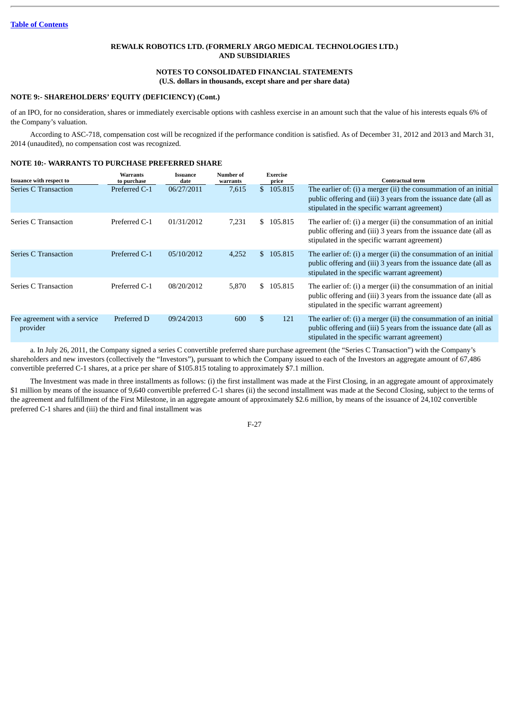# **NOTES TO CONSOLIDATED FINANCIAL STATEMENTS (U.S. dollars in thousands, except share and per share data)**

#### **NOTE 9:- SHAREHOLDERS' EQUITY (DEFICIENCY) (Cont.)**

of an IPO, for no consideration, shares or immediately exercisable options with cashless exercise in an amount such that the value of his interests equals 6% of the Company's valuation.

According to ASC-718, compensation cost will be recognized if the performance condition is satisfied. As of December 31, 2012 and 2013 and March 31, 2014 (unaudited), no compensation cost was recognized.

#### **NOTE 10:- WARRANTS TO PURCHASE PREFERRED SHARE**

| <b>Issuance with respect to</b>          | <b>Warrants</b><br>to purchase | <b>Issuance</b><br>date | Number of<br>warrants | <b>Exercise</b><br>price | <b>Contractual term</b>                                                                                                                                                               |
|------------------------------------------|--------------------------------|-------------------------|-----------------------|--------------------------|---------------------------------------------------------------------------------------------------------------------------------------------------------------------------------------|
| Series C Transaction                     | Preferred C-1                  | 06/27/2011              | 7,615                 | \$105.815                | The earlier of: (i) a merger (ii) the consummation of an initial<br>public offering and (iii) 3 years from the issuance date (all as<br>stipulated in the specific warrant agreement) |
| Series C Transaction                     | Preferred C-1                  | 01/31/2012              | 7,231                 | \$105.815                | The earlier of: (i) a merger (ii) the consummation of an initial<br>public offering and (iii) 3 years from the issuance date (all as<br>stipulated in the specific warrant agreement) |
| <b>Series C Transaction</b>              | Preferred C-1                  | 05/10/2012              | 4,252                 | \$ 105.815               | The earlier of: (i) a merger (ii) the consummation of an initial<br>public offering and (iii) 3 years from the issuance date (all as<br>stipulated in the specific warrant agreement) |
| Series C Transaction                     | Preferred C-1                  | 08/20/2012              | 5,870                 | \$105.815                | The earlier of: (i) a merger (ii) the consummation of an initial<br>public offering and (iii) 3 years from the issuance date (all as<br>stipulated in the specific warrant agreement) |
| Fee agreement with a service<br>provider | Preferred D                    | 09/24/2013              | 600                   | \$<br>121                | The earlier of: (i) a merger (ii) the consummation of an initial<br>public offering and (iii) 5 years from the issuance date (all as<br>stipulated in the specific warrant agreement) |

a. In July 26, 2011, the Company signed a series C convertible preferred share purchase agreement (the "Series C Transaction") with the Company's shareholders and new investors (collectively the "Investors"), pursuant to which the Company issued to each of the Investors an aggregate amount of 67,486 convertible preferred C-1 shares, at a price per share of \$105.815 totaling to approximately \$7.1 million.

The Investment was made in three installments as follows: (i) the first installment was made at the First Closing, in an aggregate amount of approximately \$1 million by means of the issuance of 9,640 convertible preferred C-1 shares (ii) the second installment was made at the Second Closing, subject to the terms of the agreement and fulfillment of the First Milestone, in an aggregate amount of approximately \$2.6 million, by means of the issuance of 24,102 convertible preferred C-1 shares and (iii) the third and final installment was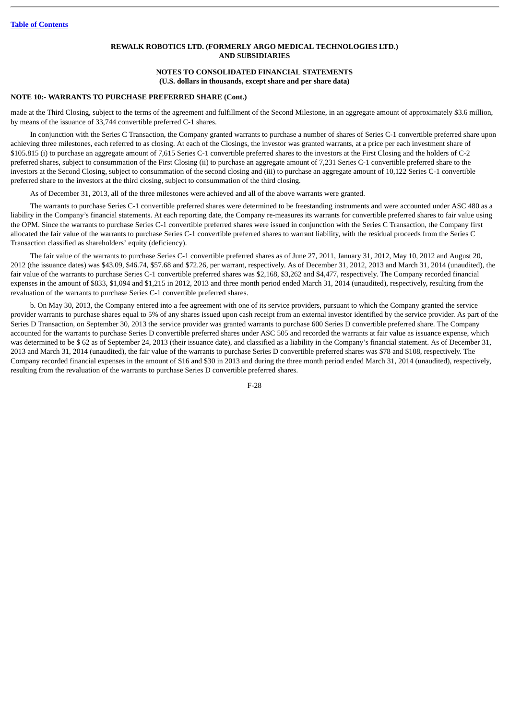#### **NOTES TO CONSOLIDATED FINANCIAL STATEMENTS (U.S. dollars in thousands, except share and per share data)**

# **NOTE 10:- WARRANTS TO PURCHASE PREFERRED SHARE (Cont.)**

made at the Third Closing, subject to the terms of the agreement and fulfillment of the Second Milestone, in an aggregate amount of approximately \$3.6 million, by means of the issuance of 33,744 convertible preferred C-1 shares.

In conjunction with the Series C Transaction, the Company granted warrants to purchase a number of shares of Series C-1 convertible preferred share upon achieving three milestones, each referred to as closing. At each of the Closings, the investor was granted warrants, at a price per each investment share of \$105.815 (i) to purchase an aggregate amount of 7,615 Series C-1 convertible preferred shares to the investors at the First Closing and the holders of C-2 preferred shares, subject to consummation of the First Closing (ii) to purchase an aggregate amount of 7,231 Series C-1 convertible preferred share to the investors at the Second Closing, subject to consummation of the second closing and (iii) to purchase an aggregate amount of 10,122 Series C-1 convertible preferred share to the investors at the third closing, subject to consummation of the third closing.

As of December 31, 2013, all of the three milestones were achieved and all of the above warrants were granted.

The warrants to purchase Series C-1 convertible preferred shares were determined to be freestanding instruments and were accounted under ASC 480 as a liability in the Company's financial statements. At each reporting date, the Company re-measures its warrants for convertible preferred shares to fair value using the OPM. Since the warrants to purchase Series C-1 convertible preferred shares were issued in conjunction with the Series C Transaction, the Company first allocated the fair value of the warrants to purchase Series C-1 convertible preferred shares to warrant liability, with the residual proceeds from the Series C Transaction classified as shareholders' equity (deficiency).

The fair value of the warrants to purchase Series C-1 convertible preferred shares as of June 27, 2011, January 31, 2012, May 10, 2012 and August 20, 2012 (the issuance dates) was \$43.09, \$46.74, \$57.68 and \$72.26, per warrant, respectively. As of December 31, 2012, 2013 and March 31, 2014 (unaudited), the fair value of the warrants to purchase Series C-1 convertible preferred shares was \$2,168, \$3,262 and \$4,477, respectively. The Company recorded financial expenses in the amount of \$833, \$1,094 and \$1,215 in 2012, 2013 and three month period ended March 31, 2014 (unaudited), respectively, resulting from the revaluation of the warrants to purchase Series C-1 convertible preferred shares.

b. On May 30, 2013, the Company entered into a fee agreement with one of its service providers, pursuant to which the Company granted the service provider warrants to purchase shares equal to 5% of any shares issued upon cash receipt from an external investor identified by the service provider. As part of the Series D Transaction, on September 30, 2013 the service provider was granted warrants to purchase 600 Series D convertible preferred share. The Company accounted for the warrants to purchase Series D convertible preferred shares under ASC 505 and recorded the warrants at fair value as issuance expense, which was determined to be \$ 62 as of September 24, 2013 (their issuance date), and classified as a liability in the Company's financial statement. As of December 31, 2013 and March 31, 2014 (unaudited), the fair value of the warrants to purchase Series D convertible preferred shares was \$78 and \$108, respectively. The Company recorded financial expenses in the amount of \$16 and \$30 in 2013 and during the three month period ended March 31, 2014 (unaudited), respectively, resulting from the revaluation of the warrants to purchase Series D convertible preferred shares.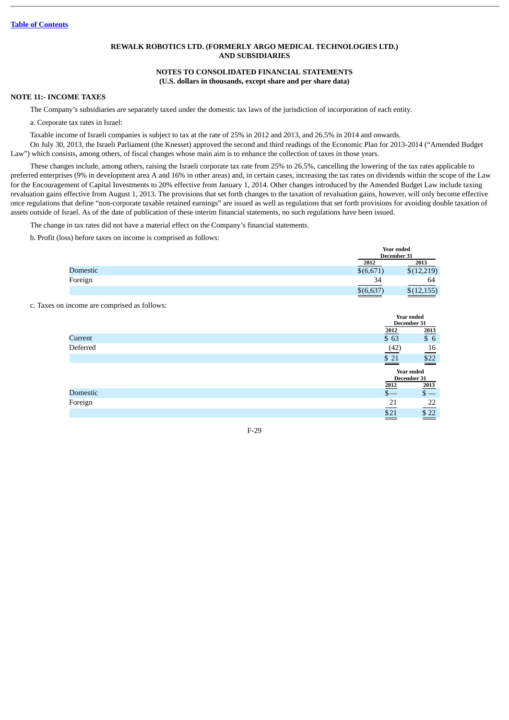# **NOTES TO CONSOLIDATED FINANCIAL STATEMENTS (U.S. dollars in thousands, except share and per share data)**

#### **NOTE 11:- INCOME TAXES**

The Company's subsidiaries are separately taxed under the domestic tax laws of the jurisdiction of incorporation of each entity.

a. Corporate tax rates in Israel:

Taxable income of Israeli companies is subject to tax at the rate of 25% in 2012 and 2013, and 26.5% in 2014 and onwards. On July 30, 2013, the Israeli Parliament (the Knesset) approved the second and third readings of the Economic Plan for 2013-2014 ("Amended Budget Law") which consists, among others, of fiscal changes whose main aim is to enhance the collection of taxes in those years.

These changes include, among others, raising the Israeli corporate tax rate from 25% to 26.5%, cancelling the lowering of the tax rates applicable to preferred enterprises (9% in development area A and 16% in other areas) and, in certain cases, increasing the tax rates on dividends within the scope of the Law for the Encouragement of Capital Investments to 20% effective from January 1, 2014. Other changes introduced by the Amended Budget Law include taxing revaluation gains effective from August 1, 2013. The provisions that set forth changes to the taxation of revaluation gains, however, will only become effective once regulations that define "non-corporate taxable retained earnings" are issued as well as regulations that set forth provisions for avoiding double taxation of assets outside of Israel. As of the date of publication of these interim financial statements, no such regulations have been issued.

The change in tax rates did not have a material effect on the Company's financial statements.

b. Profit (loss) before taxes on income is comprised as follows:

|          |           | Year ended<br>December 31 |
|----------|-----------|---------------------------|
|          | 2012      | 2013                      |
| Domestic | \$(6,671) | \$(12,219)                |
| Foreign  | 34        | 64                        |
|          | \$(6,637) | \$(12, 155)               |
|          |           |                           |

### c. Taxes on income are comprised as follows:

|                 |               | Year ended                |
|-----------------|---------------|---------------------------|
|                 |               | December 31               |
|                 | 2012          | 2013                      |
| Current         | \$ 63         | \$6                       |
| Deferred        | (42)          | 16                        |
|                 | \$21<br>_____ | $$22$<br>$\sim$           |
|                 |               | Year ended<br>December 31 |
|                 | 2012          | 2013                      |
| <b>Domestic</b> | $S-$          | $\mathsf{s}-$             |
| Foreign         | 21            | 22                        |
|                 | \$21          | \$22                      |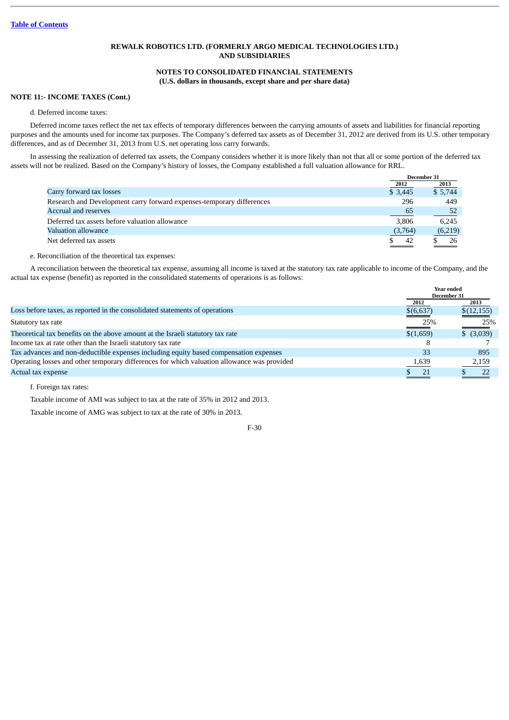# **NOTES TO CONSOLIDATED FINANCIAL STATEMENTS (U.S. dollars in thousands, except share and per share data)**

### **NOTE 11:- INCOME TAXES (Cont.)**

#### d. Deferred income taxes:

Deferred income taxes reflect the net tax effects of temporary differences between the carrying amounts of assets and liabilities for financial reporting purposes and the amounts used for income tax purposes. The Company's deferred tax assets as of December 31, 2012 are derived from its U.S. other temporary differences, and as of December 31, 2013 from U.S. net operating loss carry forwards.

In assessing the realization of deferred tax assets, the Company considers whether it is more likely than not that all or some portion of the deferred tax assets will not be realized. Based on the Company's history of losses, the Company established a full valuation allowance for RRL.

|                                                                       | December 31 |         |
|-----------------------------------------------------------------------|-------------|---------|
|                                                                       | 2012        | 2013    |
| Carry forward tax losses                                              | \$3,445     | \$5,744 |
| Research and Development carry forward expenses-temporary differences | 296         | 449     |
| Accrual and reserves                                                  | 65          | 52      |
| Deferred tax assets before valuation allowance                        | 3.806       | 6.245   |
| Valuation allowance                                                   | (3,764)     | (6,219) |
| Net deferred tax assets                                               | 42          | 26      |

e. Reconciliation of the theoretical tax expenses:

A reconciliation between the theoretical tax expense, assuming all income is taxed at the statutory tax rate applicable to income of the Company, and the actual tax expense (benefit) as reported in the consolidated statements of operations is as follows:

|                                                                                             | <b>Year ended</b><br>December 31 |            |
|---------------------------------------------------------------------------------------------|----------------------------------|------------|
|                                                                                             | 2012                             | 2013       |
| Loss before taxes, as reported in the consolidated statements of operations                 | \$(6,637)                        | \$(12,155) |
| Statutory tax rate                                                                          | 25%                              | 25%        |
| Theoretical tax benefits on the above amount at the Israeli statutory tax rate              | \$(1,659)                        | \$ (3,039) |
| Income tax at rate other than the Israeli statutory tax rate                                |                                  |            |
| Tax advances and non-deductible expenses including equity based compensation expenses       | 33                               | 895        |
| Operating losses and other temporary differences for which valuation allowance was provided | 1,639                            | 2,159      |
| Actual tax expense                                                                          | 21                               | つつ         |

f. Foreign tax rates:

Taxable income of AMI was subject to tax at the rate of 35% in 2012 and 2013.

Taxable income of AMG was subject to tax at the rate of 30% in 2013.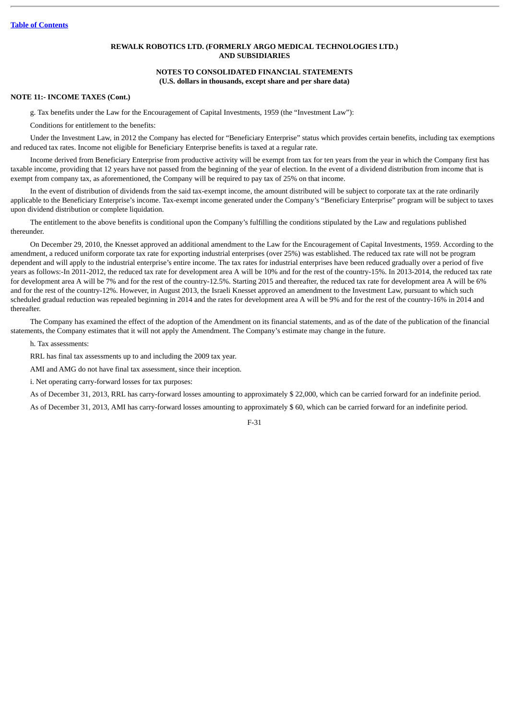#### **NOTES TO CONSOLIDATED FINANCIAL STATEMENTS (U.S. dollars in thousands, except share and per share data)**

#### **NOTE 11:- INCOME TAXES (Cont.)**

g. Tax benefits under the Law for the Encouragement of Capital Investments, 1959 (the "Investment Law"):

Conditions for entitlement to the benefits:

Under the Investment Law, in 2012 the Company has elected for "Beneficiary Enterprise" status which provides certain benefits, including tax exemptions and reduced tax rates. Income not eligible for Beneficiary Enterprise benefits is taxed at a regular rate.

Income derived from Beneficiary Enterprise from productive activity will be exempt from tax for ten years from the year in which the Company first has taxable income, providing that 12 years have not passed from the beginning of the year of election. In the event of a dividend distribution from income that is exempt from company tax, as aforementioned, the Company will be required to pay tax of 25% on that income.

In the event of distribution of dividends from the said tax-exempt income, the amount distributed will be subject to corporate tax at the rate ordinarily applicable to the Beneficiary Enterprise's income. Tax-exempt income generated under the Company's "Beneficiary Enterprise" program will be subject to taxes upon dividend distribution or complete liquidation.

The entitlement to the above benefits is conditional upon the Company's fulfilling the conditions stipulated by the Law and regulations published thereunder.

On December 29, 2010, the Knesset approved an additional amendment to the Law for the Encouragement of Capital Investments, 1959. According to the amendment, a reduced uniform corporate tax rate for exporting industrial enterprises (over 25%) was established. The reduced tax rate will not be program dependent and will apply to the industrial enterprise's entire income. The tax rates for industrial enterprises have been reduced gradually over a period of five years as follows:-In 2011-2012, the reduced tax rate for development area A will be 10% and for the rest of the country-15%. In 2013-2014, the reduced tax rate for development area A will be 7% and for the rest of the country-12.5%. Starting 2015 and thereafter, the reduced tax rate for development area A will be 6% and for the rest of the country-12%. However, in August 2013, the Israeli Knesset approved an amendment to the Investment Law, pursuant to which such scheduled gradual reduction was repealed beginning in 2014 and the rates for development area A will be 9% and for the rest of the country-16% in 2014 and thereafter.

The Company has examined the effect of the adoption of the Amendment on its financial statements, and as of the date of the publication of the financial statements, the Company estimates that it will not apply the Amendment. The Company's estimate may change in the future.

h. Tax assessments:

RRL has final tax assessments up to and including the 2009 tax year.

AMI and AMG do not have final tax assessment, since their inception.

i. Net operating carry-forward losses for tax purposes:

As of December 31, 2013, RRL has carry-forward losses amounting to approximately \$ 22,000, which can be carried forward for an indefinite period.

As of December 31, 2013, AMI has carry-forward losses amounting to approximately \$ 60, which can be carried forward for an indefinite period.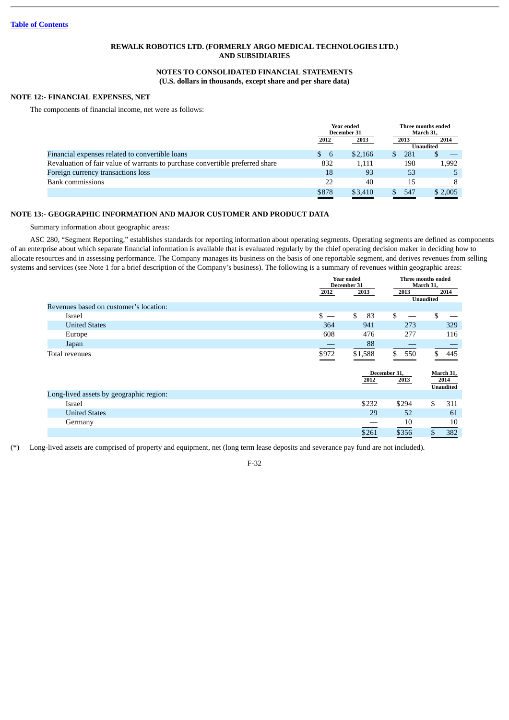# **NOTES TO CONSOLIDATED FINANCIAL STATEMENTS (U.S. dollars in thousands, except share and per share data)**

# **NOTE 12:- FINANCIAL EXPENSES, NET**

The components of financial income, net were as follows:

|                                                                               |           | Year ended<br>December 31 |           | Three months ended<br>March 31. |  |
|-------------------------------------------------------------------------------|-----------|---------------------------|-----------|---------------------------------|--|
|                                                                               | 2012      | 2013<br>2013              |           | 2014                            |  |
|                                                                               |           |                           |           | Unaudited                       |  |
| Financial expenses related to convertible loans                               | -6<br>SS. | \$2.166                   | 281<br>S. |                                 |  |
| Revaluation of fair value of warrants to purchase convertible preferred share | 832       | 1.111                     | 198       | 1,992                           |  |
| Foreign currency transactions loss                                            | 18        | 93                        | 53        |                                 |  |
| Bank commissions                                                              | 22        | 40                        | 15        | 8                               |  |
|                                                                               | \$878     | \$3.410                   | 547       | \$2,005                         |  |

# **NOTE 13:- GEOGRAPHIC INFORMATION AND MAJOR CUSTOMER AND PRODUCT DATA**

Summary information about geographic areas:

ASC 280, "Segment Reporting," establishes standards for reporting information about operating segments. Operating segments are defined as components of an enterprise about which separate financial information is available that is evaluated regularly by the chief operating decision maker in deciding how to allocate resources and in assessing performance. The Company manages its business on the basis of one reportable segment, and derives revenues from selling systems and services (see Note 1 for a brief description of the Company's business). The following is a summary of revenues within geographic areas:

|                                         |       | Year ended<br>December 31 |                      | Three months ended<br>March 31,       |  |
|-----------------------------------------|-------|---------------------------|----------------------|---------------------------------------|--|
|                                         | 2012  | 2013                      | 2013                 | 2014<br><b>Unaudited</b>              |  |
| Revenues based on customer's location:  |       |                           |                      |                                       |  |
| Israel                                  | $s -$ | \$<br>83                  | \$                   | \$                                    |  |
| <b>United States</b>                    | 364   | 941                       | 273                  | 329                                   |  |
| Europe                                  | 608   | 476                       | 277                  | 116                                   |  |
| Japan                                   |       | 88                        |                      |                                       |  |
| Total revenues                          | \$972 | \$1,588                   | \$<br>550            | \$<br>445                             |  |
|                                         |       | 2012                      | December 31,<br>2013 | March 31,<br>2014<br><b>Unaudited</b> |  |
| Long-lived assets by geographic region: |       |                           |                      |                                       |  |
| Israel                                  |       | \$232                     | \$294                | \$<br>311                             |  |
| <b>United States</b>                    |       | 29                        | 52                   | 61                                    |  |
| Germany                                 |       |                           | 10                   | 10                                    |  |
|                                         |       | \$261                     | \$356                | \$<br>382                             |  |

(\*) Long-lived assets are comprised of property and equipment, net (long term lease deposits and severance pay fund are not included).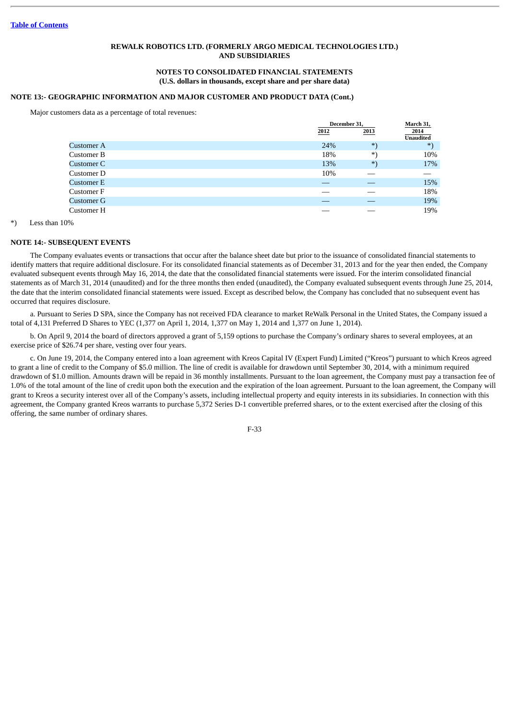#### **NOTES TO CONSOLIDATED FINANCIAL STATEMENTS (U.S. dollars in thousands, except share and per share data)**

# **NOTE 13:- GEOGRAPHIC INFORMATION AND MAJOR CUSTOMER AND PRODUCT DATA (Cont.)**

Major customers data as a percentage of total revenues:

|            |      | December 31, |                          |
|------------|------|--------------|--------------------------|
|            | 2012 | 2013         | 2014<br><b>Unaudited</b> |
| Customer A | 24%  | $*$          | $*$                      |
| Customer B | 18%  | *.           | 10%                      |
| Customer C | 13%  | $*$          | 17%                      |
| Customer D | 10%  |              |                          |
| Customer E |      |              | 15%                      |
| Customer F |      |              | 18%                      |
| Customer G |      |              | 19%                      |
| Customer H |      |              | 19%                      |

Less than 10%

#### **NOTE 14:- SUBSEQUENT EVENTS**

The Company evaluates events or transactions that occur after the balance sheet date but prior to the issuance of consolidated financial statements to identify matters that require additional disclosure. For its consolidated financial statements as of December 31, 2013 and for the year then ended, the Company evaluated subsequent events through May 16, 2014, the date that the consolidated financial statements were issued. For the interim consolidated financial statements as of March 31, 2014 (unaudited) and for the three months then ended (unaudited), the Company evaluated subsequent events through June 25, 2014, the date that the interim consolidated financial statements were issued. Except as described below, the Company has concluded that no subsequent event has occurred that requires disclosure.

a. Pursuant to Series D SPA, since the Company has not received FDA clearance to market ReWalk Personal in the United States, the Company issued a total of 4,131 Preferred D Shares to YEC (1,377 on April 1, 2014, 1,377 on May 1, 2014 and 1,377 on June 1, 2014).

b. On April 9, 2014 the board of directors approved a grant of 5,159 options to purchase the Company's ordinary shares to several employees, at an exercise price of \$26.74 per share, vesting over four years.

c. On June 19, 2014, the Company entered into a loan agreement with Kreos Capital IV (Expert Fund) Limited ("Kreos") pursuant to which Kreos agreed to grant a line of credit to the Company of \$5.0 million. The line of credit is available for drawdown until September 30, 2014, with a minimum required drawdown of \$1.0 million. Amounts drawn will be repaid in 36 monthly installments. Pursuant to the loan agreement, the Company must pay a transaction fee of 1.0% of the total amount of the line of credit upon both the execution and the expiration of the loan agreement. Pursuant to the loan agreement, the Company will grant to Kreos a security interest over all of the Company's assets, including intellectual property and equity interests in its subsidiaries. In connection with this agreement, the Company granted Kreos warrants to purchase 5,372 Series D-1 convertible preferred shares, or to the extent exercised after the closing of this offering, the same number of ordinary shares.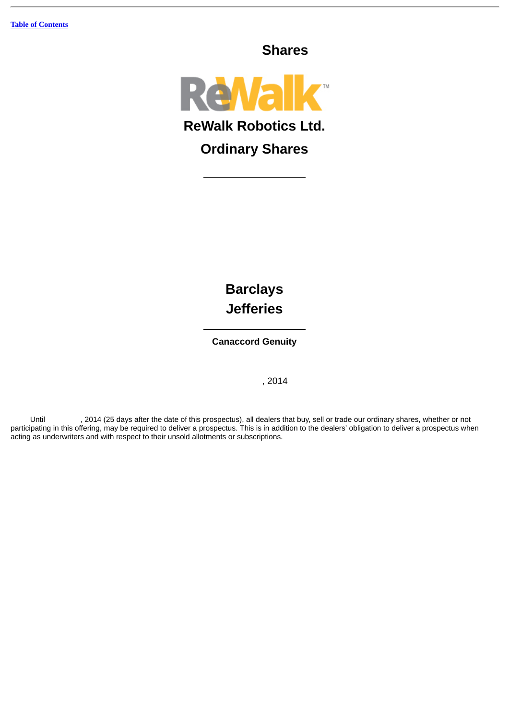**Shares**



**Barclays Jefferies**

**Canaccord Genuity**

, 2014

Until , 2014 (25 days after the date of this prospectus), all dealers that buy, sell or trade our ordinary shares, whether or not participating in this offering, may be required to deliver a prospectus. This is in addition to the dealers' obligation to deliver a prospectus when acting as underwriters and with respect to their unsold allotments or subscriptions.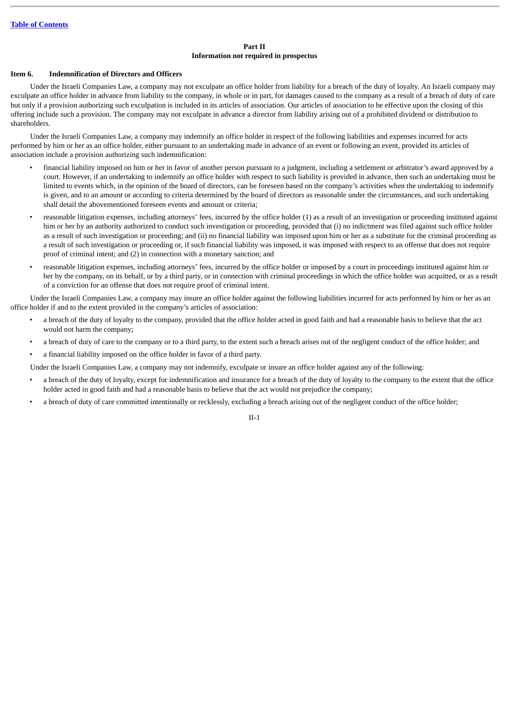### **Part II Information not required in prospectus**

#### **Item 6. Indemnification of Directors and Officers**

Under the Israeli Companies Law, a company may not exculpate an office holder from liability for a breach of the duty of loyalty. An Israeli company may exculpate an office holder in advance from liability to the company, in whole or in part, for damages caused to the company as a result of a breach of duty of care but only if a provision authorizing such exculpation is included in its articles of association. Our articles of association to be effective upon the closing of this offering include such a provision. The company may not exculpate in advance a director from liability arising out of a prohibited dividend or distribution to shareholders.

Under the Israeli Companies Law, a company may indemnify an office holder in respect of the following liabilities and expenses incurred for acts performed by him or her as an office holder, either pursuant to an undertaking made in advance of an event or following an event, provided its articles of association include a provision authorizing such indemnification:

- financial liability imposed on him or her in favor of another person pursuant to a judgment, including a settlement or arbitrator's award approved by a court. However, if an undertaking to indemnify an office holder with respect to such liability is provided in advance, then such an undertaking must be limited to events which, in the opinion of the board of directors, can be foreseen based on the company's activities when the undertaking to indemnify is given, and to an amount or according to criteria determined by the board of directors as reasonable under the circumstances, and such undertaking shall detail the abovementioned foreseen events and amount or criteria;
- reasonable litigation expenses, including attorneys' fees, incurred by the office holder (1) as a result of an investigation or proceeding instituted against him or her by an authority authorized to conduct such investigation or proceeding, provided that (i) no indictment was filed against such office holder as a result of such investigation or proceeding; and (ii) no financial liability was imposed upon him or her as a substitute for the criminal proceeding as a result of such investigation or proceeding or, if such financial liability was imposed, it was imposed with respect to an offense that does not require proof of criminal intent; and (2) in connection with a monetary sanction; and
- reasonable litigation expenses, including attorneys' fees, incurred by the office holder or imposed by a court in proceedings instituted against him or her by the company, on its behalf, or by a third party, or in connection with criminal proceedings in which the office holder was acquitted, or as a result of a conviction for an offense that does not require proof of criminal intent.

Under the Israeli Companies Law, a company may insure an office holder against the following liabilities incurred for acts performed by him or her as an office holder if and to the extent provided in the company's articles of association:

- a breach of the duty of loyalty to the company, provided that the office holder acted in good faith and had a reasonable basis to believe that the act would not harm the company;
- a breach of duty of care to the company or to a third party, to the extent such a breach arises out of the negligent conduct of the office holder; and
- a financial liability imposed on the office holder in favor of a third party.

Under the Israeli Companies Law, a company may not indemnify, exculpate or insure an office holder against any of the following:

- a breach of the duty of loyalty, except for indemnification and insurance for a breach of the duty of loyalty to the company to the extent that the office holder acted in good faith and had a reasonable basis to believe that the act would not prejudice the company;
- a breach of duty of care committed intentionally or recklessly, excluding a breach arising out of the negligent conduct of the office holder;

II-1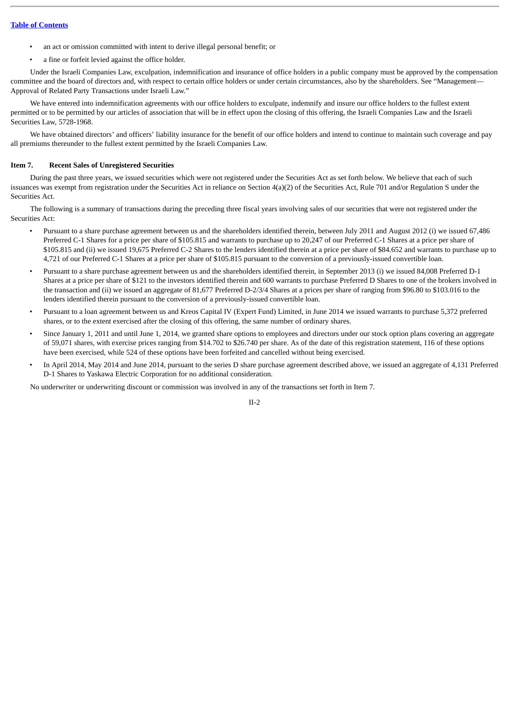- an act or omission committed with intent to derive illegal personal benefit; or
- a fine or forfeit levied against the office holder.

Under the Israeli Companies Law, exculpation, indemnification and insurance of office holders in a public company must be approved by the compensation committee and the board of directors and, with respect to certain office holders or under certain circumstances, also by the shareholders. See "Management— Approval of Related Party Transactions under Israeli Law."

We have entered into indemnification agreements with our office holders to exculpate, indemnify and insure our office holders to the fullest extent permitted or to be permitted by our articles of association that will be in effect upon the closing of this offering, the Israeli Companies Law and the Israeli Securities Law, 5728-1968.

We have obtained directors' and officers' liability insurance for the benefit of our office holders and intend to continue to maintain such coverage and pay all premiums thereunder to the fullest extent permitted by the Israeli Companies Law.

#### **Item 7. Recent Sales of Unregistered Securities**

During the past three years, we issued securities which were not registered under the Securities Act as set forth below. We believe that each of such issuances was exempt from registration under the Securities Act in reliance on Section 4(a)(2) of the Securities Act, Rule 701 and/or Regulation S under the Securities Act.

The following is a summary of transactions during the preceding three fiscal years involving sales of our securities that were not registered under the Securities Act:

- Pursuant to a share purchase agreement between us and the shareholders identified therein, between July 2011 and August 2012 (i) we issued 67,486 Preferred C-1 Shares for a price per share of \$105.815 and warrants to purchase up to 20,247 of our Preferred C-1 Shares at a price per share of \$105.815 and (ii) we issued 19,675 Preferred C-2 Shares to the lenders identified therein at a price per share of \$84.652 and warrants to purchase up to 4,721 of our Preferred C-1 Shares at a price per share of \$105.815 pursuant to the conversion of a previously-issued convertible loan.
- Pursuant to a share purchase agreement between us and the shareholders identified therein, in September 2013 (i) we issued 84,008 Preferred D-1 Shares at a price per share of \$121 to the investors identified therein and 600 warrants to purchase Preferred D Shares to one of the brokers involved in the transaction and (ii) we issued an aggregate of 81,677 Preferred D-2/3/4 Shares at a prices per share of ranging from \$96.80 to \$103.016 to the lenders identified therein pursuant to the conversion of a previously-issued convertible loan.
- Pursuant to a loan agreement between us and Kreos Capital IV (Expert Fund) Limited, in June 2014 we issued warrants to purchase 5,372 preferred shares, or to the extent exercised after the closing of this offering, the same number of ordinary shares.
- Since January 1, 2011 and until June 1, 2014, we granted share options to employees and directors under our stock option plans covering an aggregate of 59,071 shares, with exercise prices ranging from \$14.702 to \$26.740 per share. As of the date of this registration statement, 116 of these options have been exercised, while 524 of these options have been forfeited and cancelled without being exercised.
- In April 2014, May 2014 and June 2014, pursuant to the series D share purchase agreement described above, we issued an aggregate of 4,131 Preferred D-1 Shares to Yaskawa Electric Corporation for no additional consideration.

No underwriter or underwriting discount or commission was involved in any of the transactions set forth in Item 7.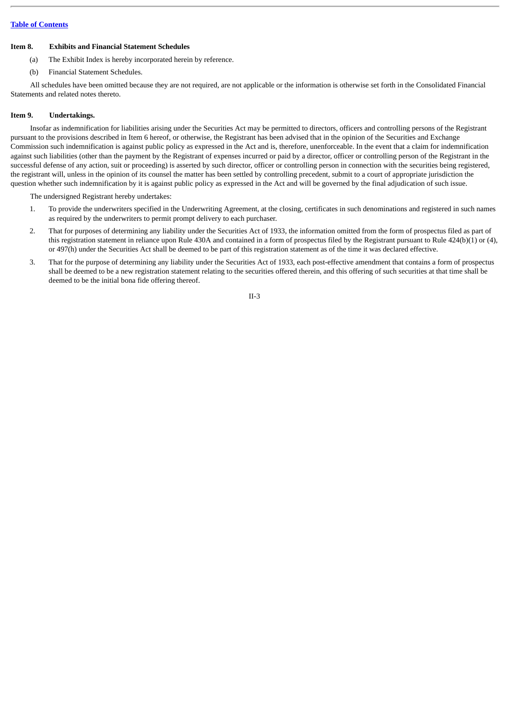### **Table of [Contents](#page-3-0)**

#### **Item 8. Exhibits and Financial Statement Schedules**

- (a) The Exhibit Index is hereby incorporated herein by reference.
- (b) Financial Statement Schedules.

All schedules have been omitted because they are not required, are not applicable or the information is otherwise set forth in the Consolidated Financial Statements and related notes thereto.

#### **Item 9. Undertakings.**

Insofar as indemnification for liabilities arising under the Securities Act may be permitted to directors, officers and controlling persons of the Registrant pursuant to the provisions described in Item 6 hereof, or otherwise, the Registrant has been advised that in the opinion of the Securities and Exchange Commission such indemnification is against public policy as expressed in the Act and is, therefore, unenforceable. In the event that a claim for indemnification against such liabilities (other than the payment by the Registrant of expenses incurred or paid by a director, officer or controlling person of the Registrant in the successful defense of any action, suit or proceeding) is asserted by such director, officer or controlling person in connection with the securities being registered, the registrant will, unless in the opinion of its counsel the matter has been settled by controlling precedent, submit to a court of appropriate jurisdiction the question whether such indemnification by it is against public policy as expressed in the Act and will be governed by the final adjudication of such issue.

The undersigned Registrant hereby undertakes:

- 1. To provide the underwriters specified in the Underwriting Agreement, at the closing, certificates in such denominations and registered in such names as required by the underwriters to permit prompt delivery to each purchaser.
- 2. That for purposes of determining any liability under the Securities Act of 1933, the information omitted from the form of prospectus filed as part of this registration statement in reliance upon Rule 430A and contained in a form of prospectus filed by the Registrant pursuant to Rule 424(b)(1) or (4), or 497(h) under the Securities Act shall be deemed to be part of this registration statement as of the time it was declared effective.
- 3. That for the purpose of determining any liability under the Securities Act of 1933, each post-effective amendment that contains a form of prospectus shall be deemed to be a new registration statement relating to the securities offered therein, and this offering of such securities at that time shall be deemed to be the initial bona fide offering thereof.

II-3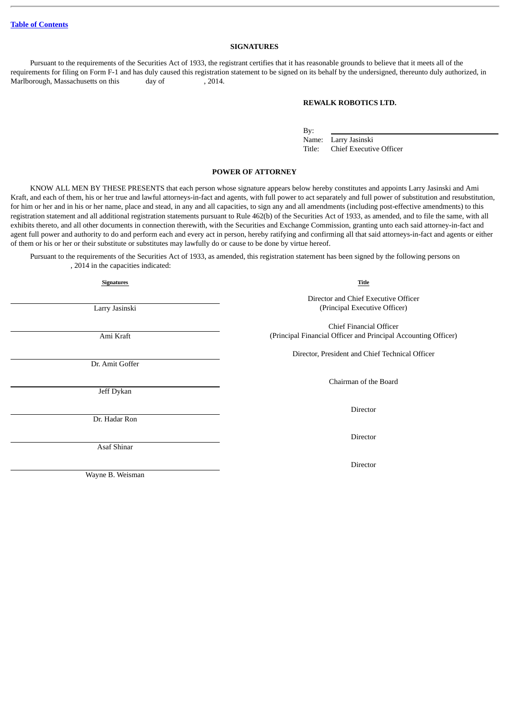### **SIGNATURES**

Pursuant to the requirements of the Securities Act of 1933, the registrant certifies that it has reasonable grounds to believe that it meets all of the requirements for filing on Form F-1 and has duly caused this registration statement to be signed on its behalf by the undersigned, thereunto duly authorized, in Marlborough, Massachusetts on this day of , 2014.

#### **REWALK ROBOTICS LTD.**

By:

Name: Larry Jasinski Title: Chief Executive Officer

#### **POWER OF ATTORNEY**

KNOW ALL MEN BY THESE PRESENTS that each person whose signature appears below hereby constitutes and appoints Larry Jasinski and Ami Kraft, and each of them, his or her true and lawful attorneys-in-fact and agents, with full power to act separately and full power of substitution and resubstitution, for him or her and in his or her name, place and stead, in any and all capacities, to sign any and all amendments (including post-effective amendments) to this registration statement and all additional registration statements pursuant to Rule 462(b) of the Securities Act of 1933, as amended, and to file the same, with all exhibits thereto, and all other documents in connection therewith, with the Securities and Exchange Commission, granting unto each said attorney-in-fact and agent full power and authority to do and perform each and every act in person, hereby ratifying and confirming all that said attorneys-in-fact and agents or either of them or his or her or their substitute or substitutes may lawfully do or cause to be done by virtue hereof.

Pursuant to the requirements of the Securities Act of 1933, as amended, this registration statement has been signed by the following persons on , 2014 in the capacities indicated:

| <b>Signatures</b> | Title                                                                                     |
|-------------------|-------------------------------------------------------------------------------------------|
| Larry Jasinski    | Director and Chief Executive Officer<br>(Principal Executive Officer)                     |
| Ami Kraft         | Chief Financial Officer<br>(Principal Financial Officer and Principal Accounting Officer) |
| Dr. Amit Goffer   | Director, President and Chief Technical Officer                                           |
| Jeff Dykan        | Chairman of the Board                                                                     |
| Dr. Hadar Ron     | Director                                                                                  |
| Asaf Shinar       | Director                                                                                  |
| Wayne B. Weisman  | Director                                                                                  |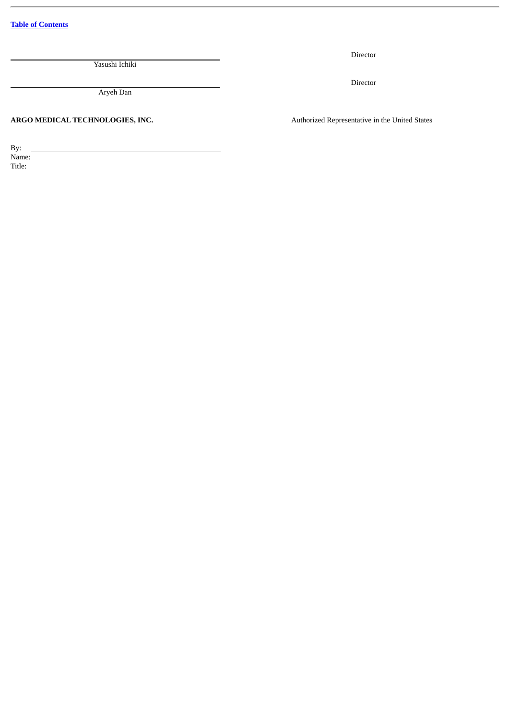**Table of [Contents](#page-3-0)**

Yasushi Ichiki

Aryeh Dan

ARGO MEDICAL TECHNOLOGIES, INC. **Authorized Representative in the United States** 

Director

Director

By: Name: Title: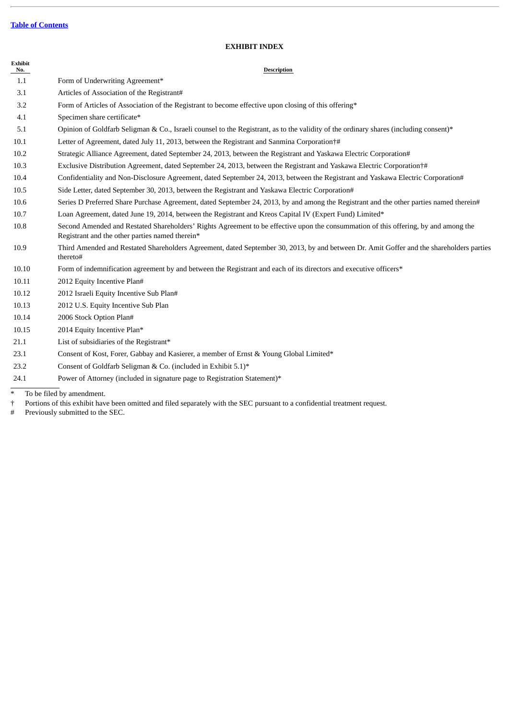**Exhibit**

# **EXHIBIT INDEX**

| No.   | <b>Description</b>                                                                                                                                                                     |
|-------|----------------------------------------------------------------------------------------------------------------------------------------------------------------------------------------|
| 1.1   | Form of Underwriting Agreement*                                                                                                                                                        |
| 3.1   | Articles of Association of the Registrant#                                                                                                                                             |
| 3.2   | Form of Articles of Association of the Registrant to become effective upon closing of this offering*                                                                                   |
| 4.1   | Specimen share certificate*                                                                                                                                                            |
| 5.1   | Opinion of Goldfarb Seligman & Co., Israeli counsel to the Registrant, as to the validity of the ordinary shares (including consent)*                                                  |
| 10.1  | Letter of Agreement, dated July 11, 2013, between the Registrant and Sanmina Corporation†#                                                                                             |
| 10.2  | Strategic Alliance Agreement, dated September 24, 2013, between the Registrant and Yaskawa Electric Corporation#                                                                       |
| 10.3  | Exclusive Distribution Agreement, dated September 24, 2013, between the Registrant and Yaskawa Electric Corporation†#                                                                  |
| 10.4  | Confidentiality and Non-Disclosure Agreement, dated September 24, 2013, between the Registrant and Yaskawa Electric Corporation#                                                       |
| 10.5  | Side Letter, dated September 30, 2013, between the Registrant and Yaskawa Electric Corporation#                                                                                        |
| 10.6  | Series D Preferred Share Purchase Agreement, dated September 24, 2013, by and among the Registrant and the other parties named therein#                                                |
| 10.7  | Loan Agreement, dated June 19, 2014, between the Registrant and Kreos Capital IV (Expert Fund) Limited*                                                                                |
| 10.8  | Second Amended and Restated Shareholders' Rights Agreement to be effective upon the consummation of this offering, by and among the<br>Registrant and the other parties named therein* |
| 10.9  | Third Amended and Restated Shareholders Agreement, dated September 30, 2013, by and between Dr. Amit Goffer and the shareholders parties<br>thereto#                                   |
| 10.10 | Form of indemnification agreement by and between the Registrant and each of its directors and executive officers*                                                                      |
| 10.11 | 2012 Equity Incentive Plan#                                                                                                                                                            |
| 10.12 | 2012 Israeli Equity Incentive Sub Plan#                                                                                                                                                |
| 10.13 | 2012 U.S. Equity Incentive Sub Plan                                                                                                                                                    |
| 10.14 | 2006 Stock Option Plan#                                                                                                                                                                |
| 10.15 | 2014 Equity Incentive Plan*                                                                                                                                                            |
| 21.1  | List of subsidiaries of the Registrant*                                                                                                                                                |
| 23.1  | Consent of Kost, Forer, Gabbay and Kasierer, a member of Ernst & Young Global Limited*                                                                                                 |
| 23.2  | Consent of Goldfarb Seligman & Co. (included in Exhibit 5.1)*                                                                                                                          |
| 24.1  | Power of Attorney (included in signature page to Registration Statement)*                                                                                                              |
|       |                                                                                                                                                                                        |

\* To be filed by amendment.<br>† Portions of this exhibit have<br># Previously submitted to the † Portions of this exhibit have been omitted and filed separately with the SEC pursuant to a confidential treatment request.

# Previously submitted to the SEC.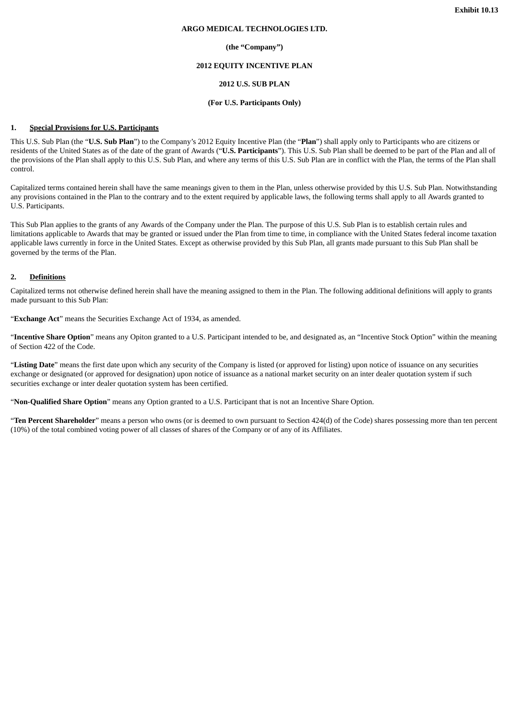#### **ARGO MEDICAL TECHNOLOGIES LTD.**

#### **(the "Company")**

#### **2012 EQUITY INCENTIVE PLAN**

# **2012 U.S. SUB PLAN**

#### **(For U.S. Participants Only)**

#### **1. Special Provisions for U.S. Participants**

This U.S. Sub Plan (the "**U.S. Sub Plan**") to the Company's 2012 Equity Incentive Plan (the "**Plan**") shall apply only to Participants who are citizens or residents of the United States as of the date of the grant of Awards ("**U.S. Participants**"). This U.S. Sub Plan shall be deemed to be part of the Plan and all of the provisions of the Plan shall apply to this U.S. Sub Plan, and where any terms of this U.S. Sub Plan are in conflict with the Plan, the terms of the Plan shall control.

Capitalized terms contained herein shall have the same meanings given to them in the Plan, unless otherwise provided by this U.S. Sub Plan. Notwithstanding any provisions contained in the Plan to the contrary and to the extent required by applicable laws, the following terms shall apply to all Awards granted to U.S. Participants.

This Sub Plan applies to the grants of any Awards of the Company under the Plan. The purpose of this U.S. Sub Plan is to establish certain rules and limitations applicable to Awards that may be granted or issued under the Plan from time to time, in compliance with the United States federal income taxation applicable laws currently in force in the United States. Except as otherwise provided by this Sub Plan, all grants made pursuant to this Sub Plan shall be governed by the terms of the Plan.

### **2. Definitions**

Capitalized terms not otherwise defined herein shall have the meaning assigned to them in the Plan. The following additional definitions will apply to grants made pursuant to this Sub Plan:

"**Exchange Act**" means the Securities Exchange Act of 1934, as amended.

"**Incentive Share Option**" means any Opiton granted to a U.S. Participant intended to be, and designated as, an "Incentive Stock Option" within the meaning of Section 422 of the Code.

"**Listing Date**" means the first date upon which any security of the Company is listed (or approved for listing) upon notice of issuance on any securities exchange or designated (or approved for designation) upon notice of issuance as a national market security on an inter dealer quotation system if such securities exchange or inter dealer quotation system has been certified.

"**Non-Qualified Share Option**" means any Option granted to a U.S. Participant that is not an Incentive Share Option.

"**Ten Percent Shareholder**" means a person who owns (or is deemed to own pursuant to Section 424(d) of the Code) shares possessing more than ten percent (10%) of the total combined voting power of all classes of shares of the Company or of any of its Affiliates.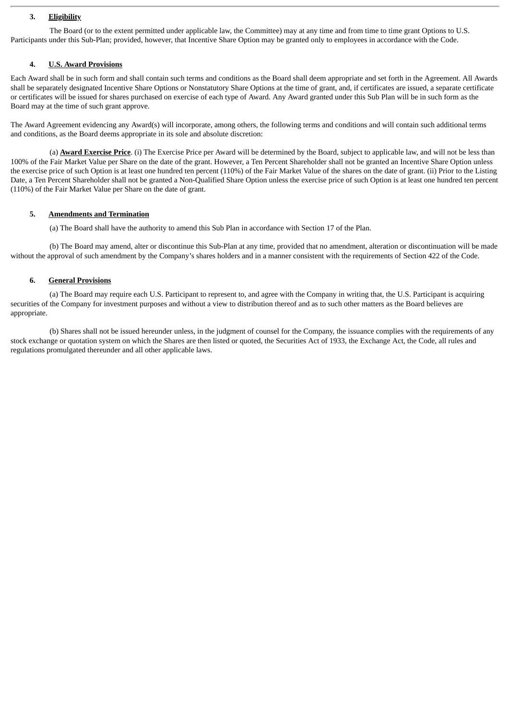### **3. Eligibility**

The Board (or to the extent permitted under applicable law, the Committee) may at any time and from time to time grant Options to U.S. Participants under this Sub-Plan; provided, however, that Incentive Share Option may be granted only to employees in accordance with the Code.

#### **4. U.S. Award Provisions**

Each Award shall be in such form and shall contain such terms and conditions as the Board shall deem appropriate and set forth in the Agreement. All Awards shall be separately designated Incentive Share Options or Nonstatutory Share Options at the time of grant, and, if certificates are issued, a separate certificate or certificates will be issued for shares purchased on exercise of each type of Award. Any Award granted under this Sub Plan will be in such form as the Board may at the time of such grant approve.

The Award Agreement evidencing any Award(s) will incorporate, among others, the following terms and conditions and will contain such additional terms and conditions, as the Board deems appropriate in its sole and absolute discretion:

(a) **Award Exercise Price**. (i) The Exercise Price per Award will be determined by the Board, subject to applicable law, and will not be less than 100% of the Fair Market Value per Share on the date of the grant. However, a Ten Percent Shareholder shall not be granted an Incentive Share Option unless the exercise price of such Option is at least one hundred ten percent (110%) of the Fair Market Value of the shares on the date of grant. (ii) Prior to the Listing Date, a Ten Percent Shareholder shall not be granted a Non-Qualified Share Option unless the exercise price of such Option is at least one hundred ten percent (110%) of the Fair Market Value per Share on the date of grant.

#### **5. Amendments and Termination**

(a) The Board shall have the authority to amend this Sub Plan in accordance with Section 17 of the Plan.

(b) The Board may amend, alter or discontinue this Sub-Plan at any time, provided that no amendment, alteration or discontinuation will be made without the approval of such amendment by the Company's shares holders and in a manner consistent with the requirements of Section 422 of the Code.

### **6. General Provisions**

(a) The Board may require each U.S. Participant to represent to, and agree with the Company in writing that, the U.S. Participant is acquiring securities of the Company for investment purposes and without a view to distribution thereof and as to such other matters as the Board believes are appropriate.

(b) Shares shall not be issued hereunder unless, in the judgment of counsel for the Company, the issuance complies with the requirements of any stock exchange or quotation system on which the Shares are then listed or quoted, the Securities Act of 1933, the Exchange Act, the Code, all rules and regulations promulgated thereunder and all other applicable laws.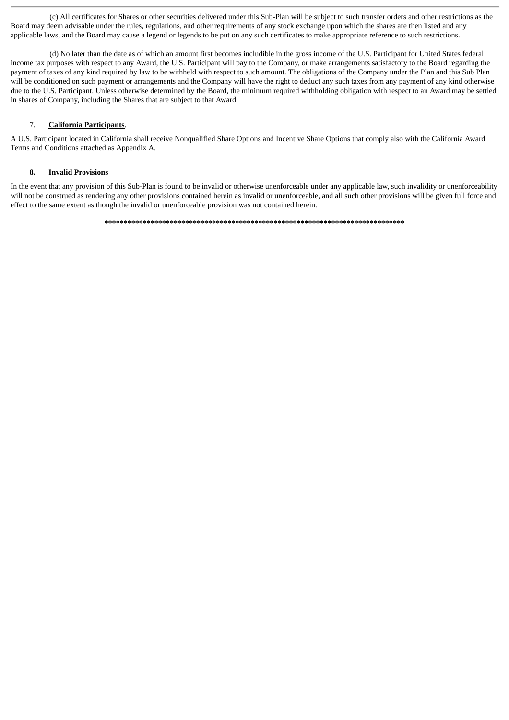(c) All certificates for Shares or other securities delivered under this Sub-Plan will be subject to such transfer orders and other restrictions as the Board may deem advisable under the rules, regulations, and other requirements of any stock exchange upon which the shares are then listed and any applicable laws, and the Board may cause a legend or legends to be put on any such certificates to make appropriate reference to such restrictions.

(d) No later than the date as of which an amount first becomes includible in the gross income of the U.S. Participant for United States federal income tax purposes with respect to any Award, the U.S. Participant will pay to the Company, or make arrangements satisfactory to the Board regarding the payment of taxes of any kind required by law to be withheld with respect to such amount. The obligations of the Company under the Plan and this Sub Plan will be conditioned on such payment or arrangements and the Company will have the right to deduct any such taxes from any payment of any kind otherwise due to the U.S. Participant. Unless otherwise determined by the Board, the minimum required withholding obligation with respect to an Award may be settled in shares of Company, including the Shares that are subject to that Award.

# 7. **California Participants**.

A U.S. Participant located in California shall receive Nonqualified Share Options and Incentive Share Options that comply also with the California Award Terms and Conditions attached as Appendix A.

# **8. Invalid Provisions**

In the event that any provision of this Sub-Plan is found to be invalid or otherwise unenforceable under any applicable law, such invalidity or unenforceability will not be construed as rendering any other provisions contained herein as invalid or unenforceable, and all such other provisions will be given full force and effect to the same extent as though the invalid or unenforceable provision was not contained herein.

**\*\*\*\*\*\*\*\*\*\*\*\*\*\*\*\*\*\*\*\*\*\*\*\*\*\*\*\*\*\*\*\*\*\*\*\*\*\*\*\*\*\*\*\*\*\*\*\*\*\*\*\*\*\*\*\*\*\*\*\*\*\*\*\*\*\*\*\*\*\*\*\*\*\*\*\*\*\***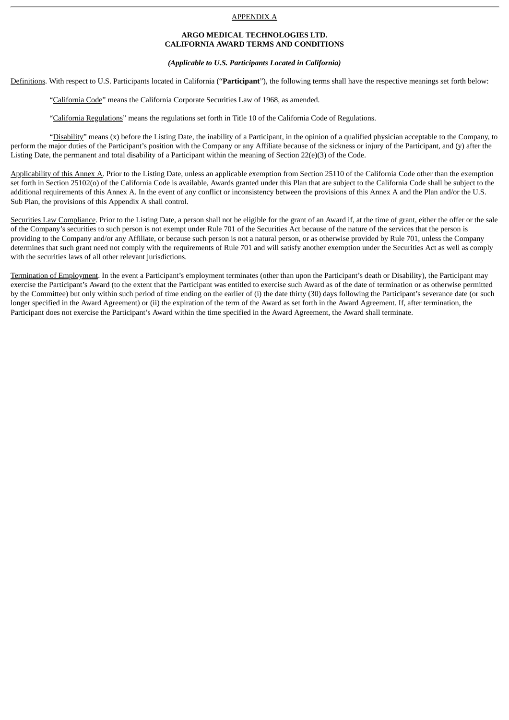#### APPENDIX A

#### **ARGO MEDICAL TECHNOLOGIES LTD. CALIFORNIA AWARD TERMS AND CONDITIONS**

#### *(Applicable to U.S. Participants Located in California)*

Definitions. With respect to U.S. Participants located in California ("**Participant**"), the following terms shall have the respective meanings set forth below:

"California Code" means the California Corporate Securities Law of 1968, as amended.

"California Regulations" means the regulations set forth in Title 10 of the California Code of Regulations.

"Disability" means (x) before the Listing Date, the inability of a Participant, in the opinion of a qualified physician acceptable to the Company, to perform the major duties of the Participant's position with the Company or any Affiliate because of the sickness or injury of the Participant, and (y) after the Listing Date, the permanent and total disability of a Participant within the meaning of Section 22(e)(3) of the Code.

Applicability of this Annex A. Prior to the Listing Date, unless an applicable exemption from Section 25110 of the California Code other than the exemption set forth in Section 25102(o) of the California Code is available, Awards granted under this Plan that are subject to the California Code shall be subject to the additional requirements of this Annex A. In the event of any conflict or inconsistency between the provisions of this Annex A and the Plan and/or the U.S. Sub Plan, the provisions of this Appendix A shall control.

Securities Law Compliance. Prior to the Listing Date, a person shall not be eligible for the grant of an Award if, at the time of grant, either the offer or the sale of the Company's securities to such person is not exempt under Rule 701 of the Securities Act because of the nature of the services that the person is providing to the Company and/or any Affiliate, or because such person is not a natural person, or as otherwise provided by Rule 701, unless the Company determines that such grant need not comply with the requirements of Rule 701 and will satisfy another exemption under the Securities Act as well as comply with the securities laws of all other relevant jurisdictions.

Termination of Employment. In the event a Participant's employment terminates (other than upon the Participant's death or Disability), the Participant may exercise the Participant's Award (to the extent that the Participant was entitled to exercise such Award as of the date of termination or as otherwise permitted by the Committee) but only within such period of time ending on the earlier of (i) the date thirty (30) days following the Participant's severance date (or such longer specified in the Award Agreement) or (ii) the expiration of the term of the Award as set forth in the Award Agreement. If, after termination, the Participant does not exercise the Participant's Award within the time specified in the Award Agreement, the Award shall terminate.